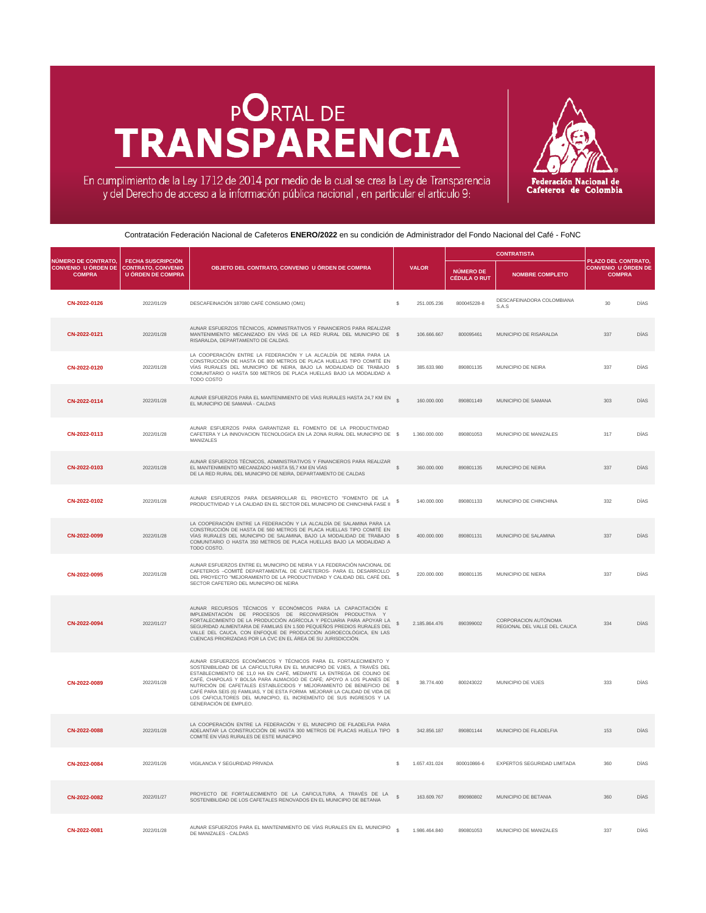## **PORTAL DE** TRANSPARENCIA



En cumplimiento de la Ley 1712 de 2014 por medio de la cual se crea la Ley de Transparencia<br>y del Derecho de acceso a la información pública nacional, en particular el articulo 9:

Contratación Federación Nacional de Cafeteros **ENERO/2022** en su condición de Administrador del Fondo Nacional del Café - FoNC

|                                             |                                                                                                       |                                                                                                                                                                                                                                                                                                                                                                                                                                                                                                                                                     |               |               | <b>CONTRATISTA</b>                      |                                                      |                                                                    |             |
|---------------------------------------------|-------------------------------------------------------------------------------------------------------|-----------------------------------------------------------------------------------------------------------------------------------------------------------------------------------------------------------------------------------------------------------------------------------------------------------------------------------------------------------------------------------------------------------------------------------------------------------------------------------------------------------------------------------------------------|---------------|---------------|-----------------------------------------|------------------------------------------------------|--------------------------------------------------------------------|-------------|
| <b>NÚMERO DE CONTRATO.</b><br><b>COMPRA</b> | <b>FECHA SUSCRIPCIÓN</b><br><b>CONVENIO U ÓRDEN DE CONTRATO, CONVENIO</b><br><b>U ÓRDEN DE COMPRA</b> | OBJETO DEL CONTRATO, CONVENIO U ÓRDEN DE COMPRA                                                                                                                                                                                                                                                                                                                                                                                                                                                                                                     |               | <b>VALOR</b>  | <b>NÚMERO DE</b><br><b>CÉDULA O RUT</b> | <b>NOMBRE COMPLETO</b>                               | PLAZO DEL CONTRATO,<br><b>CONVENIO U ÓRDEN DE</b><br><b>COMPRA</b> |             |
| CN-2022-0126                                | 2022/01/29                                                                                            | DESCAFEINACIÓN 187080 CAFÉ CONSUMO (OM1)                                                                                                                                                                                                                                                                                                                                                                                                                                                                                                            | \$            | 251.005.236   | 800045228-8                             | DESCAFEINADORA COLOMBIANA<br>S.A.S                   | 30                                                                 | <b>DÍAS</b> |
| CN-2022-0121                                | 2022/01/28                                                                                            | AUNAR ESFUERZOS TÉCNICOS, ADMINISTRATIVOS Y FINANCIEROS PARA REALIZAR<br>MANTENIMIENTO MECANIZADO EN VÍAS DE LA RED RURAL DEL MUNICIPIO DE \$<br>RISARALDA, DEPARTAMENTO DE CALDAS.                                                                                                                                                                                                                                                                                                                                                                 |               | 106.666.667   | 800095461                               | MUNICIPIO DE RISARALDA                               | 337                                                                | <b>DÍAS</b> |
| CN-2022-0120                                | 2022/01/28                                                                                            | LA COOPERACIÓN ENTRE LA FEDERACIÓN Y LA ALCALDÍA DE NEIRA PARA LA<br>CONSTRUCCIÓN DE HASTA DE 800 METROS DE PLACA HUELLAS TIPO COMITÉ EN<br>VÍAS RURALES DEL MUNICIPIO DE NEIRA, BAJO LA MODALIDAD DE TRABAJO \$<br>COMUNITARIO O HASTA 500 METROS DE PLACA HUELLAS BAJO LA MODALIDAD A<br><b>TODO COSTO</b>                                                                                                                                                                                                                                        |               | 385.633.980   | 890801135                               | MUNICIPIO DE NEIRA                                   | 337                                                                | <b>DÍAS</b> |
| CN-2022-0114                                | 2022/01/28                                                                                            | AUNAR ESFUERZOS PARA EL MANTENIMIENTO DE VÍAS RURALES HASTA 24,7 KM EN<br>EL MUNICIPIO DE SAMANÁ - CALDAS                                                                                                                                                                                                                                                                                                                                                                                                                                           |               | 160.000.000   | 890801149                               | MUNICIPIO DE SAMANA                                  | 303                                                                | <b>DÍAS</b> |
| CN-2022-0113                                | 2022/01/28                                                                                            | AUNAR ESFUERZOS PARA GARANTIZAR EL FOMENTO DE LA PRODUCTIVIDAD<br>CAFETERA Y LA INNOVACION TECNOLOGICA EN LA ZONA RURAL DEL MUNICIPIO DE \$<br><b>MANIZALES</b>                                                                                                                                                                                                                                                                                                                                                                                     |               | 1.360.000.000 | 890801053                               | MUNICIPIO DE MANIZALES                               | 317                                                                | <b>DÍAS</b> |
| CN-2022-0103                                | 2022/01/28                                                                                            | AUNAR ESFUERZOS TÉCNICOS, ADMINISTRATIVOS Y FINANCIEROS PARA REALIZAR<br>EL MANTENIMIENTO MECANIZADO HASTA 55,7 KM EN VÍAS<br>DE LA RED RURAL DEL MUNICIPIO DE NEIRA, DEPARTAMENTO DE CALDAS                                                                                                                                                                                                                                                                                                                                                        |               | 360.000.000   | 890801135                               | <b>MUNICIPIO DE NEIRA</b>                            | 337                                                                | <b>DÍAS</b> |
| CN-2022-0102                                | 2022/01/28                                                                                            | AUNAR ESFUERZOS PARA DESARROLLAR EL PROYECTO "FOMENTO DE LA<br>PRODUCTIVIDAD Y LA CALIDAD EN EL SECTOR DEL MUNICIPIO DE CHINCHINÁ FASE II                                                                                                                                                                                                                                                                                                                                                                                                           |               | 140.000.000   | 890801133                               | MUNICIPIO DE CHINCHINA                               | 332                                                                | DÍAS        |
| CN-2022-0099                                | 2022/01/28                                                                                            | LA COOPERACIÓN ENTRE LA FEDERACIÓN Y LA ALCALDÍA DE SALAMINA PARA LA<br>CONSTRUCCIÓN DE HASTA DE 560 METROS DE PLACA HUELLAS TIPO COMITÉ EN<br>VÍAS RURALES DEL MUNICIPIO DE SALAMINA, BAJO LA MODALIDAD DE TRABAJO \$<br>COMUNITARIO O HASTA 350 METROS DE PLACA HUELLAS BAJO LA MODALIDAD A<br>TODO COSTO.                                                                                                                                                                                                                                        |               | 400.000.000   | 890801131                               | MUNICIPIO DE SALAMINA                                | 337                                                                | <b>DÍAS</b> |
| CN-2022-0095                                | 2022/01/28                                                                                            | AUNAR ESFUERZOS ENTRE EL MUNICIPIO DE NEIRA Y LA FEDERACIÓN NACIONAL DE<br>CAFETEROS - COMITÉ DEPARTAMENTAL DE CAFETEROS- PARA EL DESARROLLO<br>DEL PROYECTO "MEJORAMIENTO DE LA PRODUCTIVIDAD Y CALIDAD DEL CAFÉ DEL<br>SECTOR CAFETERO DEL MUNICIPIO DE NEIRA                                                                                                                                                                                                                                                                                     |               | 220.000.000   | 890801135                               | <b>MUNICIPIO DE NIERA</b>                            | 337                                                                | <b>DÍAS</b> |
| CN-2022-0094                                | 2022/01/27                                                                                            | AUNAR RECURSOS TÉCNICOS Y ECONÓMICOS PARA LA CAPACITACIÓN E<br>IMPLEMENTACIÓN DE PROCESOS DE RECONVERSIÓN PRODUCTIVA Y<br>FORTALECIMIENTO DE LA PRODUCCIÓN AGRÍCOLA Y PECUARIA PARA APOYAR LA<br>SEGURIDAD ALIMENTARIA DE FAMILIAS EN 1.500 PEQUEÑOS PREDIOS RURALES DEL<br>VALLE DEL CAUCA, CON ENFOQUE DE PRODUCCIÓN AGROECOLÓGICA, EN LAS<br>CUENCAS PRIORIZADAS POR LA CVC EN EL ÁREA DE SU JURISDICCIÓN.                                                                                                                                       |               | 2.185.864.476 | 890399002                               | CORPORACION AUTÓNOMA<br>REGIONAL DEL VALLE DEL CAUCA | 334                                                                | <b>DÍAS</b> |
| CN-2022-0089                                | 2022/01/28                                                                                            | AUNAR ESFUERZOS ECONÓMICOS Y TÉCNICOS PARA EL FORTALECIMIENTO Y<br>SOSTENIBILIDAD DE LA CAFICULTURA EN EL MUNICIPIO DE VJIES, A TRAVÉS DEL<br>ESTABLECIMIENTO DE 11,0 HA EN CAFÉ, MEDIANTE LA ENTREGA DE COLINO DE<br>CAFÉ, CHAPOLAS Y BOLSA PARA ALMACIGO DE CAFÉ; APOYO A LOS PLANES DE<br>NUTRICIÓN DE CAFETALES ESTABLECIDOS Y MEJORAMIENTO DE BENEFICIO DE<br>CAFÉ PARA SEIS (6) FAMILIAS, Y DE ESTA FORMA MEJORAR LA CALIDAD DE VIDA DE<br>LOS CAFICULTORES DEL MUNICIPIO, EL INCREMENTO DE SUS INGRESOS Y LA<br><b>GENERACIÓN DE EMPLEO.</b> | $\mathcal{D}$ |               | 38.774.400 800243022                    | MUNICIPIO DE VIJES                                   | 333                                                                | DÍAS        |
| CN-2022-0088                                | 2022/01/28                                                                                            | LA COOPERACIÓN ENTRE LA FEDERACIÓN Y EL MUNICIPIO DE FILADELFIA PARA<br>ADELANTAR LA CONSTRUCCIÓN DE HASTA 300 METROS DE PLACAS HUELLA TIPO \$<br>COMITÉ EN VÍAS RURALES DE ESTE MUNICIPIO                                                                                                                                                                                                                                                                                                                                                          |               | 342.856.187   | 890801144                               | MUNICIPIO DE FILADELFIA                              | 153                                                                | <b>DÍAS</b> |
| CN-2022-0084                                | 2022/01/26                                                                                            | VIGILANCIA Y SEGURIDAD PRIVADA                                                                                                                                                                                                                                                                                                                                                                                                                                                                                                                      |               | 1.657.431.024 | 800010866-6                             | <b>EXPERTOS SEGURIDAD LIMITADA</b>                   | 360                                                                | <b>DÍAS</b> |
| CN-2022-0082                                | 2022/01/27                                                                                            | PROYECTO DE FORTALECIMIENTO DE LA CAFICULTURA, A TRAVÉS DE LA<br>SOSTENIBILIDAD DE LOS CAFETALES RENOVADOS EN EL MUNICIPIO DE BETANIA                                                                                                                                                                                                                                                                                                                                                                                                               |               | 163.609.767   | 890980802                               | <b>MUNICIPIO DE BETANIA</b>                          | 360                                                                | <b>DÍAS</b> |
| CN-2022-0081                                | 2022/01/28                                                                                            | AUNAR ESFUERZOS PARA EL MANTENIMIENTO DE VÍAS RURALES EN EL MUNICIPIO<br>DE MANIZALES - CALDAS                                                                                                                                                                                                                                                                                                                                                                                                                                                      |               | 1.986.464.840 | 890801053                               | MUNICIPIO DE MANIZALES                               | 337                                                                | <b>DÍAS</b> |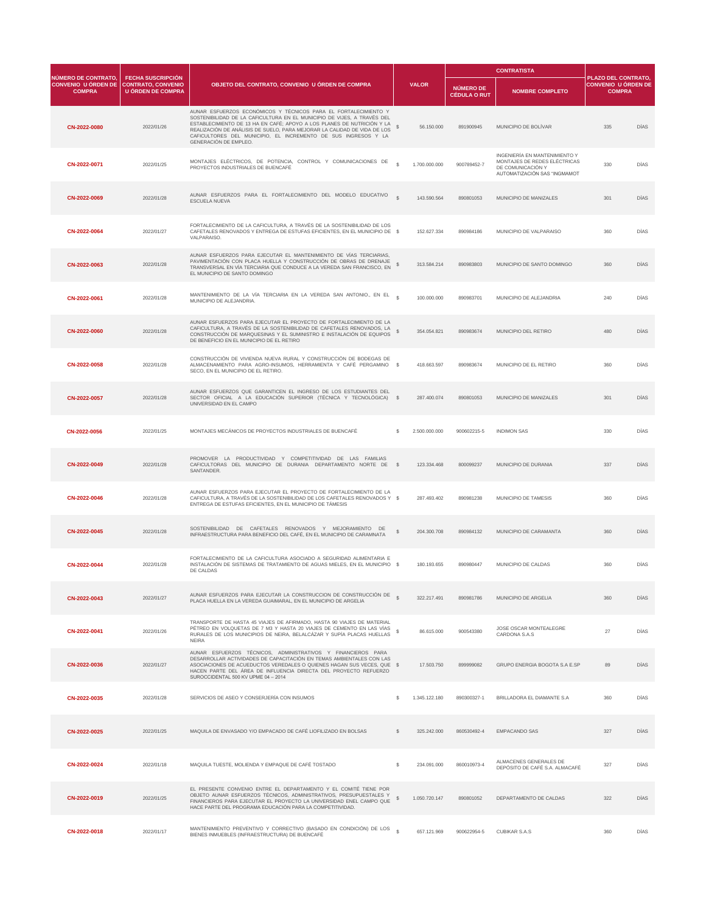|                                                                           |                                                                                   |                                                                                                                                                                                                                                                                                                                                                                                                    |               |               | <b>CONTRATISTA</b>                      |                                                                                                                    |                                                                           |             |
|---------------------------------------------------------------------------|-----------------------------------------------------------------------------------|----------------------------------------------------------------------------------------------------------------------------------------------------------------------------------------------------------------------------------------------------------------------------------------------------------------------------------------------------------------------------------------------------|---------------|---------------|-----------------------------------------|--------------------------------------------------------------------------------------------------------------------|---------------------------------------------------------------------------|-------------|
| <b>NÚMERO DE CONTRATO,</b><br><b>CONVENIO U ÓRDEN DE</b><br><b>COMPRA</b> | <b>FECHA SUSCRIPCIÓN</b><br><b>CONTRATO, CONVENIO</b><br><b>U ÓRDEN DE COMPRA</b> | OBJETO DEL CONTRATO, CONVENIO U ÓRDEN DE COMPRA                                                                                                                                                                                                                                                                                                                                                    |               | <b>VALOR</b>  | <b>NÚMERO DE</b><br><b>CÉDULA O RUT</b> | <b>NOMBRE COMPLETO</b>                                                                                             | <b>PLAZO DEL CONTRATO,</b><br><b>CONVENIO U ÓRDEN DE</b><br><b>COMPRA</b> |             |
| CN-2022-0080                                                              | 2022/01/26                                                                        | AUNAR ESFUERZOS ECONÓMICOS Y TÉCNICOS PARA EL FORTALECIMIENTO Y<br>SOSTENIBILIDAD DE LA CAFICULTURA EN EL MUNICIPIO DE VIJES, A TRAVÉS DEL<br>ESTABLECIMIENTO DE 13 HA EN CAFÉ; APOYO A LOS PLANES DE NUTRICIÓN Y LA<br>REALIZACIÓN DE ANÁLISIS DE SUELO, PARA MEJORAR LA CALIDAD DE VIDA DE LOS<br>CAFICULTORES DEL MUNICIPIO, EL INCREMENTO DE SUS INGRESOS Y LA<br><b>GENERACIÓN DE EMPLEO.</b> |               | 56.150.000    | 891900945                               | MUNICIPIO DE BOLÍVAR                                                                                               | 335                                                                       | <b>DÍAS</b> |
| CN-2022-0071                                                              | 2022/01/25                                                                        | MONTAJES ELÉCTRICOS, DE POTENCIA, CONTROL Y COMUNICACIONES DE<br>PROYECTOS INDUSTRIALES DE BUENCAFÉ                                                                                                                                                                                                                                                                                                |               | 1.700.000.000 | 900789452-7                             | INGENIERÍA EN MANTENIMIENTO Y<br>MONTAJES DE REDES ELÉCTRICAS<br>DE COMUNICACIÓN Y<br>AUTOMATIZACIÓN SAS "INGMAMOT | 330                                                                       | <b>DÍAS</b> |
| CN-2022-0069                                                              | 2022/01/28                                                                        | AUNAR ESFUERZOS PARA EL FORTALECIMIENTO DEL MODELO EDUCATIVO<br><b>ESCUELA NUEVA</b>                                                                                                                                                                                                                                                                                                               | $\mathcal{R}$ | 143.590.564   | 890801053                               | MUNICIPIO DE MANIZALES                                                                                             | 301                                                                       | <b>DÍAS</b> |
| CN-2022-0064                                                              | 2022/01/27                                                                        | FORTALECIMIENTO DE LA CAFICULTURA, A TRAVÉS DE LA SOSTENIBILIDAD DE LOS<br>CAFETALES RENOVADOS Y ENTREGA DE ESTUFAS EFICIENTES, EN EL MUNICIPIO DE \$<br><b>VALPARAISO.</b>                                                                                                                                                                                                                        |               | 152.627.334   | 890984186                               | MUNICIPIO DE VALPARAISO                                                                                            | 360                                                                       | <b>DÍAS</b> |
| CN-2022-0063                                                              | 2022/01/28                                                                        | AUNAR ESFUERZOS PARA EJECUTAR EL MANTENIMIENTO DE VÍAS TERCIARIAS,<br>PAVIMENTACIÓN CON PLACA HUELLA Y CONSTRUCCIÓN DE OBRAS DE DRENAJE<br>TRANSVERSAL EN VÍA TERCIARIA QUE CONDUCE A LA VEREDA SAN FRANCISCO, EN<br>EL MUNICIPIO DE SANTO DOMINGO                                                                                                                                                 |               | 313.584.214   | 890983803                               | MUNICIPIO DE SANTO DOMINGO                                                                                         | 360                                                                       | <b>DÍAS</b> |
| CN-2022-0061                                                              | 2022/01/28                                                                        | MANTENIMIENTO DE LA VÍA TERCIARIA EN LA VEREDA SAN ANTONIO., EN EL<br>MUNICIPIO DE ALEJANDRIA.                                                                                                                                                                                                                                                                                                     | $\mathcal{R}$ | 100.000.000   | 890983701                               | MUNICIPIO DE ALEJANDRIA                                                                                            | 240                                                                       | <b>DÍAS</b> |
| CN-2022-0060                                                              | 2022/01/28                                                                        | AUNAR ESFUERZOS PARA EJECUTAR EL PROYECTO DE FORTALECIMIENTO DE LA<br>CAFICULTURA, A TRAVÉS DE LA SOSTENIBILIDAD DE CAFETALES RENOVADOS, LA CONSTRUCCIÓN DE MARQUESINAS Y EL SUMINISTRO E INSTALACIÓN DE EQUIPOS<br>DE BENEFICIO EN EL MUNICIPIO DE EL RETIRO                                                                                                                                      |               | 354.054.821   | 890983674                               | <b>MUNICIPIO DEL RETIRO</b>                                                                                        | 480                                                                       | <b>DÍAS</b> |
| CN-2022-0058                                                              | 2022/01/28                                                                        | CONSTRUCCIÓN DE VIVIENDA NUEVA RURAL Y CONSTRUCCIÓN DE BODEGAS DE<br>ALMACENAMIENTO PARA AGRO-INSUMOS, HERRAMIENTA Y CAFÉ PERGAMINO \$<br>SECO, EN EL MUNICIPIO DE EL RETIRO.                                                                                                                                                                                                                      |               | 418.663.597   | 890983674                               | MUNICIPIO DE EL RETIRO                                                                                             | 360                                                                       | <b>DÍAS</b> |
| CN-2022-0057                                                              | 2022/01/28                                                                        | AUNAR ESFUERZOS QUE GARANTICEN EL INGRESO DE LOS ESTUDIANTES DEL<br>SECTOR OFICIAL A LA EDUCACIÓN SUPERIOR (TÉCNICA Y TECNOLÓGICA) \$<br>UNIVERSIDAD EN EL CAMPO                                                                                                                                                                                                                                   |               | 287.400.074   | 890801053                               | MUNICIPIO DE MANIZALES                                                                                             | 301                                                                       | <b>DÍAS</b> |
| CN-2022-0056                                                              | 2022/01/25                                                                        | MONTAJES MECÁNICOS DE PROYECTOS INDUSTRIALES DE BUENCAFÉ                                                                                                                                                                                                                                                                                                                                           | $\mathcal{S}$ | 2.500.000.000 | 900602215-5                             | <b>INDIMON SAS</b>                                                                                                 | 330                                                                       | <b>DÍAS</b> |

| CN-2022-0049 | 2022/01/28 | PROMOVER<br>PRODUCTIVIDAD<br>COMPETITIVIDAD<br><b>FAMILIAS</b><br>LA<br>DE<br>I AS<br>CAFICULTORAS DEL MUNICIPIO DE DURANIA DEPARTAMENTO NORTE DE<br>SANTANDER.                                                                                                                                                           | $\mathbb{S}$ | 123.334.468   | 800099237   | MUNICIPIO DE DURANIA                                     | 337 | <b>DÍAS</b> |
|--------------|------------|---------------------------------------------------------------------------------------------------------------------------------------------------------------------------------------------------------------------------------------------------------------------------------------------------------------------------|--------------|---------------|-------------|----------------------------------------------------------|-----|-------------|
| CN-2022-0046 | 2022/01/28 | AUNAR ESFUERZOS PARA EJECUTAR EL PROYECTO DE FORTALECIMIENTO DE LA<br>CAFICULTURA, A TRAVÉS DE LA SOSTENIBILIDAD DE LOS CAFETALES RENOVADOS Y \$<br>ENTREGA DE ESTUFAS EFICIENTES, EN EL MUNICIPIO DE TÁMESIS                                                                                                             |              | 287.493.402   | 890981238   | MUNICIPIO DE TAMESIS                                     | 360 | <b>DÍAS</b> |
| CN-2022-0045 | 2022/01/28 | DE CAFETALES RENOVADOS Y MEJORAMIENTO DE<br>SOSTENIBILIDAD<br>INFRAESTRUCTURA PARA BENEFICIO DEL CAFÉ, EN EL MUNICIPIO DE CARAMNATA                                                                                                                                                                                       | $\mathbb{S}$ | 204.300.708   | 890984132   | MUNICIPIO DE CARAMANTA                                   | 360 | <b>DÍAS</b> |
| CN-2022-0044 | 2022/01/28 | FORTALECIMIENTO DE LA CAFICULTURA ASOCIADO A SEGURIDAD ALIMENTARIA E<br>INSTALACIÓN DE SISTEMAS DE TRATAMIENTO DE AGUAS MIELES, EN EL MUNICIPIO \$<br>DE CALDAS                                                                                                                                                           |              | 180.193.655   | 890980447   | MUNICIPIO DE CALDAS                                      | 360 | <b>DÍAS</b> |
| CN-2022-0043 | 2022/01/27 | AUNAR ESFUERZOS PARA EJECUTAR LA CONSTRUCCION DE CONSTRUCCIÓN DE<br>PLACA HUELLA EN LA VEREDA GUAIMARAL, EN EL MUNICIPIO DE ARGELIA                                                                                                                                                                                       |              | 322.217.491   | 890981786   | MUNICIPIO DE ARGELIA                                     | 360 | <b>DÍAS</b> |
| CN-2022-0041 | 2022/01/26 | TRANSPORTE DE HASTA 45 VIAJES DE AFIRMADO, HASTA 90 VIAJES DE MATERIAL<br>PÉTREO EN VOLQUETAS DE 7 M3 Y HASTA 20 VIAJES DE CEMENTO EN LAS VÍAS<br>RURALES DE LOS MUNICIPIOS DE NEIRA, BELALCÁZAR Y SUPÍA PLACAS HUELLAS<br><b>NEIRA</b>                                                                                   |              | 86.615.000    | 900543380   | <b>JOSE OSCAR MONTEALEGRE</b><br><b>CARDONA S.A.S</b>    | 27  | <b>DÍAS</b> |
| CN-2022-0036 | 2022/01/27 | AUNAR ESFUERZOS TÉCNICOS, ADMINISTRATIVOS Y FINANCIEROS PARA<br>DESARROLLAR ACTIVIDADES DE CAPACITACIÓN EN TEMAS AMBIENTALES CON LAS<br>ASOCIACIONES DE ACUEDUCTOS VEREDALES O QUIENES HAGAN SUS VECES, QUE \$<br>HACEN PARTE DEL ÁREA DE INFLUENCIA DIRECTA DEL PROYECTO REFUERZO<br>SUROCCIDENTAL 500 KV UPME 04 - 2014 |              | 17.503.750    | 899999082   | <b>GRUPO ENERGIA BOGOTA S.A E.SP</b>                     | 89  | <b>DÍAS</b> |
| CN-2022-0035 | 2022/01/28 | SERVICIOS DE ASEO Y CONSERJERÍA CON INSUMOS                                                                                                                                                                                                                                                                               |              | 1.345.122.180 | 890300327-1 | <b>BRILLADORA EL DIAMANTE S.A</b>                        | 360 | <b>DÍAS</b> |
| CN-2022-0025 | 2022/01/25 | MAQUILA DE ENVASADO Y/O EMPACADO DE CAFÉ LIOFILIZADO EN BOLSAS                                                                                                                                                                                                                                                            |              | 325.242.000   | 860530492-4 | <b>EMPACANDO SAS</b>                                     | 327 | <b>DÍAS</b> |
| CN-2022-0024 | 2022/01/18 | MAQUILA TUESTE, MOLIENDA Y EMPAQUE DE CAFÉ TOSTADO                                                                                                                                                                                                                                                                        |              | 234.091.000   | 860010973-4 | ALMACENES GENERALES DE<br>DEPÓSITO DE CAFÉ S.A. ALMACAFÉ | 327 | DÍAS        |
| CN-2022-0019 | 2022/01/25 | EL PRESENTE CONVENIO ENTRE EL DEPARTAMENTO Y EL COMITÉ TIENE POR<br>OBJETO AUNAR ESFUERZOS TÉCNICOS, ADMINISTRATIVOS, PRESUPUESTALES Y<br>FINANCIEROS PARA EJECUTAR EL PROYECTO LA UNIVERSIDAD ENEL CAMPO QUE<br>HACE PARTE DEL PROGRAMA EDUCACIÓN PARA LA COMPETITIVIDAD.                                                |              | 1.050.720.147 | 890801052   | DEPARTAMENTO DE CALDAS                                   | 322 | <b>DÍAS</b> |
| CN-2022-0018 | 2022/01/17 | MANTENIMIENTO PREVENTIVO Y CORRECTIVO (BASADO EN CONDICIÓN) DE LOS<br>BIENES INMUEBLES (INFRAESTRUCTURA) DE BUENCAFÉ                                                                                                                                                                                                      | $\mathbb{S}$ | 657.121.969   | 900622954-5 | <b>CUBIKAR S.A.S</b>                                     | 360 | <b>DÍAS</b> |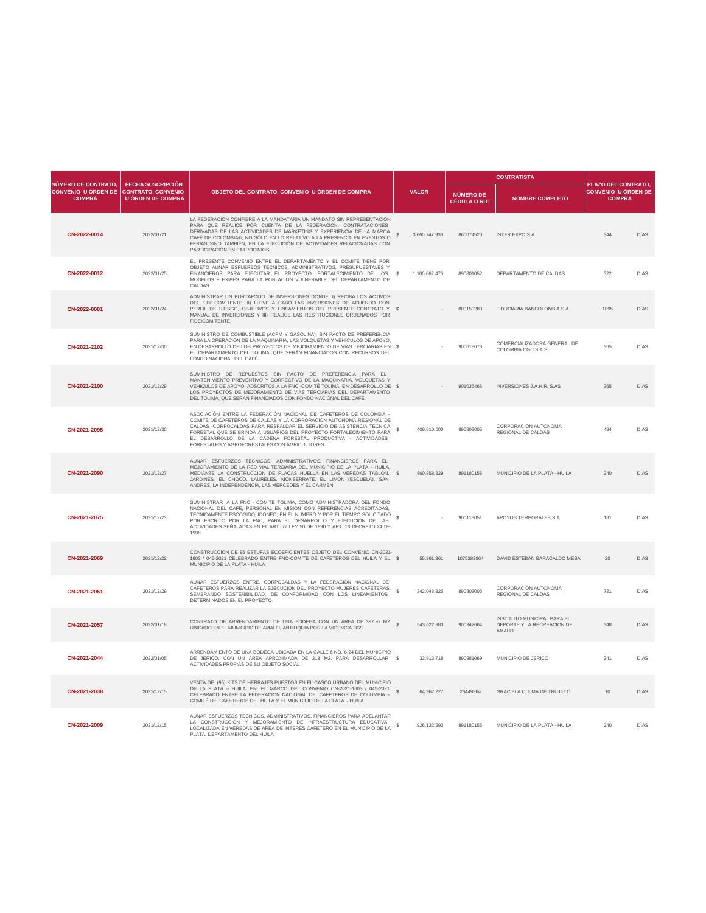|                                                                                      |                                                      |                                                                                                                                                                                                                                                                                                                                                                                                           |               |                                  | <b>CONTRATISTA</b>                                                                |                                                                    |             |
|--------------------------------------------------------------------------------------|------------------------------------------------------|-----------------------------------------------------------------------------------------------------------------------------------------------------------------------------------------------------------------------------------------------------------------------------------------------------------------------------------------------------------------------------------------------------------|---------------|----------------------------------|-----------------------------------------------------------------------------------|--------------------------------------------------------------------|-------------|
| <b>NÚMERO DE CONTRATO</b><br>CONVENIO U ÓRDEN DE CONTRATO, CONVENIO<br><b>COMPRA</b> | <b>FECHA SUSCRIPCIÓN</b><br><b>U ÓRDEN DE COMPRA</b> | OBJETO DEL CONTRATO, CONVENIO U ÓRDEN DE COMPRA                                                                                                                                                                                                                                                                                                                                                           | <b>VALOR</b>  | NÚMERO DE<br><b>CÉDULA O RUT</b> | <b>NOMBRE COMPLETO</b>                                                            | PLAZO DEL CONTRATO,<br><b>CONVENIO U ÓRDEN DE</b><br><b>COMPRA</b> |             |
| CN-2022-0014                                                                         | 2022/01/21                                           | LA FEDERACIÓN CONFIERE A LA MANDATARIA UN MANDATO SIN REPRESENTACIÓN<br>PARA QUE REALICE POR CUENTA DE LA FEDERACIÓN, CONTRATACIONES<br>DERIVADAS DE LAS ACTIVIDADES DE MARKETING Y EXPERIENCIA DE LA MARCA<br>CAFÉ DE COLOMBIA®, NO SÓLO EN LO RELATIVO A LA PRESENCIA EN EVENTOS O<br>FERIAS SINO TAMBIÉN, EN LA EJECUCIÓN DE ACTIVIDADES RELACIONADAS CON<br>PARTICIPACIÓN EN PATROCINIOS              | 3.660.747.936 | 860074520                        | <b>INTER EXPO S.A.</b>                                                            | 344                                                                | <b>DÍAS</b> |
| CN-2022-0012                                                                         | 2022/01/25                                           | EL PRESENTE CONVENIO ENTRE EL DEPARTAMENTO Y EL COMITÉ TIENE POR<br>OBJETO AUNAR ESFUERZOS TÉCNICOS, ADMINISTRATIVOS, PRESUPUESTALES Y<br>FINANCIEROS PARA EJECUTAR EL PROYECTO: FORTALECIMIENTO DE LOS<br>MODELOS FLEXIBES PARA LA POBLACION VULNERABLE DEL DEPARTAMENTO DE<br><b>CALDAS</b>                                                                                                             | 1.100.662.476 | 890801052                        | DEPARTAMENTO DE CALDAS                                                            | 322                                                                | <b>DÍAS</b> |
| CN-2022-0001                                                                         | 2022/01/24                                           | ADMINISTRAR UN PORTAFOLIO DE INVERSIONES DONDE: I) RECIBA LOS ACTIVOS<br>DEL FIDEICOMITENTE, II) LLEVE A CABO LAS INVERSIONES DE ACUERDO CON<br>PERFIL DE RIESGO, OBJETIVOS Y LINEAMIENTOS DEL PRESENTE CONTRATO Y \$<br>MANUAL DE INVERSIONES Y III) REALICE LAS RESTITUCIONES ORDENADOS POR<br><b>FIDEICOMITENTE</b>                                                                                    |               | 800150280                        | FIDUCIARIA BANCOLOMBIA S.A.                                                       | 1095                                                               | <b>DÍAS</b> |
| CN-2021-2102                                                                         | 2021/12/30                                           | SUMINISTRO DE COMBUSTIBLE (ACPM Y GASOLINA), SIN PACTO DE PREFERENCIA<br>PARA LA OPERACIÓN DE LA MAQUINARIA, LAS VOLQUETAS Y VEHÍCULOS DE APOYO,<br>EN DESARROLLO DE LOS PROYECTOS DE MEJORAMIENTO DE VIAS TERCIARIAS EN \$<br>EL DEPARTAMENTO DEL TOLIMA, QUE SERÁN FINANCIADOS CON RECURSOS DEL<br>FONDO NACIONAL DEL CAFÉ.                                                                             | $\sim$        | 900618678                        | COMERCIALIZADORA GENERAL DE<br>COLOMBIA CGC S.A.S                                 | 365                                                                | DÍAS        |
| CN-2021-2100                                                                         | 2021/12/29                                           | SUMINISTRO DE REPUESTOS SIN PACTO DE PREFERENCIA PARA EL<br>MANTENIMIENTO PREVENTIVO Y CORRECTIVO DE LA MAQUINARIA, VOLQUETAS Y<br>VEHICULOS DE APOYO, ADSCRITOS A LA FNC-COMITÉ TOLIMA, EN DESARROLLO DE \$<br>LOS PROYECTOS DE MEJORAMIENTO DE VIAS TERCIARIAS DEL DEPARTAMENTO<br>DEL TOLIMA, QUE SERÁN FINANCIADOS CON FONDO NACIONAL DEL CAFÉ.                                                       |               | 901036466                        | <b>INVERSIONES J.A.H.R. S.AS</b>                                                  | 365                                                                | <b>DÍAS</b> |
| CN-2021-2095                                                                         | 2021/12/30                                           | ASOCIACIÓN ENTRE LA FEDERACIÓN NACIONAL DE CAFETEROS DE COLOMBIA -<br>COMITÉ DE CAFETEROS DE CALDAS Y LA CORPORACIÓN AUTONOMA REGIONAL DE<br>CALDAS -CORPOCALDAS PARA RESPALDAR EL SERVICIO DE ASISTENCIA TÉCNICA<br>FORESTAL QUE SE BRINDA A USUARIOS DEL PROYECTO FORTALECIMIENTO PARA<br>EL DESARROLLO DE LA CADENA FORESTAL PRODUCTIVA - ACTIVIDADES<br>FORESTALES Y AGROFORESTALES CON AGRICULTORES. | 406.010.000   | 890803005                        | CORPORACION AUTONOMA<br>REGIONAL DE CALDAS                                        | 484                                                                | <b>DÍAS</b> |
| CN-2021-2090                                                                         | 2021/12/27                                           | AUNAR ESFUERZOS TECNICOS, ADMINISTRATIVOS, FINANCIEROS PARA EL<br>MEJORAMIENTO DE LA RED VIAL TERCIARIA DEL MUNICIPIO DE LA PLATA - HUILA,<br>MEDIANTE LA CONSTRUCCION DE PLACAS HUELLA EN LAS VEREDAS TABLON, \$<br>JARDINES, EL CHOCO, LAURELES, MONSERRATE, EL LIMON (ESCUELA), SAN<br>ANDRES, LA INDEPENDENCIA, LAS MERCEDES Y EL CARMEN                                                              | 860.858.829   | 891180155                        | MUNICIPIO DE LA PLATA - HUILA                                                     | 240                                                                | <b>DÍAS</b> |
| CN-2021-2075                                                                         | 2021/12/23                                           | SUMINISTRAR A LA FNC - COMITÉ TOLIMA, COMO ADMINISTRADORA DEL FONDO<br>NACIONAL DEL CAFÉ; PERSONAL EN MISIÓN CON REFERENCIAS ACREDITADAS,<br>TÉCNICAMENTE ESCOGIDO, IDÓNEO; EN EL NÚMERO Y POR EL TIEMPO SOLICITADO<br>POR ESCRITO POR LA FNC, PARA EL DESARROLLO Y EJECUCIÓN DE LAS<br>ACTIVIDADES SEÑALADAS EN EL ART. 77 LEY 50 DE 1990 Y ART. 13 DECRETO 24 DE<br>1998                                |               | 900113051                        | APOYOS TEMPORALES S.A                                                             | 181                                                                | <b>DÍAS</b> |
| CN-2021-2069                                                                         | 2021/12/22                                           | CONSTRUCCION DE 95 ESTUFAS ECOEFICIENTES OBJETO DEL CONVENIO CN-2021-<br>1603 / 045-2021 CELEBRADO ENTRE FNC-COMITÉ DE CAFETEROS DEL HUILA Y EL \$<br>MUNICIPIO DE LA PLATA - HUILA                                                                                                                                                                                                                       | 55.361.361    | 1075283864                       | DAVID ESTEBAN BARACALDO MESA                                                      | 20                                                                 | <b>DÍAS</b> |
| CN-2021-2061                                                                         | 2021/12/29                                           | AUNAR ESFUERZOS ENTRE, CORPOCALDAS Y LA FEDERACIÓN NACIONAL DE<br>CAFETEROS PARA REALIZAR LA EJECUCIÓN DEL PROYECTO MUJERES CAFETERAS,<br>SEMBRANDO SOSTENIBILIDAD, DE CONFORMIDAD CON LOS LINEAMIENTOS<br>DETERMINADOS EN EL PROYECTO                                                                                                                                                                    | 342.043.825   | 890803005                        | CORPORACION AUTONOMA<br><b>REGIONAL DE CALDAS</b>                                 | 721                                                                | <b>DÍAS</b> |
| CN-2021-2057                                                                         | 2022/01/18                                           | CONTRATO DE ARRENDAMIENTO DE UNA BODEGA CON UN ÁREA DE 397.97 M2<br>UBICADO EN EL MUNICIPIO DE AMALFI, ANTIOQUIA POR LA VIGENCIA 2022                                                                                                                                                                                                                                                                     | 543.622.980   | 900342664                        | <b>INSTITUTO MUNICIPAL PARA EL</b><br>DEPORTE Y LA RECREACION DE<br><b>AMALFI</b> | 348                                                                | <b>DÍAS</b> |
| CN-2021-2044                                                                         | 2022/01/05                                           | ARRENDAMIENTO DE UNA BODEGA UBICADA EN LA CALLE 6 NO. 6-24 DEL MUNICIPIO<br>DE JERICÓ, CON UN ÁREA APROXIMADA DE 313 M2, PARA DESARROLLAR \$<br>ACTIVIDADES PROPIAS DE SU OBJETO SOCIAL                                                                                                                                                                                                                   | 33.913.718    | 890981069                        | MUNICIPIO DE JERICO                                                               | 341                                                                | <b>DÍAS</b> |
| CN-2021-2038                                                                         | 2021/12/15                                           | VENTA DE (95) KITS DE HERRAJES PUESTOS EN EL CASCO URBANO DEL MUNICIPIO<br>DE LA PLATA - HUILA, EN EL MARCO DEL CONVENIO CN-2021-1603 / 045-2021<br>CELEBRADO ENTRE LA FEDERACION NACIONAL DE CAFETEROS DE COLOMBIA -<br>COMITÉ DE CAFETEROS DEL HUILA Y EL MUNICIPIO DE LA PLATA - HUILA                                                                                                                 | 64.967.227    | 26449364                         | <b>GRACIELA CULMA DE TRUJILLO</b>                                                 | 10 <sup>1</sup>                                                    | <b>DÍAS</b> |
| CN-2021-2009                                                                         | 2021/12/15                                           | AUNAR ESFUERZOS TECNICOS, ADMINISTRATIVOS, FINANCIEROS PARA ADELANTAR<br>LA CONSTRUCCION Y MEJORAMIENTO DE INFRAESTRUCTURA EDUCATIVA<br>LOCALIZADA EN VEREDAS DE AREA DE INTERES CAFETERO EN EL MUNICIPIO DE LA<br>PLATA, DEPARTAMENTO DEL HUILA                                                                                                                                                          | 926.132.293   | 891180155                        | MUNICIPIO DE LA PLATA - HUILA                                                     | 240                                                                | <b>DÍAS</b> |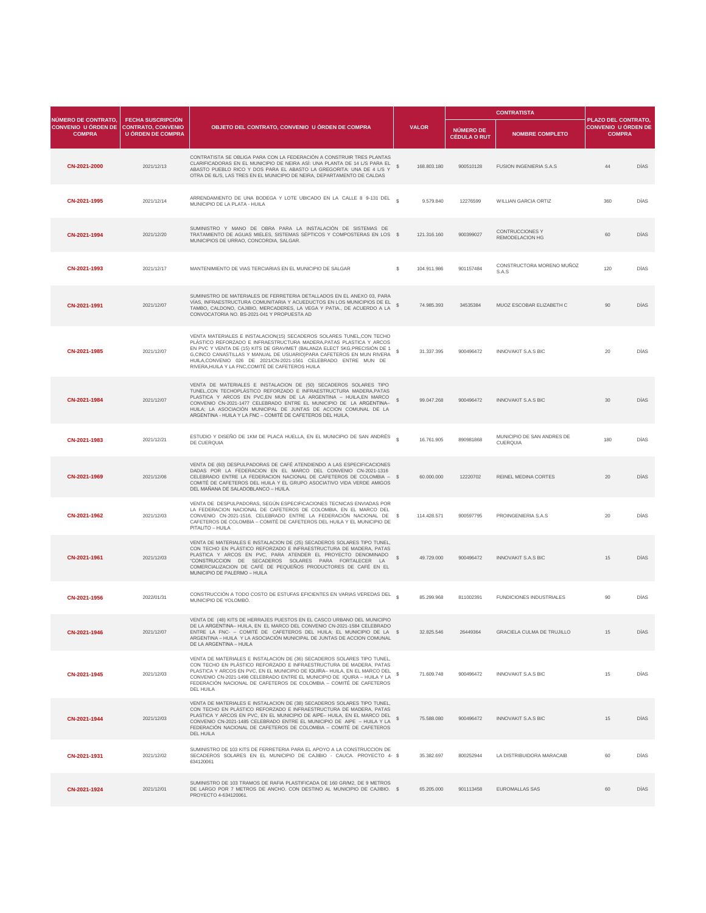|                                                                                              |                                                      |                                                                                                                                                                                                                                                                                                                                                                                                                             |    |              |                                         | <b>CONTRATISTA</b>                               |                                                                           |             |
|----------------------------------------------------------------------------------------------|------------------------------------------------------|-----------------------------------------------------------------------------------------------------------------------------------------------------------------------------------------------------------------------------------------------------------------------------------------------------------------------------------------------------------------------------------------------------------------------------|----|--------------|-----------------------------------------|--------------------------------------------------|---------------------------------------------------------------------------|-------------|
| <b>NÚMERO DE CONTRATO.</b><br><b>CONVENIO U ÓRDEN DE CONTRATO, CONVENIO</b><br><b>COMPRA</b> | <b>FECHA SUSCRIPCIÓN</b><br><b>U ÓRDEN DE COMPRA</b> | OBJETO DEL CONTRATO, CONVENIO U ÓRDEN DE COMPRA                                                                                                                                                                                                                                                                                                                                                                             |    | <b>VALOR</b> | <b>NÚMERO DE</b><br><b>CÉDULA O RUT</b> | <b>NOMBRE COMPLETO</b>                           | <b>PLAZO DEL CONTRATO,</b><br><b>CONVENIO U ÓRDEN DE</b><br><b>COMPRA</b> |             |
| CN-2021-2000                                                                                 | 2021/12/13                                           | CONTRATISTA SE OBLIGA PARA CON LA FEDERACIÓN A CONSTRUIR TRES PLANTAS<br>CLARIFICADORAS EN EL MUNICIPIO DE NEIRA ASÍ: UNA PLANTA DE 14 L/S PARA EL<br>ABASTO PUEBLO RICO Y DOS PARA EL ABASTO LA GREGORITA: UNA DE 4 L/S Y<br>OTRA DE 6L/S, LAS TRES EN EL MUNICIPIO DE NEIRA, DEPARTAMENTO DE CALDAS                                                                                                                       |    | 168.803.180  | 900510128                               | <b>FUSION INGENIERIA S.A.S</b>                   | 44                                                                        | <b>DÍAS</b> |
| CN-2021-1995                                                                                 | 2021/12/14                                           | ARRENDAMIENTO DE UNA BODEGA Y LOTE UBICADO EN LA CALLE 8 9-131 DEL e<br>MUNICIPIO DE LA PLATA - HUILA                                                                                                                                                                                                                                                                                                                       |    | 9.579.840    | 12276599                                | <b>WILLIAN GARCIA ORTIZ</b>                      | 360                                                                       | <b>DÍAS</b> |
| CN-2021-1994                                                                                 | 2021/12/20                                           | SUMINISTRO Y MANO DE OBRA PARA LA INSTALACIÓN DE SISTEMAS DE<br>TRATAMIENTO DE AGUAS MIELES, SISTEMAS SÉPTICOS Y COMPOSTERAS EN LOS \$<br>MUNICIPIOS DE URRAO, CONCORDIA, SALGAR.                                                                                                                                                                                                                                           |    | 121.316.160  | 900399027                               | <b>CONTRUCCIONES Y</b><br><b>REMODELACION HG</b> | 60                                                                        | <b>DÍAS</b> |
| CN-2021-1993                                                                                 | 2021/12/17                                           | MANTENIMIENTO DE VIAS TERCIARIAS EN EL MUNICIPIO DE SALGAR                                                                                                                                                                                                                                                                                                                                                                  | -S | 104.911.986  | 901157484                               | CONSTRUCTORA MORENO MUÑOZ<br>S.A.S               | 120                                                                       | <b>DÍAS</b> |
| CN-2021-1991                                                                                 | 2021/12/07                                           | SUMINISTRO DE MATERIALES DE FERRETERIA DETALLADOS EN EL ANEXO 03, PARA<br>VÍAS, INFRAESTRUCTURA COMUNITARIA Y ACUEDUCTOS EN LOS MUNICIPIOS DE EL<br>TAMBO, CALDONO, CAJIBIO, MERCADERES, LA VEGA Y PATIA., DE ACUERDO A LA<br>CONVOCATORIA NO. BS-2021-041 Y PROPUESTA AD                                                                                                                                                   |    | 74.985.393   | 34535384                                | MUOZ ESCOBAR ELIZABETH C                         | 90                                                                        | <b>DÍAS</b> |
| CN-2021-1985                                                                                 | 2021/12/07                                           | VENTA MATERIALES E INSTALACION(15) SECADEROS SOLARES TUNEL, CON TECHO<br>PLÁSTICO REFORZADO E INFRAESTRUCTURA MADERA, PATAS PLASTICA Y ARCOS<br>EN PVC Y VENTA DE (15) KITS DE GRAVIMET (BALANZA ELECT 5KG, PRECISIÓN DE 1<br>G, CINCO CANASTILLAS Y MANUAL DE USUARIO) PARA CAFETEROS EN MUN RIVERA<br>HUILA,CONVENIO 026 DE 2021/CN-2021-1561 CELEBRADO ENTRE MUN DE<br>RIVERA, HUILA Y LA FNC, COMITÉ DE CAFETEROS HUILA |    | 31.337.395   | 900496472                               | <b>INNOVAKIT S.A.S BIC</b>                       | 20                                                                        | <b>DÍAS</b> |
| CN-2021-1984                                                                                 | 2021/12/07                                           | VENTA DE MATERIALES E INSTALACION DE (50) SECADEROS SOLARES TIPO<br>TUNEL, CON TECHOPLÁSTICO REFORZADO E INFRAESTRUCTURA MADERA, PATAS<br>PLASTICA Y ARCOS EN PVC,EN MUN DE LA ARGENTINA - HUILA,EN MARCO<br>CONVENIO CN-2021-1477 CELEBRADO ENTRE EL MUNICIPIO DE LA ARGENTINA-<br>HUILA; LA ASOCIACIÓN MUNICIPAL DE JUNTAS DE ACCION COMUNAL DE LA<br>ARGENTINA - HUILA Y LA FNC - COMITÉ DE CAFETEROS DEL HUILA.         |    | 99.047.268   | 900496472                               | <b>INNOVAKIT S.A.S BIC</b>                       | 30 <sup>°</sup>                                                           | <b>DÍAS</b> |
| CN-2021-1983                                                                                 | 2021/12/21                                           | ESTUDIO Y DISEÑO DE 1KM DE PLACA HUELLA, EN EL MUNICIPIO DE SAN ANDRÉS<br>DE CUERQUIA                                                                                                                                                                                                                                                                                                                                       |    | 16.761.905   | 890981868                               | MUNICIPIO DE SAN ANDRES DE<br><b>CUERQUIA</b>    | 180                                                                       | <b>DÍAS</b> |
| CN-2021-1969                                                                                 | 2021/12/06                                           | VENTA DE (60) DESPULPADORAS DE CAFÉ ATENDIENDO A LAS ESPECIFICACIONES<br>DADAS POR LA FEDERACION EN EL MARCO DEL CONVENIO CN-2021-1316<br>CELEBRADO ENTRE LA FEDERACION NACIONAL DE CAFETEROS DE COLOMBIA - \$<br>COMITÉ DE CAFETEROS DEL HUILA Y EL GRUPO ASOCIATIVO VIDA VERDE AMIGOS<br>DEL MAÑANA DE SALADOBLANCO - HUILA.                                                                                              |    | 60.000.000   | 12220702                                | <b>REINEL MEDINA CORTES</b>                      | 20                                                                        | <b>DÍAS</b> |
| CN-2021-1962                                                                                 | 2021/12/03                                           | VENTA DE DESPULPADORAS, SEGÚN ESPECIFICACIONES TECNICAS ENVIADAS POR<br>LA FEDERACION NACIONAL DE CAFETEROS DE COLOMBIA, EN EL MARCO DEL<br>CONVENIO CN-2021-1516, CELEBRADO ENTRE LA FEDERACIÓN NACIONAL DE \$<br>CAFETEROS DE COLOMBIA – COMITÉ DE CAFETEROS DEL HUILA Y EL MUNICIPIO DE<br>PITALITO - HUILA                                                                                                              |    | 114.428.571  | 900597795                               | PROINGENIERIA S.A.S                              | 20                                                                        | <b>DÍAS</b> |
| CN-2021-1961                                                                                 | 2021/12/03                                           | VENTA DE MATERIALES E INSTALACION DE (25) SECADEROS SOLARES TIPO TUNEL,<br>CON TECHO EN PLÁSTICO REFORZADO E INFRAESTRUCTURA DE MADERA, PATAS<br>PLASTICA Y ARCOS EN PVC, PARA ATENDER EL PROYECTO DENOMINADO<br>"CONSTRUCCION DE SECADEROS SOLARES PARA FORTALECER LA<br>COMERCIALIZACION DE CAFÉ DE PEQUEÑOS PRODUCTORES DE CAFÉ EN EL<br>MUNICIPIO DE PALERMO - HUILA                                                    |    | 49.729.000   | 900496472                               | <b>INNOVAKIT S.A.S BIC</b>                       | 15                                                                        | <b>DÍAS</b> |
| CN-2021-1956                                                                                 | 2022/01/31                                           | CONSTRUCCIÓN A TODO COSTO DE ESTUFAS EFICIENTES EN VARIAS VEREDAS DEL \$<br>MUNICIPIO DE YOLOMBÓ.                                                                                                                                                                                                                                                                                                                           |    | 85.299.968   | 811002391                               | <b>FUNDICIONES INDUSTRIALES</b>                  | 90                                                                        | <b>DÍAS</b> |
| CN-2021-1946                                                                                 | 2021/12/07                                           | VENTA DE (48) KITS DE HERRAJES PUESTOS EN EL CASCO URBANO DEL MUNICIPIO<br>DE LA ARGENTINA- HUILA, EN EL MARCO DEL CONVENIO CN-2021-1584 CELEBRADO<br>ENTRE LA FNC- – COMITÉ DE CAFETEROS DEL HUILA; EL MUNICIPIO DE LA \$<br>ARGENTINA - HUILA Y LA ASOCIACIÓN MUNICIPAL DE JUNTAS DE ACCION COMUNAL<br>DE LA ARGENTINA - HUILA                                                                                            |    | 32.825.546   | 26449364                                | <b>GRACIELA CULMA DE TRUJILLO</b>                | 15                                                                        | <b>DÍAS</b> |
| CN-2021-1945                                                                                 | 2021/12/03                                           | VENTA DE MATERIALES E INSTALACION DE (36) SECADEROS SOLARES TIPO TUNEL,<br>CON TECHO EN PLÁSTICO REFORZADO E INFRAESTRUCTURA DE MADERA, PATAS<br>PLASTICA Y ARCOS EN PVC, EN EL MUNICIPIO DE IQUIRA- HUILA, EN EL MARCO DEL<br>CONVENIO CN-2021-1498 CELEBRADO ENTRE EL MUNICIPIO DE IQUIRA - HUILA Y LA<br>FEDERACIÓN NACIONAL DE CAFETEROS DE COLOMBIA - COMITÉ DE CAFETEROS<br><b>DEL HUILA</b>                          |    | 71.609.748   | 900496472                               | <b>INNOVAKIT S.A.S BIC</b>                       | 15                                                                        | <b>DÍAS</b> |
| CN-2021-1944                                                                                 | 2021/12/03                                           | VENTA DE MATERIALES E INSTALACION DE (38) SECADEROS SOLARES TIPO TUNEL,<br>CON TECHO EN PLÁSTICO REFORZADO E INFRAESTRUCTURA DE MADERA, PATAS<br>PLASTICA Y ARCOS EN PVC, EN EL MUNICIPIO DE AIPE- HUILA, EN EL MARCO DEL<br>CONVENIO CN-2021-1485 CELEBRADO ENTRE EL MUNICIPIO DE AIPE - HUILA Y LA<br>FEDERACIÓN NACIONAL DE CAFETEROS DE COLOMBIA - COMITÉ DE CAFETEROS<br><b>DEL HUILA</b>                              |    | 75.588.080   | 900496472                               | <b>INNOVAKIT S.A.S BIC</b>                       | 15                                                                        | <b>DÍAS</b> |
| CN-2021-1931                                                                                 | 2021/12/02                                           | SUMINISTRO DE 103 KITS DE FERRETERIA PARA EL APOYO A LA CONSTRUCCION DE<br>SECADEROS SOLARES EN EL MUNICIPIO DE CAJIBIO - CAUCA. PROYECTO 4- \$<br>634120061                                                                                                                                                                                                                                                                |    | 35.382.697   | 800252944                               | LA DISTRIBUIDORA MARACAIB                        | 60                                                                        | DÍAS        |
| CN-2021-1924                                                                                 | 2021/12/01                                           | SUMINISTRO DE 103 TRAMOS DE RAFIA PLASTIFICADA DE 160 GR/M2, DE 9 METROS<br>DE LARGO POR 7 METROS DE ANCHO. CON DESTINO AL MUNICIPIO DE CAJIBIO. \$<br>PROYECTO 4-634120061.                                                                                                                                                                                                                                                |    | 65.205.000   | 901113458                               | <b>EUROMALLAS SAS</b>                            | 60                                                                        | <b>DÍAS</b> |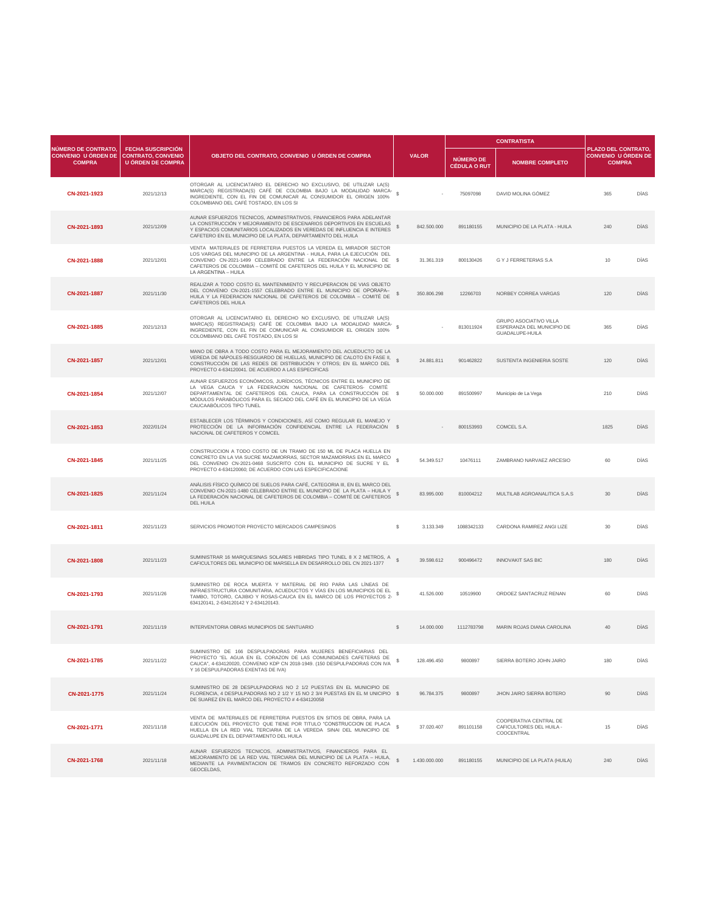|                                                                           |                                                                                   |                                                                                                                                                                                                                                                                                                                        |              |                                  | <b>CONTRATISTA</b>                                                                    |                                                                    |             |  |
|---------------------------------------------------------------------------|-----------------------------------------------------------------------------------|------------------------------------------------------------------------------------------------------------------------------------------------------------------------------------------------------------------------------------------------------------------------------------------------------------------------|--------------|----------------------------------|---------------------------------------------------------------------------------------|--------------------------------------------------------------------|-------------|--|
| <b>NÚMERO DE CONTRATO,</b><br><b>CONVENIO U ÓRDEN DE</b><br><b>COMPRA</b> | <b>FECHA SUSCRIPCIÓN</b><br><b>CONTRATO, CONVENIO</b><br><b>U ÓRDEN DE COMPRA</b> | OBJETO DEL CONTRATO, CONVENIO U ÓRDEN DE COMPRA                                                                                                                                                                                                                                                                        | <b>VALOR</b> | NÚMERO DE<br><b>CÉDULA O RUT</b> | <b>NOMBRE COMPLETO</b>                                                                | PLAZO DEL CONTRATO,<br><b>CONVENIO U ÓRDEN DE</b><br><b>COMPRA</b> |             |  |
| CN-2021-1923                                                              | 2021/12/13                                                                        | OTORGAR AL LICENCIATARIO EL DERECHO NO EXCLUSIVO, DE UTILIZAR LA(S)<br>MARCA(S) REGISTRADA(S) CAFÉ DE COLOMBIA BAJO LA MODALIDAD MARCA-<br>INGREDIENTE, CON EL FIN DE COMUNICAR AL CONSUMIDOR EL ORIGEN 100%<br>COLOMBIANO DEL CAFÉ TOSTADO, EN LOS SI                                                                 |              | 75097098                         | DAVID MOLINA GÓMEZ                                                                    | 365                                                                | <b>DÍAS</b> |  |
| CN-2021-1893                                                              | 2021/12/09                                                                        | AUNAR ESFUERZOS TECNICOS, ADMINISTRATIVOS, FINANCIEROS PARA ADELANTAR<br>LA CONSTRUCCIÓN Y MEJORAMIENTO DE ESCENARIOS DEPORTIVOS EN ESCUELAS<br>Y ESPACIOS COMUNITARIOS LOCALIZADOS EN VEREDAS DE INFLUENCIA E INTERES<br>CAFETERO EN EL MUNICIPIO DE LA PLATA, DEPARTAMENTO DEL HUILA                                 | 842.500.000  | 891180155                        | MUNICIPIO DE LA PLATA - HUILA                                                         | 240                                                                | <b>DÍAS</b> |  |
| CN-2021-1888                                                              | 2021/12/01                                                                        | VENTA MATERIALES DE FERRETERIA PUESTOS LA VEREDA EL MIRADOR SECTOR<br>LOS VARGAS DEL MUNICIPIO DE LA ARGENTINA - HUILA, PARA LA EJECUCIÓN DEL<br>CONVENIO CN-2021-1499 CELEBRADO ENTRE LA FEDERACIÓN NACIONAL DE \$<br>CAFETEROS DE COLOMBIA - COMITÉ DE CAFETEROS DEL HUILA Y EL MUNICIPIO DE<br>LA ARGENTINA - HUILA | 31.361.319   | 800130426                        | <b>G Y J FERRETERIAS S.A</b>                                                          | 10                                                                 | <b>DÍAS</b> |  |
| CN-2021-1887                                                              | 2021/11/30                                                                        | REALIZAR A TODO COSTO EL MANTENIMIENTO Y RECUPERACION DE VIAS OBJETO<br>DEL CONVENIO CN-2021-1557 CELEBRADO ENTRE EL MUNICIPIO DE OPORAPA-<br>HUILA Y LA FEDERACION NACIONAL DE CAFETEROS DE COLOMBIA - COMITÉ DE<br>CAFETEROS DEL HUILA                                                                               | 350.806.298  | 12266703                         | NORBEY CORREA VARGAS                                                                  | 120                                                                | <b>DÍAS</b> |  |
| CN-2021-1885                                                              | 2021/12/13                                                                        | OTORGAR AL LICENCIATARIO EL DERECHO NO EXCLUSIVO, DE UTILIZAR LA(S)<br>MARCA(S) REGISTRADA(S) CAFÉ DE COLOMBIA BAJO LA MODALIDAD MARCA-<br>INGREDIENTE, CON EL FIN DE COMUNICAR AL CONSUMIDOR EL ORIGEN 100%<br>COLOMBIANO DEL CAFÉ TOSTADO, EN LOS SI                                                                 |              | 813011924                        | <b>GRUPO ASOCIATIVO VILLA</b><br>ESPERANZA DEL MUNICIPIO DE<br><b>GUADALUPE-HUILA</b> | 365                                                                | <b>DÍAS</b> |  |
| CN-2021-1857                                                              | 2021/12/01                                                                        | MANO DE OBRA A TODO COSTO PARA EL MEJORAMIENTO DEL ACUEDUCTO DE LA<br>VEREDA DE NÁPOLES-RESGUARDO DE HUELLAS, MUNICIPIO DE CALOTO EN FASE II,<br>CONSTRUCCIÓN DE LAS REDES DE DISTRIBUCIÓN Y OTROS; EN EL MARCO DEL<br>PROYECTO 4-634120041. DE ACUERDO A LAS ESPECIFICAS                                              | 24.881.811   | 901462822                        | SUSTENTA INGENIERIA SOSTE                                                             | 120                                                                | <b>DÍAS</b> |  |
| CN-2021-1854                                                              | 2021/12/07                                                                        | AUNAR ESFUERZOS ECONÓMICOS, JURÍDICOS, TÉCNICOS ENTRE EL MUNICIPIO DE<br>LA VEGA CAUCA Y LA FEDERACION NACIONAL DE CAFETEROS- COMITÉ<br>DEPARTAMENTAL DE CAFETEROS DEL CAUCA, PARA LA CONSTRUCCIÓN DE \$<br>MÓDULOS PARABÓLICOS PARA EL SECADO DEL CAFÉ EN EL MUNICIPIO DE LA VEGA<br>CAUCAABÓLICOS TIPO TUNEL         | 50.000.000   | 891500997                        | Municipio de La Vega                                                                  | 210                                                                | DÍAS        |  |
| CN-2021-1853                                                              | 2022/01/24                                                                        | ESTABLECER LOS TÉRMINOS Y CONDICIONES, ASÍ COMO REGULAR EL MANEJO Y<br>PROTECCIÓN DE LA INFORMACIÓN CONFIDENCIAL ENTRE LA FEDERACIÓN \$<br>NACIONAL DE CAFETEROS Y COMCEL                                                                                                                                              |              | 800153993                        | COMCEL S.A.                                                                           | 1825                                                               | <b>DÍAS</b> |  |

| CN-2021-1845 | 2021/11/25 | CONSTRUCCION A TODO COSTO DE UN TRAMO DE 150 ML DE PLACA HUELLA EN<br>CONCRETO EN LA VIA SUCRE MAZAMORRAS, SECTOR MAZAMORRAS EN EL MARCO<br>DEL CONVENIO CN-2021-0468 SUSCRITO CON EL MUNICIPIO DE SUCRE Y EL<br>PROYECTO 4-634120060; DE ACUERDO CON LAS ESPECIFICACIONE | 54.349.517                  | 10476111   | ZAMBRANO NARVAEZ ARCESIO                                                | 60  | <b>DÍAS</b> |
|--------------|------------|---------------------------------------------------------------------------------------------------------------------------------------------------------------------------------------------------------------------------------------------------------------------------|-----------------------------|------------|-------------------------------------------------------------------------|-----|-------------|
| CN-2021-1825 | 2021/11/24 | ANÁLISIS FÍSICO QUÍMICO DE SUELOS PARA CAFÉ, CATEGORIA III, EN EL MARCO DEL<br>CONVENIO CN-2021-1480 CELEBRADO ENTRE EL MUNICIPIO DE LA PLATA - HUILA Y<br>LA FEDERACIÓN NACIONAL DE CAFETEROS DE COLOMBIA - COMITÉ DE CAFETEROS<br><b>DEL HUILA</b>                      | 83.995.000                  | 810004212  | MULTILAB AGROANALITICA S.A.S                                            | 30  | <b>DÍAS</b> |
| CN-2021-1811 | 2021/11/23 | SERVICIOS PROMOTOR PROYECTO MERCADOS CAMPESINOS                                                                                                                                                                                                                           | $\mathbb{S}$<br>3.133.349   | 1088342133 | CARDONA RAMIREZ ANGI LIZE                                               | 30  | <b>DÍAS</b> |
| CN-2021-1808 | 2021/11/23 | SUMINISTRAR 16 MARQUESINAS SOLARES HIBRIDAS TIPO TUNEL 8 X 2 METROS, A<br>CAFICULTORES DEL MUNICIPIO DE MARSELLA EN DESARROLLO DEL CN 2021-1377                                                                                                                           | 39.598.612                  | 900496472  | <b>INNOVAKIT SAS BIC</b>                                                | 180 | <b>DÍAS</b> |
| CN-2021-1793 | 2021/11/26 | SUMINISTRO DE ROCA MUERTA Y MATERIAL DE RIO PARA LAS LÍNEAS DE<br>INFRAESTRUCTURA COMUNITARIA, ACUEDUCTOS Y VÍAS EN LOS MUNICIPIOS DE EL<br>TAMBO, TOTORO, CAJIBIO Y ROSAS-CAUCA EN EL MARCO DE LOS PROYECTOS 2-<br>634120141, 2-634120142 Y 2-634120143.                 | 41.526.000                  | 10519900   | ORDOEZ SANTACRUZ RENAN                                                  | 60  | <b>DÍAS</b> |
| CN-2021-1791 | 2021/11/19 | INTERVENTORIA OBRAS MUNICIPIOS DE SANTUARIO                                                                                                                                                                                                                               | <sup>\$</sup><br>14.000.000 | 1112783798 | MARIN ROJAS DIANA CAROLINA                                              | 40  | <b>DÍAS</b> |
| CN-2021-1785 | 2021/11/22 | SUMINISTRO DE 166 DESPULPADORAS PARA MUJERES BENEFICIARIAS DEL<br>PROYECTO "EL AGUA EN EL CORAZON DE LAS COMUNIDADES CAFETERAS DE<br>CAUCA", 4-634120020, CONVENIO KDP CN 2018-1949. (150 DESPULPADORAS CON IVA<br>Y 16 DESPULPADORAS EXENTAS DE IVA)                     | 128.496.450                 | 9800897    | SIERRA BOTERO JOHN JAIRO                                                | 180 | <b>DÍAS</b> |
| CN-2021-1775 | 2021/11/24 | SUMINISTRO DE 28 DESPULPADORAS NO 2 1/2 PUESTAS EN EL MUNICIPIO DE<br>FLORENCIA, 4 DESPULPADORAS NO 2 1/2 Y 15 NO 2 3/4 PUESTAS EN EL M UNICIPIO \$<br>DE SUAREZ EN EL MARCO DEL PROYECTO # 4-634120058                                                                   | 96.784.375                  | 9800897    | <b>JHON JAIRO SIERRA BOTERO</b>                                         | 90  | <b>DÍAS</b> |
| CN-2021-1771 | 2021/11/18 | VENTA DE MATERIALES DE FERRETERIA PUESTOS EN SITIOS DE OBRA, PARA LA<br>EJECUCIÓN DEL PROYECTO QUE TIENE POR TITULO "CONSTRUCCION DE PLACA e<br>HUELLA EN LA RED VIAL TERCIARIA DE LA VEREDA SINAI DEL MUNICIPIO DE<br>GUADALUPE EN EL DEPARTAMENTO DEL HUILA             | 37.020.407                  | 891101158  | COOPERATIVA CENTRAL DE<br><b>CAFICULTORES DEL HUILA -</b><br>COOCENTRAL | 15  | DÍAS        |
| CN-2021-1768 | 2021/11/18 | AUNAR ESFUERZOS TECNICOS, ADMINISTRATIVOS, FINANCIEROS PARA EL<br>MEJORAMIENTO DE LA RED VIAL TERCIARIA DEL MUNICIPIO DE LA PLATA - HUILA,<br>MEDIANTE LA PAVIMENTACION DE TRAMOS EN CONCRETO REFORZADO CON<br>GEOCELDAS,                                                 | 1.430.000.000               | 891180155  | MUNICIPIO DE LA PLATA (HUILA)                                           | 240 | <b>DÍAS</b> |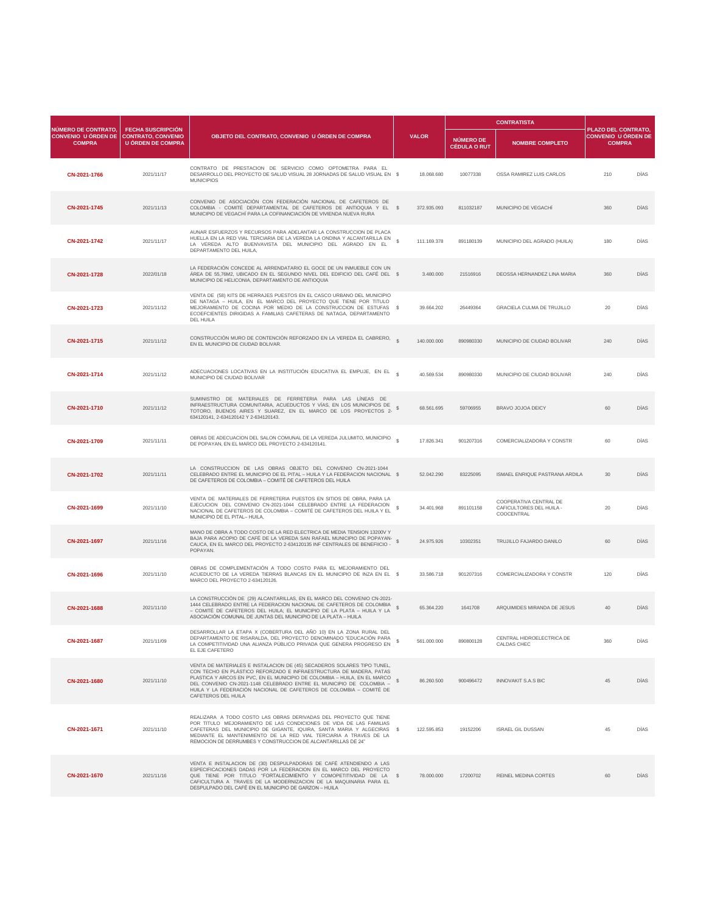|                                                                    |                                                                                   |                                                                                                                                                                                                                                                                                                                                                                                                  |  |              |                                         |                                                                         |                                                                           | <b>CONTRATISTA</b> |  |  |
|--------------------------------------------------------------------|-----------------------------------------------------------------------------------|--------------------------------------------------------------------------------------------------------------------------------------------------------------------------------------------------------------------------------------------------------------------------------------------------------------------------------------------------------------------------------------------------|--|--------------|-----------------------------------------|-------------------------------------------------------------------------|---------------------------------------------------------------------------|--------------------|--|--|
| NÚMERO DE CONTRATO,<br><b>CONVENIO U ÓRDEN DE</b><br><b>COMPRA</b> | <b>FECHA SUSCRIPCIÓN</b><br><b>CONTRATO, CONVENIO</b><br><b>U ÓRDEN DE COMPRA</b> | OBJETO DEL CONTRATO, CONVENIO U ÓRDEN DE COMPRA                                                                                                                                                                                                                                                                                                                                                  |  | <b>VALOR</b> | <b>NÚMERO DE</b><br><b>CÉDULA O RUT</b> | <b>NOMBRE COMPLETO</b>                                                  | <b>PLAZO DEL CONTRATO,</b><br><b>CONVENIO U ÓRDEN DE</b><br><b>COMPRA</b> |                    |  |  |
| CN-2021-1766                                                       | 2021/11/17                                                                        | CONTRATO DE PRESTACION DE SERVICIO COMO OPTOMETRA PARA EL<br>DESARROLLO DEL PROYECTO DE SALUD VISUAL 28 JORNADAS DE SALUD VISUAL EN \$<br><b>MUNICIPIOS</b>                                                                                                                                                                                                                                      |  | 18.068.680   | 10077338                                | OSSA RAMIREZ LUIS CARLOS                                                | 210                                                                       | <b>DÍAS</b>        |  |  |
| CN-2021-1745                                                       | 2021/11/13                                                                        | CONVENIO DE ASOCIACIÓN CON FEDERACIÓN NACIONAL DE CAFETEROS DE<br>COLOMBIA - COMITÉ DEPARTAMENTAL DE CAFETEROS DE ANTIOQUIA Y EL \$<br>MUNICIPIO DE VEGACHÍ PARA LA COFINANCIACIÓN DE VIVIENDA NUEVA RURA                                                                                                                                                                                        |  | 372.935.093  | 811032187                               | MUNICIPIO DE VEGACHÍ                                                    | 360                                                                       | <b>DÍAS</b>        |  |  |
| CN-2021-1742                                                       | 2021/11/17                                                                        | AUNAR ESFUERZOS Y RECURSOS PARA ADELANTAR LA CONSTRUCCION DE PLACA<br>HUELLA EN LA RED VIAL TERCIARIA DE LA VEREDA LA ONDINA Y ALCANTARILLA EN<br>LA VEREDA ALTO BUENVAVISTA DEL MUNICIPIO DEL AGRADO EN EL<br>DEPARTAMENTO DEL HUILA,                                                                                                                                                           |  | 111.169.378  | 891180139                               | MUNICIPIO DEL AGRADO (HUILA)                                            | 180                                                                       | <b>DÍAS</b>        |  |  |
| CN-2021-1728                                                       | 2022/01/18                                                                        | LA FEDERACIÓN CONCEDE AL ARRENDATARIO EL GOCE DE UN INMUEBLE CON UN<br>ÁREA DE 55,76M2, UBICADO EN EL SEGUNDO NIVEL DEL EDIFICIO DEL CAFÉ DEL \$<br>MUNICIPIO DE HELICONIA, DEPARTAMENTO DE ANTIOQUIA                                                                                                                                                                                            |  | 3.480.000    | 21516916                                | DEOSSA HERNANDEZ LINA MARIA                                             | 360                                                                       | <b>DÍAS</b>        |  |  |
| CN-2021-1723                                                       | 2021/11/12                                                                        | VENTA DE (58) KITS DE HERRAJES PUESTOS EN EL CASCO URBANO DEL MUNICIPIO<br>DE NATAGA - HUILA, EN EL MARCO DEL PROYECTO QUE TIENE POR TITULO<br>MEJORAMIENTO DE COCINA POR MEDIO DE LA CONSTRUCCION DE ESTUFAS \$<br>ECOEFCIENTES DIRIGIDAS A FAMILIAS CAFETERAS DE NATAGA, DEPARTAMENTO<br><b>DEL HUILA</b>                                                                                      |  | 39.664.202   | 26449364                                | <b>GRACIELA CULMA DE TRUJILLO</b>                                       | 20                                                                        | DÍAS               |  |  |
| CN-2021-1715                                                       | 2021/11/12                                                                        | CONSTRUCCIÓN MURO DE CONTENCIÓN REFORZADO EN LA VEREDA EL CABRERO,<br>EN EL MUNICIPIO DE CIUDAD BOLIVAR.                                                                                                                                                                                                                                                                                         |  | 140.000.000  | 890980330                               | MUNICIPIO DE CIUDAD BOLIVAR                                             | 240                                                                       | <b>DÍAS</b>        |  |  |
| CN-2021-1714                                                       | 2021/11/12                                                                        | ADECUACIONES LOCATIVAS EN LA INSTITUCIÓN EDUCATIVA EL EMPUJE, EN EL S<br>MUNICIPIO DE CIUDAD BOLIVAR                                                                                                                                                                                                                                                                                             |  | 40.569.534   | 890980330                               | MUNICIPIO DE CIUDAD BOLIVAR                                             | 240                                                                       | <b>DÍAS</b>        |  |  |
| CN-2021-1710                                                       | 2021/11/12                                                                        | SUMINISTRO DE MATERIALES DE FERRETERIA PARA LAS LÍNEAS DE<br>INFRAESTRUCTURA COMUNITARIA, ACUEDUCTOS Y VÍAS, EN LOS MUNICIPIOS DE<br>TOTORO, BUENOS AIRES Y SUAREZ, EN EL MARCO DE LOS PROYECTOS 2-<br>634120141, 2-634120142 Y 2-634120143.                                                                                                                                                     |  | 68.561.695   | 59706955                                | <b>BRAVO JOJOA DEICY</b>                                                | 60                                                                        | <b>DÍAS</b>        |  |  |
| CN-2021-1709                                                       | 2021/11/11                                                                        | OBRAS DE ADECUACION DEL SALON COMUNAL DE LA VEREDA JULUMITO, MUNICIPIO<br>DE POPAYAN, EN EL MARCO DEL PROYECTO 2-634120141.                                                                                                                                                                                                                                                                      |  | 17.826.341   | 901207316                               | COMERCIALIZADORA Y CONSTR                                               | 60                                                                        | <b>DÍAS</b>        |  |  |
| CN-2021-1702                                                       | 2021/11/11                                                                        | LA CONSTRUCCION DE LAS OBRAS OBJETO DEL CONVENIO CN-2021-1044<br>CELEBRADO ENTRE EL MUNICIPIO DE EL PITAL - HUILA Y LA FEDERACION NACIONAL \$<br>DE CAFETEROS DE COLOMBIA - COMITÉ DE CAFETEROS DEL HUILA                                                                                                                                                                                        |  | 52.042.290   | 83225095                                | ISMAEL ENRIQUE PASTRANA ARDILA                                          | 30                                                                        | <b>DÍAS</b>        |  |  |
| CN-2021-1699                                                       | 2021/11/10                                                                        | VENTA DE MATERIALES DE FERRETERIA PUESTOS EN SITIOS DE OBRA, PARA LA<br>EJECUCION DEL CONVENIO CN-2021-1044 CELEBRADO ENTRE LA FEDERACION<br>NACIONAL DE CAFETEROS DE COLOMBIA - COMITÉ DE CAFETEROS DEL HUILA Y EL<br>MUNICIPIO DE EL PITAL-HUILA.                                                                                                                                              |  | 34.401.968   | 891101158                               | COOPERATIVA CENTRAL DE<br><b>CAFICULTORES DEL HUILA -</b><br>COOCENTRAL | 20                                                                        | <b>DÍAS</b>        |  |  |
| CN-2021-1697                                                       | 2021/11/16                                                                        | MANO DE OBRA A TODO COSTO DE LA RED ELECTRICA DE MEDIA TENSION 13200V Y<br>BAJA PARA ACOPIO DE CAFÉ DE LA VEREDA SAN RAFAEL MUNICIPIO DE POPAYAN-<br>CAUCA, EN EL MARCO DEL PROYECTO 2-634120135 INF CENTRALES DE BENEFIICIO -<br>POPAYAN.                                                                                                                                                       |  | 24.975.926   | 10302351                                | <b>TRUJILLO FAJARDO DANILO</b>                                          | 60                                                                        | <b>DÍAS</b>        |  |  |
| CN-2021-1696                                                       | 2021/11/10                                                                        | OBRAS DE COMPLEMENTACIÓN A TODO COSTO PARA EL MEJORAMIENTO DEL<br>ACUEDUCTO DE LA VEREDA TIERRAS BLANCAS EN EL MUNICIPIO DE INZA EN EL \$<br>MARCO DEL PROYECTO 2-634120126.                                                                                                                                                                                                                     |  | 33.586.718   | 901207316                               | COMERCIALIZADORA Y CONSTR                                               | 120                                                                       | <b>DÍAS</b>        |  |  |
| CN-2021-1688                                                       | 2021/11/10                                                                        | LA CONSTRUCCIÓN DE (29) ALCANTARILLAS, EN EL MARCO DEL CONVENIO CN-2021-<br>1444 CELEBRADO ENTRE LA FEDERACION NACIONAL DE CAFETEROS DE COLOMBIA<br>- COMITÉ DE CAFETEROS DEL HUILA; EL MUNICIPIO DE LA PLATA - HUILA Y LA<br>ASOCIACIÓN COMUNAL DE JUNTAS DEL MUNICIPIO DE LA PLATA - HUILA                                                                                                     |  | 65.364.220   | 1641708                                 | ARQUIMIDES MIRANDA DE JESUS                                             | 40                                                                        | <b>DÍAS</b>        |  |  |
| CN-2021-1687                                                       | 2021/11/09                                                                        | DESARROLLAR LA ETAPA X (COBERTURA DEL AÑO 10) EN LA ZONA RURAL DEL<br>DEPARTAMENTO DE RISARALDA, DEL PROYECTO DENOMINADO "EDUCACIÓN PARA<br>LA COMPETITIVIDAD UNA ALIANZA PÚBLICO PRIVADA QUE GENERA PROGRESO EN<br>EL EJE CAFETERO                                                                                                                                                              |  | 561.000.000  | 890800128                               | CENTRAL HIDROELECTRICA DE<br><b>CALDAS CHEC</b>                         | 360                                                                       | <b>DÍAS</b>        |  |  |
| CN-2021-1680                                                       | 2021/11/10                                                                        | VENTA DE MATERIALES E INSTALACION DE (45) SECADEROS SOLARES TIPO TUNEL,<br>CON TECHO EN PLÁSTICO REFORZADO E INFRAESTRUCTURA DE MADERA, PATAS<br>PLASTICA Y ARCOS EN PVC, EN EL MUNICIPIO DE COLOMBIA - HUILA, EN EL MARCO<br>DEL CONVENIO CN-2021-1148 CELEBRADO ENTRE EL MUNICIPIO DE COLOMBIA -<br>HUILA Y LA FEDERACIÓN NACIONAL DE CAFETEROS DE COLOMBIA - COMITÉ DE<br>CAFETEROS DEL HUILA |  | 86.260.500   | 900496472                               | <b>INNOVAKIT S.A.S BIC</b>                                              | 45                                                                        | <b>DÍAS</b>        |  |  |
| CN-2021-1671                                                       | 2021/11/10                                                                        | REALIZARA A TODO COSTO LAS OBRAS DERIVADAS DEL PROYECTO QUE TIENE<br>POR TITULO MEJORAMIENTO DE LAS CONDICIONES DE VIDA DE LAS FAMILIAS<br>CAFETERAS DEL MUNICIPIO DE GIGANTE, IQUIRA, SANTA MARIA Y ALGECIRAS \$<br>MEDIANTE EL MANTENIMIENTO DE LA RED VIAL TERCIARIA A TRAVES DE LA<br>REMOCION DE DERRUMBES Y CONSTRUCCION DE ALCANTARILLAS DE 24"                                           |  | 122.595.853  | 19152206                                | <b>ISRAEL GIL DUSSAN</b>                                                | 45                                                                        | <b>DÍAS</b>        |  |  |
| CN-2021-1670                                                       | 2021/11/16                                                                        | VENTA E INSTALACION DE (30) DESPULPADORAS DE CAFÉ ATENDIENDO A LAS<br>ESPECIFICACIONES DADAS POR LA FEDERACION EN EL MARCO DEL PROYECTO<br>QUE TIENE POR TITULO "FORTALECIMIENTO Y COMOPETITIVIDAD DE LA \$<br>CAFICULTURA A TRAVES DE LA MODERNIZACION DE LA MAQUINARIA PARA EL<br>DESPULPADO DEL CAFÉ EN EL MUNICIPIO DE GARZON - HUILA                                                        |  | 78.000.000   | 17200702                                | <b>REINEL MEDINA CORTES</b>                                             | 60                                                                        | <b>DÍAS</b>        |  |  |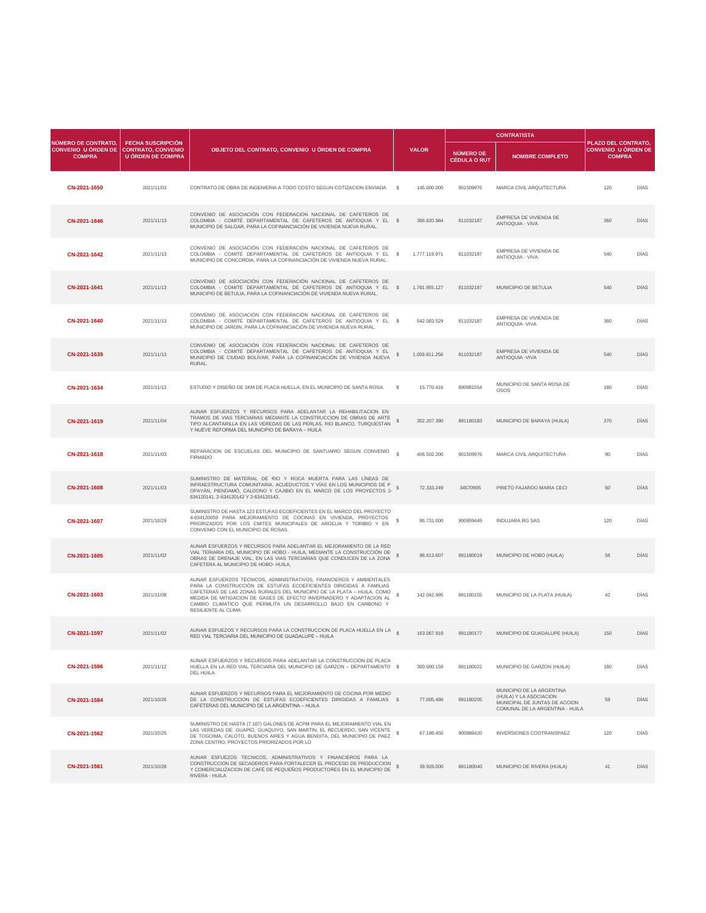|                                                                                       |                                                      |                                                                                                                                                                                                                                                                    |    |               |                                  | <b>CONTRATISTA</b>                                |                                                                    |             |  |
|---------------------------------------------------------------------------------------|------------------------------------------------------|--------------------------------------------------------------------------------------------------------------------------------------------------------------------------------------------------------------------------------------------------------------------|----|---------------|----------------------------------|---------------------------------------------------|--------------------------------------------------------------------|-------------|--|
| <b>NÚMERO DE CONTRATO,</b><br>CONVENIO U ÓRDEN DE CONTRATO, CONVENIO<br><b>COMPRA</b> | <b>FECHA SUSCRIPCIÓN</b><br><b>U ÓRDEN DE COMPRA</b> | OBJETO DEL CONTRATO, CONVENIO U ÓRDEN DE COMPRA                                                                                                                                                                                                                    |    | <b>VALOR</b>  | NÚMERO DE<br><b>CÉDULA O RUT</b> | <b>NOMBRE COMPLETO</b>                            | PLAZO DEL CONTRATO,<br><b>CONVENIO U ÓRDEN DE</b><br><b>COMPRA</b> |             |  |
| CN-2021-1650                                                                          | 2021/11/03                                           | CONTRATO DE OBRA DE INGENIERIA A TODO COSTO SEGUN COTIZACION ENVIADA                                                                                                                                                                                               | S. | 145.000.000   | 901509976                        | MARCA CIVIL ARQUITECTURA                          | 120                                                                | <b>DÍAS</b> |  |
| CN-2021-1646                                                                          | 2021/11/13                                           | CONVENIO DE ASOCIACIÓN CON FEDERACIÓN NACIONAL DE CAFETEROS DE<br>COLOMBIA - COMITÉ DEPARTAMENTAL DE CAFETEROS DE ANTIOQUIA Y EL \$<br>MUNICIPIO DE SALGAR, PARA LA COFINANCIACIÓN DE VIVIENDA NUEVA RURAL.                                                        |    | 366.620.984   | 811032187                        | EMPRESA DE VIVIENDA DE<br><b>ANTIOQUIA - VIVA</b> | 360                                                                | <b>DÍAS</b> |  |
| CN-2021-1642                                                                          | 2021/11/13                                           | CONVENIO DE ASOCIACIÓN CON FEDERACIÓN NACIONAL DE CAFETEROS DE<br>COLOMBIA - COMITÉ DEPARTAMENTAL DE CAFETEROS DE ANTIOQUIA Y EL \$<br>MUNICIPIO DE CONCORDIA, PARA LA COFINANCIACIÓN DE VIVIENDA NUEVA RURAL.                                                     |    | 1.777.119.971 | 811032187                        | EMPRESA DE VIVIENDA DE<br><b>ANTIOQUIA - VIVA</b> | 540                                                                | <b>DÍAS</b> |  |
| CN-2021-1641                                                                          | 2021/11/13                                           | CONVENIO DE ASOCIACIÓN CON FEDERACIÓN NACIONAL DE CAFETEROS DE<br>COLOMBIA - COMITÉ DEPARTAMENTAL DE CAFETEROS DE ANTIOQUIA Y EL \$<br>MUNICIPIO DE BETULIA, PARA LA COFINANCIACIÓN DE VIVIENDA NUEVA RURAL.                                                       |    | 1.781.955.127 | 811032187                        | MUNICIIPIO DE BETULIA                             | 540                                                                | <b>DÍAS</b> |  |
| CN-2021-1640                                                                          | 2021/11/13                                           | CONVENIO DE ASOCIACIÓN CON FEDERACIÓN NACIONAL DE CAFETEROS DE<br>COLOMBIA - COMITÉ DEPARTAMENTAL DE CAFETEROS DE ANTIOQUIA Y EL \$<br>MUNICIPIO DE JARDIN, PARA LA COFINANCIACIÓN DE VIVIENDA NUEVA RURAL.                                                        |    | 542.083.529   | 811032187                        | EMPRESA DE VIVIENDA DE<br><b>ANTIOQUIA - VIVA</b> | 360                                                                | <b>DÍAS</b> |  |
| CN-2021-1639                                                                          | 2021/11/13                                           | CONVENIO DE ASOCIACIÓN CON FEDERACIÓN NACIONAL DE CAFETEROS DE<br>COLOMBIA - COMITÉ DEPARTAMENTAL DE CAFETEROS DE ANTIOQUIA Y EL<br>MUNICIPIO DE CIUDAD BOLÍVAR, PARA LA COFINANCIACIÓN DE VIVIENDA NUEVA<br>RURAL.                                                |    | 1.059.811.256 | 811032187                        | EMPRESA DE VIVIENDA DE<br><b>ANTIOQUIA - VIVA</b> | 540                                                                | <b>DÍAS</b> |  |
| CN-2021-1634                                                                          | 2021/11/12                                           | ESTUDIO Y DISEÑO DE 1KM DE PLACA HUELLA, EN EL MUNICIPIO DE SANTA ROSA. \$                                                                                                                                                                                         |    | 15.770.416    | 890981554                        | MUNICIPIO DE SANTA ROSA DE<br><b>OSOS</b>         | 180                                                                | DÍAS        |  |
| CN-2021-1619                                                                          | 2021/11/04                                           | AUNAR ESFUERZOS Y RECURSOS PARA ADELANTAR LA REHABILITACION EN<br>TRAMOS DE VIAS TERCIARIAS MEDIANTE LA CONSTRUCCION DE OBRAS DE ARTE<br>TIPO ALCANTARILLA EN LAS VEREDAS DE LAS PERLAS, RIO BLANCO, TURQUESTAN<br>Y NUEVE REFORMA DEL MUNICIPIO DE BARAYA - HUILA |    | 352.207.390   | 891180183                        | MUNICIPIO DE BARAYA (HUILA)                       | 270                                                                | <b>DÍAS</b> |  |

| CN-2021-1618 | 2021/11/03 | REPARACION DE ESCUELAS DEL MUNICIPIO DE SANTUARIO SEGUN CONVENIO<br><b>FIRMADO</b>                                                                                                                                                                                                                                                                                                         | 406.502.200 | 901509976 | MARCA CIVIL ARQUITECTURA                                                                                                 | 90  | <b>DÍAS</b> |
|--------------|------------|--------------------------------------------------------------------------------------------------------------------------------------------------------------------------------------------------------------------------------------------------------------------------------------------------------------------------------------------------------------------------------------------|-------------|-----------|--------------------------------------------------------------------------------------------------------------------------|-----|-------------|
| CN-2021-1608 | 2021/11/03 | SUMINISTRO DE MATERIAL DE RIO Y ROCA MUERTA PARA LAS LÍNEAS DE<br>INFRAESTRUCTURA COMUNITARIA, ACUEDUCTOS Y VÍAS EN LOS MUNICIPIOS DE P<br>OPAYÁN, PIENDAMÓ, CALDONO Y CAJIBIO EN EL MARCO DE LOS PROYECTOS 2-<br>634120141, 2-634120142 Y 2-634120143.                                                                                                                                    | 72.333.249  | 34570905  | PRIETO FAJARDO MARIA CECI                                                                                                | 60  | <b>DÍAS</b> |
| CN-2021-1607 | 2021/10/29 | SUMINISTRO DE HASTA 123 ESTUFAS ECOEFICIENTES EN EL MARCO DEL PROYECTO<br>4-634120059 PARA MEJORAMIENTO DE COCINAS EN VIVIENDA, PROYECTOS<br>PRIORIZADOS POR LOS CMITES MUNICIPALES DE ARGELIA Y TORIBIO Y EN<br>CONVENIO CON EL MUNICIPIO DE ROSAS.                                                                                                                                       | 86.731.000  | 900959449 | <b>INDUJARA RG SAS</b>                                                                                                   | 120 | <b>DÍAS</b> |
| CN-2021-1605 | 2021/11/02 | AUNAR ESFUERZOS Y RECURSOS PARA ADELANTAR EL MEJORAMIENTO DE LA RED<br>VIAL TERIARIA DEL MUNICIPIO DE HOBO - HUILA, MEDIANTE LA CONSTRUCCIÓN DE<br>OBRAS DE DRENAJE VIAL. EN LAS VIAS TERCIARIAS QUE CONDUCEN DE LA ZONA<br>CAFETERA AL MUNICIPIO DE HOBO- HUILA,                                                                                                                          | 98.613.607  | 891180019 | MUNICIPIO DE HOBO (HUILA)                                                                                                | 56  | <b>DÍAS</b> |
| CN-2021-1603 | 2021/11/08 | AUNAR ESFUERZOS TÉCNICOS, ADMINISTRATIVOS, FINANCIEROS Y AMBIENTALES<br>PARA LA CONSTRUCCIÓN DE ESTUFAS ECOEFICIENTES DIRIGIDAS A FAMILIAS<br>CAFETERAS DE LAS ZONAS RURALES DEL MUNICIPIO DE LA PLATA - HUILA, COMO<br>MEDIDA DE MITIGACION DE GASES DE EFECTO INVERNADERO Y ADAPTACION AL<br>CAMBIO CLIMATICO QUE PERMLITA UN DESARROLLO BAJO EN CARBONO Y<br><b>RESILIENTE AL CLIMA</b> | 142.042.995 | 891180155 | MUNICIPIO DE LA PLATA (HUILA)                                                                                            | 42  | <b>DÍAS</b> |
| CN-2021-1597 | 2021/11/02 | AUNAR ESFUEZOS Y RECURSOS PARA LA CONSTRUCCION DE PLACA HUELLA EN LA<br>RED VIAL TERCIARIA DEL MUNICIPIO DE GUADALUPE - HUILA                                                                                                                                                                                                                                                              | 163.067.919 | 891180177 | MUNICIPIO DE GUADALUPE (HUILA)                                                                                           | 150 | <b>DÍAS</b> |
| CN-2021-1596 | 2021/11/12 | AUNAR ESFUERZOS Y RECURSOS PARA ADELANTAR LA CONSTRUCCIÓN DE PLACA<br>HUELLA EN LA RED VIAL TERCIARIA DEL MUNICIPIO DE GARZON - DEPARTAMENTO \$<br><b>DEL HUILA</b>                                                                                                                                                                                                                        | 300.000.159 | 891180022 | MUNICIPIO DE GARZON (HUILA)                                                                                              | 180 | DÍAS        |
| CN-2021-1584 | 2021/10/26 | AUNAR ESFUERZOS Y RECURSOS PARA EL MEJORAMIENTO DE COCINA POR MEDIO<br>DE LA CONSTRUCCION DE ESTUFAS ECOEFICIENTES DIRIGIDAS A FAMILIAS \$<br>CAFETERAS DEL MUNICIPIO DE LA ARGENTINA - HUILA                                                                                                                                                                                              | 77.005.486  | 891180205 | MUNICIPIO DE LA ARGENTINA<br>(HUILA) Y LA ASOCIACION<br>MUNICIPAL DE JUNTAS DE ACCION<br>COMUNAL DE LA ARGENTINA - HUILA | 59  | <b>DÍAS</b> |
| CN-2021-1562 | 2021/10/25 | SUMINISTRO DE HASTA (7.187) GALONES DE ACPM PARA EL MEJORAMIENTO VIAL EN<br>LAS VEREDAS DE: GUAPIO, GUAQUIYO, SAN MARTIN, EL RECUERDO, SAN VICENTE<br>DE TOGOIMA, CALOTO, BUENOS AIRES Y AGUA BENDITA, DEL MUNICIPIO DE PAEZ<br>ZONA CENTRO, PROYECTOS PRIORIZADOS POR LO                                                                                                                  | 67.198.450  | 900988420 | <b>INVERSIONES COOTRANSPAEZ</b>                                                                                          | 120 | DÍAS        |
| CN-2021-1561 | 2021/10/28 | AUNAR ESFUEZOS TECNICOS, ADMINISTRATIVOS Y FINANCIEROS PARA LA<br>CONSTRUCCION DE SECADEROS PARA FORTALECER EL PROCESO DE PRODUCCION<br>Y COMERCIALIZACION DE CAFÉ DE PEQUEÑOS PRODUCTORES EN EL MUNICIPIO DE<br>RIVERA - HUILA                                                                                                                                                            | 39.928.000  | 891180040 | MUNICIPIO DE RIVERA (HUILA)                                                                                              | 41  | <b>DÍAS</b> |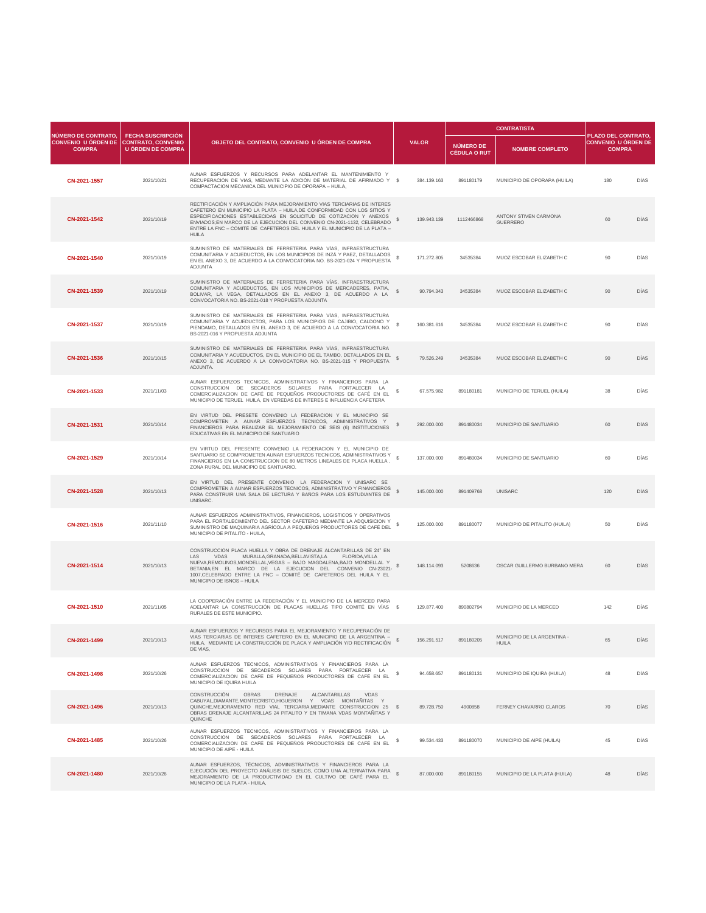|                                                                           |                                                                                   |                                                                                                                                                                                                                                                                                                                                                                                                   |  |              |                                  | <b>CONTRATISTA</b>                                 |                                                                           |             |
|---------------------------------------------------------------------------|-----------------------------------------------------------------------------------|---------------------------------------------------------------------------------------------------------------------------------------------------------------------------------------------------------------------------------------------------------------------------------------------------------------------------------------------------------------------------------------------------|--|--------------|----------------------------------|----------------------------------------------------|---------------------------------------------------------------------------|-------------|
| <b>NÚMERO DE CONTRATO.</b><br><b>CONVENIO U ÓRDEN DE</b><br><b>COMPRA</b> | <b>FECHA SUSCRIPCIÓN</b><br><b>CONTRATO, CONVENIO</b><br><b>U ÓRDEN DE COMPRA</b> | OBJETO DEL CONTRATO, CONVENIO U ÓRDEN DE COMPRA                                                                                                                                                                                                                                                                                                                                                   |  | <b>VALOR</b> | NÚMERO DE<br><b>CÉDULA O RUT</b> | <b>NOMBRE COMPLETO</b>                             | <b>PLAZO DEL CONTRATO,</b><br><b>CONVENIO U ÓRDEN DE</b><br><b>COMPRA</b> |             |
| CN-2021-1557                                                              | 2021/10/21                                                                        | AUNAR ESFUERZOS Y RECURSOS PARA ADELANTAR EL MANTENIMIENTO Y<br>RECUPERACIÓN DE VIAS, MEDIANTE LA ADICIÓN DE MATERIAL DE AFIRMADO Y \$<br>COMPACTACION MECANICA DEL MUNICIPIO DE OPORAPA - HUILA,                                                                                                                                                                                                 |  | 384.139.163  | 891180179                        | MUNICIPIO DE OPORAPA (HUILA)                       | 180                                                                       | <b>DÍAS</b> |
| CN-2021-1542                                                              | 2021/10/19                                                                        | RECTIFICACIÓN Y AMPLIACIÓN PARA MEJORAMIENTO VIAS TERCIARIAS DE INTERES<br>CAFETERO EN MUNICIPIO LA PLATA - HUILA, DE CONFORMIDAD CON LOS SITIOS Y<br>ESPECIFICACIONES ESTABLECIDAS EN SOLICITUD DE COTIZACION Y ANEXOS<br>ENVIADOS;EN MARCO DE LA EJECUCION DEL CONVENIO CN-2021-1132, CELEBRADO<br>ENTRE LA FNC - COMITÉ DE CAFETEROS DEL HUILA Y EL MUNICIPIO DE LA PLATA -<br><b>HUILA</b>    |  | 139.943.139  | 1112466868                       | <b>ANTONY STIVEN CARMONA</b><br><b>GUERRERO</b>    | 60                                                                        | <b>DÍAS</b> |
| CN-2021-1540                                                              | 2021/10/19                                                                        | SUMINISTRO DE MATERIALES DE FERRETERIA PARA VÍAS, INFRAESTRUCTURA<br>COMUNITARIA Y ACUEDUCTOS, EN LOS MUNICIPIOS DE INZÁ Y PAEZ, DETALLADOS<br>EN EL ANEXO 3, DE ACUERDO A LA CONVOCATORIA NO. BS-2021-024 Y PROPUESTA<br><b>ADJUNTA</b>                                                                                                                                                          |  | 171.272.805  | 34535384                         | MUOZ ESCOBAR ELIZABETH C                           | 90                                                                        | <b>DÍAS</b> |
| CN-2021-1539                                                              | 2021/10/19                                                                        | SUMINISTRO DE MATERIALES DE FERRETERIA PARA VÍAS, INFRAESTRUCTURA<br>COMUNITARIA Y ACUEDUCTOS, EN LOS MUNICIPIOS DE MERCADERES, PATIA,<br>BOLIVAR, LA VEGA, DETALLADOS EN EL ANEXO 3, DE ACUERDO A LA<br>CONVOCATORIA NO. BS-2021-018 Y PROPUESTA ADJUNTA                                                                                                                                         |  | 90.794.343   | 34535384                         | MUOZ ESCOBAR ELIZABETH C                           | 90                                                                        | <b>DÍAS</b> |
| CN-2021-1537                                                              | 2021/10/19                                                                        | SUMINISTRO DE MATERIALES DE FERRETERIA PARA VÍAS, INFRAESTRUCTURA<br>COMUNITARIA Y ACUEDUCTOS, PARA LOS MUNICIPIOS DE CAJIBIO, CALDONO Y<br>PIENDAMO, DETALLADOS EN EL ANEXO 3, DE ACUERDO A LA CONVOCATORIA NO.<br>BS-2021-016 Y PROPUESTA ADJUNTA                                                                                                                                               |  | 160.381.616  | 34535384                         | MUOZ ESCOBAR ELIZABETH C                           | 90                                                                        | <b>DÍAS</b> |
| CN-2021-1536                                                              | 2021/10/15                                                                        | SUMINISTRO DE MATERIALES DE FERRETERIA PARA VÍAS, INFRAESTRUCTURA<br>COMUNITARIA Y ACUEDUCTOS, EN EL MUNICIPIO DE EL TAMBO, DETALLADOS EN EL<br>ANEXO 3, DE ACUERDO A LA CONVOCATORIA NO. BS-2021-015 Y PROPUESTA<br>ADJUNTA.                                                                                                                                                                     |  | 79.526.249   | 34535384                         | MUOZ ESCOBAR ELIZABETH C                           | 90                                                                        | <b>DÍAS</b> |
| CN-2021-1533                                                              | 2021/11/03                                                                        | AUNAR ESFUERZOS TECNICOS, ADMINISTRATIVOS Y FINANCIEROS PARA LA<br>CONSTRUCCION DE SECADEROS SOLARES PARA FORTALECER LA<br>COMERCIALIZACION DE CAFÉ DE PEQUEÑOS PRODUCTORES DE CAFÉ EN EL<br>MUNICIPIO DE TERUEL HUILA, EN VEREDAS DE INTERES E INFLUENCIA CAFETERA                                                                                                                               |  | 67.575.982   | 891180181                        | MUNICIPIO DE TERUEL (HUILA)                        | 38                                                                        | <b>DÍAS</b> |
| CN-2021-1531                                                              | 2021/10/14                                                                        | EN VIRTUD DEL PRESETE CONVENIO LA FEDERACION Y EL MUNICIPIO SE<br>COMPROMETEN A AUNAR ESFUERZOS TECNICOS, ADMINISTRATIVOS Y<br>FINANCIEROS PARA REALIZAR EL MEJORAMIENTO DE SEIS (6) INSTITUCIONES<br>EDUCATIVAS EN EL MUNICIPIO DE SANTUARIO                                                                                                                                                     |  | 292.000.000  | 891480034                        | MUNICIPIO DE SANTUARIO                             | 60                                                                        | <b>DÍAS</b> |
| CN-2021-1529                                                              | 2021/10/14                                                                        | EN VIRTUD DEL PRESENTE CONVENIO LA FEDERACION Y EL MUNICIPIO DE<br>SANTUARIO SE COMPROMETEN AUNAR ESFUERZOS TECNICOS, ADMINISTRATIVOS Y <sup>®</sup><br>FINANCIEROS EN LA CONSTRUCCION DE 80 METROS LINEALES DE PLACA HUELLA<br>ZONA RURAL DEL MUNICIPIO DE SANTUARIO.                                                                                                                            |  | 137.000.000  | 891480034                        | MUNICIPIO DE SANTUARIO                             | 60                                                                        | <b>DÍAS</b> |
| CN-2021-1528                                                              | 2021/10/13                                                                        | EN VIRTUD DEL PRESENTE CONVENIO LA FEDERACION Y UNISARC SE<br>COMPROMETEN A AUNAR ESFUERZOS TECNICOS, ADMINISTRATIVO Y FINANCIEROS<br>PARA CONSTRUIR UNA SALA DE LECTURA Y BAÑOS PARA LOS ESTUDIANTES DE<br>UNISARC.                                                                                                                                                                              |  | 145.000.000  | 891409768                        | <b>UNISARC</b>                                     | 120                                                                       | <b>DÍAS</b> |
| CN-2021-1516                                                              | 2021/11/10                                                                        | AUNAR ESFUERZOS ADMINISTRATIVOS, FINANCIEROS, LOGISTICOS Y OPERATIVOS<br>PARA EL FORTALECIMIENTO DEL SECTOR CAFETERO MEDIANTE LA ADQUISICION Y<br>SUMINISTRO DE MAQUINARIA AGRÍCOLA A PEQUEÑOS PRODUCTORES DE CAFÉ DEL<br>MUNICIPIO DE PITALITO - HUILA.                                                                                                                                          |  | 125.000.000  | 891180077                        | MUNICIPIO DE PITALITO (HUILA)                      | 50                                                                        | <b>DÍAS</b> |
| CN-2021-1514                                                              | 2021/10/13                                                                        | CONSTRUCCION PLACA HUELLA Y OBRA DE DRENAJE ALCANTARILLAS DE 24" EN<br>MURALLA, GRANADA, BELLAVISTA, LA<br><b>FLORIDA, VILLA</b><br>LAS.<br><b>VDAS</b><br>NUEVA, REMOLINOS, MONDELLAL, VEGAS - BAJO MAGDALENA, BAJO MONDELLAL Y<br>BETANIA:EN EL MARCO DE LA EJECUCION DEL CONVENIO CN-23021-<br>1007, CELEBRADO ENTRE LA FNC - COMITÉ DE CAFETEROS DEL HUILA Y EL<br>MUNICIPIO DE ISNOS - HUILA |  | 148.114.093  | 5208636                          | OSCAR GUILLERMO BURBANO MERA                       | 60                                                                        | <b>DÍAS</b> |
| CN-2021-1510                                                              | 2021/11/05                                                                        | LA COOPERACIÓN ENTRE LA FEDERACIÓN Y EL MUNICIPIO DE LA MERCED PARA<br>ADELANTAR LA CONSTRUCCIÓN DE PLACAS HUELLAS TIPO COMITÉ EN VÍAS \$<br>RURALES DE ESTE MUNICIPIO.                                                                                                                                                                                                                           |  | 129.877.400  | 890802794                        | MUNICIPIO DE LA MERCED                             | 142                                                                       | DÍAS        |
| CN-2021-1499                                                              | 2021/10/13                                                                        | AUNAR ESFUERZOS Y RECURSOS PARA EL MEJORAMIENTO Y RECUPERACIÓN DE<br>VIAS TERCIARIAS DE INTERES CAFETERO EN EL MUNICIPIO DE LA ARGENTINA -<br>HUILA. MEDIANTE LA CONSTRUCCIÓN DE PLACA Y AMPLIACIÓN Y/O RECTIFICACIÓN<br>DE VIAS,                                                                                                                                                                 |  | 156.291.517  | 891180205                        | <b>MUNICIPIO DE LA ARGENTINA -</b><br><b>HUILA</b> | 65                                                                        | <b>DÍAS</b> |
| CN-2021-1498                                                              | 2021/10/26                                                                        | AUNAR ESFUERZOS TECNICOS, ADMINISTRATIVOS Y FINANCIEROS PARA LA<br>CONSTRUCCION DE SECADEROS SOLARES PARA FORTALECER LA<br>COMERCIALIZACION DE CAFÉ DE PEQUEÑOS PRODUCTORES DE CAFÉ EN EL<br>MUNICIPIO DE IQUIRA HUILA                                                                                                                                                                            |  | 94.658.657   | 891180131                        | MUNICIPIO DE IQUIRA (HUILA)                        | 48                                                                        | <b>DÍAS</b> |
| CN-2021-1496                                                              | 2021/10/13                                                                        | <b>CONSTRUCCIÓN</b><br><b>OBRAS</b><br><b>DRENAJE</b><br><b>ALCANTARILLAS</b><br><b>VDAS</b><br>CABUYAL, DIAMANTE, MONTECRISTO, HIGUERON Y VDAS MONTAÑITAS<br>QUINCHE, MEJORAMENTO RED VIAL TERCIARIA, MEDIANTE CONSTRUCCION 25 \$<br>OBRAS DRENAJE ALCANTARILLAS 24 PITALITO Y EN TIMANA VDAS MONTAÑITAS Y<br><b>QUINCHE</b>                                                                     |  | 89.728.750   | 4900858                          | FERNEY CHAVARRO CLAROS                             | 70                                                                        | <b>DÍAS</b> |
| CN-2021-1485                                                              | 2021/10/26                                                                        | AUNAR ESFUERZOS TECNICOS, ADMINISTRATIVOS Y FINANCIEROS PARA LA<br>CONSTRUCCION DE SECADEROS SOLARES PARA FORTALECER LA<br>COMERCIALIZACION DE CAFÉ DE PEQUEÑOS PRODUCTORES DE CAFÉ EN EL<br>MUNICIPIO DE AIPE - HUILA                                                                                                                                                                            |  | 99.534.433   | 891180070                        | MUNICIPIO DE AIPE (HUILA)                          | 45                                                                        | DÍAS        |
| CN-2021-1480                                                              | 2021/10/26                                                                        | AUNAR ESFUERZOS, TÉCNICOS, ADMINISTRATIVOS Y FINANCIEROS PARA LA<br>EJECUCIÓN DEL PROYECTO ANÁLISIS DE SUELOS, COMO UNA ALTERNATIVA PARA<br>MEJORAMIENTO DE LA PRODUCTIVIDAD EN EL CULTIVO DE CAFÉ PARA EL<br>MUNICIPIO DE LA PLATA - HUILA,                                                                                                                                                      |  |              | 87.000.000 891180155             | MUNICIPIO DE LA PLATA (HUILA)                      |                                                                           | DÍAS        |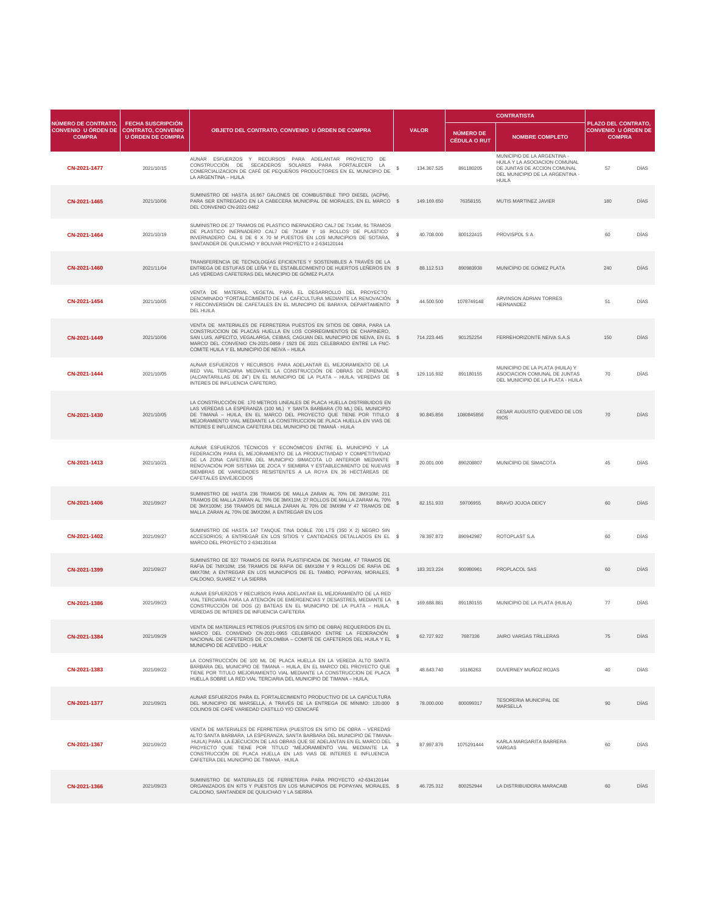| <b>NÚMERO DE CONTRATO,</b>                  |                                                                            |                                                                                                                                                                                                                                                                                                                                                                                                              |              |                                  | <b>CONTRATISTA</b>                                                                                                                             |                                                                           |             |
|---------------------------------------------|----------------------------------------------------------------------------|--------------------------------------------------------------------------------------------------------------------------------------------------------------------------------------------------------------------------------------------------------------------------------------------------------------------------------------------------------------------------------------------------------------|--------------|----------------------------------|------------------------------------------------------------------------------------------------------------------------------------------------|---------------------------------------------------------------------------|-------------|
| <b>CONVENIO U ÓRDEN DE</b><br><b>COMPRA</b> | <b>FECHA SUSCRIPCIÓN</b><br><b>CONTRATO, CONVENIO</b><br>U ÓRDEN DE COMPRA | OBJETO DEL CONTRATO, CONVENIO U ÓRDEN DE COMPRA                                                                                                                                                                                                                                                                                                                                                              | <b>VALOR</b> | NÚMERO DE<br><b>CÉDULA O RUT</b> | <b>NOMBRE COMPLETO</b>                                                                                                                         | <b>PLAZO DEL CONTRATO,</b><br><b>CONVENIO U ÓRDEN DE</b><br><b>COMPRA</b> |             |
| CN-2021-1477                                | 2021/10/15                                                                 | AUNAR ESFUERZOS<br>Y RECURSOS<br>PARA ADELANTAR PROYECTO DE<br>CONSTRUCCIÓN DE SECADEROS SOLARES PARA FORTALECER LA<br>COMERCIALIZACION DE CAFÉ DE PEQUEÑOS PRODUCTORES EN EL MUNICIPIO DE<br>LA ARGENTINA - HUILA                                                                                                                                                                                           | 134.367.525  | 891180205                        | MUNICIPIO DE LA ARGENTINA -<br>HUILA Y LA ASOCIACION COMUNAL<br>DE JUNTAS DE ACCION COMUNAL<br>DEL MUNICIPIO DE LA ARGENTINA -<br><b>HUILA</b> | 57                                                                        | <b>DÍAS</b> |
| CN-2021-1465                                | 2021/10/06                                                                 | SUMINISTRO DE HASTA 16.667 GALONES DE COMBUSTIBLE TIPO DIESEL (ACPM),<br>PARA SER ENTREGADO EN LA CABECERA MUNICIPAL DE MORALES, EN EL MARCO \$<br>DEL CONVENIO CN-2021-0462                                                                                                                                                                                                                                 | 149.169.650  | 76358155                         | <b>MUTIS MARTINEZ JAVIER</b>                                                                                                                   | 180                                                                       | <b>DÍAS</b> |
| CN-2021-1464                                | 2021/10/19                                                                 | SUMINISTRO DE 27 TRAMOS DE PLASTICO INERNADERO CAL7 DE 7X14M, 91 TRAMOS<br>DE PLASTICO INERNADERO CAL7 DE 7X14M Y 16 ROLLOS DE PLASTICO<br>INVERNADERO CAL 6 DE 6 X 70 M PUESTOS EN LOS MUNICIPIOS DE SOTARA<br>SANTANDER DE QUILICHAO Y BOLIVAR PROYECTO # 2-634120144                                                                                                                                      | 40.708.000   | 800122415                        | <b>PROVISPOL S A</b>                                                                                                                           | 60                                                                        | <b>DÍAS</b> |
| CN-2021-1460                                | 2021/11/04                                                                 | TRANSFERENCIA DE TECNOLOGÍAS EFICIENTES Y SOSTENIBLES A TRAVÉS DE LA<br>ENTREGA DE ESTUFAS DE LEÑA Y EL ESTABLECIMIENTO DE HUERTOS LEÑEROS EN \$<br>LAS VEREDAS CAFETERAS DEL MUNICIPIO DE GÓMEZ PLATA                                                                                                                                                                                                       | 88.112.513   | 890983938                        | MUNICIPIO DE GOMEZ PLATA                                                                                                                       | 240                                                                       | <b>DÍAS</b> |
| CN-2021-1454                                | 2021/10/05                                                                 | VENTA DE MATERIAL VEGETAL PARA EL DESARROLLO DEL PROYECTO<br>DENOMINADO "FORTALECIMIENTO DE LA CAFICULTURA MEDIANTE LA RENOVACIÓN<br>Y RECONVERSIÓN DE CAFETALES EN EL MUNICIPIO DE BARAYA, DEPARTAMENTO<br><b>DEL HUILA</b>                                                                                                                                                                                 | 44.500.500   | 1078749148                       | ARVINSON ADRIAN TORRES<br><b>HERNANDEZ</b>                                                                                                     | 51                                                                        | <b>DÍAS</b> |
| CN-2021-1449                                | 2021/10/06                                                                 | VENTA DE MATERIALES DE FERRETERIA PUESTOS EN SITIOS DE OBRA, PARA LA<br>CONSTRUCCION DE PLACAS HUELLA EN LOS CORREGIMIENTOS DE CHAPINERO.<br>SAN LUIS, AIPECITO, VEGALARGA, CEIBAS, CAGUAN DEL MUNICIPIO DE NEIVA, EN EL \$<br>MARCO DEL CONVENIO CN-2021-0859 / 1923 DE 2021 CELEBRADO ENTRE LA FNC-<br>COMITE HUILA Y EL MUNICIPIO DE NEIVA - HUILA                                                        | 714.223.445  | 901252254                        | FERREHORIZONTE NEIVA S.A.S                                                                                                                     | 150                                                                       | <b>DÍAS</b> |
| CN-2021-1444                                | 2021/10/05                                                                 | AUNAR ESFUERZOS Y RECURSOS PARA ADELANTAR EL MEJORAMIENTO DE LA<br>RED VIAL TERCIARIA MEDIANTE LA CONSTRUCCIÓN DE OBRAS DE DRENAJE<br>(ALCANTARILLAS DE 24") EN EL MUNICIPIO DE LA PLATA - HUILA, VEREDAS DE<br>INTERES DE INFLUENCIA CAFETERO.                                                                                                                                                              | 129.116.932  | 891180155                        | MUNICIPIO DE LA PLATA (HUILA) Y<br>ASOCIACION COMUNAL DE JUNTAS<br>DEL MUNICIPIO DE LA PLATA - HUILA                                           | 70                                                                        | DÍAS        |
| CN-2021-1430                                | 2021/10/05                                                                 | LA CONSTRUCCIÓN DE 170 METROS LINEALES DE PLACA HUELLA DISTRIBUIDOS EN<br>LAS VEREDAS LA ESPERANZA (100 ML) Y SANTA BARBARA (70 ML) DEL MUNICIPIO<br>DE TIMANÁ - HUILA, EN EL MARCO DEL PROYECTO QUE TIENE POR TITULO \$<br>MEJORAMIENTO VIAL MEDIANTE LA CONSTRUCCION DE PLACA HUELLA EN VIAS DE<br>INTERES E INFLUENCIA CAFETERA DEL MUNICIPIO DE TIMANÁ - HUILA                                           | 90.845.856   | 1080845856                       | CESAR AUGUSTO QUEVEDO DE LOS<br><b>RIOS</b>                                                                                                    | 70                                                                        | <b>DÍAS</b> |
| CN-2021-1413                                | 2021/10/21                                                                 | AUNAR ESFUERZOS TÉCNICOS Y ECONÓMICOS ENTRE EL MUNICIPIO Y LA<br>FEDERACIÓN PARA EL MEJORAMIENTO DE LA PRODUCTIVIDAD Y COMPETITIVIDAD<br>DE LA ZONA CAFETERA DEL MUNICIPIO SIMACOTA LO ANTERIOR MEDIANTE<br>RENOVACIÓN POR SISTEMA DE ZOCA Y SIEMBRA Y ESTABLECIMIENTO DE NUEVAS<br>SIEMBRAS DE VARIEDADES RESISTENTES A LA ROYA EN 26 HECTÁREAS DE<br><b>CAFETALES ENVEJECIDOS</b>                          | 20.001.000   | 890208807                        | <b>MUNICIPIO DE SIMACOTA</b>                                                                                                                   | 45                                                                        | <b>DÍAS</b> |
| CN-2021-1406                                | 2021/09/27                                                                 | SUMINISTRO DE HASTA 236 TRAMOS DE MALLA ZARAN AL 70% DE 3MX10M; 211<br>TRAMOS DE MALLA ZARAN AL 70% DE 3MX11M; 27 ROLLOS DE MALLA ZARAM AL 70%<br>DE 3MX100M; 156 TRAMOS DE MALLA ZARAN AL 70% DE 3MX9M Y 47 TRAMOS DE<br>MALLA ZARAN AL 70% DE 3MX20M, A ENTREGAR EN LOS                                                                                                                                    | 82.151.933   | 59706955                         | <b>BRAVO JOJOA DEICY</b>                                                                                                                       | 60                                                                        | <b>DÍAS</b> |
| CN-2021-1402                                | 2021/09/27                                                                 | SUMINISTRO DE HASTA 147 TANQUE TINA DOBLE 700 LTS (350 X 2) NEGRO SIN<br>ACCESORIOS; A ENTREGAR EN LOS SITIOS Y CANTIDADES DETALLADOS EN EL \$<br>MARCO DEL PROYECTO 2-634120144                                                                                                                                                                                                                             | 78.397.872   | 890942987                        | ROTOPLAST S.A                                                                                                                                  | 60                                                                        | <b>DÍAS</b> |
| CN-2021-1399                                | 2021/09/27                                                                 | SUMINISTRO DE 327 TRAMOS DE RAFIA PLASTIFICADA DE 7MX14M, 47 TRAMOS DE<br>RAFIA DE 7MX10M; 156 TRAMOS DE RAFIA DE 6MX10M Y 9 ROLLOS DE RAFIA DE<br>6MX70M; A ENTREGAR EN LOS MUNICIPIOS DE EL TAMBO, POPAYAN, MORALES,<br>CALDONO, SUAREZ Y LA SIERRA                                                                                                                                                        | 183.313.224  | 900980961                        | PROPLACOL SAS                                                                                                                                  | 60                                                                        | <b>DÍAS</b> |
| CN-2021-1386                                | 2021/09/23                                                                 | AUNAR ESFUERZOS Y RECURSOS PARA ADELANTAR EL MEJORAMIENTO DE LA RED<br>VIAL TERCIARIA PARA LA ATENCIÓN DE EMERGENCIAS Y DESASTRES, MEDIANTE LA<br>CONSTRUCCIÓN DE DOS (2) BATEAS EN EL MUNICIPIO DE LA PLATA - HUILA,<br>VEREDAS DE INTERES DE INFUENCIA CAFETERA                                                                                                                                            | 169.688.881  | 891180155                        | MUNICIPIO DE LA PLATA (HUILA)                                                                                                                  | 77                                                                        | <b>DÍAS</b> |
| CN-2021-1384                                | 2021/09/29                                                                 | VENTA DE MATERIALES PETREOS (PUESTOS EN SITIO DE OBRA) REQUERIDOS EN EL<br>MARCO DEL CONVENIO CN-2021-0955 CELEBRADO ENTRE LA FEDERACIÓN NACIONAL DE CAFETEROS DE COLOMBIA – COMITÉ DE CAFETEROS DEL HUILA Y EL<br>MUNICIPIO DE ACEVEDO - HUILA"                                                                                                                                                             | 62.727.922   | 7687336                          | <b>JAIRO VARGAS TRILLERAS</b>                                                                                                                  | 75                                                                        | <b>DÍAS</b> |
| CN-2021-1383                                | 2021/09/22                                                                 | LA CONSTRUCCIÓN DE 100 ML DE PLACA HUELLA EN LA VEREDA ALTO SANTA<br>BARBARA DEL MUNICIPIO DE TIMANA - HUILA, EN EL MARCO DEL PROYECTO QUE<br>TIENE POR TITULO MEJORAMIENTO VIAL MEDIANTE LA CONSTRUCCION DE PLACA<br>HUELLA SOBRE LA RED VIAL TERCIARIA DEL MUNICIPIO DE TIMANA - HUILA,                                                                                                                    | 48.643.740   | 16186263                         | DUVERNEY MUÑOZ ROJAS                                                                                                                           | 40                                                                        | <b>DÍAS</b> |
| CN-2021-1377                                | 2021/09/21                                                                 | AUNAR ESFUERZOS PARA EL FORTALECIMIENTO PRODUCTIVO DE LA CAFICULTURA<br>DEL MUNICIPIO DE MARSELLA, A TRAVÉS DE LA ENTREGA DE MÍNIMO: 120.000 \$<br>COLINOS DE CAFÉ VARIEDAD CASTILLO Y/O CENICAFÉ                                                                                                                                                                                                            | 78.000.000   | 800099317                        | <b>TESORERIA MUNICIPAL DE</b><br><b>MARSELLA</b>                                                                                               | 90                                                                        | <b>DÍAS</b> |
| CN-2021-1367                                | 2021/09/22                                                                 | VENTA DE MATERIALES DE FERRETERIA (PUESTOS EN SITIO DE OBRA - VEREDAS<br>ALTO SANTA BARBARA, LA ESPERANZA, SANTA BARBARA DEL MUNICIPIO DE TIMANA-<br>HUILA) PARA LA EJECUCION DE LAS OBRAS QUE SE ADELANTAN EN EL MARCO DEL<br>PROYECTO QUIE TIENE POR TÍTULO "MEJORAMIENTO VIAL MEDIANTE LA<br>CONSTRUCCIÓN DE PLACA HUELLA EN LAS VIAS DE INTERES E INFLUENCIA<br>CAFETERA DEL MUNICIPIO DE TIMANA - HUILA | 87.997.876   | 1075291444                       | KARLA MARGARITA BARRERA<br><b>VARGAS</b>                                                                                                       | 60                                                                        | <b>DÍAS</b> |
| CN-2021-1366                                | 2021/09/23                                                                 | SUMINISTRO DE MATERIALES DE FERRETERIA PARA PROYECTO #2-634120144<br>ORGANIZADOS EN KITS Y PUESTOS EN LOS MUNICIPIOS DE POPAYAN, MORALES, \$<br>CALDONO, SANTANDER DE QUILICHAO Y LA SIERRA                                                                                                                                                                                                                  | 46.725.312   | 800252944                        | LA DISTRIBUIDORA MARACAIB                                                                                                                      | 60                                                                        | <b>DÍAS</b> |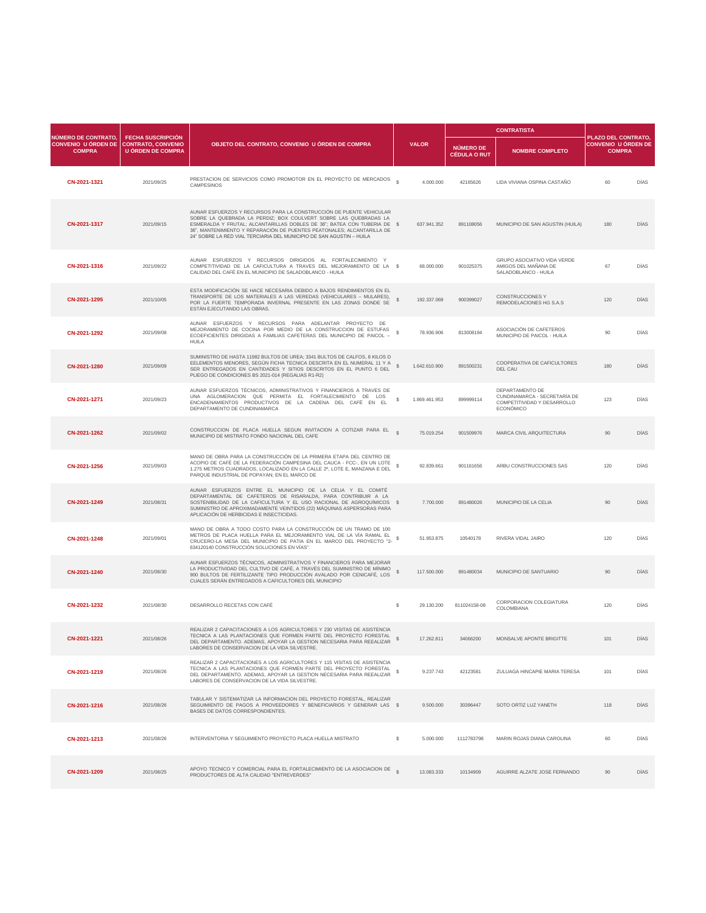|                                                                           |                                                                                   |                                                                                                                                                                                                                                                                                                                                                                       |              |               |                                         | <b>CONTRATISTA</b>                                                                                 |                                                                           |             |
|---------------------------------------------------------------------------|-----------------------------------------------------------------------------------|-----------------------------------------------------------------------------------------------------------------------------------------------------------------------------------------------------------------------------------------------------------------------------------------------------------------------------------------------------------------------|--------------|---------------|-----------------------------------------|----------------------------------------------------------------------------------------------------|---------------------------------------------------------------------------|-------------|
| <b>NÚMERO DE CONTRATO,</b><br><b>CONVENIO U ÓRDEN DE</b><br><b>COMPRA</b> | <b>FECHA SUSCRIPCIÓN</b><br><b>CONTRATO, CONVENIO</b><br><b>U ÓRDEN DE COMPRA</b> | OBJETO DEL CONTRATO, CONVENIO U ÓRDEN DE COMPRA                                                                                                                                                                                                                                                                                                                       |              | <b>VALOR</b>  | <b>NÚMERO DE</b><br><b>CÉDULA O RUT</b> | <b>NOMBRE COMPLETO</b>                                                                             | <b>PLAZO DEL CONTRATO,</b><br><b>CONVENIO U ÓRDEN DE</b><br><b>COMPRA</b> |             |
| CN-2021-1321                                                              | 2021/09/25                                                                        | PRESTACION DE SERVICIOS COMO PROMOTOR EN EL PROYECTO DE MERCADOS §<br><b>CAMPESINOS</b>                                                                                                                                                                                                                                                                               |              | 4.000.000     | 42165626                                | LIDA VIVIANA OSPINA CASTAÑO                                                                        | 60                                                                        | <b>DÍAS</b> |
| CN-2021-1317                                                              | 2021/09/15                                                                        | AUNAR ESFUERZOS Y RECURSOS PARA LA CONSTRUCCIÓN DE PUENTE VEHICULAR<br>SOBRE LA QUEBRADA LA PERDIZ; BOX COULVERT SOBRE LAS QUEBRADAS LA<br>ESMERALDA Y FRUTAL; ALCANTARILLAS DOBLES DE 36"; BATEA CON TUBERIA DE \$<br>36", MANTENIMIENTO Y REPARACIÓN DE PUENTES PEATONALES; ALCANTARILLA DE<br>24" SOBRE LA RED VIAL TERCIARIA DEL MUNICIPIO DE SAN AGUSTIN - HUILA |              | 637.941.352   | 891108056                               | MUNICIPIO DE SAN AGUSTIN (HUILA)                                                                   | 180                                                                       | <b>DÍAS</b> |
| CN-2021-1316                                                              | 2021/09/22                                                                        | AUNAR ESFUERZOS Y RECURSOS DIRIGIDOS AL FORTALECIMIENTO Y<br>COMPETITIVIDAD DE LA CAFICULTURA A TRAVES DEL MEJORAMIENTO DE LA \$<br>CALIDAD DEL CAFÉ EN EL MUNICIPIO DE SALADOBLANCO - HUILA                                                                                                                                                                          |              | 68.000.000    | 901025375                               | <b>GRUPO ASOCIATIVO VIDA VERDE</b><br>AMIGOS DEL MAÑANA DE<br>SALADOBLANCO - HUILA                 | 67                                                                        | <b>DÍAS</b> |
| CN-2021-1295                                                              | 2021/10/05                                                                        | ESTA MODIFICACIÓN SE HACE NECESARIA DEBIDO A BAJOS RENDIMIENTOS EN EL<br>TRANSPORTE DE LOS MATERIALES A LAS VEREDAS (VEHICULARES - MULARES),<br>POR LA FUERTE TEMPORADA INVERNAL PRESENTE EN LAS ZONAS DONDE SE<br>ESTÁN EJECUTANDO LAS OBRAS.                                                                                                                        |              | 192.337.069   | 900399027                               | <b>CONSTRUCCIONES Y</b><br>REMODELACIONES HG S.A.S                                                 | 120                                                                       | <b>DÍAS</b> |
| CN-2021-1292                                                              | 2021/09/08                                                                        | Y RECURSOS PARA ADELANTAR PROYECTO DE<br>AUNAR ESFUERZOS<br>MEJORAMIENTO DE COCINA POR MEDIO DE LA CONSTRUCCION DE ESTUFAS<br>ECOEFICIENTES DIRIGIDAS A FAMILIAS CAFETERAS DEL MUNICIPIO DE PAICOL -<br><b>HUILA</b>                                                                                                                                                  |              | 78.936.906    | 813008194                               | ASOCIACIÓN DE CAFETEROS<br>MUNICIPIO DE PAICOL - HUILA                                             | 90                                                                        | <b>DÍAS</b> |
| CN-2021-1280                                                              | 2021/09/09                                                                        | SUMINISTRO DE HASTA 11982 BULTOS DE UREA; 3341 BULTOS DE CALFOS, 8 KILOS D<br>EELEMENTOS MENORES, SEGÚN FICHA TECNICA DESCRITA EN EL NUMERAL 11 Y A<br>SER ENTREGADOS EN CANTIDADES Y SITIOS DESCRITOS EN EL PUNTO 6 DEL<br>PLIEGO DE CONDICIONES BS 2021-014 (REGALIAS R1-R2)                                                                                        |              | 1.642.610.900 | 891500231                               | COOPERATIVA DE CAFICULTORES<br><b>DEL CAU</b>                                                      | 180                                                                       | <b>DÍAS</b> |
| CN-2021-1271                                                              | 2021/09/23                                                                        | AUNAR ESFUERZOS TÉCNICOS, ADMINISTRATIVOS Y FINANCIEROS A TRAVES DE<br>UNA AGLOMERACION QUE PERMITA EL FORTALECIMIENTO DE LOS<br>ENCADENAMIENTOS PRODUCTIVOS DE LA CADENA DEL CAFÉ EN EL<br>DEPARTAMENTO DE CUNDINAMARCA                                                                                                                                              |              | 1.869.461.953 | 899999114                               | DEPARTAMENTO DE<br>CUNDINAMARCA - SECRETARÍA DE<br>COMPETITIVIDAD Y DESARROLLO<br><b>ECONÓMICO</b> | 123                                                                       | <b>DÍAS</b> |
| CN-2021-1262                                                              | 2021/09/02                                                                        | CONSTRUCCION DE PLACA HUELLA SEGUN INVITACION A COTIZAR PARA EL<br>MUNICIPIO DE MISTRATO FONDO NACIONAL DEL CAFE                                                                                                                                                                                                                                                      |              | 75.019.254    | 901509976                               | <b>MARCA CIVIL ARQUITECTURA</b>                                                                    | 90                                                                        | <b>DÍAS</b> |
| CN-2021-1256                                                              | 2021/09/03                                                                        | MANO DE OBRA PARA LA CONSTRUCCIÓN DE LA PRIMERA ETAPA DEL CENTRO DE<br>ACOPIO DE CAFÉ DE LA FEDERACIÓN CAMPESINA DEL CAUCA - FCC-, EN UN LOTE<br>1.275 METROS CUADRADOS, LOCALIZADO EN LA CALLE 2ª, LOTE E, MANZANA E DEL<br>PARQUE INDUSTRIAL DE POPAYAN; EN EL MARCO DE                                                                                             |              | 92.839.661    | 901161656                               | ARBU CONSTRUCCIONES SAS                                                                            | 120                                                                       | <b>DÍAS</b> |
| CN-2021-1249                                                              | 2021/08/31                                                                        | AUNAR ESFUERZOS ENTRE EL MUNICIPIO DE LA CELIA Y EL COMITÉ<br>DEPARTAMENTAL DE CAFETEROS DE RISARALDA, PARA CONTRIBUIR A LA<br>SOSTENIBILIDAD DE LA CAFICULTURA Y EL USO RACIONAL DE AGROQUÍMICOS \$<br>SUMINISTRO DE APROXIMADAMENTE VEINTIDOS (22) MÁQUINAS ASPERSORAS PARA<br>APLICACIÓN DE HERBICIDAS E INSECTICIDAS.                                             |              | 7.700.000     | 891480026                               | MUNICIPIO DE LA CELIA                                                                              | 90                                                                        | <b>DÍAS</b> |
| CN-2021-1248                                                              | 2021/09/01                                                                        | MANO DE OBRA A TODO COSTO PARA LA CONSTRUCCIÓN DE UN TRAMO DE 100<br>METROS DE PLACA HUELLA PARA EL MEJORAMIENTO VIAL DE LA VÍA RAMAL EL<br>CRUCERO-LA MESA DEL MUNICIPIO DE PATIA EN EL MARCO DEL PROYECTO "2-<br>634120140 CONSTRUCCIÓN SOLUCIONES EN VÍAS".                                                                                                        |              | 51.953.875    | 10540178                                | RIVERA VIDAL JAIRO                                                                                 | 120                                                                       | <b>DÍAS</b> |
| CN-2021-1240                                                              | 2021/08/30                                                                        | AUNAR ESFUERZOS TÉCNICOS, ADMINISTRATIVOS Y FINANCIEROS PARA MEJORAR<br>LA PRODUCTIVIDAD DEL CULTIVO DE CAFÉ, A TRAVÉS DEL SUMINISTRO DE MÍNIMO<br>900 BULTOS DE FERTILIZANTE TIPO PRODUCCIÓN AVALADO POR CENICAFÉ, LOS<br>CUALES SERÁN ENTREGADOS A CAFICULTORES DEL MUNICIPIO                                                                                       |              | 117.500.000   | 891480034                               | MUNICIPIO DE SANTUARIO                                                                             | 90                                                                        | <b>DÍAS</b> |
| CN-2021-1232                                                              | 2021/08/30                                                                        | DESARROLLO RECETAS CON CAFÉ                                                                                                                                                                                                                                                                                                                                           | S.           | 29.130.200    | 811024158-08                            | <b>CORPORACION COLEGIATURA</b><br><b>COLOMBIANA</b>                                                | 120                                                                       | <b>DÍAS</b> |
| CN-2021-1221                                                              | 2021/08/26                                                                        | REALIZAR 2 CAPACITACIONES A LOS AGRICULTORES Y 230 VISITAS DE ASISTENCIA<br>TECNICA A LAS PLANTACIONES QUE FORMEN PARTE DEL PROYECTO FORESTAL<br>DEL DEPARTAMENTO. ADEMAS, APOYAR LA GESTION NECESARIA PARA REEALIZAR<br>LABORES DE CONSERVACION DE LA VIDA SILVESTRE.                                                                                                |              | 17.262.811    | 34066200                                | MONSALVE APONTE BRIGITTE                                                                           | 101                                                                       | <b>DÍAS</b> |
| CN-2021-1219                                                              | 2021/08/26                                                                        | REALIZAR 2 CAPACITACIONES A LOS AGRICULTORES Y 115 VISITAS DE ASISTENCIA<br>TECNICA A LAS PLANTACIONES QUE FORMEN PARTE DEL PROYECTO FORESTAL<br>DEL DEPARTAMENTO. ADEMAS, APOYAR LA GESTION NECESARIA PARA REEALIZAR<br>LABORES DE CONSERVACION DE LA VIDA SILVESTRE.                                                                                                |              | 9.237.743     | 42123581                                | ZULUAGA HINCAPIE MARIA TERESA                                                                      | 101                                                                       | <b>DÍAS</b> |
| CN-2021-1216                                                              | 2021/08/26                                                                        | TABULAR Y SISTEMATIZAR LA INFORMACION DEL PROYECTO FORESTAL, REALIZAR<br>SEGUIMIENTO DE PAGOS A PROVEEDORES Y BENEFICIARIOS Y GENERAR LAS \$<br>BASES DE DATOS CORRESPONDIENTES.                                                                                                                                                                                      |              | 9.500.000     | 30396447                                | SOTO ORTIZ LUZ YANETH                                                                              | 118                                                                       | <b>DÍAS</b> |
| CN-2021-1213                                                              | 2021/08/26                                                                        | INTERVENTORIA Y SEGUIMIENTO PROYECTO PLACA HUELLA MISTRATO                                                                                                                                                                                                                                                                                                            | $\mathbb{S}$ | 5.000.000     | 1112783798                              | MARIN ROJAS DIANA CAROLINA                                                                         | 60                                                                        | <b>DÍAS</b> |
| CN-2021-1209                                                              | 2021/08/25                                                                        | APOYO TECNICO Y COMERCIAL PARA EL FORTALECIMIENTO DE LA ASOCIACION DE<br>PRODUCTORES DE ALTA CALIDAD "ENTREVERDES"                                                                                                                                                                                                                                                    |              | 13.083.333    | 10134909                                | AGUIRRE ALZATE JOSE FERNANDO                                                                       | 90                                                                        | <b>DÍAS</b> |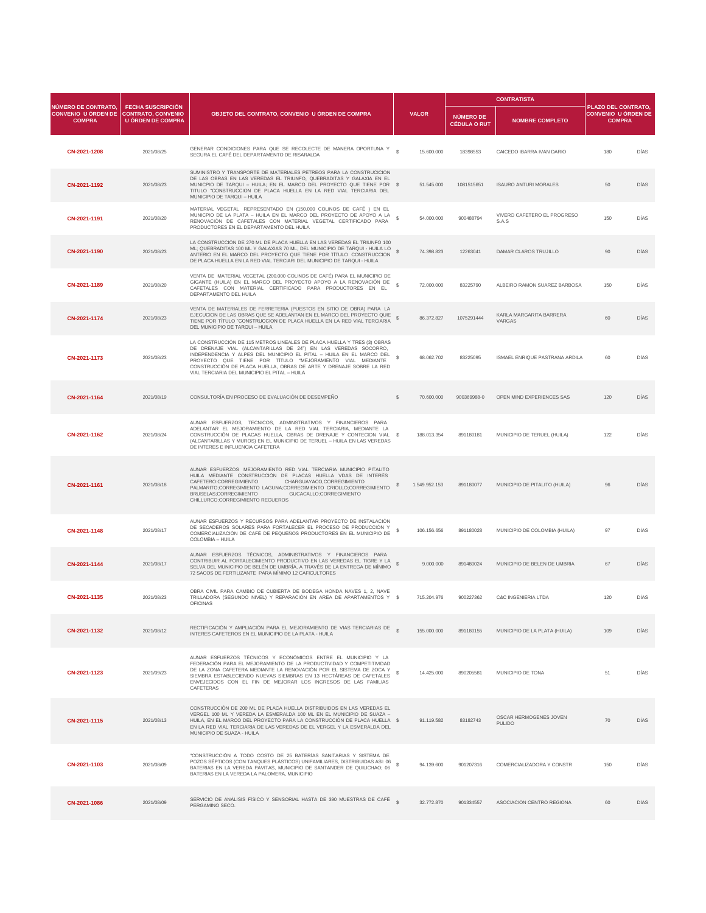|                                                                    |                                                                                   |                                                                                                                                                                                                                                                                                                                                                                                                       |                     |               |                                  | <b>CONTRATISTA</b>                             |                                                                           |             |
|--------------------------------------------------------------------|-----------------------------------------------------------------------------------|-------------------------------------------------------------------------------------------------------------------------------------------------------------------------------------------------------------------------------------------------------------------------------------------------------------------------------------------------------------------------------------------------------|---------------------|---------------|----------------------------------|------------------------------------------------|---------------------------------------------------------------------------|-------------|
| NÚMERO DE CONTRATO.<br><b>CONVENIO U ÓRDEN DE</b><br><b>COMPRA</b> | <b>FECHA SUSCRIPCIÓN</b><br><b>CONTRATO, CONVENIO</b><br><b>U ÓRDEN DE COMPRA</b> | OBJETO DEL CONTRATO, CONVENIO U ÓRDEN DE COMPRA                                                                                                                                                                                                                                                                                                                                                       |                     | <b>VALOR</b>  | NÚMERO DE<br><b>CÉDULA O RUT</b> | <b>NOMBRE COMPLETO</b>                         | <b>PLAZO DEL CONTRATO,</b><br><b>CONVENIO U ÓRDEN DE</b><br><b>COMPRA</b> |             |
| CN-2021-1208                                                       | 2021/08/25                                                                        | GENERAR CONDICIONES PARA QUE SE RECOLECTE DE MANERA OPORTUNA Y<br>SEGURA EL CAFÉ DEL DEPARTAMENTO DE RISARALDA                                                                                                                                                                                                                                                                                        |                     | 15.600.000    | 18398553                         | CAICEDO IBARRA IVAN DARIO                      | 180                                                                       | <b>DÍAS</b> |
| CN-2021-1192                                                       | 2021/08/23                                                                        | SUMINISTRO Y TRANSPORTE DE MATERIALES PETREOS PARA LA CONSTRUCICION<br>DE LAS OBRAS EN LAS VEREDAS EL TRIUNFO, QUEBRADITAS Y GALAXIA EN EL<br>MUNICPIO DE TARQUI - HUILA; EN EL MARCO DEL PROYECTO QUE TIENE POR \$<br>TITULO "CONSTRUCCION DE PLACA HUELLA EN LA RED VIAL TERCIARIA DEL<br><b>MUNICIPIO DE TARQUI - HUILA</b>                                                                        |                     | 51.545.000    | 1081515651                       | <b>ISAURO ANTURI MORALES</b>                   | 50 <sub>1</sub>                                                           | <b>DÍAS</b> |
| CN-2021-1191                                                       | 2021/08/20                                                                        | MATERIAL VEGETAL REPRESENTADO EN (150.000 COLINOS DE CAFÉ) EN EL<br>MUNICPIO DE LA PLATA - HUILA EN EL MARCO DEL PROYECTO DE APOYO A LA<br>RENOVACIÓN DE CAFETALES CON MATERIAL VEGETAL CERTIFICADO PARA<br>PRODUCTORES EN EL DEPARTAMENTO DEL HUILA                                                                                                                                                  |                     | 54.000.000    | 900488794                        | VIVERO CAFETERO EL PROGRESO<br>S.A.S           | 150                                                                       | <b>DÍAS</b> |
| CN-2021-1190                                                       | 2021/08/23                                                                        | LA CONSTRUCCIÓN DE 270 ML DE PLACA HUELLA EN LAS VEREDAS EL TRIUNFO 100<br>ML; QUEBRADITAS 100 ML Y GALAXIAS 70 ML, DEL MUNICIPIO DE TARQUI - HUILA LO<br>ANTERIO EN EL MARCO DEL PROYECTO QUE TIENE POR TÍTULO CONSTRUCCION<br>DE PLACA HUELLA EN LA RED VIAL TERCIARI DEL MUNICIPIO DE TARQUI - HUILA                                                                                               |                     | 74.398.823    | 12263041                         | DAMAR CLAROS TRUJILLO                          | 90                                                                        | <b>DÍAS</b> |
| CN-2021-1189                                                       | 2021/08/20                                                                        | VENTA DE MATERIAL VEGETAL (200.000 COLINOS DE CAFÉ) PARA EL MUNICIPIO DE<br>GIGANTE (HUILA) EN EL MARCO DEL PROYECTO APOYO A LA RENOVACIÓN DE<br>CAFETALES CON MATERIAL CERTIFICADO PARA PRODUCTORES EN EL<br>DEPARTAMENTO DEL HUILA                                                                                                                                                                  |                     | 72.000.000    | 83225790                         | ALBEIRO RAMON SUAREZ BARBOSA                   | 150                                                                       | <b>DÍAS</b> |
| CN-2021-1174                                                       | 2021/08/23                                                                        | VENTA DE MATERIALES DE FERRETERIA (PUESTOS EN SITIO DE OBRA) PARA LA<br>EJECUCION DE LAS OBRAS QUE SE ADELANTAN EN EL MARCO DEL PROYECTO QUIE<br>TIENE POR TÍTULO "CONSTRUCCION DE PLACA HUELLA EN LA RED VIAL TERCIARIA<br>DEL MUNICIPIO DE TARQUI - HUILA                                                                                                                                           |                     | 86.372.827    | 1075291444                       | KARLA MARGARITA BARRERA<br><b>VARGAS</b>       | 60                                                                        | <b>DÍAS</b> |
| CN-2021-1173                                                       | 2021/08/23                                                                        | LA CONSTRUCCIÓN DE 115 METROS LINEALES DE PLACA HUELLA Y TRES (3) OBRAS<br>DE DRENAJE VIAL (ALCANTARILLAS DE 24") EN LAS VEREDAS SOCORRO,<br>INDEPENDENCIA Y ALPES DEL MUNICIPIO EL PITAL - HUILA EN EL MARCO DEL<br>PROYECTO QUE TIENE POR TÍTULO "MEJORAMIENTO VIAL MEDIANTE<br>CONSTRUCCIÓN DE PLACA HUELLA, OBRAS DE ARTE Y DRENAJE SOBRE LA RED<br>VIAL TERCIARIA DEL MUNICIPIO EL PITAL - HUILA |                     | 68.062.702    | 83225095                         | ISMAEL ENRIQUE PASTRANA ARDILA                 | 60                                                                        | DÍAS        |
| CN-2021-1164                                                       | 2021/08/19                                                                        | CONSULTORÍA EN PROCESO DE EVALUACIÓN DE DESEMPEÑO                                                                                                                                                                                                                                                                                                                                                     | $\mathcal{S}$       | 70.600.000    | 900369988-0                      | OPEN MIND EXPERIENCES SAS                      | 120                                                                       | <b>DÍAS</b> |
| CN-2021-1162                                                       | 2021/08/24                                                                        | AUNAR ESFUERZOS, TECNICOS, ADMINSTRATIVOS Y FINANCIEROS PARA<br>ADELANTAR EL MEJORAMIENTO DE LA RED VIAL TERCIARIA, MEDIANTE LA<br>CONSTRUCCIÓN DE PLACAS HUELLA, OBRAS DE DRENAJE Y CONTECION VIAL \$<br>(ALCANTARILLAS Y MUROS) EN EL MUNICIPIO DE TERUEL - HUILA EN LAS VEREDAS<br>DE INTERES E INFLUENCIA CAFETERA                                                                                |                     | 188.013.354   | 891180181                        | MUNICIPIO DE TERUEL (HUILA)                    | 122                                                                       | <b>DÍAS</b> |
| CN-2021-1161                                                       | 2021/08/18                                                                        | AUNAR ESFUERZOS MEJORAMIENTO RED VIAL TERCIARIA MUNICIPIO PITALITO<br>HUILA MEDIANTE CONSTRUCCIÓN DE PLACAS HUELLA VDAS DE INTERÉS<br>CAFETERO:CORREGIMIENTO<br>CHARGUAYACO, CORREGIMIENTO<br>PALMARITO;CORREGIMIENTO LAGUNA;CORREGIMIENTO CRIOLLO;CORREGIMIENTO<br>BRUSELAS;CORREGIMIENTO<br>GUCACALLO;CORREGIMIENTO<br>CHILLURCO;CORREGIMIENTO REGUEROS                                             |                     | 1.549.952.153 | 891180077                        | MUNICIPIO DE PITALITO (HUILA)                  | 96                                                                        | <b>DÍAS</b> |
| CN-2021-1148                                                       | 2021/08/17                                                                        | AUNAR ESFUERZOS Y RECURSOS PARA ADELANTAR PROYECTO DE INSTALACIÓN<br>DE SECADEROS SOLARES PARA FORTALECER EL PROCESO DE PRODUCCIÓN Y<br>COMERCIALIZACIÓN DE CAFÉ DE PEQUEÑOS PRODUCTORES EN EL MUNICIPIO DE<br><b>COLOMBIA - HUILA</b>                                                                                                                                                                |                     | 106.156.656   | 891180028                        | MUNICIPIO DE COLOMBIA (HUILA)                  | 97                                                                        | <b>DÍAS</b> |
| CN-2021-1144                                                       | 2021/08/17                                                                        | AUNAR ESFUERZOS TÉCNICOS, ADMINISTRATIVOS Y FINANCIEROS PARA<br>CONTRIBUIR AL FORTALECIMIENTO PRODUCTIVO EN LAS VEREDAS EL TIGRE Y LA SELVA DEL MUNICIPIO DE BELÉN DE UMBRÍA, A TRAVÉS DE LA ENTREGA DE MÍNIMO<br>72 SACOS DE FERTILIZANTE PARA MÍNIMO 12 CAFICULTORES                                                                                                                                |                     | 9.000.000     | 891480024                        | MUNICIPIO DE BELEN DE UMBRIA                   | 67                                                                        | <b>DÍAS</b> |
| CN-2021-1135                                                       | 2021/08/23                                                                        | OBRA CIVIL PARA CAMBIO DE CUBIERTA DE BODEGA HONDA NAVES 1, 2, NAVE<br>TRILLADORA (SEGUNDO NIVEL) Y REPARACIÓN EN AREA DE APARTAMENTOS Y \$<br><b>OFICINAS</b>                                                                                                                                                                                                                                        |                     | 715.204.976   | 900227362                        | <b>C&amp;C INGENIERIA LTDA</b>                 | 120                                                                       | <b>DÍAS</b> |
| CN-2021-1132                                                       | 2021/08/12                                                                        | RECTIFICACIÓN Y AMPLIACIÓN PARA EL MEJORAMIENTO DE VIAS TERCIARIAS DE<br>INTERES CAFETEROS EN EL MUNICIPIO DE LA PLATA - HUILA                                                                                                                                                                                                                                                                        | $\hat{\mathcal{R}}$ | 155.000.000   | 891180155                        | MUNICIPIO DE LA PLATA (HUILA)                  | 109                                                                       | <b>DÍAS</b> |
| CN-2021-1123                                                       | 2021/09/23                                                                        | AUNAR ESFUERZOS TÉCNICOS Y ECONÓMICOS ENTRE EL MUNICIPIO Y LA<br>FEDERACIÓN PARA EL MEJORAMIENTO DE LA PRODUCTIVIDAD Y COMPETITIVIDAD<br>DE LA ZONA CAFETERA MEDIANTE LA RENOVACIÓN POR EL SISTEMA DE ZOCA Y<br>SIEMBRA ESTABLECIENDO NUEVAS SIEMBRAS EN 13 HECTÁREAS DE CAFETALES<br>ENVEJECIDOS CON EL FIN DE MEJORAR LOS INGRESOS DE LAS FAMILIAS<br><b>CAFETERAS</b>                              |                     | 14.425.000    | 890205581                        | MUNICIPIO DE TONA                              | 51                                                                        | <b>DÍAS</b> |
| CN-2021-1115                                                       | 2021/08/13                                                                        | CONSTRUCCIÓN DE 200 ML DE PLACA HUELLA DISTRIBUIDOS EN LAS VEREDAS EL<br>VERGEL 100 ML Y VEREDA LA ESMERALDA 100 ML EN EL MUNICIPIO DE SUAZA -<br>HUILA, EN EL MARCO DEL PROYECTO PARA LA CONSTRUCCIÓN DE PLACA HUELLA \$<br>EN LA RED VIAL TERCIARIA DE LAS VEREDAS DE EL VERGEL Y LA ESMERALDA DEL<br>MUNICIPIO DE SUAZA - HUILA                                                                    |                     | 91.119.582    | 83182743                         | <b>OSCAR HERMOGENES JOVEN</b><br><b>PULIDO</b> | 70                                                                        | <b>DÍAS</b> |
| CN-2021-1103                                                       | 2021/08/09                                                                        | "CONSTRUCCIÓN A TODO COSTO DE 25 BATERÍAS SANITARIAS Y SISTEMA DE<br>POZOS SÉPTICOS (CON TANQUES PLÁSTICOS) UNIFAMILIARES, DISTRIBUIDAS ASI: 06<br>BATERIAS EN LA VEREDA PAVITAS, MUNICIPIO DE SANTANDER DE QUILICHAO; 06<br>BATERIAS EN LA VEREDA LA PALOMERA, MUNICIPIO                                                                                                                             |                     | 94.139.600    | 901207316                        | COMERCIALIZADORA Y CONSTR                      | 150                                                                       | <b>DÍAS</b> |
| CN-2021-1086                                                       | 2021/08/09                                                                        | SERVICIO DE ANÁLISIS FÍSICO Y SENSORIAL HASTA DE 390 MUESTRAS DE CAFÉ<br>PERGAMINO SECO.                                                                                                                                                                                                                                                                                                              |                     | 32.772.870    | 901334557                        | ASOCIACION CENTRO REGIONA                      | 60                                                                        | <b>DÍAS</b> |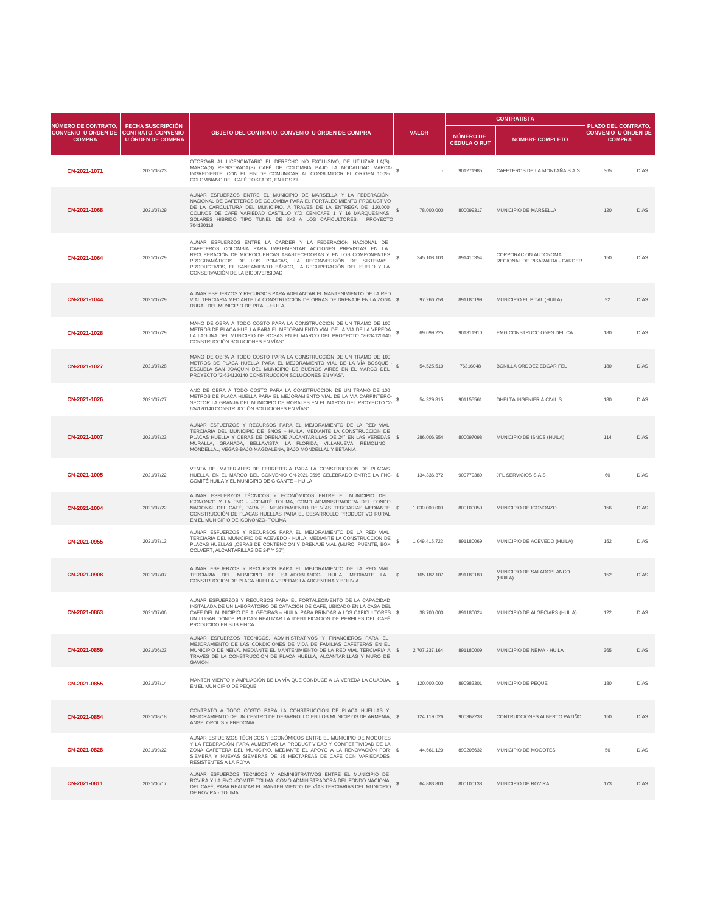| NÚMERO DE CONTRATO.                         |                                                                                   |                                                                                                                                                                                                                                                                                                                                                                      |               |                                  | <b>CONTRATISTA</b>                                            |                                                                    |             |
|---------------------------------------------|-----------------------------------------------------------------------------------|----------------------------------------------------------------------------------------------------------------------------------------------------------------------------------------------------------------------------------------------------------------------------------------------------------------------------------------------------------------------|---------------|----------------------------------|---------------------------------------------------------------|--------------------------------------------------------------------|-------------|
| <b>CONVENIO U ÓRDEN DE</b><br><b>COMPRA</b> | <b>FECHA SUSCRIPCIÓN</b><br><b>CONTRATO, CONVENIO</b><br><b>U ÓRDEN DE COMPRA</b> | OBJETO DEL CONTRATO, CONVENIO U ÓRDEN DE COMPRA                                                                                                                                                                                                                                                                                                                      | <b>VALOR</b>  | NÚMERO DE<br><b>CÉDULA O RUT</b> | <b>NOMBRE COMPLETO</b>                                        | PLAZO DEL CONTRATO,<br><b>CONVENIO U ÓRDEN DE</b><br><b>COMPRA</b> |             |
| CN-2021-1071                                | 2021/08/23                                                                        | OTORGAR AL LICENCIATARIO EL DERECHO NO EXCLUSIVO, DE UTILIZAR LA(S)<br>MARCA(S) REGISTRADA(S) CAFÉ DE COLOMBIA BAJO LA MODALIDAD MARCA-<br>INGREDIENTE, CON EL FIN DE COMUNICAR AL CONSUMIDOR EL ORIGEN 100%<br>COLOMBIANO DEL CAFÉ TOSTADO, EN LOS SI                                                                                                               |               | 901271985                        | CAFETEROS DE LA MONTAÑA S.A.S                                 | 365                                                                | <b>DÍAS</b> |
| CN-2021-1068                                | 2021/07/29                                                                        | AUNAR ESFUERZOS ENTRE EL MUNICIPIO DE MARSELLA Y LA FEDERACIÓN<br>NACIONAL DE CAFETEROS DE COLOMBIA PARA EL FORTALECIMIENTO PRODUCTIVO<br>DE LA CAFICULTURA DEL MUNICIPIO, A TRAVÉS DE LA ENTREGA DE 120.000<br>COLINOS DE CAFÉ VARIEDAD CASTILLO Y/O CENICAFE 1 Y 16 MARQUESINAS<br>SOLARES HIBRIDO TIPO TÚNEL DE 8X2 A LOS CAFICULTORES. PROYECTO<br>704120118.    | 78.000.000    | 800099317                        | <b>MUNICIPIO DE MARSELLA</b>                                  | 120                                                                | <b>DÍAS</b> |
| CN-2021-1064                                | 2021/07/29                                                                        | AUNAR ESFUERZOS ENTRE LA CARDER Y LA FEDERACIÓN NACIONAL DE<br>CAFETEROS COLOMBIA PARA IMPLEMENTAR ACCIONES PREVISTAS EN LA<br>RECUPERACIÓN DE MICROCUENCAS ABASTECEDORAS Y EN LOS COMPONENTES<br>PROGRAMÁTICOS DE LOS POMCAS, LA RECONVERSIÓN DE SISTEMAS<br>PRODUCTIVOS, EL SANEAMIENTO BÁSICO, LA RECUPERACIÓN DEL SUELO Y LA<br>CONSERVACIÓN DE LA BIODIVERSIDAD | 345.108.103   | 891410354                        | <b>CORPORACION AUTONOMA</b><br>REGIONAL DE RISARALDA - CARDER | 150                                                                | <b>DÍAS</b> |
| CN-2021-1044                                | 2021/07/29                                                                        | AUNAR ESFUERZOS Y RECURSOS PARA ADELANTAR EL MANTENIMIENTO DE LA RED<br>VIAL TERCIARIA MEDIANTE LA CONSTRUCCIÓN DE OBRAS DE DRENAJE EN LA ZONA \$<br>RURAL DEL MUNICIPIO DE PITAL - HUILA,                                                                                                                                                                           | 97.266.758    | 891180199                        | MUNICIPIO EL PITAL (HUILA)                                    | 92                                                                 | <b>DÍAS</b> |
| CN-2021-1028                                | 2021/07/29                                                                        | MANO DE OBRA A TODO COSTO PARA LA CONSTRUCCIÓN DE UN TRAMO DE 100<br>METROS DE PLACA HUELLA PARA EL MEJORAMIENTO VIAL DE LA VÍA DE LA VEREDA<br>LA LAGUNA DEL MUNICIPIO DE ROSAS EN EL MARCO DEL PROYECTO "2-634120140<br>CONSTRUCCIÓN SOLUCIONES EN VÍAS".                                                                                                          | 69.099.225    | 901311910                        | <b>EMG CONSTRUCCIONES DEL CA</b>                              | 180                                                                | <b>DÍAS</b> |
| CN-2021-1027                                | 2021/07/28                                                                        | MANO DE OBRA A TODO COSTO PARA LA CONSTRUCCIÓN DE UN TRAMO DE 100<br>METROS DE PLACA HUELLA PARA EL MEJORAMIENTO VIAL DE LA VÍA BOSQUE -<br>ESCUELA SAN JOAQUIN DEL MUNICIPIO DE BUENOS AIRES EN EL MARCO DEL<br>PROYECTO "2-634120140 CONSTRUCCIÓN SOLUCIONES EN VÍAS".                                                                                             | 54.525.510    | 76316048                         | <b>BONILLA ORDOEZ EDGAR FEL</b>                               | 180                                                                | <b>DÍAS</b> |
| CN-2021-1026                                | 2021/07/27                                                                        | ANO DE OBRA A TODO COSTO PARA LA CONSTRUCCIÓN DE UN TRAMO DE 100<br>METROS DE PLACA HUELLA PARA EL MEJORAMIENTO VIAL DE LA VÍA CARPINTERO-<br>SECTOR LA GRANJA DEL MUNICIPIO DE MORALES EN EL MARCO DEL PROYECTO "2-<br>634120140 CONSTRUCCIÓN SOLUCIONES EN VÍAS".                                                                                                  | 54.329.815    | 901155561                        | DHELTA INGENIERIA CIVIL S                                     | 180                                                                | DÍAS        |
| CN-2021-1007                                | 2021/07/23                                                                        | AUNAR ESFUERZOS Y RECURSOS PARA EL MEJORAMIENTO DE LA RED VIAL<br>TERCIARIA DEL MUNICIPIO DE ISNOS - HUILA, MEDIANTE LA CONSTRUCCION DE<br>PLACAS HUELLA Y OBRAS DE DRENAJE ALCANTARILLAS DE 24" EN LAS VEREDAS \$<br>MURALLA, GRANADA, BELLAVISTA, LA FLORIDA, VILLANUEVA, REMOLINO,<br>MONDELLAL, VEGAS-BAJO MAGDALENA, BAJO MONDELLAL Y BETANIA                   | 286.006.954   | 800097098                        | MUNICIPIO DE ISNOS (HUILA)                                    | 114                                                                | <b>DÍAS</b> |
| CN-2021-1005                                | 2021/07/22                                                                        | VENTA DE MATERIALES DE FERRETERIA PARA LA CONSTRUCCION DE PLACAS<br>HUELLA, EN EL MARCO DEL CONVENIO CN-2021-0595 CELEBRADO ENTRE LA FNC- \$<br>COMITÉ HUILA Y EL MUNICIPIO DE GIGANTE - HUILA                                                                                                                                                                       | 134.336.372   | 900779389                        | JPL SERVICIOS S.A.S                                           | 60                                                                 | <b>DÍAS</b> |
| CN-2021-1004                                | 2021/07/22                                                                        | AUNAR ESFUERZOS TÉCNICOS Y ECONÓMICOS ENTRE EL MUNICIPIO DEL<br>ICONONZO Y LA FNC - - COMITÉ TOLIMA, COMO ADMINISTRADORA DEL FONDO<br>NACIONAL DEL CAFÉ, PARA EL MEJORAMIENTO DE VÍAS TERCIARIAS MEDIANTE<br>CONSTRUCCIÓN DE PLACAS HUELLAS PARA EL DESARROLLO PRODUCTIVO RURAL<br>EN EL MUNICIPIO DE ICONONZO- TOLIMA                                               | 1.030.000.000 | 800100059                        | MUNICIPIO DE ICONONZO                                         | 156                                                                | <b>DÍAS</b> |
| CN-2021-0955                                | 2021/07/13                                                                        | AUNAR ESFUERZOS Y RECURSOS PARA EL MEJORAMIENTO DE LA RED VIAL<br>TERCIARIA DEL MUNICIPIO DE ACEVEDO - HUILA, MEDIANTE LA CONSTRUCCION DE<br>PLACAS HUELLAS , OBRAS DE CONTENCION Y DRENAJE VIAL (MURO, PUENTE, BOX<br>COLVERT, ALCANTARILLAS DE 24" Y 36").                                                                                                         | 1.049.415.722 | 891180069                        | MUNICIPIO DE ACEVEDO (HUILA)                                  | 152                                                                | DÍAS        |
| CN-2021-0908                                | 2021/07/07                                                                        | AUNAR ESFUERZOS Y RECURSOS PARA EL MEJORAMIENTO DE LA RED VIAL<br>TERCIARIA DEL MUNICIPIO DE SALADOBLANCO- HUILA, MEDIANTE LA \$<br>CONSTRUCCION DE PLACA HUELLA VEREDAS LA ARGENTINA Y BOLIVIA                                                                                                                                                                      | 165.182.107   | 891180180                        | MUNICIPIO DE SALADOBLANCO<br>(HUILA)                          | 152                                                                | <b>DÍAS</b> |
| CN-2021-0863                                | 2021/07/06                                                                        | AUNAR ESFUERZOS Y RECURSOS PARA EL FORTALECIMENTO DE LA CAPACIDAD<br>INSTALADA DE UN LABORATORIO DE CATACIÓN DE CAFÉ, UBICADO EN LA CASA DEL<br>CAFÉ DEL MUNICIPIO DE ALGECIRAS – HUILA, PARA BRINDAR A LOS CAFICULTORES \$<br>UN LUGAR DONDE PUEDAN REALIZAR LA IDENTIFICACION DE PERFILES DEL CAFÉ<br>PRODUCIDO EN SUS FINCA                                       | 38.700.000    | 891180024                        | MUNICIPIO DE ALGECIARS (HUILA)                                | 122                                                                | <b>DÍAS</b> |
| CN-2021-0859                                | 2021/06/23                                                                        | AUNAR ESFUERZOS TECNICOS, ADMINISTRATIVOS Y FINANCIEROS PARA EL<br>MEJORAMIENTO DE LAS CONDICIONES DE VIDA DE FAMILIAS CAFETERAS EN EL<br>MUNICIPIO DE NEIVA, MEDIANTE EL MANTENIMIENTO DE LA RED VIAL TERCIARIA A \$<br>TRAVES DE LA CONSTRUCCION DE PLACA HUELLA, ALCANTARILLAS Y MURO DE<br><b>GAVION</b>                                                         | 2.707.237.164 | 891180009                        | MUNICIPIO DE NEIVA - HUILA                                    | 365                                                                | <b>DÍAS</b> |
| CN-2021-0855                                | 2021/07/14                                                                        | MANTENIMIENTO Y AMPLIACIÓN DE LA VÍA QUE CONDUCE A LA VEREDA LA GUADUA,<br>EN EL MUNICIPIO DE PEQUE                                                                                                                                                                                                                                                                  | 120.000.000   | 890982301                        | MUNICIPIO DE PEQUE                                            | 180                                                                | <b>DÍAS</b> |
| CN-2021-0854                                | 2021/08/18                                                                        | CONTRATO A TODO COSTO PARA LA CONSTRUCCIÓN DE PLACA HUELLAS Y<br>MEJORAMIENTO DE UN CENTRO DE DESARROLLO EN LOS MUNICIPIOS DE ARMENIA, \$<br>ANGELOPOLIS Y FREDONIA                                                                                                                                                                                                  | 124.119.026   | 900362238                        | CONTRUCCIONES ALBERTO PATIÑO                                  | 150                                                                | <b>DÍAS</b> |
| CN-2021-0828                                | 2021/09/22                                                                        | AUNAR ESFUERZOS TÉCNICOS Y ECONÓMICOS ENTRE EL MUNICIPIO DE MOGOTES<br>Y LA FEDERACIÓN PARA AUMENTAR LA PRODUCTIVIDAD Y COMPETITIVIDAD DE LA<br>ZONA CAFETERA DEL MUNICIPIO, MEDIANTE EL APOYO A LA RENOVACIÓN POR \$<br>SIEMBRA Y NUEVAS SIEMBRAS DE 35 HECTÁREAS DE CAFÉ CON VARIEDADES<br>RESISTENTES A LA ROYA                                                   | 44.661.120    | 890205632                        | MUNICIPIO DE MOGOTES                                          | 56                                                                 | <b>DÍAS</b> |
| CN-2021-0811                                | 2021/06/17                                                                        | AUNAR ESFUERZOS TÉCNICOS Y ADMINISTRATIVOS ENTRE EL MUNICIPIO DE<br>ROVIRA Y LA FNC-COMITÉ TOLIMA, COMO ADMINISTRADORA DEL FONDO NACIONAL<br>DEL CAFÉ, PARA REALIZAR EL MANTENIMIENTO DE VÍAS TERCIARIAS DEL MUNICIPIO<br>DE ROVIRA - TOLIMA                                                                                                                         | 64.883.800    | 800100138                        | MUNICIPIO DE ROVIRA                                           | 173                                                                | <b>DÍAS</b> |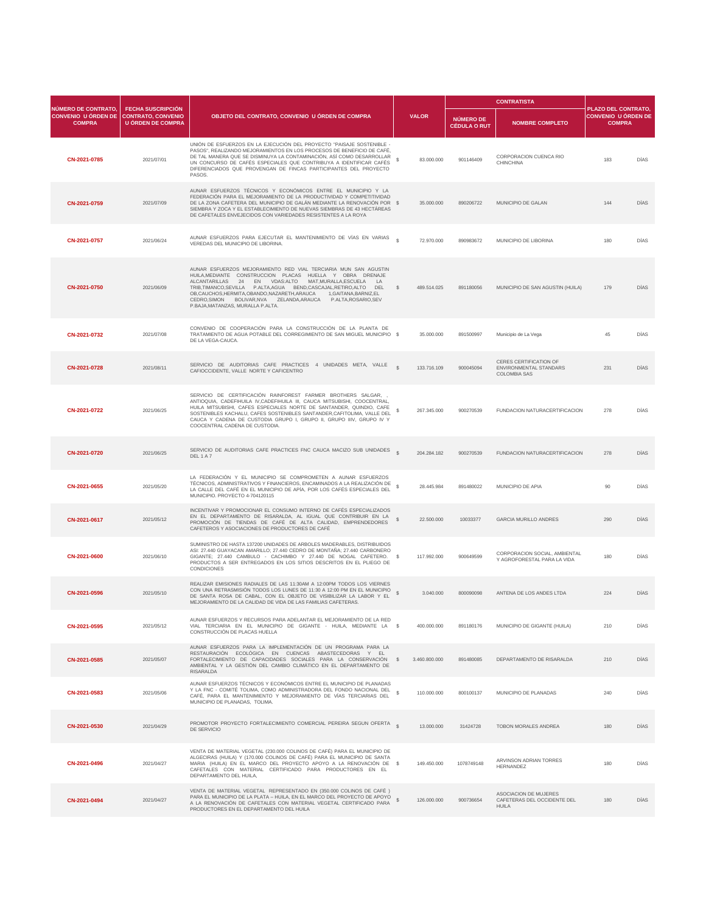| <b>NÚMERO DE CONTRATO.</b>                  |                                                                                   |                                                                                                                                                                                                                                                                                                                                                                                                                                                                            | <b>CONTRATISTA</b>           |                                         |                                                                                       |                                                                           |             |  |
|---------------------------------------------|-----------------------------------------------------------------------------------|----------------------------------------------------------------------------------------------------------------------------------------------------------------------------------------------------------------------------------------------------------------------------------------------------------------------------------------------------------------------------------------------------------------------------------------------------------------------------|------------------------------|-----------------------------------------|---------------------------------------------------------------------------------------|---------------------------------------------------------------------------|-------------|--|
| <b>CONVENIO U ÓRDEN DE</b><br><b>COMPRA</b> | <b>FECHA SUSCRIPCIÓN</b><br><b>CONTRATO, CONVENIO</b><br><b>U ÓRDEN DE COMPRA</b> | OBJETO DEL CONTRATO, CONVENIO U ÓRDEN DE COMPRA                                                                                                                                                                                                                                                                                                                                                                                                                            | <b>VALOR</b>                 | <b>NÚMERO DE</b><br><b>CÉDULA O RUT</b> | <b>NOMBRE COMPLETO</b>                                                                | <b>PLAZO DEL CONTRATO,</b><br><b>CONVENIO U ÓRDEN DE</b><br><b>COMPRA</b> |             |  |
| CN-2021-0785                                | 2021/07/01                                                                        | UNIÓN DE ESFUERZOS EN LA EJECUCIÓN DEL PROYECTO "PAISAJE SOSTENIBLE -<br>PASOS", REALIZANDO MEJORAMIENTOS EN LOS PROCESOS DE BENEFICIO DE CAFÉ,<br>DE TAL MANERA QUE SE DISMINUYA LA CONTAMINACIÓN, ASÍ COMO DESARROLLAR<br>UN CONCURSO DE CAFÉS ESPECIALES QUE CONTRIBUYA A IDENTIFICAR CAFÉS<br>DIFERENCIADOS QUE PROVENGAN DE FINCAS PARTICIPANTES DEL PROYECTO<br>PASOS.                                                                                               | 83.000.000                   | 901146409                               | <b>CORPORACION CUENCA RIO</b><br><b>CHINCHINA</b>                                     | 183                                                                       | <b>DÍAS</b> |  |
| CN-2021-0759                                | 2021/07/09                                                                        | AUNAR ESFUERZOS TÉCNICOS Y ECONÓMICOS ENTRE EL MUNICIPIO Y LA<br>FEDERACIÓN PARA EL MEJORAMIENTO DE LA PRODUCTIVIDAD Y COMPETITIVIDAD<br>DE LA ZONA CAFETERA DEL MUNICIPIO DE GALÁN MEDIANTE LA RENOVACIÓN POR \$<br>SIEMBRA Y ZOCA Y EL ESTABLECIMIENTO DE NUEVAS SIEMBRAS DE 43 HECTÁREAS<br>DE CAFETALES ENVEJECIDOS CON VARIEDADES RESISTENTES A LA ROYA                                                                                                               | 35.000.000                   | 890206722                               | <b>MUNICIPIO DE GALAN</b>                                                             | 144                                                                       | <b>DÍAS</b> |  |
| CN-2021-0757                                | 2021/06/24                                                                        | AUNAR ESFUERZOS PARA EJECUTAR EL MANTENIMIENTO DE VÍAS EN VARIAS<br>VEREDAS DEL MUNICIPIO DE LIBORINA.                                                                                                                                                                                                                                                                                                                                                                     | $\mathcal{R}$<br>72.970.000  | 890983672                               | MUNICIPIO DE LIBORINA                                                                 | 180                                                                       | <b>DÍAS</b> |  |
| CN-2021-0750                                | 2021/06/09                                                                        | AUNAR ESFUERZOS MEJORAMIENTO RED VIAL TERCIARIA MUN SAN AGUSTIN<br>HUILA, MEDIANTE CONSTRUCCION PLACAS<br>HUELLA Y OBRA DRENAJE<br>ALCANTARILLAS<br>24<br><b>VDAS:ALTO</b><br>MAT, MURALLA, ESCUELA<br>EN<br>LA<br>TRIB,TIMANCO,SEVILLA P.ALTA,AGUA BEND,CASCAJAL,RETIRO,ALTO<br>DEL<br>OB, CAUCHOS, HERMITA, OBANDO, NAZARETH, ARAUCA<br>1, GAITANA, BARNIZ, EL<br>CEDRO, SIMON BOLIVAR, NVA ZELANDA, ARAUCA<br>P.ALTA, ROSARIO, SEV<br>P.BAJA, MATANZAS, MURALLA P.ALTA. | <sup>S</sup><br>489.514.025  | 891180056                               | MUNICIPIO DE SAN AGUSTIN (HUILA)                                                      | 179                                                                       | <b>DÍAS</b> |  |
| CN-2021-0732                                | 2021/07/08                                                                        | CONVENIO DE COOPERACIÓN PARA LA CONSTRUCCIÓN DE LA PLANTA DE<br>TRATAMIENTO DE AGUA POTABLE DEL CORREGIMIENTO DE SAN MIGUEL MUNICIPIO \$<br>DE LA VEGA-CAUCA.                                                                                                                                                                                                                                                                                                              | 35.000.000                   | 891500997                               | Municipio de La Vega                                                                  | 45                                                                        | <b>DÍAS</b> |  |
| CN-2021-0728                                | 2021/08/11                                                                        | SERVICIO DE AUDITORIAS CAFE PRACTICES 4 UNIDADES META, VALLE<br>CAFIOCCIDENTE, VALLE NORTE Y CAFICENTRO                                                                                                                                                                                                                                                                                                                                                                    | $\mathcal{S}$<br>133.716.109 | 900045094                               | <b>CERES CERTIFICATION OF</b><br><b>ENVIRONMENTAL STANDARS</b><br><b>COLOMBIA SAS</b> | 231                                                                       | <b>DÍAS</b> |  |
| CN-2021-0722                                | 2021/06/25                                                                        | SERVICIO DE CERTIFICACIÓN RAINFOREST FARMER BROTHERS SALGAR,<br>ANTIOQUIA, CADEFIHUILA IV, CADEFIHUILA III, CAUCA MITSUBISHI, COOCENTRAL,<br>HUILA MITSUBISHI, CAFES ESPECIALES NORTE DE SANTANDER, QUINDIO, CAFE<br>SOSTENIBLES KACHALU, CAFES SOSTENIBLES SANTANDER, CAFITOLIMA, VALLE DEL<br>CAUCA Y CADENA DE CUSTODIA GRUPO I, GRUPO II, GRUPO IIIV, GRUPO IV Y<br>COOCENTRAL CADENA DE CUSTODIA.                                                                     | 267.345.000                  | 900270539                               | <b>FUNDACION NATURACERTIFICACION</b>                                                  | 278                                                                       | <b>DÍAS</b> |  |

| CN-2021-0720 | 2021/06/25 | SERVICIO DE AUDITORIAS CAFE PRACTICES FNC CAUCA MACIZO SUB UNIDADES<br>DEL1A7                                                                                                                                                                                                                                      | 204.284.182   | 900270539  | <b>FUNDACION NATURACERTIFICACION</b>                                        | 278 | <b>DÍAS</b> |
|--------------|------------|--------------------------------------------------------------------------------------------------------------------------------------------------------------------------------------------------------------------------------------------------------------------------------------------------------------------|---------------|------------|-----------------------------------------------------------------------------|-----|-------------|
| CN-2021-0655 | 2021/05/20 | LA FEDERACIÓN Y EL MUNICIPIO SE COMPROMETEN A AUNAR ESFUERZOS<br>TÉCNICOS, ADMINISTRATIVOS Y FINANCIEROS, ENCAMINADOS A LA REALIZACIÓN DE<br>LA CALLE DEL CAFÉ EN EL MUNICIPIO DE APÍA, POR LOS CAFÉS ESPECIALES DEL<br>MUNICIPIO. PROYECTO 4-704120115                                                            | 28.445.984    | 891480022  | MUNICIPIO DE APIA                                                           | 90  | <b>DÍAS</b> |
| CN-2021-0617 | 2021/05/12 | INCENTIVAR Y PROMOCIONAR EL CONSUMO INTERNO DE CAFÉS ESPECIALIZADOS<br>EN EL DEPARTAMENTO DE RISARALDA, AL IGUAL QUE CONTRIBUIR EN LA<br>PROMOCIÓN DE TIENDAS DE CAFÉ DE ALTA CALIDAD, EMPRENDEDORES<br>CAFETEROS Y ASOCIACIONES DE PRODUCTORES DE CAFÉ                                                            | 22.500.000    | 10033377   | <b>GARCIA MURILLO ANDRES</b>                                                | 290 | <b>DÍAS</b> |
| CN-2021-0600 | 2021/06/10 | SUMINISTRO DE HASTA 137200 UNIDADES DE ARBOLES MADERABLES, DISTRIBUIDOS<br>ASI: 27.440 GUAYACAN AMARILLO; 27.440 CEDRO DE MONTAÑA; 27.440 CARBONERO<br>GIGANTE; 27.440 CAMBULO - CACHIMBO Y 27.440 DE NOGAL CAFETERO.<br>PRODUCTOS A SER ENTREGADOS EN LOS SITIOS DESCRITOS EN EL PLIEGO DE<br><b>CONDICIONES</b>  | 117.992.000   | 900649599  | CORPORACION SOCIAL, AMBIENTAL<br>Y AGROFORESTAL PARA LA VIDA                | 180 | <b>DÍAS</b> |
| CN-2021-0596 | 2021/05/10 | REALIZAR EMISIONES RADIALES DE LAS 11:30AM A 12:00PM TODOS LOS VIERNES<br>CON UNA RETRASMISIÓN TODOS LOS LUNES DE 11:30 A 12:00 PM EN EL MUNICIPIO<br>DE SANTA ROSA DE CABAL, CON EL OBJETO DE VISIBILIZAR LA LABOR Y EL<br>MEJORAMIENTO DE LA CALIDAD DE VIDA DE LAS FAMILIAS CAFETERAS.                          | 3.040.000     | 800090098  | ANTENA DE LOS ANDES LTDA                                                    | 224 | <b>DÍAS</b> |
| CN-2021-0595 | 2021/05/12 | AUNAR ESFUERZOS Y RECURSOS PARA ADELANTAR EL MEJORAMIENTO DE LA RED<br>VIAL TERCIARIA EN EL MUNICIPIO DE GIGANTE - HUILA, MEDIANTE LA \$<br>CONSTRUCCIÓN DE PLACAS HUELLA                                                                                                                                          | 400.000.000   | 891180176  | MUNICIPIO DE GIGANTE (HUILA)                                                | 210 | <b>DÍAS</b> |
| CN-2021-0585 | 2021/05/07 | AUNAR ESFUERZOS PARA LA IMPLEMENTACIÓN DE UN PROGRAMA PARA LA<br><b>RESTAURACIÓN</b><br>ECOLÓGICA<br>EN<br><b>CUENCAS</b><br>ABASTECEDORAS<br>Y EL<br>FORTALECIMIENTO DE CAPACIDADES SOCIALES PARA LA CONSERVACIÓN<br>AMBIENTAL Y LA GESTIÓN DEL CAMBIO CLIMÁTICO EN EL DEPARTAMENTO DE<br><b>RISARALDA</b>        | 3.460.800.000 | 891480085  | DEPARTAMENTO DE RISARALDA                                                   | 210 | <b>DÍAS</b> |
| CN-2021-0583 | 2021/05/06 | AUNAR ESFUERZOS TÉCNICOS Y ECONÓMICOS ENTRE EL MUNICIPIO DE PLANADAS<br>Y LA FNC - COMITÉ TOLIMA, COMO ADMINISTRADORA DEL FONDO NACIONAL DEL<br>CAFÉ, PARA EL MANTENIMIENTO Y MEJORAMIENTO DE VÍAS TERCIARIAS DEL<br>MUNICIPIO DE PLANADAS, TOLIMA.                                                                | 110.000.000   | 800100137  | MUNICIPIO DE PLANADAS                                                       | 240 | <b>DÍAS</b> |
| CN-2021-0530 | 2021/04/29 | PROMOTOR PROYECTO FORTALECIMIENTO COMERCIAL PEREIRA SEGUN OFERTA \$<br>DE SERVICIO                                                                                                                                                                                                                                 | 13.000.000    | 31424728   | <b>TOBON MORALES ANDREA</b>                                                 | 180 | <b>DÍAS</b> |
| CN-2021-0496 | 2021/04/27 | VENTA DE MATERIAL VEGETAL (230.000 COLINOS DE CAFÉ) PARA EL MUNICIPIO DE<br>ALGECIRAS (HUILA) Y (170.000 COLINOS DE CAFÉ) PARA EL MUNICIPIO DE SANTA<br>MARIA (HUILA) EN EL MARCO DEL PROYECTO APOYO A LA RENOVACIÓN DE \$<br>CAFETALES CON MATERIAL CERTIFICADO PARA PRODUCTORES EN EL<br>DEPARTAMENTO DEL HUILA, | 149.450.000   | 1078749148 | ARVINSON ADRIAN TORRES<br><b>HERNANDEZ</b>                                  | 180 | <b>DÍAS</b> |
| CN-2021-0494 | 2021/04/27 | VENTA DE MATERIAL VEGETAL REPRESENTADO EN (350.000 COLINOS DE CAFÉ)<br>PARA EL MUNICIPIO DE LA PLATA - HUILA, EN EL MARCO DEL PROYECTO DE APOYO<br>A LA RENOVACIÓN DE CAFETALES CON MATERIAL VEGETAL CERTIFICADO PARA<br>PRODUCTORES EN EL DEPARTAMENTO DEL HUILA                                                  | 126.000.000   | 900736654  | <b>ASOCIACION DE MUJERES</b><br>CAFETERAS DEL OCCIDENTE DEL<br><b>HUILA</b> | 180 | <b>DÍAS</b> |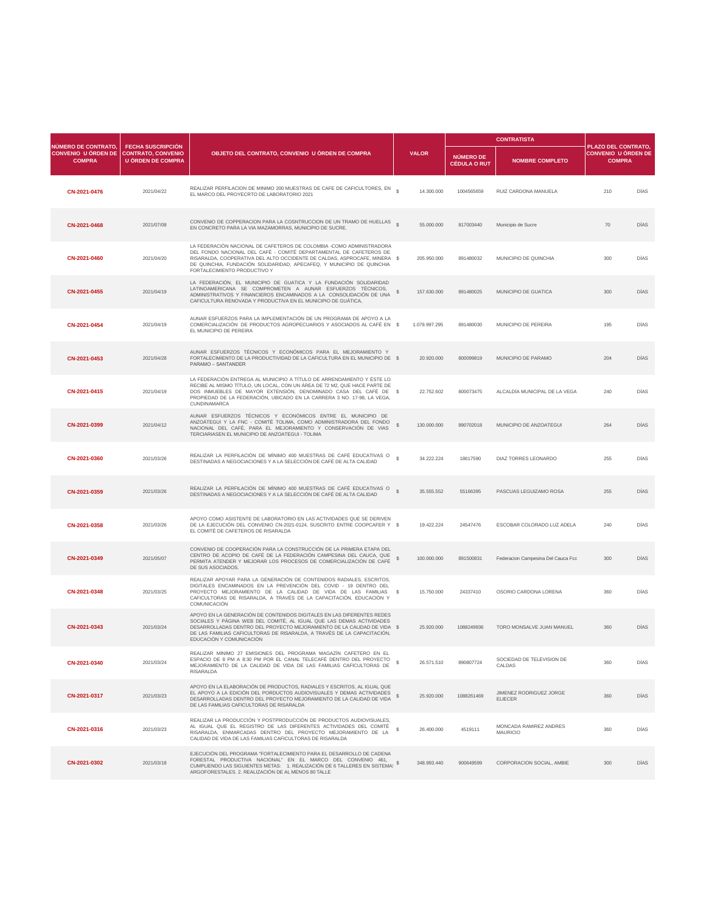| <b>NÚMERO DE CONTRATO,</b>                  |                                                                                   |                                                                                                                                                                                                                                                                                                                                  |               |                                         | <b>CONTRATISTA</b>            |                                                                    |             |
|---------------------------------------------|-----------------------------------------------------------------------------------|----------------------------------------------------------------------------------------------------------------------------------------------------------------------------------------------------------------------------------------------------------------------------------------------------------------------------------|---------------|-----------------------------------------|-------------------------------|--------------------------------------------------------------------|-------------|
| <b>CONVENIO U ÓRDEN DE</b><br><b>COMPRA</b> | <b>FECHA SUSCRIPCIÓN</b><br><b>CONTRATO, CONVENIO</b><br><b>U ÓRDEN DE COMPRA</b> | OBJETO DEL CONTRATO, CONVENIO U ÓRDEN DE COMPRA                                                                                                                                                                                                                                                                                  | <b>VALOR</b>  | <b>NÚMERO DE</b><br><b>CÉDULA O RUT</b> | <b>NOMBRE COMPLETO</b>        | PLAZO DEL CONTRATO,<br><b>CONVENIO U ÓRDEN DE</b><br><b>COMPRA</b> |             |
| CN-2021-0476                                | 2021/04/22                                                                        | REALIZAR PERFILACION DE MINIMO 200 MUESTRAS DE CAFE DE CAFICULTORES, EN \$<br>EL MARCO DEL PROYECRTO DE LABORATORIO 2021                                                                                                                                                                                                         | 14.300.000    | 1004565659                              | RUIZ CARDONA MANUELA          | 210                                                                | <b>DÍAS</b> |
| CN-2021-0468                                | 2021/07/08                                                                        | CONVENIO DE COPPERACION PARA LA COSNTRUCCION DE UN TRAMO DE HUELLAS \$<br>EN CONCRETO PARA LA VIA MAZAMORRAS, MUNICIPIO DE SUCRE.                                                                                                                                                                                                | 55.000.000    | 817003440                               | Municipio de Sucre            | 70                                                                 | <b>DÍAS</b> |
| CN-2021-0460                                | 2021/04/20                                                                        | LA FEDERACIÓN NACIONAL DE CAFETEROS DE COLOMBIA -COMO ADMINISTRADORA<br>DEL FONDO NACIONAL DEL CAFÉ - COMITÉ DEPARTAMENTAL DE CAFETEROS DE<br>RISARALDA, COOPERATIVA DEL ALTO OCCIDENTE DE CALDAS, ASPROCAFE, MINERA \$<br>DE QUINCHIA, FUNDACIÓN SOLIDARIDAD, APECAFEQ, Y MUNICIPIO DE QUINCHIA<br>FORTALECIMIENTO PRODUCTIVO Y | 205.950.000   | 891480032                               | MUNICIPIO DE QUINCHIA         | 300                                                                | <b>DÍAS</b> |
| CN-2021-0455                                | 2021/04/19                                                                        | LA FEDERACIÓN, EL MUNICIPIO DE GUATICA Y LA FUNDACIÓN SOLIDARIDAD<br>LATINOAMERICANA SE COMPROMETEN A AUNAR ESFUERZOS TÉCNICOS,<br>ADMINISTRATIVOS Y FINANCIEROS ENCAMINADOS A LA CONSOLIDACIÓN DE UNA<br>CAFICULTURA RENOVADA Y PRODUCTIVA EN EL MUNICIPIO DE GUÁTICA,                                                          | 157.630.000   | 891480025                               | MUNICIPIO DE GUATICA          | 300                                                                | <b>DÍAS</b> |
| CN-2021-0454                                | 2021/04/19                                                                        | AUNAR ESFUERZOS PARA LA IMPLEMENTACIÓN DE UN PROGRAMA DE APOYO A LA<br>COMERCIALIZACIÓN DE PRODUCTOS AGROPECUARIOS Y ASOCIADOS AL CAFÉ EN \$<br>EL MUNICIPIO DE PEREIRA                                                                                                                                                          | 1.079.997.295 | 891480030                               | MUNICIPIO DE PEREIRA          | 195                                                                | <b>DÍAS</b> |
| CN-2021-0453                                | 2021/04/28                                                                        | AUNAR ESFUERZOS TÉCNICOS Y ECONÓMICOS PARA EL MEJORAMIENTO Y<br>FORTALECIMIENTO DE LA PRODUCTIVIDAD DE LA CAFICULTURA EN EL MUNICIPIO DE \$<br>PARAMO - SANTANDER                                                                                                                                                                | 20.920.000    | 800099819                               | MUNICIPIO DE PARAMO           | 204                                                                | <b>DÍAS</b> |
| CN-2021-0415                                | 2021/04/19                                                                        | LA FEDERACIÓN ENTREGA AL MUNICIPIO A TÍTULO DE ARRENDAMIENTO Y ÉSTE LO<br>RECIBE AL MISMO TÍTULO, UN LOCAL, CON UN ÁREA DE 72 M2, QUE HACE PARTE DE<br>DOS INMUEBLES DE MAYOR EXTENSIÓN, DENOMINADO CASA DEL CAFÉ DE \$<br>PROPIEDAD DE LA FEDERACIÓN, UBICADO EN LA CARRERA 3 NO. 17-98, LA VEGA,<br><b>CUNDINAMARCA</b>        | 22.752.602    | 800073475                               | ALCALDÍA MUNICIPAL DE LA VEGA | 240                                                                | DÍAS        |
| CN-2021-0399                                | 2021/04/12                                                                        | AUNAR ESFUERZOS TÉCNICOS Y ECONÓMICOS ENTRE EL MUNICIPIO DE<br>ANZOÁTEGUI Y LA FNC - COMITÉ TOLIMA, COMO ADMINISTRADORA DEL FONDO<br>NACIONAL DEL CAFÉ, PARA EL MEJORAMIENTO Y CONSERVACIÓN DE VIAS                                                                                                                              | 130.000.000   | 890702018                               | MUNICIPIO DE ANZOATEGUI       | 264                                                                | DÍAS        |

TERCIARIASEN EL MUNICIPIO DE ANZOATEGUI - TOLIMA

| CN-2021-0360 | 2021/03/26 | REALIZAR LA PERFILACIÓN DE MÍNIMO 400 MUESTRAS DE CAFÉ EDUCATIVAS O<br>DESTINADAS A NEGOCIACIONES Y A LA SELECCIÓN DE CAFÉ DE ALTA CALIDAD                                                                                                                                                                                       | 34.222.224  | 18617590   | <b>DIAZ TORRES LEONARDO</b>                      | 255 | <b>DÍAS</b> |
|--------------|------------|----------------------------------------------------------------------------------------------------------------------------------------------------------------------------------------------------------------------------------------------------------------------------------------------------------------------------------|-------------|------------|--------------------------------------------------|-----|-------------|
| CN-2021-0359 | 2021/03/26 | REALIZAR LA PERFILACIÓN DE MÍNIMO 400 MUESTRAS DE CAFÉ EDUCATIVAS O<br>DESTINADAS A NEGOCIACIONES Y A LA SELECCIÓN DE CAFÉ DE ALTA CALIDAD                                                                                                                                                                                       | 35.555.552  | 55166395   | PASCUAS LEGUIZAMO ROSA                           | 255 | <b>DÍAS</b> |
| CN-2021-0358 | 2021/03/26 | APOYO COMO ASISTENTE DE LABORATORIO EN LAS ACTIVIDADES QUE SE DERIVEN<br>DE LA EJECUCIÓN DEL CONVENIO CN-2021-0124, SUSCRITO ENTRE COOPCAFER Y \$<br>EL COMITÉ DE CAFETEROS DE RISARALDA                                                                                                                                         | 19.422.224  | 24547476   | ESCOBAR COLORADO LUZ ADELA                       | 240 | <b>DÍAS</b> |
| CN-2021-0349 | 2021/05/07 | CONVENIO DE COOPERACIÓN PARA LA CONSTRUCCIÓN DE LA PRIMERA ETAPA DEL<br>CENTRO DE ACOPIO DE CAFÉ DE LA FEDERACIÓN CAMPESINA DEL CAUCA, QUE<br>PERMITA ATENDER Y MEJORAR LOS PROCESOS DE COMERCIALIZACIÓN DE CAFÉ<br>DE SUS ASOCIADOS.                                                                                            | 100.000.000 | 891500831  | Federacion Campesina Del Cauca Fcc               | 300 | <b>DÍAS</b> |
| CN-2021-0348 | 2021/03/25 | REALIZAR APOYAR PARA LA GENERACIÓN DE CONTENIDOS RADIALES, ESCRITOS,<br>DIGITALES ENCAMINADOS EN LA PREVENCIÓN DEL COVID - 19 DENTRO DEL<br>PROYECTO MEJORAMIENTO DE LA CALIDAD DE VIDA DE LAS FAMILIAS \$<br>CAFICULTORAS DE RISARALDA, A TRAVÉS DE LA CAPACITACIÓN, EDUCACIÓN Y<br><b>COMUNICACIÓN</b>                         | 15.750.000  | 24337410   | OSORIO CARDONA LORENA                            | 360 | <b>DÍAS</b> |
| CN-2021-0343 | 2021/03/24 | APOYO EN LA GENERACIÓN DE CONTENIDOS DIGITALES EN LAS DIFERENTES REDES<br>SOCIALES Y PÁGINA WEB DEL COMITÉ, AL IGUAL QUE LAS DEMAS ACTIVIDADES<br>DESARROLLADAS DENTRO DEL PROYECTO MEJORAMIENTO DE LA CALIDAD DE VIDA \$<br>DE LAS FAMILIAS CAFICULTORAS DE RISARALDA, A TRAVÉS DE LA CAPACITACIÓN,<br>EDUCACIÓN Y COMUNICACIÓN | 25.920.000  | 1088249936 | TORO MONSALVE JUAN MANUEL                        | 360 | <b>DÍAS</b> |
| CN-2021-0340 | 2021/03/24 | REALIZAR MINIMO 27 EMISIONES DEL PROGRAMA MAGAZÍN CAFETERO EN EL<br>ESPACIO DE 8 PM A 8:30 PM POR EL CANAL TELECAFÉ DENTRO DEL PROYECTO<br>MEJORAMIENTO DE LA CALIDAD DE VIDA DE LAS FAMILIAS CAFICULTORAS DE<br><b>RISARALDA</b>                                                                                                | 26.571.510  | 890807724  | SOCIEDAD DE TELEVISION DE<br><b>CALDAS</b>       | 360 | <b>DÍAS</b> |
| CN-2021-0317 | 2021/03/23 | APOYO EN LA ELABORACIÓN DE PRODUCTOS, RADIALES Y ESCRITOS, AL IGUAL QUE<br>EL APOYO A LA EDICIÓN DEL PORDUCTOS AUDIOVISUALES Y DEMAS ACTIVIDADES<br>DESARROLLADAS DENTRO DEL PROYECTO MEJORAMIENTO DE LA CALIDAD DE VIDA<br>DE LAS FAMILIAS CAFICULTORAS DE RISARALDA                                                            | 25.920.000  | 1088261469 | <b>JIMENEZ RODRIGUEZ JORGE</b><br><b>ELIECER</b> | 360 | <b>DÍAS</b> |
| CN-2021-0316 | 2021/03/23 | REALIZAR LA PRODUCCIÓN Y POSTPRODUCCIÓN DE PRODUCTOS AUDIOVISUALES,<br>AL IGUAL QUE EL REGISTRO DE LAS DIFERENTES ACTIVIDADES DEL COMITÉ<br>RISARALDA, ENMARCADAS DENTRO DEL PROYECTO MEJORAMIENTO DE LA<br>CALIDAD DE VIDA DE LAS FAMILIAS CAFICULTORAS DE RISARALDA                                                            | 26.400.000  | 4519111    | <b>MONCADA RAMIREZ ANDRES</b><br><b>MAURICIO</b> | 360 | DÍAS        |
| CN-2021-0302 | 2021/03/18 | EJECUCIÓN DEL PROGRAMA "FORTALECIMIENTO PARA EL DESARROLLO DE CADENA<br>FORESTAL PRODUCTIVA NACIONAL" EN EL MARCO DEL CONVENIO 461,<br>CUMPLIENDO LAS SIGUIENTES METAS: 1. REALIZACIÓN DE 6 TALLERES EN SISTEMA!<br>ARGOFORESTALES. 2. REALIZACIÓN DE AL MENOS 80 TALLE                                                          | 348.993.440 | 900649599  | <b>CORPORACION SOCIAL, AMBIE</b>                 | 300 | <b>DÍAS</b> |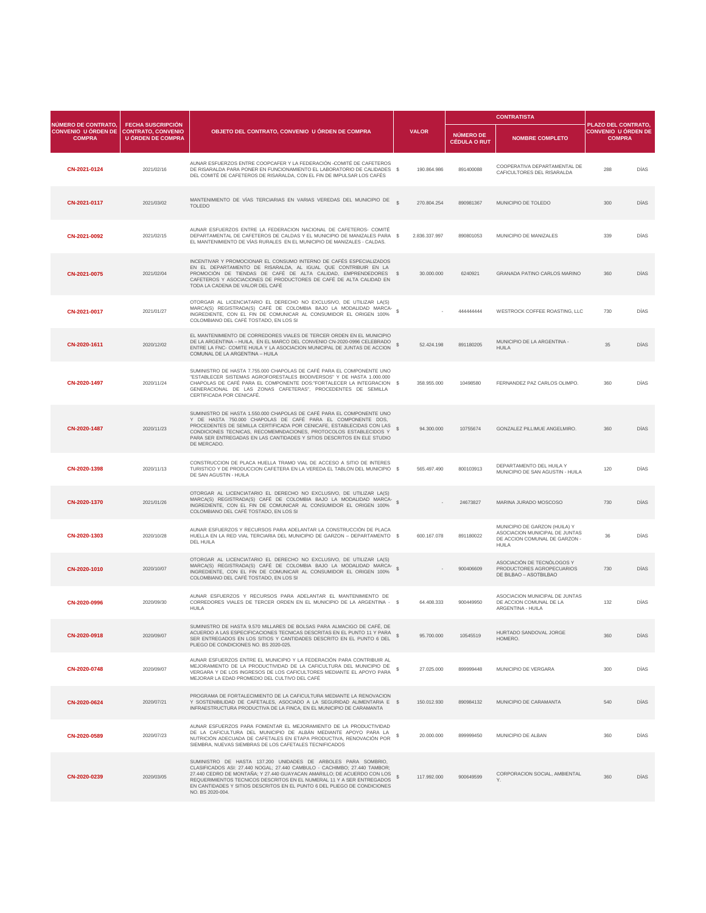| <b>NÚMERO DE CONTRATO.</b>                  |                                                                                   |                                                                                                                                                                                                                                                                                                                                                                                                |               |                                  | <b>CONTRATISTA</b>                                                                                               |                                                                           |             |
|---------------------------------------------|-----------------------------------------------------------------------------------|------------------------------------------------------------------------------------------------------------------------------------------------------------------------------------------------------------------------------------------------------------------------------------------------------------------------------------------------------------------------------------------------|---------------|----------------------------------|------------------------------------------------------------------------------------------------------------------|---------------------------------------------------------------------------|-------------|
| <b>CONVENIO U ÓRDEN DE</b><br><b>COMPRA</b> | <b>FECHA SUSCRIPCIÓN</b><br><b>CONTRATO, CONVENIO</b><br><b>U ÓRDEN DE COMPRA</b> | OBJETO DEL CONTRATO, CONVENIO U ÓRDEN DE COMPRA                                                                                                                                                                                                                                                                                                                                                | <b>VALOR</b>  | NÚMERO DE<br><b>CÉDULA O RUT</b> | <b>NOMBRE COMPLETO</b>                                                                                           | <b>PLAZO DEL CONTRATO,</b><br><b>CONVENIO U ÓRDEN DE</b><br><b>COMPRA</b> |             |
| CN-2021-0124                                | 2021/02/16                                                                        | AUNAR ESFUERZOS ENTRE COOPCAFER Y LA FEDERACIÓN - COMITÉ DE CAFETEROS<br>DE RISARALDA PARA PONER EN FUNCIONAMIENTO EL LABORATORIO DE CALIDADES \$<br>DEL COMITÉ DE CAFETEROS DE RISARALDA, CON EL FIN DE IMPULSAR LOS CAFÉS                                                                                                                                                                    | 190.864.986   | 891400088                        | COOPERATIVA DEPARTAMENTAL DE<br>CAFICULTORES DEL RISARALDA                                                       | 288                                                                       | <b>DÍAS</b> |
| CN-2021-0117                                | 2021/03/02                                                                        | MANTENIMIENTO DE VÍAS TERCIARIAS EN VARIAS VEREDAS DEL MUNICIPIO DE<br><b>TOLEDO</b>                                                                                                                                                                                                                                                                                                           | 270.804.254   | 890981367                        | MUNICIPIO DE TOLEDO                                                                                              | 300                                                                       | <b>DÍAS</b> |
| CN-2021-0092                                | 2021/02/15                                                                        | AUNAR ESFUERZOS ENTRE LA FEDERACION NACIONAL DE CAFETEROS- COMITÉ<br>DEPARTAMENTAL DE CAFETEROS DE CALDAS Y EL MUNICIPIO DE MANIZALES PARA \$<br>EL MANTENIMIENTO DE VÍAS RURALES EN EL MUNICIPIO DE MANIZALES - CALDAS.                                                                                                                                                                       | 2.836.337.997 | 890801053                        | MUNICIPIO DE MANIZALES                                                                                           | 339                                                                       | <b>DÍAS</b> |
| CN-2021-0075                                | 2021/02/04                                                                        | INCENTIVAR Y PROMOCIONAR EL CONSUMO INTERNO DE CAFÉS ESPECIALIZADOS<br>EN EL DEPARTAMENTO DE RISARALDA, AL IGUAL QUE CONTRIBUIR EN LA<br>PROMOCIÓN DE TIENDAS DE CAFÉ DE ALTA CALIDAD, EMPRENDEDORES \$<br>CAFETEROS Y ASOCIACIONES DE PRODUCTORES DE CAFÉ DE ALTA CALIDAD EN<br>TODA LA CADENA DE VALOR DEL CAFÉ                                                                              | 30.000.000    | 6240921                          | <b>GRANADA PATINO CARLOS MARINO</b>                                                                              | 360                                                                       | <b>DÍAS</b> |
| CN-2021-0017                                | 2021/01/27                                                                        | OTORGAR AL LICENCIATARIO EL DERECHO NO EXCLUSIVO, DE UTILIZAR LA(S)<br>MARCA(S) REGISTRADA(S) CAFÉ DE COLOMBIA BAJO LA MODALIDAD MARCA-<br>INGREDIENTE, CON EL FIN DE COMUNICAR AL CONSUMIDOR EL ORIGEN 100%<br>COLOMBIANO DEL CAFÉ TOSTADO, EN LOS SI                                                                                                                                         |               | 444444444                        | WESTROCK COFFEE ROASTING, LLC                                                                                    | 730                                                                       | <b>DÍAS</b> |
| CN-2020-1611                                | 2020/12/02                                                                        | EL MANTENIMIENTO DE CORREDORES VIALES DE TERCER ORDEN EN EL MUNICIPIO<br>DE LA ARGENTINA - HUILA, EN EL MARCO DEL CONVENIO CN-2020-0996 CELEBRADO<br>ENTRE LA FNC- COMITE HUILA Y LA ASOCIACION MUNICIPAL DE JUNTAS DE ACCION<br>COMUNAL DE LA ARGENTINA - HUILA                                                                                                                               | 52.424.198    | 891180205                        | <b>MUNICIPIO DE LA ARGENTINA -</b><br><b>HUILA</b>                                                               | 35                                                                        | <b>DÍAS</b> |
| CN-2020-1497                                | 2020/11/24                                                                        | SUMINISTRO DE HASTA 7.755.000 CHAPOLAS DE CAFÉ PARA EL COMPONENTE UNO<br>"ESTABLECER SISTEMAS AGROFORESTALES BIODIVERSOS" Y DE HASTA 1.000.000<br>CHAPOLAS DE CAFÉ PARA EL COMPONENTE DOS: "FORTALECER LA INTEGRACION \$<br>GENERACIONAL DE LAS ZONAS CAFETERAS", PROCEDENTES DE SEMILLA<br>CERTIFICADA POR CENICAFÉ.                                                                          | 358.955.000   | 10498580                         | FERNANDEZ PAZ CARLOS OLIMPO.                                                                                     | 360                                                                       | <b>DÍAS</b> |
| CN-2020-1487                                | 2020/11/23                                                                        | SUMINISTRO DE HASTA 1.550.000 CHAPOLAS DE CAFÉ PARA EL COMPONENTE UNO<br>Y DE HASTA 750.000 CHAPOLAS DE CAFÉ PARA EL COMPONENTE DOS,<br>PROCEDENTES DE SEMILLA CERTIFICADA POR CENICAFE, ESTABLECIDAS CON LAS<br>CONDICIONES TECNICAS, RECOMEMNDACIONES, PROTOCOLOS ESTABLECIDOS Y<br>PARA SER ENTREGADAS EN LAS CANTIDADES Y SITIOS DESCRITOS EN ELE STUDIO<br>DE MERCADO.                    | 94.300.000    | 10755674                         | <b>GONZALEZ PILLIMUE ANGELMIRO.</b>                                                                              | 360                                                                       | <b>DÍAS</b> |
| CN-2020-1398                                | 2020/11/13                                                                        | CONSTRUCCION DE PLACA HUELLA TRAMO VIAL DE ACCESO A SITIO DE INTERES<br>TURISTICO Y DE PRODUCCION CAFETERA EN LA VEREDA EL TABLON DEL MUNICIPIO \$<br>DE SAN AGUSTIN - HUILA                                                                                                                                                                                                                   | 565.497.490   | 800103913                        | DEPARTAMENTO DEL HUILA Y<br>MUNICIPIO DE SAN AGUSTIN - HUILA                                                     | 120                                                                       | <b>DÍAS</b> |
| CN-2020-1370                                | 2021/01/26                                                                        | OTORGAR AL LICENCIATARIO EL DERECHO NO EXCLUSIVO, DE UTILIZAR LA(S)<br>MARCA(S) REGISTRADA(S) CAFÉ DE COLOMBIA BAJO LA MODALIDAD MARCA-<br>INGREDIENTE, CON EL FIN DE COMUNICAR AL CONSUMIDOR EL ORIGEN 100%<br>COLOMBIANO DEL CAFÉ TOSTADO, EN LOS SI                                                                                                                                         |               | 24673827                         | MARINA JURADO MOSCOSO                                                                                            | 730                                                                       | <b>DÍAS</b> |
| CN-2020-1303                                | 2020/10/28                                                                        | AUNAR ESFUERZOS Y RECURSOS PARA ADELANTAR LA CONSTRUCCIÓN DE PLACA<br>HUELLA EN LA RED VIAL TERCIARIA DEL MUNICIPIO DE GARZON - DEPARTAMENTO \$<br><b>DEL HUILA</b>                                                                                                                                                                                                                            | 600.167.078   | 891180022                        | MUNICIPIO DE GARZON (HUILA) Y<br>ASOCIACION MUNICIPAL DE JUNTAS<br>DE ACCION COMUNAL DE GARZON -<br><b>HUILA</b> | 36                                                                        | <b>DÍAS</b> |
| CN-2020-1010                                | 2020/10/07                                                                        | OTORGAR AL LICENCIATARIO EL DERECHO NO EXCLUSIVO, DE UTILIZAR LA(S)<br>MARCA(S) REGISTRADA(S) CAFÉ DE COLOMBIA BAJO LA MODALIDAD MARCA-<br>INGREDIENTE, CON EL FIN DE COMUNICAR AL CONSUMIDOR EL ORIGEN 100%<br>COLOMBIANO DEL CAFÉ TOSTADO, EN LOS SI                                                                                                                                         |               | 900406609                        | ASOCIACIÓN DE TECNÓLOGOS Y<br>PRODUCTORES AGROPECUARIOS<br>DE BILBAO - ASOTBILBAO                                | 730                                                                       | <b>DÍAS</b> |
| CN-2020-0996                                | 2020/09/30                                                                        | AUNAR ESFUERZOS Y RECURSOS PARA ADELANTAR EL MANTENIMIENTO DE<br>CORREDORES VIALES DE TERCER ORDEN EN EL MUNICIPIO DE LA ARGENTINA - \$<br><b>HUILA</b>                                                                                                                                                                                                                                        | 64.408.333    | 900449950                        | ASOCIACION MUNICIPAL DE JUNTAS<br>DE ACCION COMUNAL DE LA<br><b>ARGENTINA - HUILA</b>                            | 132                                                                       | <b>DÍAS</b> |
| CN-2020-0918                                | 2020/09/07                                                                        | SUMINISTRO DE HASTA 9.570 MILLARES DE BOLSAS PARA ALMACIGO DE CAFÉ, DE<br>ACUERDO A LAS ESPECIFICACIONES TECNICAS DESCRITAS EN EL PUNTO 11 Y PARA<br>SER ENTREGADOS EN LOS SITIOS Y CANTIDADES DESCRITO EN EL PUNTO 6 DEL<br>PLIEGO DE CONDICIONES NO. BS 2020-025.                                                                                                                            | 95.700.000    | 10545519                         | HURTADO SANDOVAL JORGE<br>HOMERO.                                                                                | 360                                                                       | <b>DÍAS</b> |
| CN-2020-0748                                | 2020/09/07                                                                        | AUNAR ESFUERZOS ENTRE EL MUNICIPIO Y LA FEDERACIÓN PARA CONTRIBUIR AL<br>MEJORAMIENTO DE LA PRODUCTIVIDAD DE LA CAFICULTURA DEL MUNICIPIO DE<br>VERGARA Y DE LOS INGRESOS DE LOS CAFICULTORES MEDIANTE EL APOYO PARA<br>MEJORAR LA EDAD PROMEDIO DEL CULTIVO DEL CAFÉ                                                                                                                          | 27.025.000    | 899999448                        | <b>MUNICIPIO DE VERGARA</b>                                                                                      | 300                                                                       | <b>DÍAS</b> |
| CN-2020-0624                                | 2020/07/21                                                                        | PROGRAMA DE FORTALECIMIENTO DE LA CAFICULTURA MEDIANTE LA RENOVACION<br>Y SOSTENIBILIDAD DE CAFETALES, ASOCIADO A LA SEGURIDAD ALIMENTARIA E \$<br>INFRAESTRUCTURA PRODUCTIVA DE LA FINCA, EN EL MUNICIPIO DE CARAMANTA                                                                                                                                                                        | 150.012.930   | 890984132                        | MUNICIPIO DE CARAMANTA                                                                                           | 540                                                                       | <b>DÍAS</b> |
| CN-2020-0589                                | 2020/07/23                                                                        | AUNAR ESFUERZOS PARA FOMENTAR EL MEJORAMIENTO DE LA PRODUCTIVIDAD<br>DE LA CAFICULTURA DEL MUNICIPIO DE ALBÁN MEDIANTE APOYO PARA LA<br>NUTRICIÓN ADECUADA DE CAFETALES EN ETAPA PRODUCTIVA, RENOVACIÓN POR<br>SIEMBRA, NUEVAS SIEMBRAS DE LOS CAFETALES TECNIFICADOS                                                                                                                          | 20.000.000    | 899999450                        | MUNICIPIO DE ALBAN                                                                                               | 360                                                                       | <b>DÍAS</b> |
| CN-2020-0239                                | 2020/03/05                                                                        | SUMINISTRO DE HASTA 137.200 UNIDADES DE ARBOLES PARA SOMBRIO,<br>CLASIFICADOS ASI: 27.440 NOGAL; 27.440 CAMBULO - CACHIMBO; 27.440 TAMBOR;<br>27.440 CEDRO DE MONTAÑA; Y 27.440 GUAYACAN AMARILLO; DE ACUERDO CON LOS<br>REQUERIMIENTOS TECNICOS DESCRITOS EN EL NUMERAL 11 Y A SER ENTREGADOS<br>EN CANTIDADES Y SITIOS DESCRITOS EN EL PUNTO 6 DEL PLIEGO DE CONDICIONES<br>NO. BS 2020-004. | 117.992.000   | 900649599                        | CORPORACION SOCIAL, AMBIENTAL<br>Υ.                                                                              | 360                                                                       | <b>DÍAS</b> |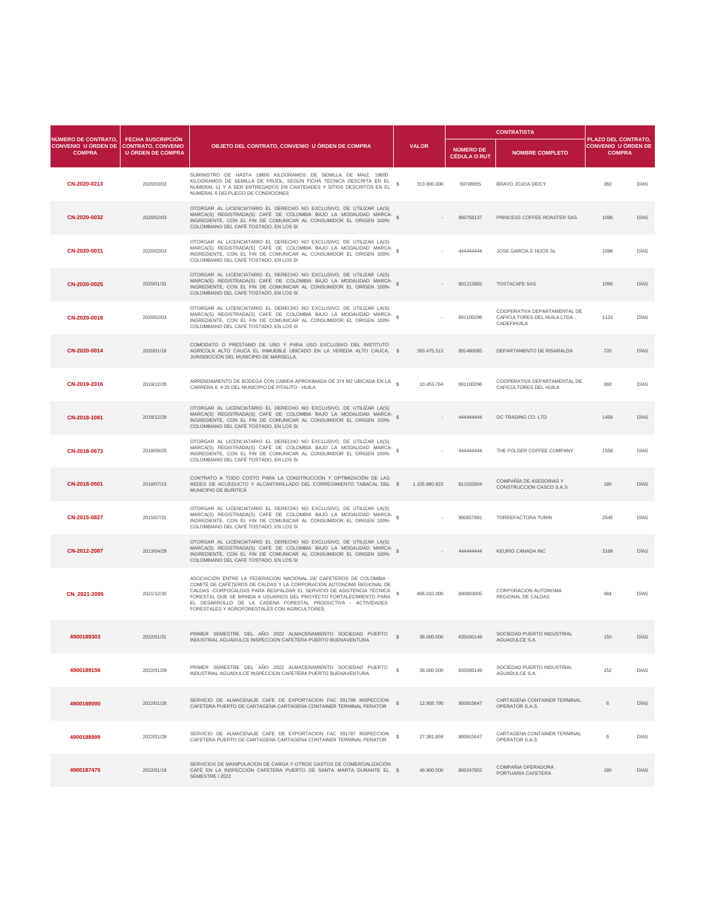|                                                                                       |                                                      |                                                                                                                                                                                                                                                                                                                                                                                                           |              |               | <b>CONTRATISTA</b>                      |                                                                                            |                                                                    |             |
|---------------------------------------------------------------------------------------|------------------------------------------------------|-----------------------------------------------------------------------------------------------------------------------------------------------------------------------------------------------------------------------------------------------------------------------------------------------------------------------------------------------------------------------------------------------------------|--------------|---------------|-----------------------------------------|--------------------------------------------------------------------------------------------|--------------------------------------------------------------------|-------------|
| NÚMERO DE CONTRATO.<br><b>CONVENIO U ÓRDEN DE CONTRATO, CONVENIO</b><br><b>COMPRA</b> | <b>FECHA SUSCRIPCIÓN</b><br><b>U ÓRDEN DE COMPRA</b> | OBJETO DEL CONTRATO, CONVENIO U ÓRDEN DE COMPRA                                                                                                                                                                                                                                                                                                                                                           |              | <b>VALOR</b>  | <b>NÚMERO DE</b><br><b>CÉDULA O RUT</b> | <b>NOMBRE COMPLETO</b>                                                                     | PLAZO DEL CONTRATO,<br><b>CONVENIO U ÓRDEN DE</b><br><b>COMPRA</b> |             |
| CN-2020-0213                                                                          | 2020/03/03                                           | SUMINISTRO DE HASTA 19600 KILOGRAMOS DE SEMILLA DE MAIZ; 19600<br>KILOGRAMOS DE SEMILLA DE FRIJOL, SEGÚN FICHA TECNICA DESCRITA EN EL \$<br>NUMERAL 11 Y A SER ENTREGADOS EN CANTIDADES Y SITIOS DESCRITOS EN EL<br>NUMERAL 6 DELPLIEGO DE CONDICIONES                                                                                                                                                    |              | 313.600.000   | 59706955                                | BRAVO JOJOA DEICY.                                                                         | 360                                                                | <b>DÍAS</b> |
| CN-2020-0032                                                                          | 2020/02/03                                           | OTORGAR AL LICENCIATARIO EL DERECHO NO EXCLUSIVO, DE UTILIZAR LA(S)<br>MARCA(S) REGISTRADA(S) CAFÉ DE COLOMBIA BAJO LA MODALIDAD MARCA-<br>INGREDIENTE, CON EL FIN DE COMUNICAR AL CONSUMIDOR EL ORIGEN 100%<br>COLOMBIANO DEL CAFÉ TOSTADO, EN LOS SI                                                                                                                                                    |              |               | 900758137                               | PRINCESS COFFEE ROASTER SAS                                                                | 1096                                                               | <b>DÍAS</b> |
| CN-2020-0031                                                                          | 2020/02/03                                           | OTORGAR AL LICENCIATARIO EL DERECHO NO EXCLUSIVO, DE UTILIZAR LA(S)<br>MARCA(S) REGISTRADA(S) CAFÉ DE COLOMBIA BAJO LA MODALIDAD MARCA-<br>INGREDIENTE, CON EL FIN DE COMUNICAR AL CONSUMIDOR EL ORIGEN 100%<br>COLOMBIANO DEL CAFÉ TOSTADO, EN LOS SI                                                                                                                                                    |              |               | 444444444                               | <b>JOSE GARCIA E HIJOS SL</b>                                                              | 1096                                                               | <b>DÍAS</b> |
| CN-2020-0025                                                                          | 2020/01/31                                           | OTORGAR AL LICENCIATARIO EL DERECHO NO EXCLUSIVO, DE UTILIZAR LA(S)<br>MARCA(S) REGISTRADA(S) CAFÉ DE COLOMBIA BAJO LA MODALIDAD MARCA-<br>INGREDIENTE, CON EL FIN DE COMUNICAR AL CONSUMIDOR EL ORIGEN 100%<br>COLOMBIANO DEL CAFÉ TOSTADO, EN LOS SI                                                                                                                                                    |              |               | 901215882                               | <b>TOSTACAFE SAS</b>                                                                       | 1096                                                               | <b>DÍAS</b> |
| CN-2020-0018                                                                          | 2020/02/03                                           | OTORGAR AL LICENCIATARIO EL DERECHO NO EXCLUSIVO, DE UTILIZAR LA(S)<br>MARCA(S) REGISTRADA(S) CAFÉ DE COLOMBIA BAJO LA MODALIDAD MARCA-<br>INGREDIENTE, CON EL FIN DE COMUNICAR AL CONSUMIDOR EL ORIGEN 100%<br>COLOMBIANO DEL CAFÉ TOSTADO, EN LOS SI                                                                                                                                                    |              |               | 891100296                               | COOPERATIVA DEPARTAMENTAL DE<br><b>CAFICULTORES DEL HUILA LTDA -</b><br><b>CADEFIHUILA</b> | 1124                                                               | DÍAS        |
| CN-2020-0014                                                                          | 2020/01/16                                           | COMODATO O PRÉSTAMO DE USO Y PARA USO EXCLUSIVO DEL INSTITUTO<br>AGRÍCOLA ALTO CAUCA EL INMUEBLE UBICADO EN LA VEREDA ALTO CAUCA, \$<br>JURISDICCIÓN DEL MUNICIPIO DE MARSELLA.                                                                                                                                                                                                                           |              | 393.475.513   | 891480085                               | DEPARTAMENTO DE RISARALDA                                                                  | 720                                                                | <b>DÍAS</b> |
| CN-2019-2016                                                                          | 2019/12/26                                           | ARRENDAMIENTO DE BODEGA CON CABIDA APROXIMADA DE 374 M2 UBICADA EN LA §<br>CARRERA 6 4-25 DEL MUNICIPIO DE PITALITO - HUILA                                                                                                                                                                                                                                                                               |              | 10.453.764    | 891100296                               | COOPERATIVA DEPARTAMENTAL DE<br><b>CAFICULTORES DEL HUILA</b>                              | 360                                                                | DÍAS        |
| CN-2018-1081                                                                          | 2018/12/28                                           | OTORGAR AL LICENCIATARIO EL DERECHO NO EXCLUSIVO, DE UTILIZAR LA(S)<br>MARCA(S) REGISTRADA(S) CAFÉ DE COLOMBIA BAJO LA MODALIDAD MARCA-<br>INGREDIENTE, CON EL FIN DE COMUNICAR AL CONSUMIDOR EL ORIGEN 100%<br>COLOMBIANO DEL CAFÉ TOSTADO, EN LOS SI                                                                                                                                                    |              |               | 44444444                                | <b>GC TRADING CO. LTD</b>                                                                  | 1456                                                               | <b>DÍAS</b> |
| CN-2018-0673                                                                          | 2018/09/25                                           | OTORGAR AL LICENCIATARIO EL DERECHO NO EXCLUSIVO, DE UTILIZAR LA(S)<br>MARCA(S) REGISTRADA(S) CAFÉ DE COLOMBIA BAJO LA MODALIDAD MARCA-<br>INGREDIENTE, CON EL FIN DE COMUNICAR AL CONSUMIDOR EL ORIGEN 100%<br>COLOMBIANO DEL CAFÉ TOSTADO, EN LOS SI                                                                                                                                                    |              |               | 44444444                                | THE FOLGER COFFEE COMPANY                                                                  | 1558                                                               | DÍAS        |
| CN-2018-0501                                                                          | 2018/07/13                                           | CONTRATO A TODO COSTO PARA LA CONSTRUCCIÓN Y OPTIMIZACIÓN DE LAS<br>REDES DE ACUEDUCTO Y ALCANTARILLADO DEL CORREGIMIENTO TABACAL DEL \$<br>MUNICIPIO DE BURITICÁ                                                                                                                                                                                                                                         |              | 1.105.880.823 | 811032904                               | COMPAÑÍA DE ASESORIAS Y<br>CONSTRUCCION CASCO S.A.S                                        | 180                                                                | <b>DÍAS</b> |
| CN-2015-0827                                                                          | 2015/07/31                                           | OTORGAR AL LICENCIATARIO EL DERECHO NO EXCLUSIVO, DE UTILIZAR LA(S)<br>MARCA(S) REGISTRADA(S) CAFÉ DE COLOMBIA BAJO LA MODALIDAD MARCA-<br>INGREDIENTE, CON EL FIN DE COMUNICAR AL CONSUMIDOR EL ORIGEN 100%<br>COLOMBIANO DEL CAFÉ TOSTADO. EN LOS SI                                                                                                                                                    |              |               | 900657881                               | <b>TORREFACTORA TURIN</b>                                                                  | 2545                                                               | DÍAS        |
| CN-2012-2087                                                                          | 2013/04/29                                           | OTORGAR AL LICENCIATARIO EL DERECHO NO EXCLUSIVO, DE UTILIZAR LA(S)<br>MARCA(S) REGISTRADA(S) CAFÉ DE COLOMBIA BAJO LA MODALIDAD MARCA-<br>INGREDIENTE, CON EL FIN DE COMUNICAR AL CONSUMIDOR EL ORIGEN 100%<br>COLOMBIANO DEL CAFÉ TOSTADO, EN LOS SI                                                                                                                                                    |              |               | 44444444                                | <b>KEURIG CANADA INC</b>                                                                   | 3168                                                               | <b>DÍAS</b> |
| CN_2021-2095                                                                          | 2021/12/30                                           | ASOCIACIÓN ENTRE LA FEDERACIÓN NACIONAL DE CAFETEROS DE COLOMBIA -<br>COMITÉ DE CAFETEROS DE CALDAS Y LA CORPORACIÓN AUTONOMA REGIONAL DE<br>CALDAS -CORPOCALDAS PARA RESPALDAR EL SERVICIO DE ASISTENCIA TÉCNICA<br>FORESTAL QUE SE BRINDA A USUARIOS DEL PROYECTO FORTALECIMIENTO PARA<br>EL DESARROLLO DE LA CADENA FORESTAL PRODUCTIVA - ACTIVIDADES<br>FORESTALES Y AGROFORESTALES CON AGRICULTORES. |              | 406.010.000   | 890803005                               | <b>CORPORACION AUTONOMA</b><br>REGIONAL DE CALDAS                                          | 484                                                                | <b>DÍAS</b> |
| 4900189303                                                                            | 2022/01/31                                           | PRIMER SEMESTRE DEL AÑO 2022 ALMACENAMIENTO SOCIEDAD PUERTO<br>INDUSTRIAL AGUADULCE INSPECCION CAFETERA PUERTO BUENAVENTURA                                                                                                                                                                                                                                                                               |              | 38.000.000    | 835000149                               | SOCIEDAD PUERTO INDUSTRIAL<br><b>AGUADULCE S.A.</b>                                        | 150                                                                | <b>DÍAS</b> |
| 4900189156                                                                            | 2022/01/29                                           | PRIMER SEMESTRE DEL AÑO 2022 ALMACENAMIENTO SOCIEDAD PUERTO<br>INDUSTRIAL AGUADULCE INSPECCION CAFETERA PUERTO BUENAVENTURA                                                                                                                                                                                                                                                                               | $\mathbb{S}$ | 38.000.000    | 835000149                               | SOCIEDAD PUERTO INDUSTRIAL<br><b>AGUADULCE S.A.</b>                                        | 152                                                                | <b>DÍAS</b> |
| 4900189000                                                                            | 2022/01/28                                           | SERVICIO DE ALMACENAJE CAFE DE EXPORTACION FAC 591789 INSPECCION<br>CAFETERA PUERTO DE CARTAGENA CARTAGENA CONTAINER TERMINAL PERATOR                                                                                                                                                                                                                                                                     |              | 12.958.790    | 900915647                               | CARTAGENA CONTAINER TERMINAL<br><b>OPERATOR S.A.S.</b>                                     | 6                                                                  | <b>DÍAS</b> |
| 4900188999                                                                            | 2022/01/28                                           | SERVICIO DE ALMACENAJE CAFE DE EXPORTACION FAC 591787 INSPECCION<br>CAFETERA PUERTO DE CARTAGENA CARTAGENA CONTAINER TERMINAL PERATOR                                                                                                                                                                                                                                                                     |              | 27.381.859    | 900915647                               | CARTAGENA CONTAINER TERMINAL<br><b>OPERATOR S.A.S.</b>                                     |                                                                    | <b>DÍAS</b> |
| 4900187475                                                                            | 2022/01/18                                           | SERVICIOS DE MANIPULACION DE CARGA Y OTROS GASTOS DE COMERCIALIZACIÓN<br>CAFÉ EN LA INSPECCIÓN CAFETERA PUERTO DE SANTA MARTA DURANTE EL \$<br>SEMESTRE I 2022                                                                                                                                                                                                                                            |              | 48.900.000    | 800247852                               | COMPAÑIA OPERADORA<br>PORTUARIA CAFETERA                                                   | 180                                                                | <b>DÍAS</b> |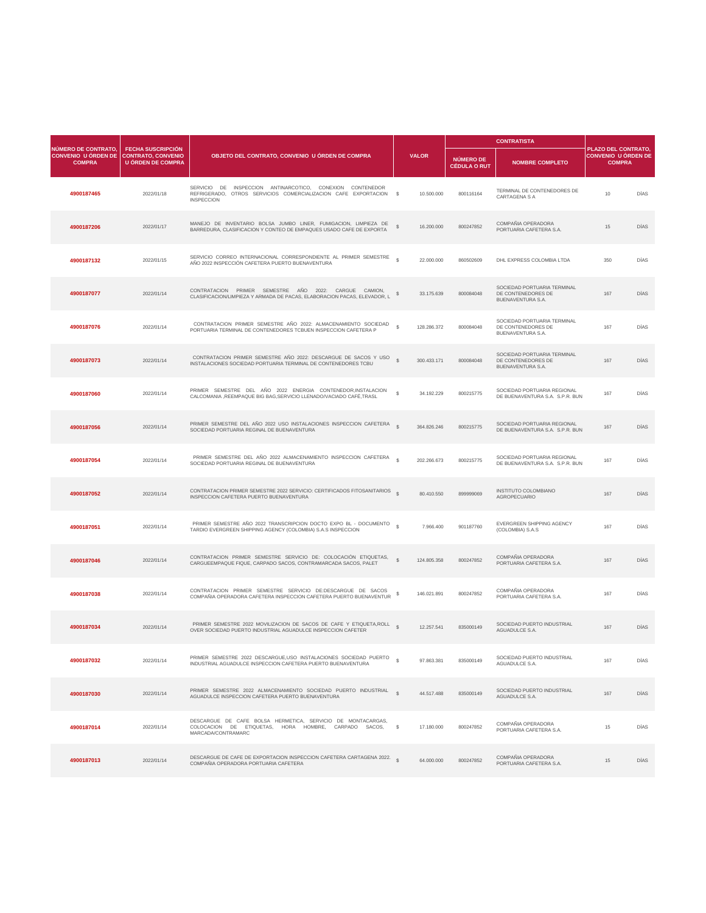|                                                                           |                                                                            |                                                                                                                                                               |               |              |                                         | <b>CONTRATISTA</b>                                                            |                 |                                                                                                                                                                      |
|---------------------------------------------------------------------------|----------------------------------------------------------------------------|---------------------------------------------------------------------------------------------------------------------------------------------------------------|---------------|--------------|-----------------------------------------|-------------------------------------------------------------------------------|-----------------|----------------------------------------------------------------------------------------------------------------------------------------------------------------------|
| <b>NÚMERO DE CONTRATO,</b><br><b>CONVENIO U ÓRDEN DE</b><br><b>COMPRA</b> | <b>FECHA SUSCRIPCIÓN</b><br>CONTRATO, CONVENIO<br><b>U ÓRDEN DE COMPRA</b> | OBJETO DEL CONTRATO, CONVENIO U ÓRDEN DE COMPRA                                                                                                               |               | <b>VALOR</b> | <b>NÚMERO DE</b><br><b>CÉDULA O RUT</b> | <b>NOMBRE COMPLETO</b>                                                        |                 | PLAZO DEL CONTRATO,<br><b>CONVENIO U ÓRDEN DE</b><br><b>COMPRA</b><br><b>DÍAS</b><br><b>DÍAS</b><br><b>DÍAS</b><br><b>DÍAS</b><br><b>DÍAS</b><br><b>DÍAS</b><br>DÍAS |
| 4900187465                                                                | 2022/01/18                                                                 | DE INSPECCION ANTINARCOTICO, CONEXION CONTENEDOR<br><b>SERVICIO</b><br>REFRIGERADO, OTROS SERVICIOS COMERCIALIZACION CAFE EXPORTACION \$<br><b>INSPECCION</b> |               | 10.500.000   | 800116164                               | TERMINAL DE CONTENEDORES DE<br><b>CARTAGENA S A</b>                           | 10 <sup>°</sup> |                                                                                                                                                                      |
| 4900187206                                                                | 2022/01/17                                                                 | MANEJO DE INVENTARIO BOLSA JUMBO LINER, FUMIGACION, LIMPIEZA DE<br>BARREDURA, CLASIFICACION Y CONTEO DE EMPAQUES USADO CAFE DE EXPORTA                        |               | 16.200.000   | 800247852                               | COMPAÑIA OPERADORA<br>PORTUARIA CAFETERA S.A.                                 | 15              |                                                                                                                                                                      |
| 4900187132                                                                | 2022/01/15                                                                 | SERVICIO CORREO INTERNACIONAL CORRESPONDIENTE AL PRIMER SEMESTRE<br>AÑO 2022 INSPECCIÓN CAFETERA PUERTO BUENAVENTURA                                          |               | 22.000.000   | 860502609                               | DHL EXPRESS COLOMBIA LTDA                                                     | 350             |                                                                                                                                                                      |
| 4900187077                                                                | 2022/01/14                                                                 | CONTRATACION PRIMER SEMESTRE AÑO 2022: CARGUE CAMION,<br>CLASIFICACION/LIMPIEZA Y ARMADA DE PACAS, ELABORACION PACAS, ELEVADOR, L                             |               | 33.175.639   | 800084048                               | SOCIEDAD PORTUARIA TERMINAL<br>DE CONTENEDORES DE<br><b>BUENAVENTURA S.A.</b> | 167             |                                                                                                                                                                      |
| 4900187076                                                                | 2022/01/14                                                                 | CONTRATACION PRIMER SEMESTRE AÑO 2022: ALMACENAMIENTO SOCIEDAD<br>PORTUARIA TERMINAL DE CONTENEDORES TCBUEN INSPECCION CAFETERA P                             | $\mathbb{S}$  | 128.286.372  | 800084048                               | SOCIEDAD PORTUARIA TERMINAL<br>DE CONTENEDORES DE<br><b>BUENAVENTURA S.A.</b> | 167             |                                                                                                                                                                      |
| 4900187073                                                                | 2022/01/14                                                                 | CONTRATACION PRIMER SEMESTRE AÑO 2022: DESCARGUE DE SACOS Y USO<br>INSTALACIONES SOCIEDAD PORTUARIA TERMINAL DE CONTENEDORES TCBU                             |               | 300.433.171  | 800084048                               | SOCIEDAD PORTUARIA TERMINAL<br>DE CONTENEDORES DE<br><b>BUENAVENTURA S.A.</b> | 167             |                                                                                                                                                                      |
| 4900187060                                                                | 2022/01/14                                                                 | PRIMER SEMESTRE DEL AÑO 2022 ENERGIA CONTENEDOR, INSTALACION<br>CALCOMANIA , REEMPAQUE BIG BAG, SERVICIO LLENADO/VACIADO CAFÉ, TRASL                          | $\mathcal{L}$ | 34.192.229   | 800215775                               | SOCIEDAD PORTUARIA REGIONAL<br>DE BUENAVENTURA S.A. S.P.R. BUN                | 167             |                                                                                                                                                                      |
| 4900187056                                                                | 2022/01/14                                                                 | PRIMER SEMESTRE DEL AÑO 2022 USO INSTALACIONES INSPECCION CAFETERA<br>SOCIEDAD PORTUARIA REGINAL DE BUENAVENTURA                                              |               | 364.826.246  | 800215775                               | SOCIEDAD PORTUARIA REGIONAL<br>DE BUENAVENTURA S.A. S.P.R. BUN                | 167             | DÍAS                                                                                                                                                                 |

| 4900187054 | 2022/01/14 | PRIMER SEMESTRE DEL AÑO 2022 ALMACENAMIENTO INSPECCION CAFETERA<br>SOCIEDAD PORTUARIA REGINAL DE BUENAVENTURA                                            |              | 202.266.673 | 800215775 | SOCIEDAD PORTUARIA REGIONAL<br>DE BUENAVENTURA S.A. S.P.R. BUN | 167 | <b>DÍAS</b> |
|------------|------------|----------------------------------------------------------------------------------------------------------------------------------------------------------|--------------|-------------|-----------|----------------------------------------------------------------|-----|-------------|
| 4900187052 | 2022/01/14 | CONTRATACION PRIMER SEMESTRE 2022 SERVICIO: CERTIFICADOS FITOSANITARIOS<br>INSPECCION CAFETERA PUERTO BUENAVENTURA                                       |              | 80.410.550  | 899999069 | <b>INSTITUTO COLOMBIANO</b><br><b>AGROPECUARIO</b>             | 167 | <b>DÍAS</b> |
| 4900187051 | 2022/01/14 | PRIMER SEMESTRE AÑO 2022 TRANSCRIPCION DOCTO EXPO BL - DOCUMENTO<br>TARDIO EVERGREEN SHIPPING AGENCY (COLOMBIA) S.A.S INSPECCION                         |              | 7.966.400   | 901187760 | EVERGREEN SHIPPING AGENCY<br>(COLOMBIA) S.A.S                  | 167 | <b>DÍAS</b> |
| 4900187046 | 2022/01/14 | CONTRATACION PRIMER SEMESTRE SERVICIO DE: COLOCACIÓN ETIQUETAS,<br>CARGUEEMPAQUE FIQUE, CARPADO SACOS, CONTRAMARCADA SACOS, PALET                        |              | 124.805.358 | 800247852 | COMPAÑIA OPERADORA<br>PORTUARIA CAFETERA S.A.                  | 167 | <b>DÍAS</b> |
| 4900187038 | 2022/01/14 | CONTRATACION PRIMER SEMESTRE SERVICIO DE:DESCARGUE DE SACOS<br>COMPAÑIA OPERADORA CAFETERA INSPECCION CAFETERA PUERTO BUENAVENTUR                        |              | 146.021.891 | 800247852 | COMPAÑIA OPERADORA<br>PORTUARIA CAFETERA S.A.                  | 167 | <b>DÍAS</b> |
| 4900187034 | 2022/01/14 | PRIMER SEMESTRE 2022 MOVILIZACION DE SACOS DE CAFE Y ETIQUETA, ROLL<br>OVER SOCIEDAD PUERTO INDUSTRIAL AGUADULCE INSPECCION CAFETER                      |              | 12.257.541  | 835000149 | SOCIEDAD PUERTO INDUSTRIAL<br><b>AGUADULCE S.A.</b>            | 167 | <b>DÍAS</b> |
| 4900187032 | 2022/01/14 | PRIMER SEMESTRE 2022 DESCARGUE, USO INSTALACIONES SOCIEDAD PUERTO<br>INDUSTRIAL AGUADULCE INSPECCION CAFETERA PUERTO BUENAVENTURA                        |              | 97.863.381  | 835000149 | SOCIEDAD PUERTO INDUSTRIAL<br>AGUADULCE S.A.                   | 167 | <b>DÍAS</b> |
| 4900187030 | 2022/01/14 | PRIMER SEMESTRE 2022 ALMACENAMIENTO SOCIEDAD PUERTO INDUSTRIAL<br>AGUADULCE INSPECCION CAFETERA PUERTO BUENAVENTURA                                      | $\mathbb{S}$ | 44.517.488  | 835000149 | SOCIEDAD PUERTO INDUSTRIAL<br><b>AGUADULCE S.A.</b>            | 167 | <b>DÍAS</b> |
| 4900187014 | 2022/01/14 | DESCARGUE DE CAFE BOLSA HERMETICA, SERVICIO DE MONTACARGAS,<br>COLOCACION DE<br>ETIQUETAS,<br>HORA<br>HOMBRE,<br>CARPADO<br>SACOS.<br>MARCADA/CONTRAMARC | S S          | 17.180.000  | 800247852 | COMPAÑIA OPERADORA<br>PORTUARIA CAFETERA S.A.                  | 15  | <b>DÍAS</b> |
| 4900187013 | 2022/01/14 | DESCARGUE DE CAFE DE EXPORTACION INSPECCION CAFETERA CARTAGENA 2022.<br>COMPAÑIA OPERADORA PORTUARIA CAFETERA                                            |              | 64.000.000  | 800247852 | COMPAÑIA OPERADORA<br>PORTUARIA CAFETERA S.A.                  | 15  | <b>DÍAS</b> |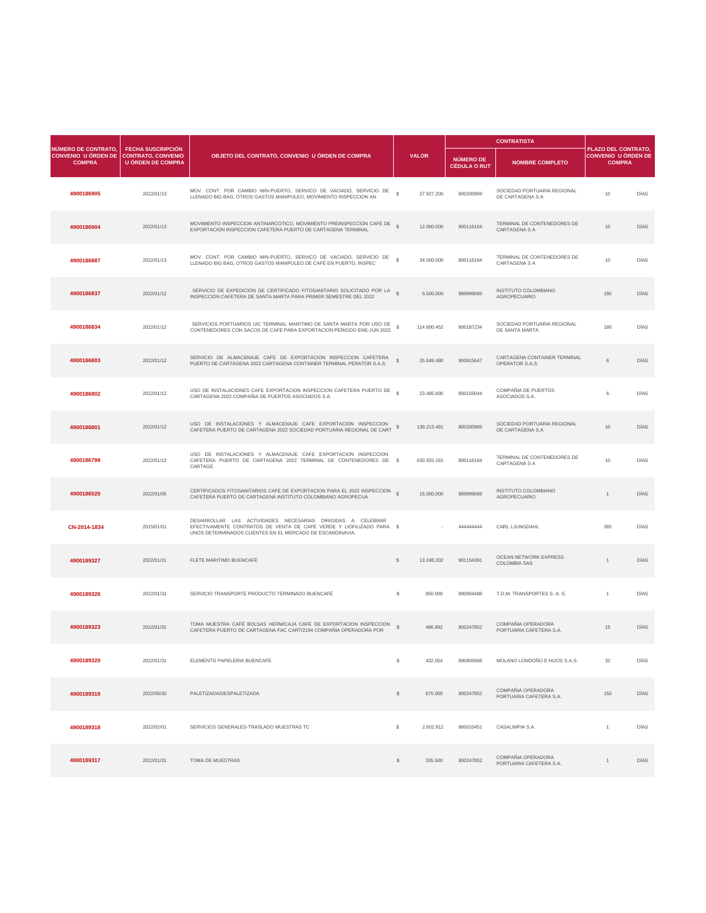| NÚMERO DE CONTRATO,                         |                                                                                   |                                                                                                                                              |               |              |                                  | <b>CONTRATISTA</b>                                     |                 |                                                                                                                                               |
|---------------------------------------------|-----------------------------------------------------------------------------------|----------------------------------------------------------------------------------------------------------------------------------------------|---------------|--------------|----------------------------------|--------------------------------------------------------|-----------------|-----------------------------------------------------------------------------------------------------------------------------------------------|
| <b>CONVENIO U ÓRDEN DE</b><br><b>COMPRA</b> | <b>FECHA SUSCRIPCIÓN</b><br><b>CONTRATO, CONVENIO</b><br><b>U ÓRDEN DE COMPRA</b> | OBJETO DEL CONTRATO, CONVENIO U ÓRDEN DE COMPRA                                                                                              |               | <b>VALOR</b> | <b>NÚMERO DE</b><br>CÉDULA O RUT | <b>NOMBRE COMPLETO</b>                                 |                 | PLAZO DEL CONTRATO,<br><b>CONVENIO U ÓRDEN DE</b><br><b>COMPRA</b><br><b>DÍAS</b><br><b>DÍAS</b><br><b>DÍAS</b><br><b>DÍAS</b><br><b>DÍAS</b> |
| 4900186905                                  | 2022/01/13                                                                        | MOV. CONT. POR CAMBIO M/N-PUERTO, SERVICO DE VACIADO, SERVICIO DE<br>LLENADO BIG BAG, OTROS GASTOS MANIPULEO, MOVIMIENTO INSPECCION AN       | $\mathbb{S}$  | 27.927.200   | 800200969                        | SOCIEDAD PORTUARIA REGIONAL<br>DE CARTAGENA S.A        | 10 <sup>°</sup> |                                                                                                                                               |
| 4900186904                                  | 2022/01/13                                                                        | MOVIMIENTO INSPECCION ANTINARCOTICO, MOVIMIENTO PREINSPECCION CAFE DE \$<br>EXPORTACION INSPECCION CAFETERA PUERTO DE CARTAGENA TERMINAL     |               | 12.000.000   | 800116164                        | TERMINAL DE CONTENEDORES DE<br><b>CARTAGENA S A</b>    | 10 <sup>°</sup> |                                                                                                                                               |
| 4900186887                                  | 2022/01/13                                                                        | MOV. CONT. POR CAMBIO M/N-PUERTO, SERVICO DE VACIADO, SERVICIO DE<br>LLENADO BIG BAG, OTROS GASTOS MANIPULEO DE CAFÉ EN PUERTO, INSPEC       | $\mathbb{S}$  | 34.000.000   | 800116164                        | TERMINAL DE CONTENEDORES DE<br><b>CARTAGENA S A</b>    | 10 <sup>°</sup> |                                                                                                                                               |
| 4900186837                                  | 2022/01/12                                                                        | SERVICIO DE EXPEDICION DE CERTIFICADO FITOSANITARIO SOLICITADO POR LA<br>INSPECCION CAFETERA DE SANTA MARTA PARA PRIMER SEMESTRE DEL 2022    | $\mathcal{S}$ | 6.500.000    | 899999069                        | <b>INSTITUTO COLOMBIANO</b><br><b>AGROPECUARIO</b>     | 180             |                                                                                                                                               |
| 4900186834                                  | 2022/01/12                                                                        | SERVICIOS PORTUARIOS UIC TERMINAL MARITIMO DE SANTA MARTA POR USO DE<br>CONTENEDORES CON SACOS DE CAFE PARA EXPORTACION PERIODO ENE-JUN 2022 |               | 114.600.452  | 800187234                        | SOCIEDAD PORTUARIA REGIONAL<br>DE SANTA MARTA          | 180             |                                                                                                                                               |
| 4900186803                                  | 2022/01/12                                                                        | SERVICIO DE ALMACENAJE CAFE DE EXPORTACION INSPECCION CAFETERA<br>PUERTO DE CARTAGENA 2022 CARTAGENA CONTAINER TERMINAL PERATOR S.A.S.       |               | 25.648.480   | 900915647                        | CARTAGENA CONTAINER TERMINAL<br><b>OPERATOR S.A.S.</b> | 6               | <b>DÍAS</b>                                                                                                                                   |
| 4900186802                                  | 2022/01/12                                                                        | USO DE INSTALACIONES CAFE EXPORTACION INSPECCION CAFETERA PUERTO DE<br>CARTAGENA 2022 COMPAÑIA DE PUERTOS ASOCIADOS S.A.                     |               | 23.485.690   | 800156044                        | COMPAÑIA DE PUERTOS<br>ASOCIADOS S.A.                  |                 | <b>DÍAS</b>                                                                                                                                   |
| 4900186801                                  | 2022/01/12                                                                        | USO DE INSTALACIONES Y ALMACENAJE CAFE EXPORTACION INSPECCION<br>CAFETERA PUERTO DE CARTAGENA 2022 SOCIEDAD PORTUARIA REGIONAL DE CART       |               | 139.213.481  | 800200969                        | SOCIEDAD PORTUARIA REGIONAL<br>DE CARTAGENA S.A        | 10 <sup>°</sup> | <b>DÍAS</b>                                                                                                                                   |

| 4900186799   | 2022/01/12 | USO DE INSTALACIONES Y ALMACENAJE CAFE EXPORTACION INSPECCION<br>CAFETERA PUERTO DE CARTAGENA 2022 TERMINAL DE CONTENEDORES DE \$<br>CARTAGE                                                     |               | 630.555.181 | 800116164 | TERMINAL DE CONTENEDORES DE<br><b>CARTAGENA S A</b> | 10 <sup>°</sup> | <b>DÍAS</b> |
|--------------|------------|--------------------------------------------------------------------------------------------------------------------------------------------------------------------------------------------------|---------------|-------------|-----------|-----------------------------------------------------|-----------------|-------------|
| 4900186520   | 2022/01/05 | CERTIFICADOS FITOSANITARIOS CAFE DE EXPORTACION PARA EL 2022 INSPECCION \$<br>CAFETERA PUERTO DE CARTAGENA INSTITUTO COLOMBIANO AGROPECUA                                                        |               | 15.000.000  | 899999069 | <b>INSTITUTO COLOMBIANO</b><br><b>AGROPECUARIO</b>  |                 | <b>DÍAS</b> |
| CN-2014-1834 | 2015/01/01 | DESARROLLAR LAS ACTIVIDADES NECESARIAS DIRIGIDAS A CELEBRAR<br>EFECTIVAMENTE CONTRATOS DE VENTA DE CAFÉ VERDE Y LIOFILIZADO PARA \$<br>UNOS DETERMINADOS CLIENTES EN EL MERCADO DE ESCANDINAVIA. |               |             | 444444444 | <b>CARL LJUNGDAHL</b>                               | 365             | <b>DÍAS</b> |
| 4900189327   | 2022/01/31 | FLETE MARITIMO BUENCAFÉ                                                                                                                                                                          | $\mathbb{S}$  | 13.248.202  | 901154391 | <b>OCEAN NETWORK EXPRESS</b><br><b>COLOMBIA SAS</b> |                 | <b>DÍAS</b> |
| 4900189326   | 2022/01/31 | SERVICIO TRANSPORTE PRODUCTO TERMINADO BUENCAFÉ                                                                                                                                                  | $\mathbb{S}$  | 850.000     | 890904488 | T.D.M. TRANSPORTES S. A. S.                         |                 | <b>DÍAS</b> |
| 4900189323   | 2022/01/31 | TOMA MUESTRA CAFÉ BOLSAS HERM/CAJA CAFE DE EXPORTACION INSPECCION \$<br>CAFETERA PUERTO DE CARTAGENA FAC CART/2194 COMPAÑIA OPERADORA POR                                                        |               | 496.892     | 800247852 | COMPAÑIA OPERADORA<br>PORTUARIA CAFETERA S.A.       | 15              | <b>DÍAS</b> |
| 4900189320   | 2022/01/31 | ELEMENTO PAPELERIA BUENCAFE                                                                                                                                                                      | \$.           | 432.054     | 890806968 | MOLANO LONDOÑO E HIJOS S.A.S.                       | 32              | <b>DÍAS</b> |
| 4900189319   | 2022/06/30 | PALETIZADA/DESPALETIZADA                                                                                                                                                                         | $\mathcal{L}$ | 675.000     | 800247852 | COMPAÑIA OPERADORA<br>PORTUARIA CAFETERA S.A.       | 150             | <b>DÍAS</b> |
| 4900189318   | 2022/02/01 | SERVICIOS GENERALES-TRASLADO MUESTRAS TC                                                                                                                                                         | S.            | 2.602.912   | 860010451 | CASALIMPIA S.A.                                     |                 | DÍAS        |
| 4900189317   | 2022/01/31 | TOMA DE MUESTRAS                                                                                                                                                                                 | $\mathcal{L}$ | 335.500     | 800247852 | COMPAÑIA OPERADORA<br>PORTUARIA CAFETERA S.A.       |                 | <b>DÍAS</b> |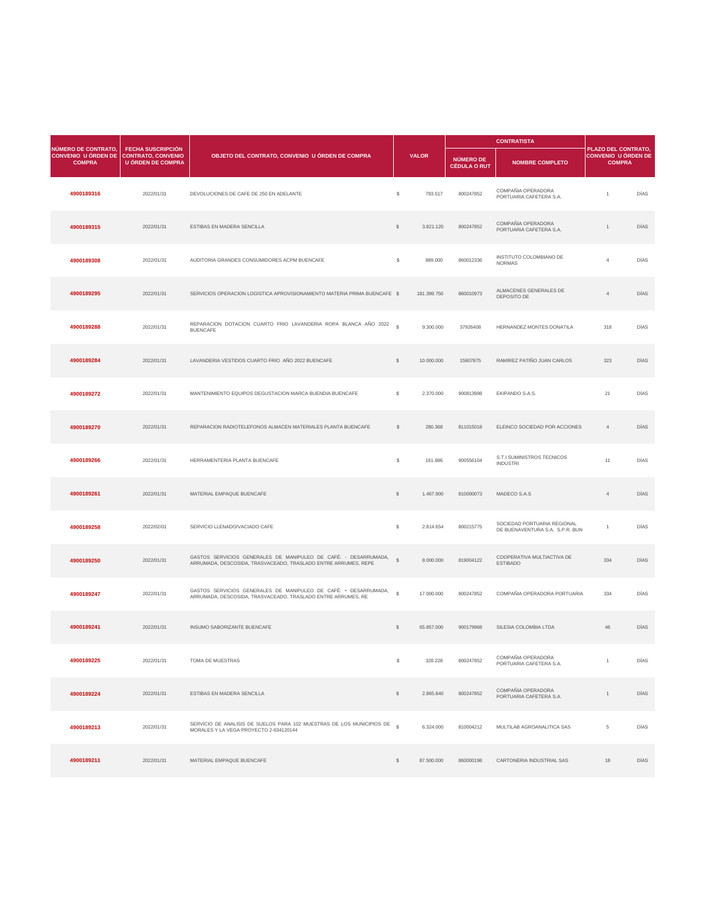| NÚMERO DE CONTRATO,                         | <b>FECHA SUSCRIPCIÓN</b>                       |                                                                                    |                |              |                                         | <b>CONTRATISTA</b>                            |                                                                    |             |
|---------------------------------------------|------------------------------------------------|------------------------------------------------------------------------------------|----------------|--------------|-----------------------------------------|-----------------------------------------------|--------------------------------------------------------------------|-------------|
| <b>CONVENIO U ÓRDEN DE</b><br><b>COMPRA</b> | CONTRATO, CONVENIO<br><b>U ÓRDEN DE COMPRA</b> | OBJETO DEL CONTRATO, CONVENIO U ÓRDEN DE COMPRA                                    |                | <b>VALOR</b> | <b>NÚMERO DE</b><br><b>CÉDULA O RUT</b> | <b>NOMBRE COMPLETO</b>                        | PLAZO DEL CONTRATO,<br><b>CONVENIO U ÓRDEN DE</b><br><b>COMPRA</b> |             |
| 4900189316                                  | 2022/01/31                                     | DEVOLUCIONES DE CAFE DE 250 EN ADELANTE                                            | $\mathfrak{S}$ | 793.517      | 800247852                               | COMPAÑIA OPERADORA<br>PORTUARIA CAFETERA S.A. |                                                                    | <b>DÍAS</b> |
| 4900189315                                  | 2022/01/31                                     | ESTIBAS EN MADERA SENCILLA                                                         | $\mathcal{L}$  | 3.821.120    | 800247852                               | COMPAÑIA OPERADORA<br>PORTUARIA CAFETERA S.A. |                                                                    | <b>DÍAS</b> |
| 4900189308                                  | 2022/01/31                                     | AUDITORIA GRANDES CONSUMIDORES ACPM BUENCAFE                                       | $\mathcal{S}$  | 889.000      | 860012336                               | INSTITUTO COLOMBIANO DE<br><b>NORMAS</b>      |                                                                    | <b>DÍAS</b> |
| 4900189295                                  | 2022/01/31                                     | SERVICIOS OPERACION LOGISTICA APROVISIONAMIENTO MATERIA PRIMA BUENCAFE \$          |                | 181.399.750  | 860010973                               | ALMACENES GENERALES DE<br>DEPOSITO DE         |                                                                    | <b>DÍAS</b> |
| 4900189288                                  | 2022/01/31                                     | REPARACION DOTACION CUARTO FRIO LAVANDERIA ROPA BLANCA AÑO 2022<br><b>BUENCAFE</b> | $\mathcal{S}$  | 9.300.000    | 37926408                                | HERNANDEZ MONTES DONATILA                     | 318                                                                | <b>DÍAS</b> |
| 4900189284                                  | 2022/01/31                                     | LAVANDERIA VESTIDOS CUARTO FRIO AÑO 2022 BUENCAFE                                  |                | 10.000.000   | 15907875                                | RAMIREZ PATIÑO JUAN CARLOS                    | 323                                                                | <b>DÍAS</b> |
| 4900189272                                  | 2022/01/31                                     | MANTENIMIENTO EQUIPOS DEGUSTACION MARCA BUENDIA BUENCAFE                           | \$             | 2.370.000    | 900813998                               | EKIPANDO S.A.S.                               | 21                                                                 | DÍAS        |
| 4900189270                                  | 2022/01/31                                     | REPARACION RADIOTELEFONOS ALMACEN MATERIALES PLANTA BUENCAFE                       | <sup>\$</sup>  | 280.368      | 811015018                               | ELEINCO SOCIEDAD POR ACCIONES                 |                                                                    | DÍAS        |

| 4900189266 | 2022/01/31 | HERRAMENTERIA PLANTA BUENCAFE                                                                                                     | $\mathfrak{F}$ | 161.886    | 900556104 | S.T.I SUMINISTROS TECNICOS<br><b>INDUSTRI</b>                  | 11  | DÍAS        |
|------------|------------|-----------------------------------------------------------------------------------------------------------------------------------|----------------|------------|-----------|----------------------------------------------------------------|-----|-------------|
| 4900189261 | 2022/01/31 | MATERIAL EMPAQUE BUENCAFE                                                                                                         | $\mathcal{L}$  | 1.467.900  | 810000073 | MADECO S.A.S                                                   |     | <b>DÍAS</b> |
| 4900189258 | 2022/02/01 | SERVICIO LLENADO/VACIADO CAFE                                                                                                     | $\mathcal{L}$  | 2.814.654  | 800215775 | SOCIEDAD PORTUARIA REGIONAL<br>DE BUENAVENTURA S.A. S.P.R. BUN |     | DÍAS        |
| 4900189250 | 2022/01/31 | GASTOS SERVICIOS GENERALES DE MANIPULEO DE CAFÉ: - DESARRUMADA,<br>ARRUMADA, DESCOSIDA, TRASVACEADO, TRASLADO ENTRE ARRUMES, REPE | $\mathbb{S}$   | 8.000.000  | 819004122 | COOPERATIVA MULTIACTIVA DE<br><b>ESTIBADO</b>                  | 334 | <b>DÍAS</b> |
| 4900189247 | 2022/01/31 | GASTOS SERVICIOS GENERALES DE MANIPULEO DE CAFÉ: • DESARRUMADA,<br>ARRUMADA, DESCOSIDA, TRASVACEADO, TRASLADO ENTRE ARRUMES, RE   | $\mathbb{S}$   | 17.000.000 | 800247852 | COMPAÑIA OPERADORA PORTUARIA                                   | 334 | DÍAS        |
| 4900189241 | 2022/01/31 | INSUMO SABORIZANTE BUENCAFE                                                                                                       | $\mathcal{L}$  | 65.857.000 | 900179968 | SILESIA COLOMBIA LTDA                                          | 46  | <b>DÍAS</b> |
| 4900189225 | 2022/01/31 | TOMA DE MUESTRAS                                                                                                                  | \$             | 328.228    | 800247852 | COMPAÑIA OPERADORA<br>PORTUARIA CAFETERA S.A.                  |     | <b>DÍAS</b> |
| 4900189224 | 2022/01/31 | <b>ESTIBAS EN MADERA SENCILLA</b>                                                                                                 | $\mathbb{S}$   | 2.865.840  | 800247852 | COMPAÑIA OPERADORA<br>PORTUARIA CAFETERA S.A.                  |     | <b>DÍAS</b> |
| 4900189213 | 2022/01/31 | SERVICIO DE ANALISIS DE SUELOS PARA 102 MUESTRAS DE LOS MUNICIPIOS DE §<br>MORALES Y LA VEGA PROYECTO 2-634120144                 |                | 6.324.000  | 810004212 | MULTILAB AGROANALITICA SAS                                     | 5   | DÍAS        |
| 4900189211 | 2022/01/31 | MATERIAL EMPAQUE BUENCAFE                                                                                                         | $\mathcal{S}$  | 87.500.000 | 860000198 | CARTONERIA INDUSTRIAL SAS                                      | 18  | <b>DÍAS</b> |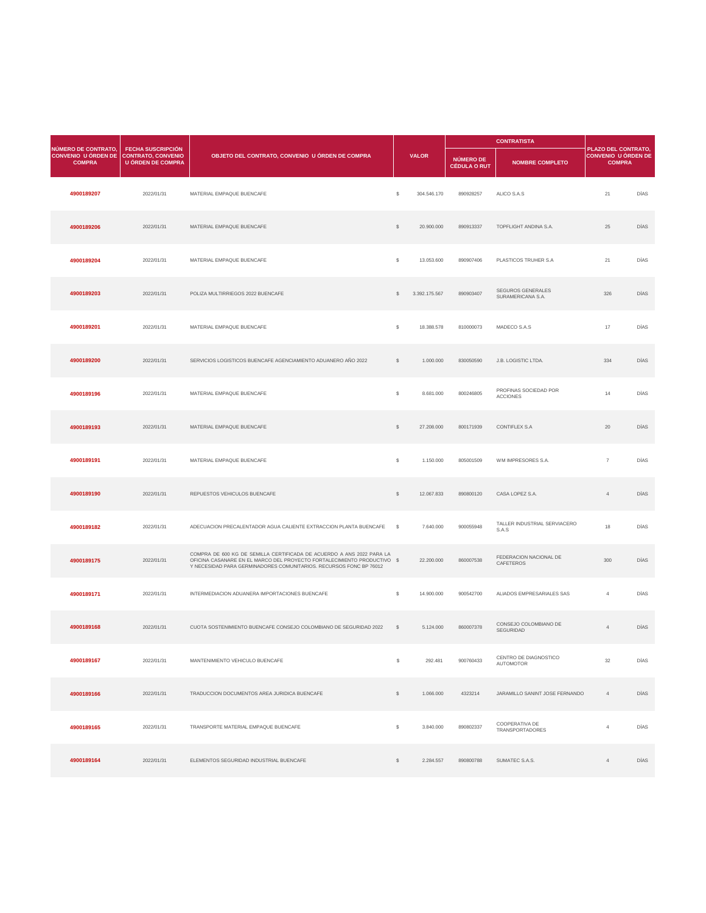| NÚMERO DE CONTRATO,                                     | <b>FECHA SUSCRIPCIÓN</b> |                                                               |                |               |                                  | <b>CONTRATISTA</b>                            | PLAZO DEL CONTRATO,                         |             |
|---------------------------------------------------------|--------------------------|---------------------------------------------------------------|----------------|---------------|----------------------------------|-----------------------------------------------|---------------------------------------------|-------------|
| CONVENIO U ÓRDEN DE CONTRATO, CONVENIO<br><b>COMPRA</b> | <b>U ÓRDEN DE COMPRA</b> | OBJETO DEL CONTRATO, CONVENIO U ÓRDEN DE COMPRA               |                | <b>VALOR</b>  | NÚMERO DE<br><b>CÉDULA O RUT</b> | <b>NOMBRE COMPLETO</b>                        | <b>CONVENIO U ÓRDEN DE</b><br><b>COMPRA</b> |             |
| 4900189207                                              | 2022/01/31               | MATERIAL EMPAQUE BUENCAFE                                     | $\mathcal{L}$  | 304.546.170   | 890928257                        | ALICO S.A.S                                   | 21                                          | DÍAS        |
| 4900189206                                              | 2022/01/31               | MATERIAL EMPAQUE BUENCAFE                                     | $\frac{1}{2}$  | 20.900.000    | 890913337                        | TOPFLIGHT ANDINA S.A.                         | 25                                          | <b>DÍAS</b> |
| 4900189204                                              | 2022/01/31               | MATERIAL EMPAQUE BUENCAFE                                     | $\mathcal{L}$  | 13.053.600    | 890907406                        | PLASTICOS TRUHER S.A                          | 21                                          | <b>DÍAS</b> |
| 4900189203                                              | 2022/01/31               | POLIZA MULTIRRIEGOS 2022 BUENCAFE                             | $\mathbb{S}$   | 3.392.175.567 | 890903407                        | <b>SEGUROS GENERALES</b><br>SURAMERICANA S.A. | 326                                         | <b>DÍAS</b> |
| 4900189201                                              | 2022/01/31               | MATERIAL EMPAQUE BUENCAFE                                     | $\mathcal{L}$  | 18.388.578    | 810000073                        | MADECO S.A.S                                  | 17                                          | <b>DÍAS</b> |
| 4900189200                                              | 2022/01/31               | SERVICIOS LOGISTICOS BUENCAFE AGENCIAMIENTO ADUANERO AÑO 2022 | $\mathbb{S}$   | 1.000.000     | 830050590                        | J.B. LOGISTIC LTDA.                           | 334                                         | <b>DÍAS</b> |
| 4900189196                                              | 2022/01/31               | MATERIAL EMPAQUE BUENCAFE                                     | $\mathfrak{S}$ | 8.681.000     | 800246805                        | PROFINAS SOCIEDAD POR<br><b>ACCIONES</b>      | 14                                          | DÍAS        |
| 4900189193                                              | 2022/01/31               | MATERIAL EMPAQUE BUENCAFE                                     | $\mathcal{L}$  | 27.208.000    | 800171939                        | <b>CONTIFLEX S.A</b>                          | 20                                          | <b>DÍAS</b> |

an di Kabupatén Ba

| 4900189191 | 2022/01/31 | MATERIAL EMPAQUE BUENCAFE                                                                                                                                                                                              | $\mathbb{S}$   | 1.150.000  | 805001509 | WM IMPRESORES S.A.                              | $\overline{7}$ | <b>DÍAS</b> |
|------------|------------|------------------------------------------------------------------------------------------------------------------------------------------------------------------------------------------------------------------------|----------------|------------|-----------|-------------------------------------------------|----------------|-------------|
| 4900189190 | 2022/01/31 | REPUESTOS VEHICULOS BUENCAFE                                                                                                                                                                                           | $\mathbb{S}$   | 12.067.833 | 890800120 | CASA LOPEZ S.A.                                 |                | <b>DÍAS</b> |
| 4900189182 | 2022/01/31 | ADECUACION PRECALENTADOR AGUA CALIENTE EXTRACCION PLANTA BUENCAFE                                                                                                                                                      | $\mathbb{S}$   | 7.640.000  | 900055948 | TALLER INDUSTRIAL SERVIACERO<br>S.A.S           | 18             | <b>DÍAS</b> |
| 4900189175 | 2022/01/31 | COMPRA DE 600 KG DE SEMILLA CERTIFICADA DE ACUERDO A ANS 2022 PARA LA<br>OFICINA CASANARE EN EL MARCO DEL PROYECTO FORTALECIMIENTO PRODUCTIVO \$<br>Y NECESIDAD PARA GERMINADORES COMUNITARIOS. RECURSOS FONC BP 76012 |                | 22.200.000 | 860007538 | FEDERACION NACIONAL DE<br><b>CAFETEROS</b>      | 300            | <b>DÍAS</b> |
| 4900189171 | 2022/01/31 | INTERMEDIACION ADUANERA IMPORTACIONES BUENCAFE                                                                                                                                                                         | \$             | 14.900.000 | 900542700 | ALIADOS EMPRESARIALES SAS                       | $\overline{4}$ | DÍAS        |
| 4900189168 | 2022/01/31 | CUOTA SOSTENIMIENTO BUENCAFE CONSEJO COLOMBIANO DE SEGURIDAD 2022                                                                                                                                                      | - SS           | 5.124.000  | 860007378 | CONSEJO COLOMBIANO DE<br><b>SEGURIDAD</b>       |                | <b>DÍAS</b> |
| 4900189167 | 2022/01/31 | MANTENIMIENTO VEHICULO BUENCAFE                                                                                                                                                                                        | $$\mathbb{S}$$ | 292.481    | 900760433 | CENTRO DE DIAGNOSTICO<br><b>AUTOMOTOR</b>       | 32             | <b>DÍAS</b> |
| 4900189166 | 2022/01/31 | TRADUCCION DOCUMENTOS AREA JURIDICA BUENCAFE                                                                                                                                                                           | $\mathcal{L}$  | 1.066.000  | 4323214   | JARAMILLO SANINT JOSE FERNANDO                  | $\overline{4}$ | <b>DÍAS</b> |
| 4900189165 | 2022/01/31 | TRANSPORTE MATERIAL EMPAQUE BUENCAFE                                                                                                                                                                                   | $\mathcal{L}$  | 3.840.000  | 890802337 | <b>COOPERATIVA DE</b><br><b>TRANSPORTADORES</b> |                | DÍAS        |
| 4900189164 | 2022/01/31 | ELEMENTOS SEGURIDAD INDUSTRIAL BUENCAFE                                                                                                                                                                                | S.             | 2.284.557  | 890800788 | SUMATEC S.A.S.                                  |                | <b>DÍAS</b> |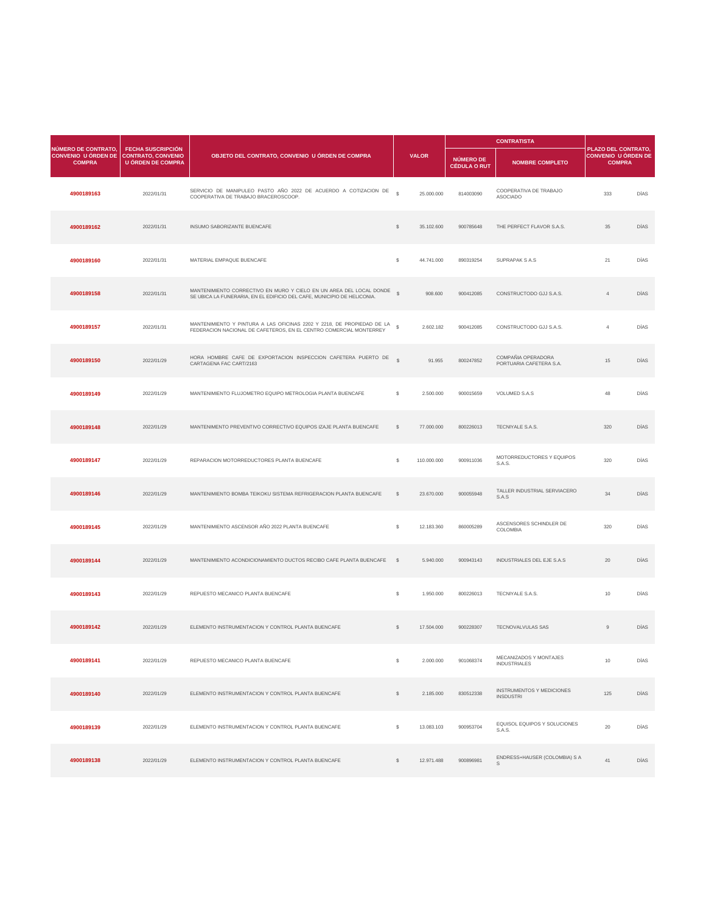| <b>NÚMERO DE CONTRATO,</b>                  | <b>FECHA SUSCRIPCIÓN</b>                              |                                                                                                                                                |               |              |                                         |                                               |                                                                    |             |
|---------------------------------------------|-------------------------------------------------------|------------------------------------------------------------------------------------------------------------------------------------------------|---------------|--------------|-----------------------------------------|-----------------------------------------------|--------------------------------------------------------------------|-------------|
| <b>CONVENIO U ÓRDEN DE</b><br><b>COMPRA</b> | <b>CONTRATO, CONVENIO</b><br><b>U ÓRDEN DE COMPRA</b> | OBJETO DEL CONTRATO, CONVENIO U ÓRDEN DE COMPRA                                                                                                |               | <b>VALOR</b> | <b>NÚMERO DE</b><br><b>CÉDULA O RUT</b> | <b>NOMBRE COMPLETO</b>                        | PLAZO DEL CONTRATO,<br><b>CONVENIO U ÓRDEN DE</b><br><b>COMPRA</b> |             |
| 4900189163                                  | 2022/01/31                                            | SERVICIO DE MANIPULEO PASTO AÑO 2022 DE ACUERDO A COTIZACION DE<br>COOPERATIVA DE TRABAJO BRACEROSCOOP.                                        | $\mathbb{S}$  | 25.000.000   | 814003090                               | COOPERATIVA DE TRABAJO<br><b>ASOCIADO</b>     | 333                                                                | <b>DÍAS</b> |
| 4900189162                                  | 2022/01/31                                            | <b>INSUMO SABORIZANTE BUENCAFE</b>                                                                                                             | $\mathcal{L}$ | 35.102.600   | 900785648                               | THE PERFECT FLAVOR S.A.S.                     | 35                                                                 | <b>DÍAS</b> |
| 4900189160                                  | 2022/01/31                                            | MATERIAL EMPAQUE BUENCAFE                                                                                                                      | -S            | 44.741.000   | 890319254                               | <b>SUPRAPAK S A.S</b>                         | 21                                                                 | DÍAS        |
| 4900189158                                  | 2022/01/31                                            | MANTENIMIENTO CORRECTIVO EN MURO Y CIELO EN UN AREA DEL LOCAL DONDE<br>SE UBICA LA FUNERARIA, EN EL EDIFICIO DEL CAFE, MUNICIPIO DE HELICONIA. | $\mathbb{S}$  | 908.600      | 900412085                               | CONSTRUCTODO GJJ S.A.S.                       |                                                                    | <b>DÍAS</b> |
| 4900189157                                  | 2022/01/31                                            | MANTENIMIENTO Y PINTURA A LAS OFICINAS 2202 Y 2218, DE PROPIEDAD DE LA<br>FEDERACION NACIONAL DE CAFETEROS, EN EL CENTRO COMERCIAL MONTERREY   |               | 2.602.182    | 900412085                               | CONSTRUCTODO GJJ S.A.S.                       |                                                                    | <b>DÍAS</b> |
| 4900189150                                  | 2022/01/29                                            | HORA HOMBRE CAFE DE EXPORTACION INSPECCION CAFETERA PUERTO DE<br>CARTAGENA FAC CART/2163                                                       |               | 91.955       | 800247852                               | COMPAÑIA OPERADORA<br>PORTUARIA CAFETERA S.A. | 15                                                                 | <b>DÍAS</b> |
| 4900189149                                  | 2022/01/29                                            | MANTENIMIENTO FLUJOMETRO EQUIPO METROLOGIA PLANTA BUENCAFE                                                                                     | S.            | 2.500.000    | 900015659                               | <b>VOLUMED S.A.S</b>                          | 48                                                                 | DÍAS        |
| 4900189148                                  | 2022/01/29                                            | MANTENIMENTO PREVENTIVO CORRECTIVO EQUIPOS IZAJE PLANTA BUENCAFE                                                                               | S.            | 77.000.000   | 800226013                               | TECNIYALE S.A.S.                              | 320                                                                | DÍAS        |

| 4900189147 | 2022/01/29 | REPARACION MOTORREDUCTORES PLANTA BUENCAFE                         | \$            | 110.000.000 | 900911036 | MOTORREDUCTORES Y EQUIPOS<br>S.A.S.                  | 320             | DÍAS        |
|------------|------------|--------------------------------------------------------------------|---------------|-------------|-----------|------------------------------------------------------|-----------------|-------------|
| 4900189146 | 2022/01/29 | MANTENIMIENTO BOMBA TEIKOKU SISTEMA REFRIGERACION PLANTA BUENCAFE  | $\mathbb{S}$  | 23.670.000  | 900055948 | TALLER INDUSTRIAL SERVIACERO<br>S.A.S                | 34              | <b>DÍAS</b> |
| 4900189145 | 2022/01/29 | MANTENIMIENTO ASCENSOR AÑO 2022 PLANTA BUENCAFE                    | $\mathcal{L}$ | 12.183.360  | 860005289 | ASCENSORES SCHINDLER DE<br><b>COLOMBIA</b>           | 320             | DÍAS        |
| 4900189144 | 2022/01/29 | MANTENIMIENTO ACONDICIONAMIENTO DUCTOS RECIBO CAFE PLANTA BUENCAFE | $\mathbb{S}$  | 5.940.000   | 900943143 | <b>INDUSTRIALES DEL EJE S.A.S</b>                    | 20              | <b>DÍAS</b> |
| 4900189143 | 2022/01/29 | REPUESTO MECANICO PLANTA BUENCAFE                                  | $\$\$         | 1.950.000   | 800226013 | TECNIYALE S.A.S.                                     | 10              | DÍAS        |
| 4900189142 | 2022/01/29 | ELEMENTO INSTRUMENTACION Y CONTROL PLANTA BUENCAFE                 | $\mathbb{S}$  | 17.504.000  | 900228307 | <b>TECNOVALVULAS SAS</b>                             | 9               | <b>DÍAS</b> |
| 4900189141 | 2022/01/29 | REPUESTO MECANICO PLANTA BUENCAFE                                  | \$            | 2.000.000   | 901068374 | MECANIZADOS Y MONTAJES<br><b>INDUSTRIALES</b>        | 10 <sup>°</sup> | <b>DÍAS</b> |
| 4900189140 | 2022/01/29 | ELEMENTO INSTRUMENTACION Y CONTROL PLANTA BUENCAFE                 | $\mathbb{S}$  | 2.185.000   | 830512338 | <b>INSTRUMENTOS Y MEDICIONES</b><br><b>INSDUSTRI</b> | 125             | <b>DÍAS</b> |
| 4900189139 | 2022/01/29 | ELEMENTO INSTRUMENTACION Y CONTROL PLANTA BUENCAFE                 | S.            | 13.083.103  | 900953704 | EQUISOL EQUIPOS Y SOLUCIONES<br>S.A.S.               | 20              | DÍAS        |
| 4900189138 | 2022/01/29 | ELEMENTO INSTRUMENTACION Y CONTROL PLANTA BUENCAFE                 |               | 12.971.488  | 900896981 | ENDRESS+HAUSER (COLOMBIA) S A<br>$\mathsf S$         | 41              | <b>DÍAS</b> |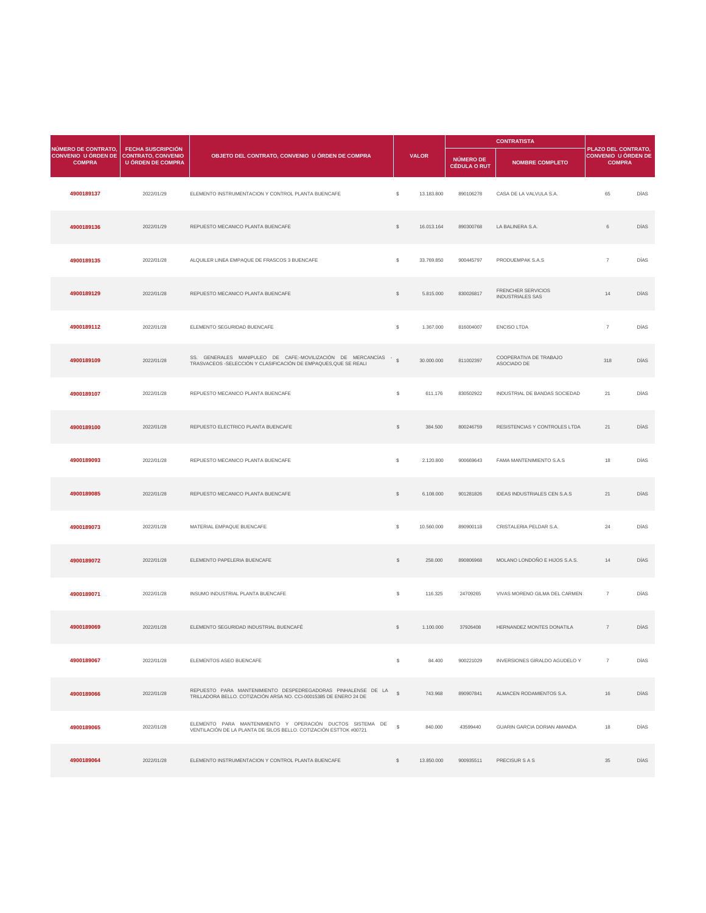| NÚMERO DE CONTRATO,                         | <b>FECHA SUSCRIPCIÓN</b>                              |                                                                                                                                    |                |              | <b>CONTRATISTA</b>                      |                                                      |                                                                    |             |
|---------------------------------------------|-------------------------------------------------------|------------------------------------------------------------------------------------------------------------------------------------|----------------|--------------|-----------------------------------------|------------------------------------------------------|--------------------------------------------------------------------|-------------|
| <b>CONVENIO U ÓRDEN DE</b><br><b>COMPRA</b> | <b>CONTRATO, CONVENIO</b><br><b>U ÓRDEN DE COMPRA</b> | OBJETO DEL CONTRATO, CONVENIO U ÓRDEN DE COMPRA                                                                                    |                | <b>VALOR</b> | <b>NÚMERO DE</b><br><b>CÉDULA O RUT</b> | <b>NOMBRE COMPLETO</b>                               | PLAZO DEL CONTRATO,<br><b>CONVENIO U ÓRDEN DE</b><br><b>COMPRA</b> |             |
| 4900189137                                  | 2022/01/29                                            | ELEMENTO INSTRUMENTACION Y CONTROL PLANTA BUENCAFE                                                                                 | $\mathbb{S}$   | 13.183.800   | 890106278                               | CASA DE LA VALVULA S.A.                              | 65                                                                 | <b>DÍAS</b> |
| 4900189136                                  | 2022/01/29                                            | REPUESTO MECANICO PLANTA BUENCAFE                                                                                                  | $\mathbb{S}$   | 16.013.164   | 890300768                               | LA BALINERA S.A.                                     | 6                                                                  | <b>DÍAS</b> |
| 4900189135                                  | 2022/01/28                                            | ALQUILER LINEA EMPAQUE DE FRASCOS 3 BUENCAFE                                                                                       | \$             | 33.769.850   | 900445797                               | PRODUEMPAK S.A.S                                     | $\overline{7}$                                                     | <b>DÍAS</b> |
| 4900189129                                  | 2022/01/28                                            | REPUESTO MECANICO PLANTA BUENCAFE                                                                                                  | $\mathbb{S}$   | 5.815.000    | 830026817                               | <b>FRENCHER SERVICIOS</b><br><b>INDUSTRIALES SAS</b> | 14                                                                 | <b>DÍAS</b> |
| 4900189112                                  | 2022/01/28                                            | ELEMENTO SEGURIDAD BUENCAFE                                                                                                        | $\mathcal{S}$  | 1.367.000    | 816004007                               | <b>ENCISO LTDA</b>                                   | $\overline{7}$                                                     | <b>DÍAS</b> |
| 4900189109                                  | 2022/01/28                                            | SS. GENERALES MANIPULEO DE CAFE:-MOVILIZACIÓN DE MERCANCÍAS - \$<br>TRASVACEOS -SELECCIÓN Y CLASIFICACIÓN DE EMPAQUES,QUE SE REALI |                | 30.000.000   | 811002397                               | COOPERATIVA DE TRABAJO<br>ASOCIADO DE                | 318                                                                | <b>DÍAS</b> |
| 4900189107                                  | 2022/01/28                                            | REPUESTO MECANICO PLANTA BUENCAFE                                                                                                  | $\mathfrak{S}$ | 611.176      | 830502922                               | INDUSTRIAL DE BANDAS SOCIEDAD                        | 21                                                                 | DÍAS        |
| 4900189100                                  | 2022/01/28                                            | REPUESTO ELECTRICO PLANTA BUENCAFE                                                                                                 |                | 384.500      | 800246759                               | RESISTENCIAS Y CONTROLES LTDA                        | 21                                                                 | <b>DÍAS</b> |

| 4900189093 | 2022/01/28 | REPUESTO MECANICO PLANTA BUENCAFE                                                                                                 | $\mathcal{L}$  | 2.120.800  | 900669643 | <b>FAMA MANTENIMIENTO S.A.S</b>      | 18             | <b>DÍAS</b> |
|------------|------------|-----------------------------------------------------------------------------------------------------------------------------------|----------------|------------|-----------|--------------------------------------|----------------|-------------|
| 4900189085 | 2022/01/28 | REPUESTO MECANICO PLANTA BUENCAFE                                                                                                 | $\frac{1}{2}$  | 6.108.000  | 901281826 | <b>IDEAS INDUSTRIALES CEN S.A.S</b>  | 21             | <b>DÍAS</b> |
| 4900189073 | 2022/01/28 | MATERIAL EMPAQUE BUENCAFE                                                                                                         | $\mathcal{L}$  | 10.560.000 | 890900118 | CRISTALERIA PELDAR S.A.              | 24             | DÍAS        |
| 4900189072 | 2022/01/28 | ELEMENTO PAPELERIA BUENCAFE                                                                                                       | $\frac{1}{2}$  | 258.000    | 890806968 | MOLANO LONDOÑO E HIJOS S.A.S.        | 14             | <b>DÍAS</b> |
| 4900189071 | 2022/01/28 | INSUMO INDUSTRIAL PLANTA BUENCAFE                                                                                                 | $\mathfrak{S}$ | 116.325    | 24709265  | VIVAS MORENO GILMA DEL CARMEN        | $\overline{7}$ | DÍAS        |
| 4900189069 | 2022/01/28 | ELEMENTO SEGURIDAD INDUSTRIAL BUENCAFÉ                                                                                            | $\frac{1}{2}$  | 1.100.000  | 37926408  | HERNANDEZ MONTES DONATILA            | $\overline{7}$ | DÍAS        |
| 4900189067 | 2022/01/28 | ELEMENTOS ASEO BUENCAFE                                                                                                           | \$             | 84.400     | 900221029 | <b>INVERSIONES GIRALDO AGUDELO Y</b> | $\overline{7}$ | DÍAS        |
| 4900189066 | 2022/01/28 | REPUESTO PARA MANTENIMIENTO DESPEDREGADORAS PINHALENSE DE LA<br>TRILLADORA BELLO. COTIZACIÓN ARSA NO. CCI-00015385 DE ENERO 24 DE |                | 743.968    | 890907841 | ALMACEN RODAMIENTOS S.A.             | 16             | DÍAS        |
| 4900189065 | 2022/01/28 | ELEMENTO PARA MANTENIMIENTO Y OPERACIÓN DUCTOS SISTEMA DE<br>VENTILACIÓN DE LA PLANTA DE SILOS BELLO. COTIZACIÓN ESTTOK #00721    | $\mathbb{S}$   | 840.000    | 43599440  | <b>GUARIN GARCIA DORIAN AMANDA</b>   | 18             | DÍAS        |
| 4900189064 | 2022/01/28 | ELEMENTO INSTRUMENTACION Y CONTROL PLANTA BUENCAFE                                                                                | S.             | 13.850.000 | 900935511 | <b>PRECISUR S A S</b>                | 35             | <b>DÍAS</b> |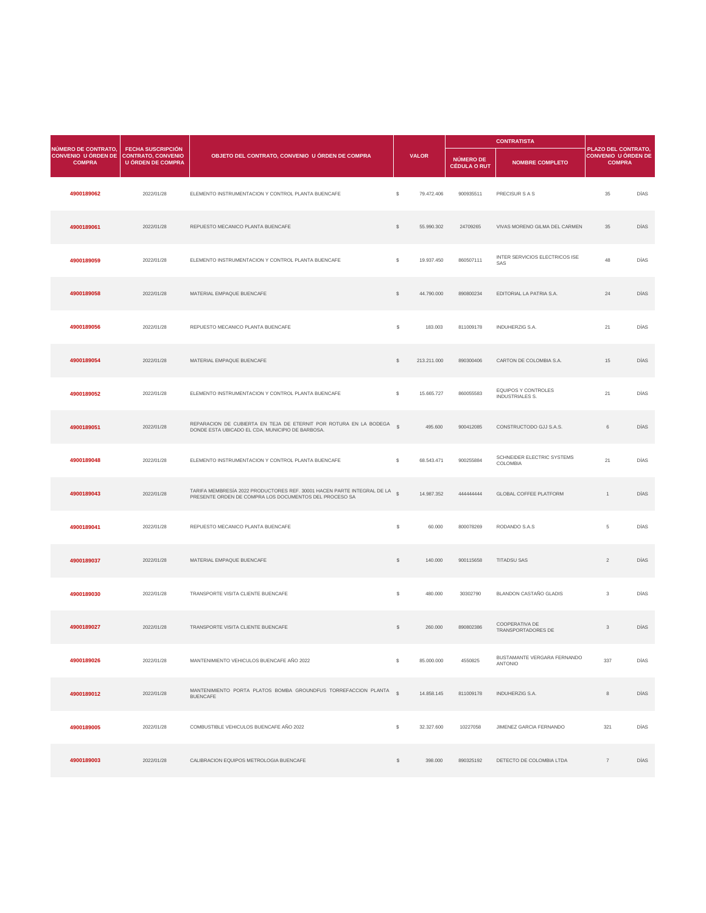|                                                                           | <b>FECHA SUSCRIPCIÓN</b>                              |                                                                                                                         |                         |              |                                  | <b>CONTRATISTA</b>                                   |                                                                           |             |
|---------------------------------------------------------------------------|-------------------------------------------------------|-------------------------------------------------------------------------------------------------------------------------|-------------------------|--------------|----------------------------------|------------------------------------------------------|---------------------------------------------------------------------------|-------------|
| <b>NÚMERO DE CONTRATO.</b><br><b>CONVENIO U ÓRDEN DE</b><br><b>COMPRA</b> | <b>CONTRATO, CONVENIO</b><br><b>U ÓRDEN DE COMPRA</b> | OBJETO DEL CONTRATO, CONVENIO U ÓRDEN DE COMPRA                                                                         |                         | <b>VALOR</b> | NÚMERO DE<br><b>CÉDULA O RUT</b> | <b>NOMBRE COMPLETO</b>                               | <b>PLAZO DEL CONTRATO,</b><br><b>CONVENIO U ÓRDEN DE</b><br><b>COMPRA</b> |             |
| 4900189062                                                                | 2022/01/28                                            | ELEMENTO INSTRUMENTACION Y CONTROL PLANTA BUENCAFE                                                                      | $\mathcal{L}$           | 79.472.406   | 900935511                        | PRECISUR S A S                                       | 35                                                                        | <b>DÍAS</b> |
| 4900189061                                                                | 2022/01/28                                            | REPUESTO MECANICO PLANTA BUENCAFE                                                                                       | $\mathcal{L}$           | 55.990.302   | 24709265                         | VIVAS MORENO GILMA DEL CARMEN                        | 35                                                                        | <b>DÍAS</b> |
| 4900189059                                                                | 2022/01/28                                            | ELEMENTO INSTRUMENTACION Y CONTROL PLANTA BUENCAFE                                                                      | $\mathcal{L}$           | 19.937.450   | 860507111                        | <b>INTER SERVICIOS ELECTRICOS ISE</b><br>SAS         | 48                                                                        | <b>DÍAS</b> |
| 4900189058                                                                | 2022/01/28                                            | MATERIAL EMPAQUE BUENCAFE                                                                                               | $\sqrt[6]{\frac{1}{2}}$ | 44.790.000   | 890800234                        | EDITORIAL LA PATRIA S.A.                             | 24                                                                        | <b>DÍAS</b> |
| 4900189056                                                                | 2022/01/28                                            | REPUESTO MECANICO PLANTA BUENCAFE                                                                                       | $\mathcal{L}$           | 183.003      | 811009178                        | <b>INDUHERZIG S.A.</b>                               | 21                                                                        | <b>DÍAS</b> |
| 4900189054                                                                | 2022/01/28                                            | MATERIAL EMPAQUE BUENCAFE                                                                                               | -S                      | 213.211.000  | 890300406                        | CARTON DE COLOMBIA S.A.                              | 15                                                                        | <b>DÍAS</b> |
| 4900189052                                                                | 2022/01/28                                            | ELEMENTO INSTRUMENTACION Y CONTROL PLANTA BUENCAFE                                                                      | S.                      | 15.665.727   | 860055583                        | <b>EQUIPOS Y CONTROLES</b><br><b>INDUSTRIALES S.</b> | 21                                                                        | DÍAS        |
| 4900189051                                                                | 2022/01/28                                            | REPARACION DE CUBIERTA EN TEJA DE ETERNIT POR ROTURA EN LA BODEGA §<br>DONDE ESTA UBICADO EL CDA, MUNICIPIO DE BARBOSA. |                         | 495.600      | 900412085                        | CONSTRUCTODO GJJ S.A.S.                              | 6                                                                         | <b>DÍAS</b> |

| 4900189048 | 2022/01/28 | ELEMENTO INSTRUMENTACION Y CONTROL PLANTA BUENCAFE                                                                                   | $\mathbb{S}$   | 68.543.471 | 900255884 | SCHNEIDER ELECTRIC SYSTEMS<br>COLOMBIA        | 21             | <b>DÍAS</b> |
|------------|------------|--------------------------------------------------------------------------------------------------------------------------------------|----------------|------------|-----------|-----------------------------------------------|----------------|-------------|
| 4900189043 | 2022/01/28 | TARIFA MEMBRESÍA 2022 PRODUCTORES REF. 30001 HACEN PARTE INTEGRAL DE LA \$<br>PRESENTE ORDEN DE COMPRA LOS DOCUMENTOS DEL PROCESO SA |                | 14.987.352 | 444444444 | <b>GLOBAL COFFEE PLATFORM</b>                 |                | <b>DÍAS</b> |
| 4900189041 | 2022/01/28 | REPUESTO MECANICO PLANTA BUENCAFE                                                                                                    | $\mathfrak{S}$ | 60.000     | 800078269 | RODANDO S.A.S                                 | 5              | <b>DÍAS</b> |
| 4900189037 | 2022/01/28 | MATERIAL EMPAQUE BUENCAFE                                                                                                            | $\mathcal{L}$  | 140.000    | 900115658 | <b>TITADSU SAS</b>                            | $\overline{2}$ | <b>DÍAS</b> |
| 4900189030 | 2022/01/28 | TRANSPORTE VISITA CLIENTE BUENCAFE                                                                                                   | $\mathcal{L}$  | 480.000    | 30302790  | <b>BLANDON CASTAÑO GLADIS</b>                 | $\mathcal{S}$  | DÍAS        |
| 4900189027 | 2022/01/28 | TRANSPORTE VISITA CLIENTE BUENCAFE                                                                                                   | $\frac{1}{2}$  | 260.000    | 890802386 | <b>COOPERATIVA DE</b><br>TRANSPORTADORES DE   | $\mathcal{S}$  | <b>DÍAS</b> |
| 4900189026 | 2022/01/28 | MANTENIMIENTO VEHICULOS BUENCAFE AÑO 2022                                                                                            | -S             | 85.000.000 | 4550825   | BUSTAMANTE VERGARA FERNANDO<br><b>ANTONIO</b> | 337            | DÍAS        |
| 4900189012 | 2022/01/28 | MANTENIMIENTO PORTA PLATOS BOMBA GROUNDFUS TORREFACCION PLANTA \$<br><b>BUENCAFE</b>                                                 |                | 14.858.145 | 811009178 | <b>INDUHERZIG S.A.</b>                        | 8              | <b>DÍAS</b> |
| 4900189005 | 2022/01/28 | COMBUSTIBLE VEHICULOS BUENCAFE AÑO 2022                                                                                              | \$             | 32.327.600 | 10227058  | JIMENEZ GARCIA FERNANDO                       | 321            | DÍAS        |
| 4900189003 | 2022/01/28 | CALIBRACION EQUIPOS METROLOGIA BUENCAFE                                                                                              | $\mathcal{L}$  | 398.000    | 890325192 | DETECTO DE COLOMBIA LTDA                      | $\overline{7}$ | <b>DÍAS</b> |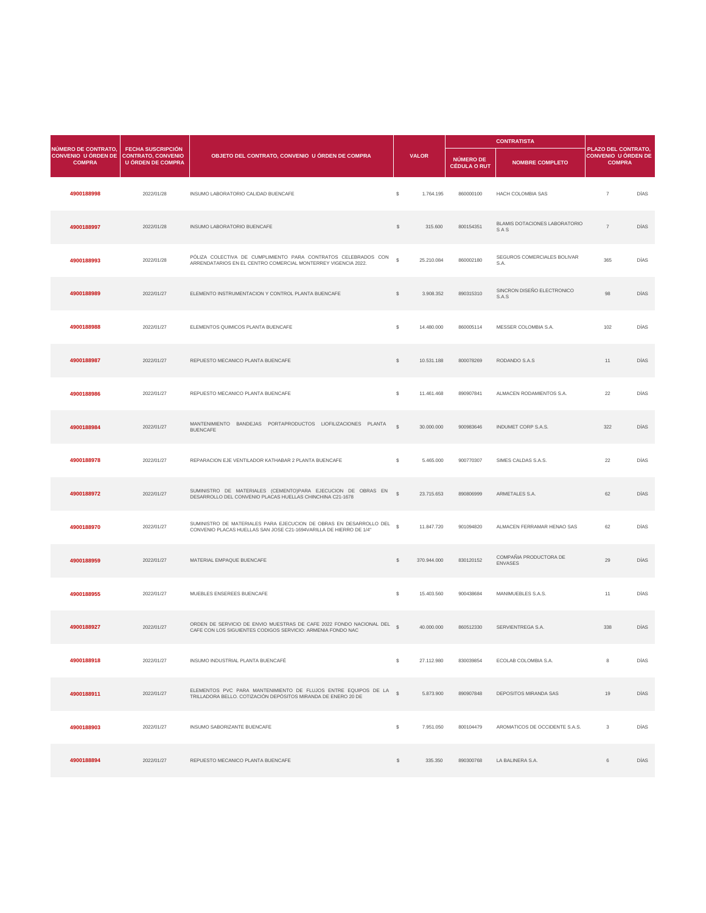| <b>NÚMERO DE CONTRATO.</b>                              | <b>FECHA SUSCRIPCIÓN</b> |                                                                                                                                 |               |              |                                  | <b>CONTRATISTA</b>                          | <b>PLAZO DEL CONTRATO,</b>                  |             |
|---------------------------------------------------------|--------------------------|---------------------------------------------------------------------------------------------------------------------------------|---------------|--------------|----------------------------------|---------------------------------------------|---------------------------------------------|-------------|
| CONVENIO U ÓRDEN DE CONTRATO, CONVENIO<br><b>COMPRA</b> | <b>U ÓRDEN DE COMPRA</b> | OBJETO DEL CONTRATO, CONVENIO U ÓRDEN DE COMPRA                                                                                 |               | <b>VALOR</b> | NÚMERO DE<br><b>CÉDULA O RUT</b> | <b>NOMBRE COMPLETO</b>                      | <b>CONVENIO U ÓRDEN DE</b><br><b>COMPRA</b> |             |
| 4900188998                                              | 2022/01/28               | INSUMO LABORATORIO CALIDAD BUENCAFE                                                                                             | $\mathcal{L}$ | 1.764.195    | 860000100                        | <b>HACH COLOMBIA SAS</b>                    | $\overline{7}$                              | DÍAS        |
| 4900188997                                              | 2022/01/28               | INSUMO LABORATORIO BUENCAFE                                                                                                     | $\mathcal{L}$ | 315.600      | 800154351                        | <b>BLAMIS DOTACIONES LABORATORIO</b><br>SAS | $\overline{7}$                              | <b>DÍAS</b> |
| 4900188993                                              | 2022/01/28               | PÓLIZA COLECTIVA DE CUMPLIMIENTO PARA CONTRATOS CELEBRADOS CON<br>ARRENDATARIOS EN EL CENTRO COMERCIAL MONTERREY VIGENCIA 2022. | $\mathbb{S}$  | 25.210.084   | 860002180                        | SEGUROS COMERCIALES BOLIVAR<br>S.A.         | 365                                         | DÍAS        |
| 4900188989                                              | 2022/01/27               | ELEMENTO INSTRUMENTACION Y CONTROL PLANTA BUENCAFE                                                                              | \$            | 3.908.352    | 890315310                        | SINCRON DISEÑO ELECTRONICO<br>S.A.S         | 98                                          | DÍAS        |
| 4900188988                                              | 2022/01/27               | ELEMENTOS QUIMICOS PLANTA BUENCAFE                                                                                              | \$            | 14.480.000   | 860005114                        | MESSER COLOMBIA S.A.                        | 102                                         | DÍAS        |
| 4900188987                                              | 2022/01/27               | REPUESTO MECANICO PLANTA BUENCAFE                                                                                               |               | 10.531.188   | 800078269                        | RODANDO S.A.S                               | 11                                          | <b>DÍAS</b> |
| 4900188986                                              | 2022/01/27               | REPUESTO MECANICO PLANTA BUENCAFE                                                                                               | $\mathcal{L}$ | 11.461.468   | 890907841                        | ALMACEN RODAMIENTOS S.A.                    | 22                                          | DÍAS        |
| 4900188984                                              | 2022/01/27               | MANTENIMIENTO BANDEJAS PORTAPRODUCTOS LIOFILIZACIONES PLANTA<br><b>BUENCAFE</b>                                                 | $\mathcal{L}$ | 30.000.000   | 900983646                        | <b>INDUMET CORP S.A.S.</b>                  | 322                                         | DÍAS        |

| 4900188978 | 2022/01/27 | REPARACION EJE VENTILADOR KATHABAR 2 PLANTA BUENCAFE                                                                                        | $\mathbb{S}$  | 5.465.000   | 900770307 | SIMES CALDAS S.A.S.                      | 22             | <b>DÍAS</b> |
|------------|------------|---------------------------------------------------------------------------------------------------------------------------------------------|---------------|-------------|-----------|------------------------------------------|----------------|-------------|
| 4900188972 | 2022/01/27 | SUMINISTRO DE MATERIALES (CEMENTO)PARA EJECUCION DE OBRAS EN \$<br>DESARROLLO DEL CONVENIO PLACAS HUELLAS CHINCHINA C21-1678                |               | 23.715.653  | 890806999 | ARMETALES S.A.                           | 62             | <b>DÍAS</b> |
| 4900188970 | 2022/01/27 | SUMINISTRO DE MATERIALES PARA EJECUCION DE OBRAS EN DESARROLLO DEL \$<br>CONVENIO PLACAS HUELLAS SAN JOSE C21-1694VARILLA DE HIERRO DE 1/4" |               | 11.847.720  | 901094820 | ALMACEN FERRAMAR HENAO SAS               | 62             | <b>DÍAS</b> |
| 4900188959 | 2022/01/27 | MATERIAL EMPAQUE BUENCAFE                                                                                                                   | $\mathcal{L}$ | 370.944.000 | 830120152 | COMPAÑIA PRODUCTORA DE<br><b>ENVASES</b> | 29             | <b>DÍAS</b> |
| 4900188955 | 2022/01/27 | MUEBLES ENSEREES BUENCAFE                                                                                                                   | $\mathbb{S}$  | 15.403.560  | 900438684 | MANIMUEBLES S.A.S.                       | 11             | DÍAS        |
| 4900188927 | 2022/01/27 | ORDEN DE SERVICIO DE ENVIO MUESTRAS DE CAFE 2022 FONDO NACIONAL DEL §<br>CAFE CON LOS SIGUIENTES CODIGOS SERVICIO: ARMENIA FONDO NAC        |               | 40.000.000  | 860512330 | SERVIENTREGA S.A.                        | 338            | <b>DÍAS</b> |
| 4900188918 | 2022/01/27 | INSUMO INDUSTRIAL PLANTA BUENCAFÉ                                                                                                           | \$            | 27.112.980  | 830039854 | ECOLAB COLOMBIA S.A.                     | 8              | <b>DÍAS</b> |
| 4900188911 | 2022/01/27 | ELEMENTOS PVC PARA MANTENIMIENTO DE FLUJOS ENTRE EQUIPOS DE LA 5<br>TRILLADORA BELLO. COTIZACIÓN DEPÓSITOS MIRANDA DE ENERO 20 DE           |               | 5.873.900   | 890907848 | <b>DEPOSITOS MIRANDA SAS</b>             | 19             | DÍAS        |
| 4900188903 | 2022/01/27 | <b>INSUMO SABORIZANTE BUENCAFE</b>                                                                                                          | $\mathbb{S}$  | 7.951.050   | 800104479 | AROMATICOS DE OCCIDENTE S.A.S.           | 3 <sup>1</sup> | DÍAS        |
| 4900188894 | 2022/01/27 | REPUESTO MECANICO PLANTA BUENCAFE                                                                                                           | <sup>\$</sup> | 335.350     | 890300768 | LA BALINERA S.A.                         |                | DÍAS        |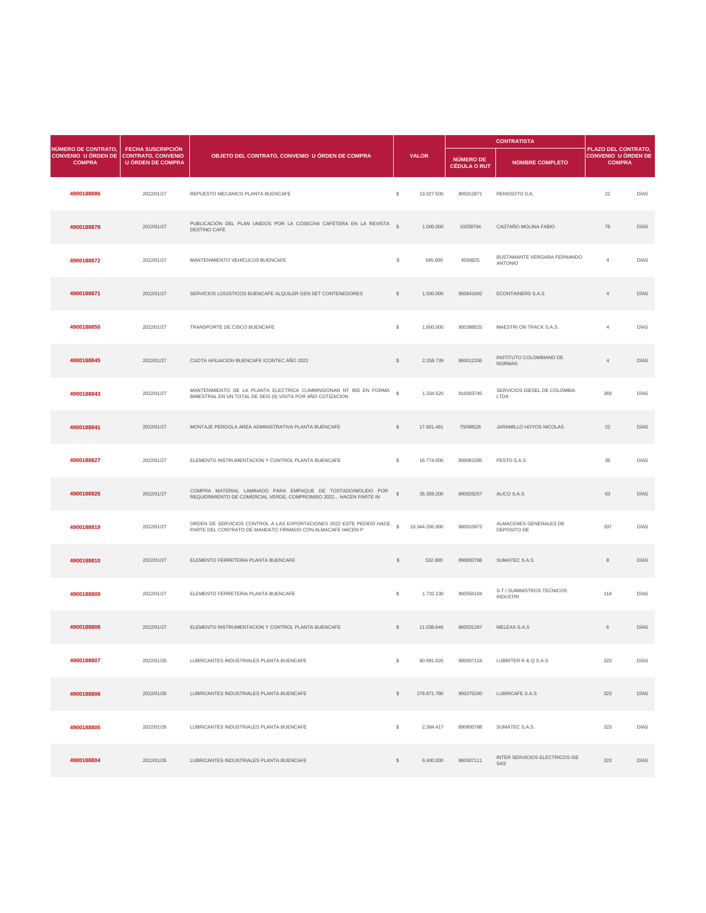|                                                                                       |                                                      |                                                                                                                                     |               |              | <b>CONTRATISTA</b>               |                                               |                                                                           |             |
|---------------------------------------------------------------------------------------|------------------------------------------------------|-------------------------------------------------------------------------------------------------------------------------------------|---------------|--------------|----------------------------------|-----------------------------------------------|---------------------------------------------------------------------------|-------------|
| <b>NÚMERO DE CONTRATO,</b><br>CONVENIO U ÓRDEN DE CONTRATO, CONVENIO<br><b>COMPRA</b> | <b>FECHA SUSCRIPCIÓN</b><br><b>U ÓRDEN DE COMPRA</b> | OBJETO DEL CONTRATO, CONVENIO U ÓRDEN DE COMPRA                                                                                     |               | <b>VALOR</b> | NÚMERO DE<br><b>CÉDULA O RUT</b> | <b>NOMBRE COMPLETO</b>                        | <b>PLAZO DEL CONTRATO,</b><br><b>CONVENIO U ÓRDEN DE</b><br><b>COMPRA</b> |             |
| 4900188886                                                                            | 2022/01/27                                           | REPUESTO MECANICO PLANTA BUENCAFE                                                                                                   | $\mathcal{L}$ | 13.027.500   | 805012871                        | RENSSOTO S.A.                                 | 22                                                                        | DÍAS        |
| 4900188878                                                                            | 2022/01/27                                           | PUBLICACIÓN DEL PLAN UNIDOS POR LA COSECHA CAFETERA EN LA REVISTA §<br>DESTINO CAFÉ                                                 |               | 1.000.000    | 10258794                         | CASTAÑO MOLINA FABIO                          | 76                                                                        | DÍAS        |
| 4900188872                                                                            | 2022/01/27                                           | MANTENIMIENTO VEHICULOS BUENCAFE                                                                                                    | \$            | 545.000      | 4550825                          | BUSTAMANTE VERGARA FERNANDO<br><b>ANTONIO</b> |                                                                           | DÍAS        |
| 4900188871                                                                            | 2022/01/27                                           | SERVICIOS LOGISTICOS BUENCAFE ALQUILER GEN SET CONTENEDORES                                                                         | $\frac{1}{2}$ | 1.500.000    | 900641692                        | <b>ECONTAINERS S.A.S</b>                      |                                                                           | <b>DÍAS</b> |
| 4900188850                                                                            | 2022/01/27                                           | TRANSPORTE DE CISCO BUENCAFE                                                                                                        | $\mathcal{L}$ | 1.600.000    | 900388525                        | MAESTRI ON TRACK S.A.S.                       |                                                                           | DÍAS        |
| 4900188845                                                                            | 2022/01/27                                           | CUOTA AFILIACION BUENCAFE ICONTEC AÑO 2022                                                                                          | $\mathbb{S}$  | 2.258.739    | 860012336                        | INSTITUTO COLOMBIANO DE<br><b>NORMAS</b>      |                                                                           | <b>DÍAS</b> |
| 4900188843                                                                            | 2022/01/27                                           | MANTENIMIENTO DE LA PLANTA ELECTRICA CUMMINS/ONAN NT 855 EN FORMA \$<br>BIMESTRAL EN UN TOTAL DE SEIS (6) VISITA POR AÑO COTIZACION |               | 1.334.520    | 816003745                        | SERVICIOS DIESEL DE COLOMBIA<br><b>LTDA</b>   | 369                                                                       | DÍAS        |
| 4900188841                                                                            | 2022/01/27                                           | MONTAJE PERGOLA AREA ADMINISTRATIVA PLANTA BUENCAFE                                                                                 | $\mathcal{S}$ | 17.601.481   | 75098526                         | JARAMILLO HOYOS NICOLAS                       | 22                                                                        | DÍAS        |

| 4900188827 | 2022/01/27 | ELEMENTO INSTRUMENTACION Y CONTROL PLANTA BUENCAFE                                                                                 | $\mathcal{L}$ | 16.774.000     | 800061585 | <b>FESTO S.A.S</b>                            | 36  | <b>DÍAS</b> |
|------------|------------|------------------------------------------------------------------------------------------------------------------------------------|---------------|----------------|-----------|-----------------------------------------------|-----|-------------|
| 4900188826 | 2022/01/27 | COMPRA MATERIAL LAMINADO PARA EMPAQUE DE TOSTADO/MOLIDO POR<br>REQUERIMIENTO DE COMERCIAL VERDE; COMPROMISO 2022 HACEN PARTE IN    | $\mathbb{S}$  | 26.359.200     | 890928257 | ALICO S.A.S                                   | 63  | <b>DÍAS</b> |
| 4900188819 | 2022/01/27 | ORDEN DE SERVICIOS CONTROL A LAS EXPORTACIONES 2022 ESTE PEDIDO HACE<br>PARTE DEL CONTRATO DE MANDATO FIRMADO CON ALMACAFE HACEN P | $\mathbb{S}$  | 10.344.206.000 | 860010973 | ALMACENES GENERALES DE<br>DEPOSITO DE         | 337 | DÍAS        |
| 4900188810 | 2022/01/27 | ELEMENTO FERRETERIA PLANTA BUENCAFE                                                                                                | $\mathcal{L}$ | 532.800        | 890800788 | SUMATEC S.A.S.                                | 8   | <b>DÍAS</b> |
| 4900188809 | 2022/01/27 | ELEMENTO FERRETERIA PLANTA BUENCAFE                                                                                                | $\mathcal{L}$ | 1.732.230      | 900556104 | S.T.I SUMINISTROS TECNICOS<br><b>INDUSTRI</b> | 118 | DÍAS        |
| 4900188808 | 2022/01/27 | ELEMENTO INSTRUMENTACION Y CONTROL PLANTA BUENCAFE                                                                                 | $\mathcal{L}$ | 11.038.646     | 860531287 | MELEXA S.A.S                                  | 6   | <b>DÍAS</b> |
| 4900188807 | 2022/01/26 | LUBRICANTES INDUSTRIALES PLANTA BUENCAFE                                                                                           | \$            | 80.691.020     | 900007124 | LUBRITER R & Q S.A.S                          | 323 | <b>DÍAS</b> |
| 4900188806 | 2022/01/26 | LUBRICANTES INDUSTRIALES PLANTA BUENCAFE                                                                                           | $\mathbb{S}$  | 279.871.780    | 900275200 | LUBRICAFE S.A.S                               | 323 | <b>DÍAS</b> |
| 4900188805 | 2022/01/26 | LUBRICANTES INDUSTRIALES PLANTA BUENCAFE                                                                                           | $\mathcal{L}$ | 2.384.417      | 890800788 | SUMATEC S.A.S.                                | 323 | <b>DÍAS</b> |
| 4900188804 | 2022/01/26 | LUBRICANTES INDUSTRIALES PLANTA BUENCAFE                                                                                           | $\mathcal{L}$ | 6.400.000      | 860507111 | <b>INTER SERVICIOS ELECTRICOS ISE</b><br>SAS  | 323 | <b>DÍAS</b> |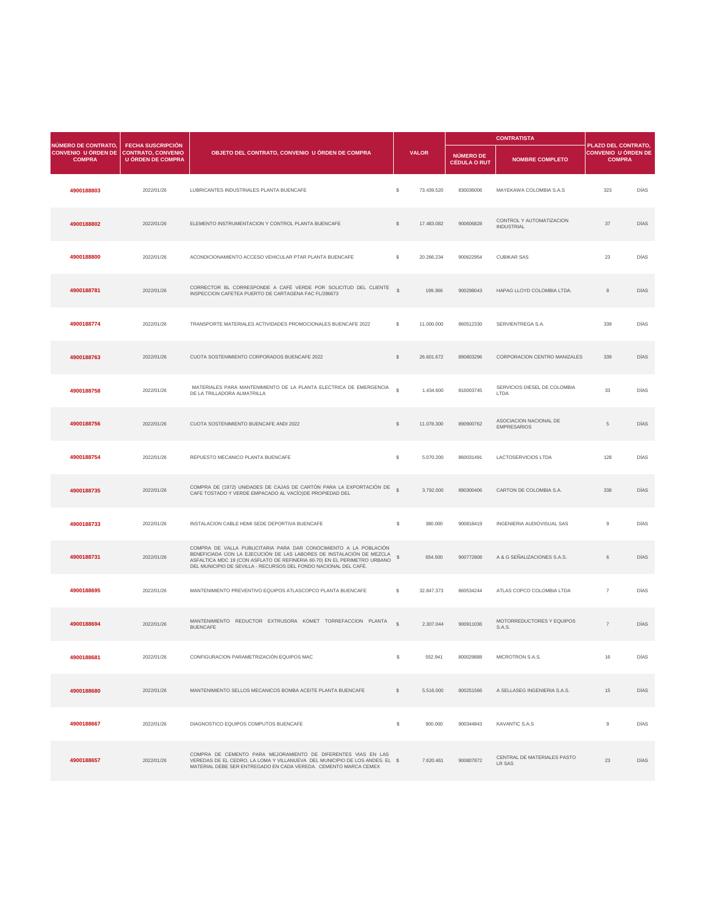|                                                                    |                                                                                   |                                                                                                                         |               |              |                                  | <b>CONTRATISTA</b>                            |                                                                    |             |
|--------------------------------------------------------------------|-----------------------------------------------------------------------------------|-------------------------------------------------------------------------------------------------------------------------|---------------|--------------|----------------------------------|-----------------------------------------------|--------------------------------------------------------------------|-------------|
| NÚMERO DE CONTRATO,<br><b>CONVENIO U ÓRDEN DE</b><br><b>COMPRA</b> | <b>FECHA SUSCRIPCIÓN</b><br><b>CONTRATO, CONVENIO</b><br><b>U ÓRDEN DE COMPRA</b> | OBJETO DEL CONTRATO, CONVENIO U ÓRDEN DE COMPRA                                                                         |               | <b>VALOR</b> | NÚMERO DE<br><b>CÉDULA O RUT</b> | <b>NOMBRE COMPLETO</b>                        | PLAZO DEL CONTRATO,<br><b>CONVENIO U ÓRDEN DE</b><br><b>COMPRA</b> |             |
| 4900188803                                                         | 2022/01/26                                                                        | LUBRICANTES INDUSTRIALES PLANTA BUENCAFE                                                                                | \$            | 73.439.520   | 830036006                        | MAYEKAWA COLOMBIA S.A.S                       | 323                                                                | <b>DÍAS</b> |
| 4900188802                                                         | 2022/01/26                                                                        | ELEMENTO INSTRUMENTACION Y CONTROL PLANTA BUENCAFE                                                                      | $\mathbb{S}$  | 17.483.082   | 900606828                        | CONTROL Y AUTOMATIZACION<br><b>INDUSTRIAL</b> | 37                                                                 | <b>DÍAS</b> |
| 4900188800                                                         | 2022/01/26                                                                        | ACONDICIONAMIENTO ACCESO VEHICULAR PTAR PLANTA BUENCAFE                                                                 | $\mathcal{L}$ | 20.266.234   | 900622954                        | <b>CUBIKAR SAS</b>                            | 23                                                                 | <b>DÍAS</b> |
| 4900188781                                                         | 2022/01/26                                                                        | CORRECTOR BL CORRESPONDE A CAFÉ VERDE POR SOLICITUD DEL CLIENTE<br>INSPECCION CAFETEA PUERTO DE CARTAGENA FAC FL/286673 | $\mathbb{S}$  | 199.366      | 900298043                        | HAPAG LLOYD COLOMBIA LTDA.                    | 8                                                                  | <b>DÍAS</b> |
| 4900188774                                                         | 2022/01/26                                                                        | TRANSPORTE MATERIALES ACTIVIDADES PROMOCIONALES BUENCAFE 2022                                                           | \$            | 11.000.000   | 860512330                        | SERVIENTREGA S.A.                             | 339                                                                | <b>DÍAS</b> |
| 4900188763                                                         | 2022/01/26                                                                        | CUOTA SOSTENIMIENTO CORPORADOS BUENCAFE 2022                                                                            |               | 26.601.672   | 890803296                        | <b>CORPORACION CENTRO MANIZALES</b>           | 339                                                                | <b>DÍAS</b> |
| 4900188758                                                         | 2022/01/26                                                                        | MATERIALES PARA MANTENIMIENTO DE LA PLANTA ELECTRICA DE EMERGENCIA<br>DE LA TRILLADORA ALMATRILLA                       | $\mathbb{S}$  | 1.434.600    | 816003745                        | SERVICIOS DIESEL DE COLOMBIA<br><b>LTDA</b>   | 33                                                                 | <b>DÍAS</b> |
| 4900188756                                                         | 2022/01/26                                                                        | CUOTA SOSTENIMIENTO BUENCAFE ANDI 2022                                                                                  | $\mathbb{S}$  | 11.078.300   | 890900762                        | ASOCIACION NACIONAL DE<br><b>EMPRESARIOS</b>  | -5                                                                 | <b>DÍAS</b> |

| 4900188754 | 2022/01/26 | REPUESTO MECANICO PLANTA BUENCAFE                                                                                                                                                                                                                                                         | \$            | 5.070.200  | 860031491 | <b>LACTOSERVICIOS LTDA</b>                 | 128            | <b>DÍAS</b> |
|------------|------------|-------------------------------------------------------------------------------------------------------------------------------------------------------------------------------------------------------------------------------------------------------------------------------------------|---------------|------------|-----------|--------------------------------------------|----------------|-------------|
| 4900188735 | 2022/01/26 | COMPRA DE (1972) UNIDADES DE CAJAS DE CARTÓN PARA LA EXPORTACIÓN DE \$                                                                                                                                                                                                                    |               | 3.792.000  | 890300406 | CARTON DE COLOMBIA S.A.                    | 338            | <b>DÍAS</b> |
| 4900188733 | 2022/01/26 | INSTALACION CABLE HDMI SEDE DEPORTIVA BUENCAFE                                                                                                                                                                                                                                            | $\mathbb{S}$  | 380.000    | 900818419 | <b>INGENIERIA AUDIOVISUAL SAS</b>          | 9              | <b>DÍAS</b> |
| 4900188731 | 2022/01/26 | COMPRA DE VALLA PUBLICITARIA PARA DAR CONOCIMIENTO A LA POBLACIÓN<br>BENEFICIADA CON LA EJECUCIÓN DE LAS LABORES DE INSTALACIÓN DE MEZCLA<br>ASFALTICA MDC 19 (CON ASFLATO DE REFINERIA 60-70) EN EL PERIMETRO URBANO<br>DEL MUNICIPIO DE SEVILLA - RECURSOS DEL FONDO NACIONAL DEL CAFÉ. | $\frac{1}{2}$ | 654.500    | 900772808 | A & G SEÑALIZACIONES S.A.S.                | 6              | <b>DÍAS</b> |
| 4900188695 | 2022/01/26 | MANTENIMIENTO PREVENTIVO EQUIPOS ATLASCOPCO PLANTA BUENCAFE                                                                                                                                                                                                                               | $\mathbb{S}$  | 32.847.373 | 860534244 | ATLAS COPCO COLOMBIA LTDA                  | $\overline{7}$ | <b>DÍAS</b> |
| 4900188694 | 2022/01/26 | MANTENIMIENTO REDUCTOR EXTRUSORA KOMET TORREFACCION PLANTA<br><b>BUENCAFE</b>                                                                                                                                                                                                             | $\mathcal{L}$ | 2.307.044  | 900911036 | MOTORREDUCTORES Y EQUIPOS<br><b>S.A.S.</b> | $\overline{7}$ | <b>DÍAS</b> |
| 4900188681 | 2022/01/26 | CONFIGURACION PARAMETRIZACIÓN EQUIPOS MAC                                                                                                                                                                                                                                                 | \$.           | 552.941    | 800029888 | <b>MICROTRON S.A.S.</b>                    | 16             | <b>DÍAS</b> |
| 4900188680 | 2022/01/26 | MANTENIMIENTO SELLOS MECANICOS BOMBA ACEITE PLANTA BUENCAFE                                                                                                                                                                                                                               | $\mathcal{L}$ | 5.516.000  | 800251566 | A SELLASEG INGENIERIA S.A.S.               | 15             | <b>DÍAS</b> |
| 4900188667 | 2022/01/26 | DIAGNOSTICO EQUIPOS COMPUTOS BUENCAFE                                                                                                                                                                                                                                                     | $\mathbb{S}$  | 900.000    | 900344843 | KAVANTIC S.A.S                             | 9              | DÍAS        |
| 4900188657 | 2022/01/26 | COMPRA DE CEMENTO PARA MEJORAMIENTO DE DIFERENTES VIAS EN LAS<br>VEREDAS DE EL CEDRO, LA LOMA Y VILLANUEVA DEL MUNICIPIO DE LOS ANDES. EL \$<br>MATERIAL DEBE SER ENTREGADO EN CADA VEREDA. CEMENTO MARCA CEMEX                                                                           |               | 7.620.461  | 900807872 | CENTRAL DE MATERIALES PASTO<br>LR SAS      | 23             | <b>DÍAS</b> |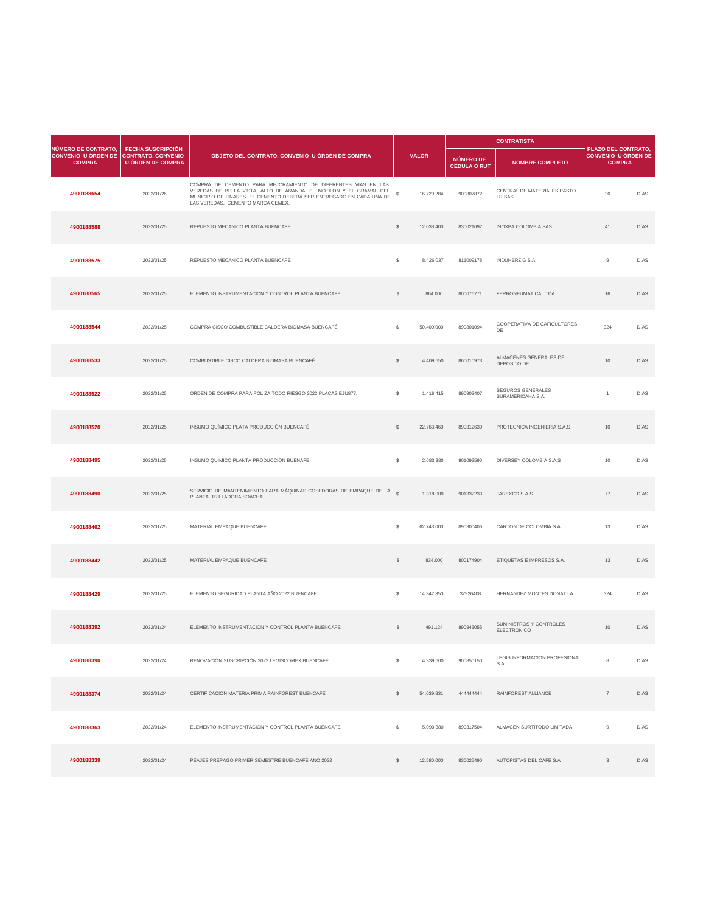| NÚMERO DE CONTRATO,<br>CONVENIO U ÓRDEN DE CONTRATO, CONVENIO |                                                      |                                                                                                                                                                                                                                                  |               |              |                                  | <b>CONTRATISTA</b>                            |                                                                    |             |
|---------------------------------------------------------------|------------------------------------------------------|--------------------------------------------------------------------------------------------------------------------------------------------------------------------------------------------------------------------------------------------------|---------------|--------------|----------------------------------|-----------------------------------------------|--------------------------------------------------------------------|-------------|
| <b>COMPRA</b>                                                 | <b>FECHA SUSCRIPCIÓN</b><br><b>U ÓRDEN DE COMPRA</b> | OBJETO DEL CONTRATO, CONVENIO U ÓRDEN DE COMPRA                                                                                                                                                                                                  |               | <b>VALOR</b> | NÚMERO DE<br><b>CÉDULA O RUT</b> | <b>NOMBRE COMPLETO</b>                        | PLAZO DEL CONTRATO,<br><b>CONVENIO U ÓRDEN DE</b><br><b>COMPRA</b> |             |
| 4900188654                                                    | 2022/01/26                                           | COMPRA DE CEMENTO PARA MEJORAMIENTO DE DIFERENTES VIAS EN LAS<br>VEREDAS DE BELLA VISTA, ALTO DE ARANDA, EL MOTILON Y EL GRAMAL DEL<br>MUNICIPIO DE LINARES. EL CEMENTO DEBERÁ SER ENTREGADO EN CADA UNA DE<br>LAS VEREDAS. CEMENTO MARCA CEMEX. |               | 16.729.284   | 900807872                        | CENTRAL DE MATERIALES PASTO<br><b>LR SAS</b>  | 20                                                                 | <b>DÍAS</b> |
| 4900188588                                                    | 2022/01/25                                           | REPUESTO MECANICO PLANTA BUENCAFE                                                                                                                                                                                                                | $\mathbb{S}$  | 12.038.400   | 830021692                        | <b>INOXPA COLOMBIA SAS</b>                    | 41                                                                 | <b>DÍAS</b> |
| 4900188575                                                    | 2022/01/25                                           | REPUESTO MECANICO PLANTA BUENCAFE                                                                                                                                                                                                                | $\mathbb{S}$  | 8.426.037    | 811009178                        | <b>INDUHERZIG S.A.</b>                        | 9                                                                  | <b>DÍAS</b> |
| 4900188565                                                    | 2022/01/25                                           | ELEMENTO INSTRUMENTACION Y CONTROL PLANTA BUENCAFE                                                                                                                                                                                               | <sup>S</sup>  | 864.000      | 800076771                        | FERRONEUMATICA LTDA                           | 16                                                                 | <b>DÍAS</b> |
| 4900188544                                                    | 2022/01/25                                           | COMPRA CISCO COMBUSTIBLE CALDERA BIOMASA BUENCAFÉ                                                                                                                                                                                                | $\mathcal{L}$ | 50.400.000   | 890801094                        | COOPERATIVA DE CAFICULTORES<br>DE             | 324                                                                | <b>DÍAS</b> |
| 4900188533                                                    | 2022/01/25                                           | COMBUSTIBLE CISCO CALDERA BIOMASA BUENCAFÉ                                                                                                                                                                                                       | \$            | 4.409.650    | 860010973                        | ALMACENES GENERALES DE<br>DEPOSITO DE         | 10                                                                 | <b>DÍAS</b> |
| 4900188522                                                    | 2022/01/25                                           | ORDEN DE COMPRA PARA POLIZA TODO RIESGO 2022 PLACAS EJU877.                                                                                                                                                                                      | \$            | 1.416.415    | 890903407                        | <b>SEGUROS GENERALES</b><br>SURAMERICANA S.A. |                                                                    | <b>DÍAS</b> |
| 4900188520                                                    | 2022/01/25                                           | INSUMO QUÍMICO PLATA PRODUCCIÓN BUENCAFÉ                                                                                                                                                                                                         | <sup>S</sup>  | 22.763.460   | 890312630                        | PROTECNICA INGENIERIA S.A.S                   | 10                                                                 | <b>DÍAS</b> |

| 4900188495 | 2022/01/25 | INSUMO QUÍMICO PLANTA PRODUCCIÓN BUENAFE                                                          | $$\mathbb{S}$$ | 2.683.380  | 901093590 | <b>DIVERSEY COLOMBIA S.A.S</b>                | 10 <sup>°</sup> | DÍAS        |
|------------|------------|---------------------------------------------------------------------------------------------------|----------------|------------|-----------|-----------------------------------------------|-----------------|-------------|
| 4900188490 | 2022/01/25 | SERVICIO DE MANTENIMIENTO PARA MÁQUINAS COSEDORAS DE EMPAQUE DE LA S<br>PLANTA TRILLADORA SOACHA. |                | 1.318.000  | 901332233 | JAREXCO S.A.S                                 | 77              | <b>DÍAS</b> |
| 4900188462 | 2022/01/25 | MATERIAL EMPAQUE BUENCAFE                                                                         | $\mathbb{S}$   | 62.743.000 | 890300406 | CARTON DE COLOMBIA S.A.                       | 13              | <b>DÍAS</b> |
| 4900188442 | 2022/01/25 | MATERIAL EMPAQUE BUENCAFE                                                                         | $\frac{1}{2}$  | 834.000    | 800174904 | ETIQUETAS E IMPRESOS S.A.                     | 13              | DÍAS        |
| 4900188429 | 2022/01/25 | ELEMENTO SEGURIDAD PLANTA AÑO 2022 BUENCAFE                                                       | $$\mathbb{S}$$ | 14.342.350 | 37926408  | HERNANDEZ MONTES DONATILA                     | 324             | DÍAS        |
| 4900188392 | 2022/01/24 | ELEMENTO INSTRUMENTACION Y CONTROL PLANTA BUENCAFE                                                | $\mathcal{L}$  | 491.124    | 890943055 | SUMINISTROS Y CONTROLES<br><b>ELECTRONICO</b> | 10              | <b>DÍAS</b> |
| 4900188390 | 2022/01/24 | RENOVACIÓN SUSCRIPCIÓN 2022 LEGISCOMEX BUENCAFÉ                                                   | \$             | 4.339.600  | 900850150 | LEGIS INFORMACION PROFESIONAL<br><b>SA</b>    | 8               | <b>DÍAS</b> |
| 4900188374 | 2022/01/24 | CERTIFICACION MATERIA PRIMA RAINFOREST BUENCAFE                                                   | $\mathbb{S}$   | 54.039.831 | 444444444 | RAINFOREST ALLIANCE                           | $\overline{7}$  | <b>DÍAS</b> |
| 4900188363 | 2022/01/24 | ELEMENTO INSTRUMENTACION Y CONTROL PLANTA BUENCAFE                                                | $$\mathbb{S}$$ | 5.090.380  | 890317504 | ALMACEN SURTITODO LIMITADA                    | 9               | DÍAS        |
| 4900188339 | 2022/01/24 | PEAJES PREPAGO PRIMER SEMESTRE BUENCAFE AÑO 2022                                                  | $\mathbb{S}$   | 12.580.000 | 830025490 | AUTOPISTAS DEL CAFE S.A                       | $\mathcal{S}$   | <b>DÍAS</b> |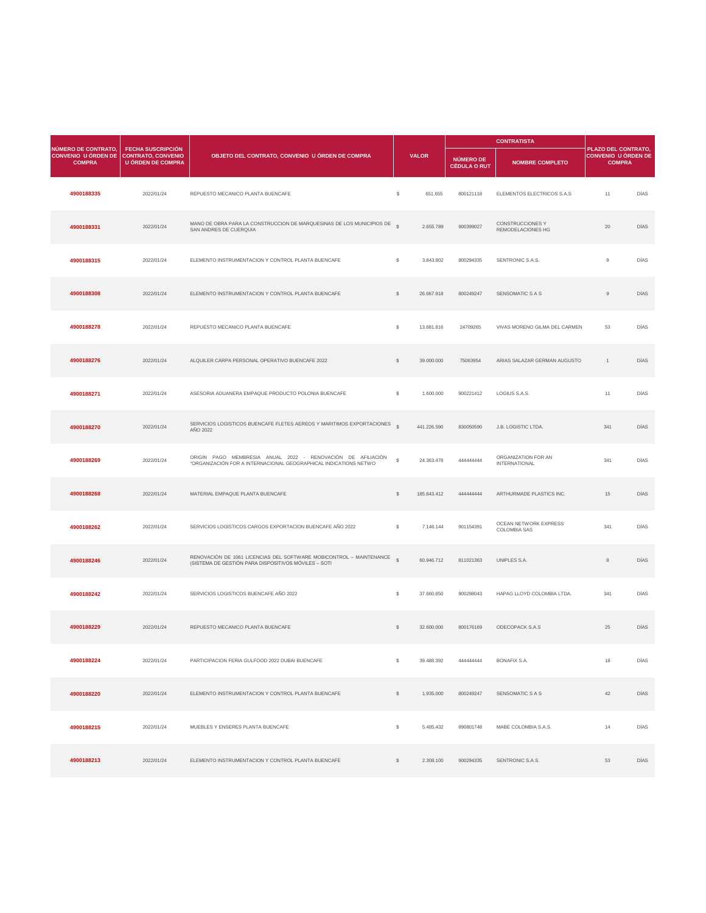|                                                                                       |                                                      |                                                                                                 |               |              |                                         | <b>CONTRATISTA</b>                                  |                                                                    |             |
|---------------------------------------------------------------------------------------|------------------------------------------------------|-------------------------------------------------------------------------------------------------|---------------|--------------|-----------------------------------------|-----------------------------------------------------|--------------------------------------------------------------------|-------------|
| <b>NÚMERO DE CONTRATO,</b><br>CONVENIO U ÓRDEN DE CONTRATO, CONVENIO<br><b>COMPRA</b> | <b>FECHA SUSCRIPCIÓN</b><br><b>U ÓRDEN DE COMPRA</b> | OBJETO DEL CONTRATO, CONVENIO U ÓRDEN DE COMPRA                                                 |               | <b>VALOR</b> | <b>NÚMERO DE</b><br><b>CÉDULA O RUT</b> | <b>NOMBRE COMPLETO</b>                              | <b>PLAZO DEL CONTRATO,</b><br>CONVENIO U ÓRDEN DE<br><b>COMPRA</b> |             |
| 4900188335                                                                            | 2022/01/24                                           | REPUESTO MECANICO PLANTA BUENCAFE                                                               | $\mathcal{L}$ | 651.655      | 800121118                               | ELEMENTOS ELECTRICOS S.A.S                          | 11                                                                 | <b>DÍAS</b> |
| 4900188331                                                                            | 2022/01/24                                           | MANO DE OBRA PARA LA CONSTRUCCION DE MARQUESINAS DE LOS MUNICIPIOS DE<br>SAN ANDRES DE CUERQUIA | $\mathbb{S}$  | 2.655.789    | 900399027                               | <b>CONSTRUCCIONES Y</b><br><b>REMODELACIONES HG</b> | 20                                                                 | <b>DÍAS</b> |
| 4900188315                                                                            | 2022/01/24                                           | ELEMENTO INSTRUMENTACION Y CONTROL PLANTA BUENCAFE                                              | $\mathcal{L}$ | 3.843.802    | 900294335                               | SENTRONIC S.A.S.                                    | 9                                                                  | <b>DÍAS</b> |
| 4900188308                                                                            | 2022/01/24                                           | ELEMENTO INSTRUMENTACION Y CONTROL PLANTA BUENCAFE                                              | $\mathbb{S}$  | 26.667.918   | 800249247                               | <b>SENSOMATIC S A S</b>                             | 9                                                                  | <b>DÍAS</b> |
| 4900188278                                                                            | 2022/01/24                                           | REPUESTO MECANICO PLANTA BUENCAFE                                                               | $\mathbb{S}$  | 13.681.816   | 24709265                                | VIVAS MORENO GILMA DEL CARMEN                       | 53                                                                 | <b>DÍAS</b> |
| 4900188276                                                                            | 2022/01/24                                           | ALQUILER CARPA PERSONAL OPERATIVO BUENCAFE 2022                                                 |               | 39.000.000   | 75063954                                | ARIAS SALAZAR GERMAN AUGUSTO                        |                                                                    | <b>DÍAS</b> |
| 4900188271                                                                            | 2022/01/24                                           | ASESORIA ADUANERA EMPAQUE PRODUCTO POLONIA BUENCAFE                                             | \$            | 1.600.000    | 900221412                               | LOGIUS S.A.S.                                       | 11                                                                 | DÍAS        |
| 4900188270                                                                            | 2022/01/24                                           | SERVICIOS LOGISTICOS BUENCAFE FLETES AEREOS Y MARITIMOS EXPORTACIONES<br>AÑO 2022               | $\mathbb{S}$  | 441.226.590  | 830050590                               | J.B. LOGISTIC LTDA.                                 | 341                                                                | DÍAS        |

| 4900188269 | 2022/01/24 | ORIGIN PAGO MEMBRESIA ANUAL 2022 - RENOVACIÓN DE AFILIACIÓN<br>"ORGANIZACIÓN FOR A INTERNACIONAL GEOGRAPHICAL INDICATIONS NETWO | $\mathcal{L}$ | 24.363.478  | 44444444  | ORGANIZATION FOR AN<br><b>INTERNATIONAL</b>  | 341 | <b>DÍAS</b> |
|------------|------------|---------------------------------------------------------------------------------------------------------------------------------|---------------|-------------|-----------|----------------------------------------------|-----|-------------|
| 4900188268 | 2022/01/24 | MATERIAL EMPAQUE PLANTA BUENCAFE                                                                                                | $\mathcal{L}$ | 185.643.412 | 44444444  | ARTHURMADE PLASTICS INC.                     | 15  | <b>DÍAS</b> |
| 4900188262 | 2022/01/24 | SERVICIOS LOGISTICOS CARGOS EXPORTACION BUENCAFE AÑO 2022                                                                       | $\mathcal{L}$ | 7.146.144   | 901154391 | OCEAN NETWORK EXPRESS<br><b>COLOMBIA SAS</b> | 341 | DÍAS        |
| 4900188246 | 2022/01/24 | RENOVACIÓN DE 1061 LICENCIAS DEL SOFTWARE MOBICONTROL - MAINTENANCE<br>(SISTEMA DE GESTIÓN PARA DISPOSITIVOS MÓVILES - SOTI     | $\mathcal{S}$ | 60.946.712  | 811021363 | UNIPLES S.A.                                 | 8   | <b>DÍAS</b> |
| 4900188242 | 2022/01/24 | SERVICIOS LOGISTICOS BUENCAFE AÑO 2022                                                                                          | $\mathcal{L}$ | 37.660.850  | 900298043 | HAPAG LLOYD COLOMBIA LTDA.                   | 341 | DÍAS        |
| 4900188229 | 2022/01/24 | REPUESTO MECANICO PLANTA BUENCAFE                                                                                               | $\mathcal{L}$ | 32.600.000  | 800176169 | <b>ODECOPACK S.A.S</b>                       | 25  | <b>DÍAS</b> |
| 4900188224 | 2022/01/24 | PARTICIPACION FERIA GULFOOD 2022 DUBAI BUENCAFE                                                                                 | $\mathbb{S}$  | 39.488.392  | 44444444  | <b>BONAFIX S.A.</b>                          | 18  | <b>DÍAS</b> |
| 4900188220 | 2022/01/24 | ELEMENTO INSTRUMENTACION Y CONTROL PLANTA BUENCAFE                                                                              | $\mathcal{L}$ | 1.935.000   | 800249247 | SENSOMATIC S A S                             | 42  | <b>DÍAS</b> |
| 4900188215 | 2022/01/24 | MUEBLES Y ENSERES PLANTA BUENCAFE                                                                                               | $\mathbb{S}$  | 5.485.432   | 890801748 | MABE COLOMBIA S.A.S.                         | 14  | DÍAS        |
| 4900188213 | 2022/01/24 | ELEMENTO INSTRUMENTACION Y CONTROL PLANTA BUENCAFE                                                                              | $\mathbb{S}$  | 2.308.100   | 900294335 | SENTRONIC S.A.S.                             | 53  | <b>DÍAS</b> |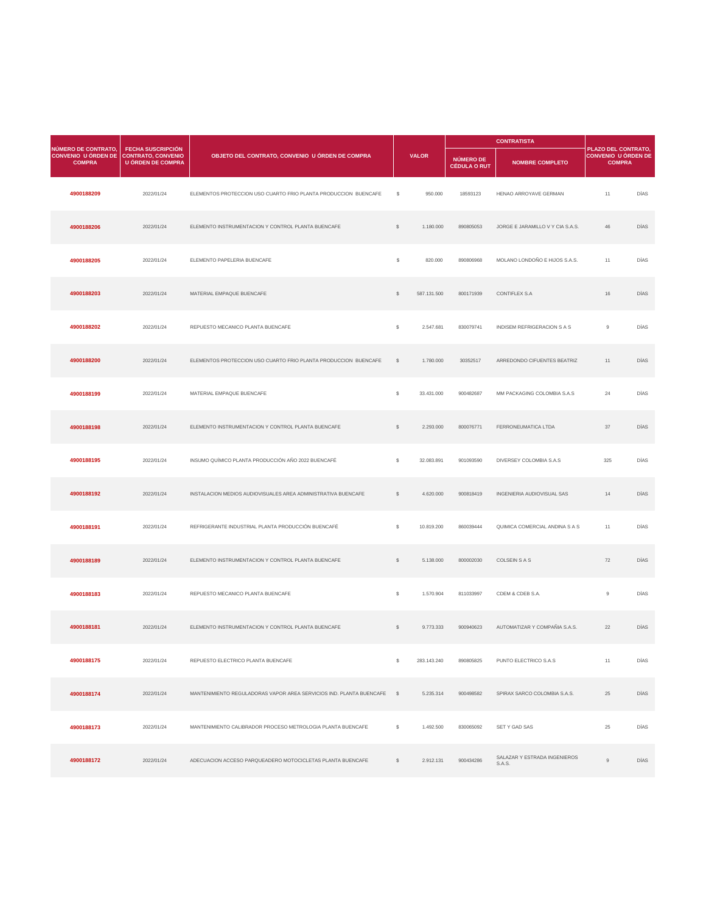|                                                                                |                                                      |                                                                 |               |              | <b>CONTRATISTA</b>               |                                    |                                                                           |             |
|--------------------------------------------------------------------------------|------------------------------------------------------|-----------------------------------------------------------------|---------------|--------------|----------------------------------|------------------------------------|---------------------------------------------------------------------------|-------------|
| NÚMERO DE CONTRATO,<br>CONVENIO U ÓRDEN DE CONTRATO, CONVENIO<br><b>COMPRA</b> | <b>FECHA SUSCRIPCIÓN</b><br><b>U ÓRDEN DE COMPRA</b> | OBJETO DEL CONTRATO, CONVENIO U ÓRDEN DE COMPRA                 |               | <b>VALOR</b> | NÚMERO DE<br><b>CÉDULA O RUT</b> | <b>NOMBRE COMPLETO</b>             | <b>PLAZO DEL CONTRATO,</b><br><b>CONVENIO U ÓRDEN DE</b><br><b>COMPRA</b> |             |
| 4900188209                                                                     | 2022/01/24                                           | ELEMENTOS PROTECCION USO CUARTO FRIO PLANTA PRODUCCION BUENCAFE | $\mathbb{S}$  | 950.000      | 18593123                         | HENAO ARROYAVE GERMAN              | 11                                                                        | <b>DÍAS</b> |
| 4900188206                                                                     | 2022/01/24                                           | ELEMENTO INSTRUMENTACION Y CONTROL PLANTA BUENCAFE              |               | 1.180.000    | 890805053                        | JORGE E JARAMILLO V Y CIA S.A.S.   | 46                                                                        | <b>DÍAS</b> |
| 4900188205                                                                     | 2022/01/24                                           | ELEMENTO PAPELERIA BUENCAFE                                     | $\mathcal{L}$ | 820.000      | 890806968                        | MOLANO LONDOÑO E HIJOS S.A.S.      | 11                                                                        | DÍAS        |
| 4900188203                                                                     | 2022/01/24                                           | MATERIAL EMPAQUE BUENCAFE                                       | $\mathcal{L}$ | 587.131.500  | 800171939                        | <b>CONTIFLEX S.A</b>               | 16                                                                        | DÍAS        |
| 4900188202                                                                     | 2022/01/24                                           | REPUESTO MECANICO PLANTA BUENCAFE                               | \$            | 2.547.681    | 830079741                        | <b>INDISEM REFRIGERACION S A S</b> | 9                                                                         | DÍAS        |
| 4900188200                                                                     | 2022/01/24                                           | ELEMENTOS PROTECCION USO CUARTO FRIO PLANTA PRODUCCION BUENCAFE | -SS           | 1.780.000    | 30352517                         | ARREDONDO CIFUENTES BEATRIZ        | 11                                                                        | <b>DÍAS</b> |
| 4900188199                                                                     | 2022/01/24                                           | MATERIAL EMPAQUE BUENCAFE                                       | $\mathcal{L}$ | 33.431.000   | 900482687                        | MM PACKAGING COLOMBIA S.A.S        | 24                                                                        | DÍAS        |
| 4900188198                                                                     | 2022/01/24                                           | ELEMENTO INSTRUMENTACION Y CONTROL PLANTA BUENCAFE              | $\frac{1}{2}$ | 2.293.000    | 800076771                        | FERRONEUMATICA LTDA                | 37                                                                        | DÍAS        |

| 4900188195 | 2022/01/24 | INSUMO QUÍMICO PLANTA PRODUCCIÓN AÑO 2022 BUENCAFÉ                     | $\mathbb{S}$   | 32.083.891  | 901093590 | <b>DIVERSEY COLOMBIA S.A.S</b>         | 325 | DÍAS        |
|------------|------------|------------------------------------------------------------------------|----------------|-------------|-----------|----------------------------------------|-----|-------------|
| 4900188192 | 2022/01/24 | INSTALACION MEDIOS AUDIOVISUALES AREA ADMINISTRATIVA BUENCAFE          | $\frac{1}{2}$  | 4.620.000   | 900818419 | INGENIERIA AUDIOVISUAL SAS             | 14  | <b>DÍAS</b> |
| 4900188191 | 2022/01/24 | REFRIGERANTE INDUSTRIAL PLANTA PRODUCCIÓN BUENCAFÉ                     | $\mathbb{S}$   | 10.819.200  | 860039444 | QUIMICA COMERCIAL ANDINA S A S         | 11  | DÍAS        |
| 4900188189 | 2022/01/24 | ELEMENTO INSTRUMENTACION Y CONTROL PLANTA BUENCAFE                     | $\mathcal{L}$  | 5.138.000   | 800002030 | <b>COLSEIN S A S</b>                   | 72  | DÍAS        |
| 4900188183 | 2022/01/24 | REPUESTO MECANICO PLANTA BUENCAFE                                      | $\mathbb{S}$   | 1.570.904   | 811033997 | CDEM & CDEB S.A.                       | 9   | <b>DÍAS</b> |
| 4900188181 | 2022/01/24 | ELEMENTO INSTRUMENTACION Y CONTROL PLANTA BUENCAFE                     | $\mathcal{L}$  | 9.773.333   | 900940623 | AUTOMATIZAR Y COMPAÑIA S.A.S.          | 22  | DÍAS        |
| 4900188175 | 2022/01/24 | REPUESTO ELECTRICO PLANTA BUENCAFE                                     | S.             | 283.143.240 | 890805825 | PUNTO ELECTRICO S.A.S                  | 11  | DÍAS        |
| 4900188174 | 2022/01/24 | MANTENIMIENTO REGULADORAS VAPOR AREA SERVICIOS IND. PLANTA BUENCAFE \$ |                | 5.235.314   | 900498582 | SPIRAX SARCO COLOMBIA S.A.S.           | 25  | <b>DÍAS</b> |
| 4900188173 | 2022/01/24 | MANTENIMIENTO CALIBRADOR PROCESO METROLOGIA PLANTA BUENCAFE            | $\mathbb{S}^-$ | 1.492.500   | 830065092 | <b>SET Y GAD SAS</b>                   | 25  | DÍAS        |
| 4900188172 | 2022/01/24 | ADECUACION ACCESO PARQUEADERO MOTOCICLETAS PLANTA BUENCAFE             | $\mathbb{S}$   | 2.912.131   | 900434286 | SALAZAR Y ESTRADA INGENIEROS<br>S.A.S. | 9   | <b>DÍAS</b> |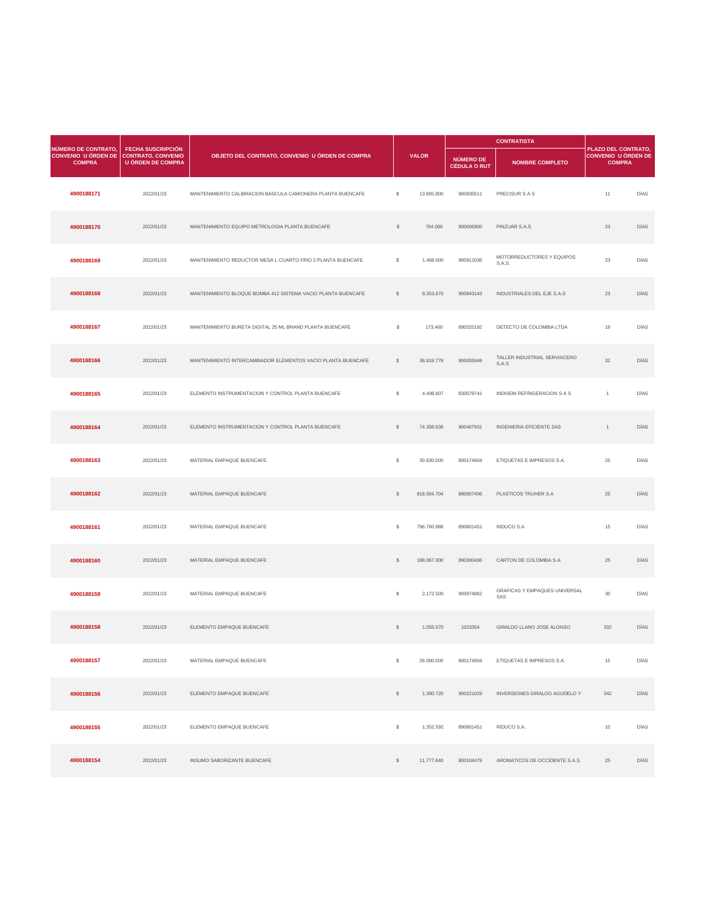|                                                                                | <b>FECHA SUSCRIPCIÓN</b> |                                                              |               |              | <b>CONTRATISTA</b>               |                                       |                                                             |             |  |
|--------------------------------------------------------------------------------|--------------------------|--------------------------------------------------------------|---------------|--------------|----------------------------------|---------------------------------------|-------------------------------------------------------------|-------------|--|
| NÚMERO DE CONTRATO,<br>CONVENIO U ÓRDEN DE CONTRATO, CONVENIO<br><b>COMPRA</b> | U ÓRDEN DE COMPRA        | OBJETO DEL CONTRATO, CONVENIO U ÓRDEN DE COMPRA              |               | <b>VALOR</b> | NÚMERO DE<br><b>CÉDULA O RUT</b> | <b>NOMBRE COMPLETO</b>                | PLAZO DEL CONTRATO,<br>CONVENIO U ÓRDEN DE<br><b>COMPRA</b> |             |  |
| 4900188171                                                                     | 2022/01/23               | MANTENIMIENTO CALIBRACION BASCULA CAMIONERA PLANTA BUENCAFE  | $\mathcal{L}$ | 13.665.800   | 900935511                        | PRECISUR S A S                        | 11                                                          | <b>DÍAS</b> |  |
| 4900188170                                                                     | 2022/01/23               | MANTENIMIENTO EQUIPO METROLOGIA PLANTA BUENCAFE              | $\mathcal{L}$ | 764.000      | 800006900                        | PINZUAR S.A.S.                        | 23                                                          | <b>DÍAS</b> |  |
| 4900188169                                                                     | 2022/01/23               | MANTENIMIENTO REDUCTOR MESA L CUARTO FRIO 2 PLANTA BUENCAFE  | $\$\$         | 1.468.000    | 900911036                        | MOTORREDUCTORES Y EQUIPOS<br>S.A.S.   | 23                                                          | <b>DÍAS</b> |  |
| 4900188168                                                                     | 2022/01/23               | MANTENIMIENTO BLOQUE BOMBA 412 SISTEMA VACIO PLANTA BUENCAFE | $\mathcal{L}$ | 8.353.670    | 900943143                        | <b>INDUSTRIALES DEL EJE S.A.S</b>     | 23                                                          | <b>DÍAS</b> |  |
| 4900188167                                                                     | 2022/01/23               | MANTENIMIENTO BURETA DIGITAL 25 ML BRAND PLANTA BUENCAFE     | \$            | 173.400      | 890325192                        | DETECTO DE COLOMBIA LTDA              | 19                                                          | <b>DÍAS</b> |  |
| 4900188166                                                                     | 2022/01/23               | MANTENIMIENTO INTERCAMBIADOR ELEMENTOS VACIO PLANTA BUENCAFE |               | 38.818.779   | 900055948                        | TALLER INDUSTRIAL SERVIACERO<br>S.A.S | 32                                                          | <b>DÍAS</b> |  |
| 4900188165                                                                     | 2022/01/23               | ELEMENTO INSTRUMENTACION Y CONTROL PLANTA BUENCAFE           | $\mathcal{L}$ | 4.498.607    | 830079741                        | <b>INDISEM REFRIGERACION S A S</b>    | $\overline{1}$                                              | DÍAS        |  |
| 4900188164                                                                     | 2022/01/23               | ELEMENTO INSTRUMENTACION Y CONTROL PLANTA BUENCAFE           | $\mathcal{L}$ | 74.358.636   | 900467931                        | <b>INGENIERIA EFICIENTE SAS</b>       |                                                             | DÍAS        |  |

| 4900188163 | 2022/01/23 | MATERIAL EMPAQUE BUENCAFE          | $\frac{1}{2}$  | 30.830.000  | 800174904 | ETIQUETAS E IMPRESOS S.A.                   | 25  | DÍAS |
|------------|------------|------------------------------------|----------------|-------------|-----------|---------------------------------------------|-----|------|
| 4900188162 | 2022/01/23 | MATERIAL EMPAQUE BUENCAFE          | $\frac{1}{2}$  | 818.004.704 | 890907406 | PLASTICOS TRUHER S.A                        | 25  | DÍAS |
| 4900188161 | 2022/01/23 | MATERIAL EMPAQUE BUENCAFE          | $\frac{1}{2}$  | 796.760.888 | 890801451 | RIDUCO S.A.                                 | 15  | DÍAS |
| 4900188160 | 2022/01/23 | MATERIAL EMPAQUE BUENCAFE          | $\mathcal{L}$  | 188.067.000 | 890300406 | CARTON DE COLOMBIA S.A.                     | 25  | DÍAS |
| 4900188159 | 2022/01/23 | MATERIAL EMPAQUE BUENCAFE          | $\mathcal{L}$  | 2.172.500   | 900974862 | <b>GRAFICAS Y EMPAQUES UNIVERSAL</b><br>SAS | 30  | DÍAS |
| 4900188158 | 2022/01/23 | ELEMENTO EMPAQUE BUENCAFE          | $\mathcal{L}$  | 1.055.070   | 1023354   | GIRALDO LLANO JOSE ALONSO                   | 332 | DÍAS |
| 4900188157 | 2022/01/23 | MATERIAL EMPAQUE BUENCAFE          | $\mathfrak{S}$ | 26.000.000  | 800174904 | ETIQUETAS E IMPRESOS S.A.                   | 15  | DÍAS |
| 4900188156 | 2022/01/23 | ELEMENTO EMPAQUE BUENCAFE          | $\mathcal{L}$  | 1.380.720   | 900221029 | INVERSIONES GIRALDO AGUDELO Y               | 342 | DÍAS |
| 4900188155 | 2022/01/23 | ELEMENTO EMPAQUE BUENCAFE          | $\mathbb{S}$   | 1.352.592   | 890801451 | RIDUCO S.A.                                 | 10  | DÍAS |
| 4900188154 | 2022/01/23 | <b>INSUMO SABORIZANTE BUENCAFE</b> | $\mathcal{L}$  | 11.777.640  | 800104479 | AROMATICOS DE OCCIDENTE S.A.S.              | 25  | DÍAS |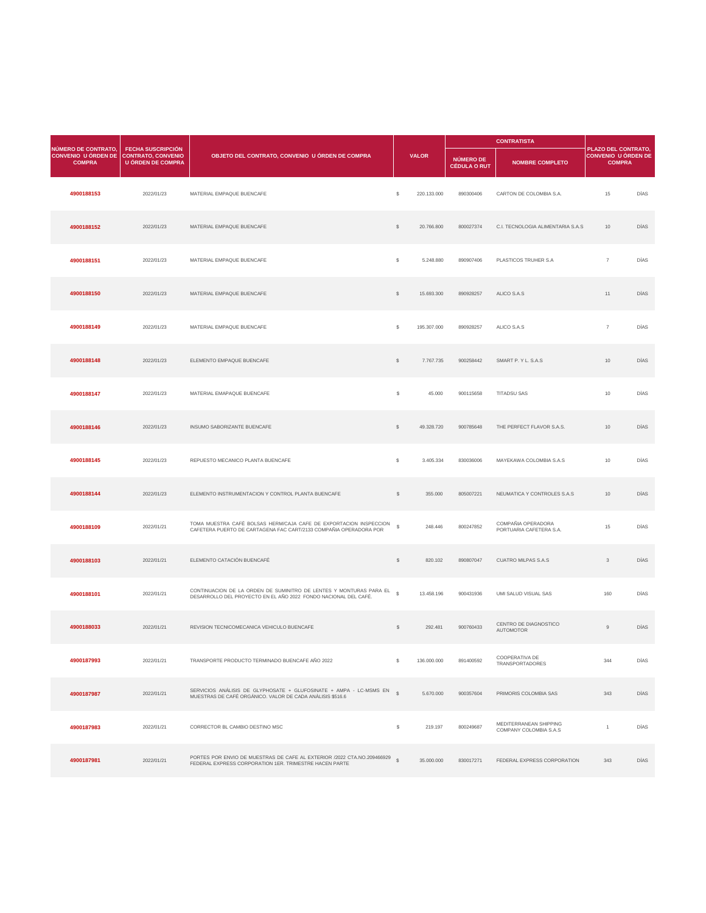| NÚMERO DE CONTRATO,                                     | <b>FECHA SUSCRIPCIÓN</b> |                                                 |                           |              |                                  | <b>CONTRATISTA</b>                | PLAZO DEL CONTRATO,                         |             |
|---------------------------------------------------------|--------------------------|-------------------------------------------------|---------------------------|--------------|----------------------------------|-----------------------------------|---------------------------------------------|-------------|
| CONVENIO U ÓRDEN DE CONTRATO, CONVENIO<br><b>COMPRA</b> | <b>U ÓRDEN DE COMPRA</b> | OBJETO DEL CONTRATO, CONVENIO U ÓRDEN DE COMPRA |                           | <b>VALOR</b> | NÚMERO DE<br><b>CÉDULA O RUT</b> | <b>NOMBRE COMPLETO</b>            | <b>CONVENIO U ÓRDEN DE</b><br><b>COMPRA</b> |             |
| 4900188153                                              | 2022/01/23               | MATERIAL EMPAQUE BUENCAFE                       | $\mathcal{L}$             | 220.133.000  | 890300406                        | CARTON DE COLOMBIA S.A.           | 15                                          | DÍAS        |
| 4900188152                                              | 2022/01/23               | MATERIAL EMPAQUE BUENCAFE                       | $\frac{1}{2}$             | 20.766.800   | 800027374                        | C.I. TECNOLOGIA ALIMENTARIA S.A.S | 10                                          | DÍAS        |
| 4900188151                                              | 2022/01/23               | MATERIAL EMPAQUE BUENCAFE                       | $\mathcal{L}$             | 5.248.880    | 890907406                        | PLASTICOS TRUHER S.A              | $\overline{7}$                              | DÍAS        |
| 4900188150                                              | 2022/01/23               | MATERIAL EMPAQUE BUENCAFE                       | $\mathcal{L}$             | 15.693.300   | 890928257                        | ALICO S.A.S                       | 11                                          | DÍAS        |
| 4900188149                                              | 2022/01/23               | MATERIAL EMPAQUE BUENCAFE                       | $\mathbb{S}$              | 195.307.000  | 890928257                        | ALICO S.A.S                       | $\overline{7}$                              | <b>DÍAS</b> |
| 4900188148                                              | 2022/01/23               | ELEMENTO EMPAQUE BUENCAFE                       | $\mathcal{L}$             | 7.767.735    | 900258442                        | SMART P. Y L. S.A.S               | 10                                          | <b>DÍAS</b> |
| 4900188147                                              | 2022/01/23               | MATERIAL EMAPAQUE BUENCAFE                      | $\boldsymbol{\mathsf{S}}$ | 45.000       | 900115658                        | <b>TITADSU SAS</b>                | 10                                          | DÍAS        |
| 4900188146                                              | 2022/01/23               | INSUMO SABORIZANTE BUENCAFE                     | $\mathcal{L}$             | 49.328.720   | 900785648                        | THE PERFECT FLAVOR S.A.S.         | 10                                          | <b>DÍAS</b> |

an di Kabupatén Ba

| 4900188145 | 2022/01/23 | REPUESTO MECANICO PLANTA BUENCAFE                                                                                                      | $\mathfrak{L}$ | 3.405.334   | 830036006 | MAYEKAWA COLOMBIA S.A.S                                 | 10              | DÍAS        |
|------------|------------|----------------------------------------------------------------------------------------------------------------------------------------|----------------|-------------|-----------|---------------------------------------------------------|-----------------|-------------|
| 4900188144 | 2022/01/23 | ELEMENTO INSTRUMENTACION Y CONTROL PLANTA BUENCAFE                                                                                     | $\mathcal{L}$  | 355.000     | 805007221 | NEUMATICA Y CONTROLES S.A.S                             | 10 <sup>°</sup> | <b>DÍAS</b> |
| 4900188109 | 2022/01/21 | TOMA MUESTRA CAFÉ BOLSAS HERM/CAJA CAFE DE EXPORTACION INSPECCION<br>CAFETERA PUERTO DE CARTAGENA FAC CART/2133 COMPAÑIA OPERADORA POR | $\mathbb{S}$   | 248.446     | 800247852 | COMPAÑIA OPERADORA<br>PORTUARIA CAFETERA S.A.           | 15              | DÍAS        |
| 4900188103 | 2022/01/21 | ELEMENTO CATACIÓN BUENCAFÉ                                                                                                             | $\mathcal{L}$  | 820.102     | 890807047 | <b>CUATRO MILPAS S.A.S</b>                              | $\mathcal{S}$   | <b>DÍAS</b> |
| 4900188101 | 2022/01/21 | CONTINUACION DE LA ORDEN DE SUMINITRO DE LENTES Y MONTURAS PARA EL<br>DESARROLLO DEL PROYECTO EN EL AÑO 2022 FONDO NACIONAL DEL CAFÉ.  | $\mathbb{S}$   | 13.458.196  | 900431936 | UMI SALUD VISUAL SAS                                    | 160             | DÍAS        |
| 4900188033 | 2022/01/21 | REVISION TECNICOMECANICA VEHICULO BUENCAFE                                                                                             | $\mathbb{S}$   | 292.481     | 900760433 | CENTRO DE DIAGNOSTICO<br><b>AUTOMOTOR</b>               | 9               | <b>DÍAS</b> |
| 4900187993 | 2022/01/21 | TRANSPORTE PRODUCTO TERMINADO BUENCAFE AÑO 2022                                                                                        | -SS            | 136.000.000 | 891400592 | <b>COOPERATIVA DE</b><br><b>TRANSPORTADORES</b>         | 344             | DÍAS        |
| 4900187987 | 2022/01/21 | SERVICIOS ANÁLISIS DE GLYPHOSATE + GLUFOSINATE + AMPA - LC-MSMS EN §<br>MUESTRAS DE CAFÉ ORGÁNICO, VALOR DE CADA ANÀLISIS \$516.6      |                | 5.670.000   | 900357604 | PRIMORIS COLOMBIA SAS                                   | 343             | <b>DÍAS</b> |
| 4900187983 | 2022/01/21 | CORRECTOR BL CAMBIO DESTINO MSC                                                                                                        | $\mathbb{S}$   | 219.197     | 800249687 | MEDITERRANEAN SHIPPING<br><b>COMPANY COLOMBIA S.A.S</b> |                 | DÍAS        |
| 4900187981 | 2022/01/21 | PORTES POR ENVIO DE MUESTRAS DE CAFE AL EXTERIOR /2022 CTA.NO.209466929<br>FEDERAL EXPRESS CORPORATION 1ER. TRIMESTRE HACEN PARTE      | $\mathcal{L}$  | 35.000.000  | 830017271 | FEDERAL EXPRESS CORPORATION                             | 343             | <b>DÍAS</b> |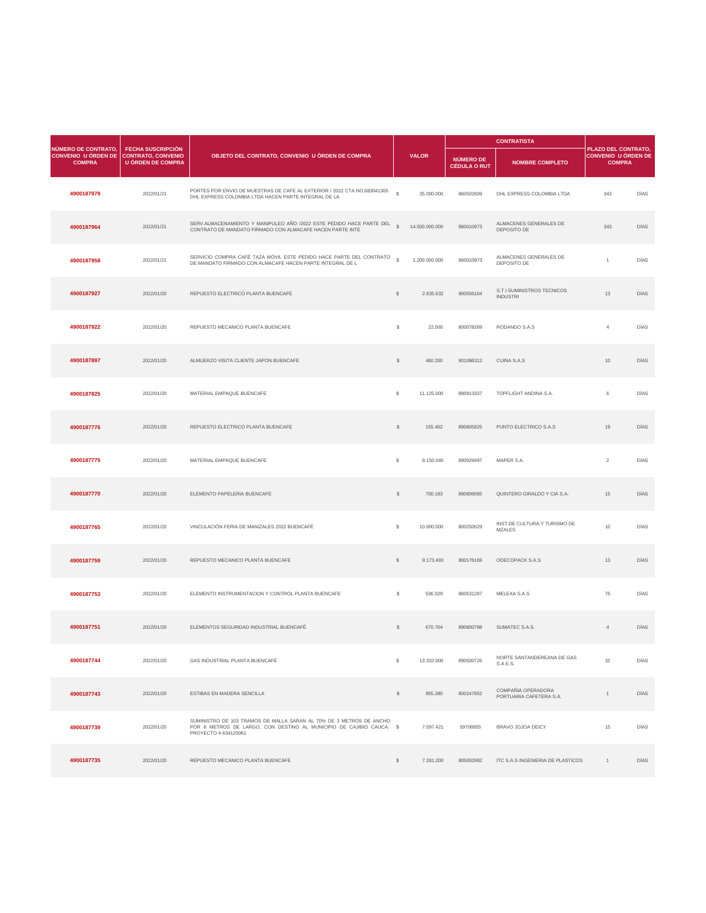| NÚMERO DE CONTRATO,                                     | <b>FECHA SUSCRIPCIÓN</b> |                                                                                                                                   |               |                | <b>CONTRATISTA</b>                      |                                                      | PLAZO DEL CONTRATO,                         |             |
|---------------------------------------------------------|--------------------------|-----------------------------------------------------------------------------------------------------------------------------------|---------------|----------------|-----------------------------------------|------------------------------------------------------|---------------------------------------------|-------------|
| CONVENIO U ÓRDEN DE CONTRATO, CONVENIO<br><b>COMPRA</b> | <b>U ÓRDEN DE COMPRA</b> | OBJETO DEL CONTRATO, CONVENIO U ÓRDEN DE COMPRA                                                                                   |               | <b>VALOR</b>   | <b>NÚMERO DE</b><br><b>CÉDULA O RUT</b> | <b>NOMBRE COMPLETO</b>                               | <b>CONVENIO U ÓRDEN DE</b><br><b>COMPRA</b> |             |
| 4900187979                                              | 2022/01/21               | PORTES POR ENVIO DE MUESTRAS DE CAFE AL EXTERIOR / 2022 CTA.NO.683041305<br>DHL EXPRESS COLOMBIA LTDA HACEN PARTE INTEGRAL DE LA  | $\mathbb{S}$  | 35.000.000     | 860502609                               | DHL EXPRESS COLOMBIA LTDA                            | 343                                         | <b>DÍAS</b> |
| 4900187964                                              | 2022/01/21               | SERV.ALMACENAMIENTO Y MANIPULEO AÑO /2022 ESTE PEDIDO HACE PARTE DEL<br>CONTRATO DE MANDATO FIRMADO CON ALMACAFE HACEN PARTE INTE | $\mathcal{L}$ | 14.500.000.000 | 860010973                               | ALMACENES GENERALES DE<br>DEPOSITO DE                | 343                                         | <b>DÍAS</b> |
| 4900187958                                              | 2022/01/21               | SERVICIO COMPRA CAFÈ TAZA MÓVIL ESTE PEDIDO HACE PARTE DEL CONTRATO<br>DE MANDATO FIRMADO CON ALMACAFE HACEN PARTE INTEGRAL DE L  | $\mathcal{S}$ | 1.200.000.000  | 860010973                               | ALMACENES GENERALES DE<br>DEPOSITO DE                |                                             | <b>DÍAS</b> |
| 4900187927                                              | 2022/01/20               | REPUESTO ELECTRICO PLANTA BUENCAFE                                                                                                | $\mathbb{S}$  | 2.635.632      | 900556104                               | <b>S.T.I SUMINISTROS TECNICOS</b><br><b>INDUSTRI</b> | 13                                          | <b>DÍAS</b> |
| 4900187922                                              | 2022/01/20               | REPUESTO MECANICO PLANTA BUENCAFE                                                                                                 | $\mathcal{L}$ | 22.500         | 800078269                               | RODANDO S.A.S                                        |                                             | <b>DÍAS</b> |
| 4900187897                                              | 2022/01/20               | ALMUERZO VISITA CLIENTE JAPON BUENCAFE                                                                                            | \$            | 460.200        | 901086312                               | <b>CUINA S.A.S</b>                                   | 10                                          | <b>DÍAS</b> |
| 4900187825                                              | 2022/01/20               | MATERIAL EMPAQUE BUENCAFE                                                                                                         | $\frac{1}{2}$ | 11.125.000     | 890913337                               | TOPFLIGHT ANDINA S.A.                                | 6                                           | DÍAS        |
| 4900187776                                              | 2022/01/20               | REPUESTO ELECTRICO PLANTA BUENCAFE                                                                                                | $\frac{1}{2}$ | 155.462        | 890805825                               | PUNTO ELECTRICO S.A.S                                | 19                                          | <b>DÍAS</b> |

| 4900187775 | 2022/01/20 | MATERIAL EMPAQUE BUENCAFE                                                                                                                                           | $\mathcal{L}$ | 8.150.040  | 890929497 | MAPER S.A.                                    | $\overline{2}$ | DÍAS        |
|------------|------------|---------------------------------------------------------------------------------------------------------------------------------------------------------------------|---------------|------------|-----------|-----------------------------------------------|----------------|-------------|
| 4900187770 | 2022/01/20 | ELEMENTO PAPELERIA BUENCAFE                                                                                                                                         | $\frac{1}{2}$ | 700.183    | 890806065 | QUINTERO GIRALDO Y CIA S.A.                   | 15             | DÍAS        |
| 4900187765 | 2022/01/20 | VINCULACIÓN FERIA DE MANIZALES 2022 BUENCAFÉ                                                                                                                        | $\mathcal{L}$ | 10.000.000 | 800250029 | INST.DE CULTURA Y TURISMO DE<br><b>MZALES</b> | 10             | DÍAS        |
| 4900187759 | 2022/01/20 | REPUESTO MECANICO PLANTA BUENCAFE                                                                                                                                   | $\frac{1}{2}$ | 9.173.493  | 800176169 | ODECOPACK S.A.S                               | 13             | DÍAS        |
| 4900187753 | 2022/01/20 | ELEMENTO INSTRUMENTACION Y CONTROL PLANTA BUENCAFE                                                                                                                  | $\mathbb{S}$  | 536.529    | 860531287 | MELEXA S.A.S                                  | 75             | DÍAS        |
| 4900187751 | 2022/01/20 | ELEMENTOS SEGURIDAD INDUSTRIAL BUENCAFÉ                                                                                                                             | $\frac{1}{2}$ | 670.704    | 890800788 | SUMATEC S.A.S.                                | $\overline{4}$ | <b>DÍAS</b> |
| 4900187744 | 2022/01/20 | GAS INDUSTRIAL PLANTA BUENCAFÉ                                                                                                                                      | \$            | 13.332.000 | 890500726 | NORTE SANTANDEREANA DE GAS<br>S.A E.S.        | 32             | DÍAS        |
| 4900187743 | 2022/01/20 | <b>ESTIBAS EN MADERA SENCILLA</b>                                                                                                                                   | $\mathcal{S}$ | 955.280    | 800247852 | COMPAÑIA OPERADORA<br>PORTUARIA CAFETERA S.A. |                | <b>DÍAS</b> |
| 4900187739 | 2022/01/20 | SUMINISTRO DE 103 TRAMOS DE MALLA SARAN AL 70% DE 3 METROS DE ANCHO<br>POR 8 METROS DE LARGO, CON DESTINO AL MUNICIPIO DE CAJIBIO CAUCA. \$<br>PROYECTO 4-634120061 |               | 7.097.421  | 59706955  | <b>BRAVO JOJOA DEICY</b>                      | 15             | DÍAS        |
| 4900187735 | 2022/01/20 | REPUESTO MECANICO PLANTA BUENCAFE                                                                                                                                   | $\mathcal{L}$ | 7.281.200  | 805002992 | ITC S.A.S INGENIERIA DE PLASTICOS             | $\overline{1}$ | <b>DÍAS</b> |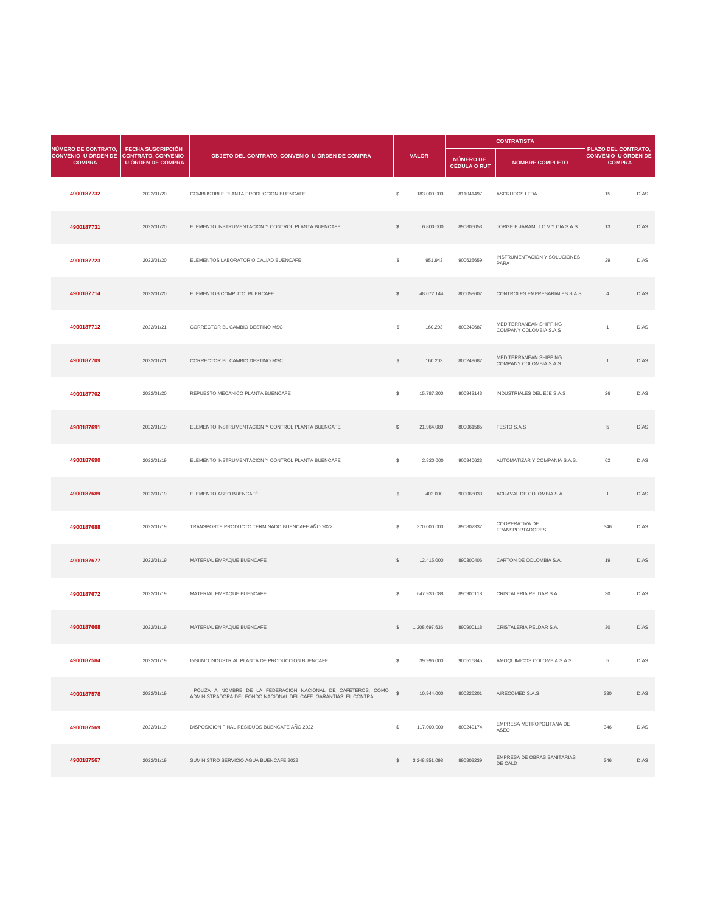| <b>NÚMERO DE CONTRATO,</b>                  |                                                                     |                                                    |                |              |                                  | <b>CONTRATISTA</b>                               |                                                                    |             |  |
|---------------------------------------------|---------------------------------------------------------------------|----------------------------------------------------|----------------|--------------|----------------------------------|--------------------------------------------------|--------------------------------------------------------------------|-------------|--|
| <b>CONVENIO U ÓRDEN DE</b><br><b>COMPRA</b> | <b>FECHA SUSCRIPCIÓN</b><br>CONTRATO, CONVENIO<br>U ÓRDEN DE COMPRA | OBJETO DEL CONTRATO, CONVENIO U ÓRDEN DE COMPRA    |                | <b>VALOR</b> | NÚMERO DE<br><b>CÉDULA O RUT</b> | <b>NOMBRE COMPLETO</b>                           | PLAZO DEL CONTRATO,<br><b>CONVENIO U ÓRDEN DE</b><br><b>COMPRA</b> |             |  |
| 4900187732                                  | 2022/01/20                                                          | COMBUSTIBLE PLANTA PRODUCCION BUENCAFE             | $\mathfrak{L}$ | 183.000.000  | 811041497                        | <b>ASCRUDOS LTDA</b>                             | 15                                                                 | <b>DÍAS</b> |  |
| 4900187731                                  | 2022/01/20                                                          | ELEMENTO INSTRUMENTACION Y CONTROL PLANTA BUENCAFE | $\mathcal{L}$  | 6.800.000    | 890805053                        | JORGE E JARAMILLO V Y CIA S.A.S.                 | 13                                                                 | <b>DÍAS</b> |  |
| 4900187723                                  | 2022/01/20                                                          | ELEMENTOS LABORATORIO CALIAD BUENCAFE              | $\mathbb{S}$   | 951.943      | 900625659                        | INSTRUMENTACION Y SOLUCIONES<br><b>PARA</b>      | 29                                                                 | DÍAS        |  |
| 4900187714                                  | 2022/01/20                                                          | ELEMENTOS COMPUTO BUENCAFE                         | $\mathbb{S}$   | 48.072.144   | 800058607                        | CONTROLES EMPRESARIALES S A S                    | $\overline{4}$                                                     | <b>DÍAS</b> |  |
| 4900187712                                  | 2022/01/21                                                          | CORRECTOR BL CAMBIO DESTINO MSC                    | $\mathbb{S}$   | 160.203      | 800249687                        | MEDITERRANEAN SHIPPING<br>COMPANY COLOMBIA S.A.S |                                                                    | <b>DÍAS</b> |  |
| 4900187709                                  | 2022/01/21                                                          | CORRECTOR BL CAMBIO DESTINO MSC                    | $\mathbb{S}$   | 160.203      | 800249687                        | MEDITERRANEAN SHIPPING<br>COMPANY COLOMBIA S.A.S |                                                                    | <b>DÍAS</b> |  |
| 4900187702                                  | 2022/01/20                                                          | REPUESTO MECANICO PLANTA BUENCAFE                  | $\mathcal{L}$  | 15.787.200   | 900943143                        | <b>INDUSTRIALES DEL EJE S.A.S</b>                | 26                                                                 | <b>DÍAS</b> |  |
| 4900187691                                  | 2022/01/19                                                          | ELEMENTO INSTRUMENTACION Y CONTROL PLANTA BUENCAFE | $\mathbb{S}$   | 21.964.089   | 800061585                        | FESTO S.A.S                                      | $5\overline{)}$                                                    | <b>DÍAS</b> |  |

| 4900187690 | 2022/01/19 | ELEMENTO INSTRUMENTACION Y CONTROL PLANTA BUENCAFE                                                                               | $\mathbb{S}$  | 2.820.000     | 900940623 | AUTOMATIZAR Y COMPAÑIA S.A.S.                   | 62           | DÍAS        |
|------------|------------|----------------------------------------------------------------------------------------------------------------------------------|---------------|---------------|-----------|-------------------------------------------------|--------------|-------------|
| 4900187689 | 2022/01/19 | ELEMENTO ASEO BUENCAFÉ                                                                                                           | $\frac{1}{2}$ | 402.000       | 900068033 | ACUAVAL DE COLOMBIA S.A.                        | $\mathbf{1}$ | <b>DÍAS</b> |
| 4900187688 | 2022/01/19 | TRANSPORTE PRODUCTO TERMINADO BUENCAFE AÑO 2022                                                                                  | $\mathbb{S}$  | 370.000.000   | 890802337 | <b>COOPERATIVA DE</b><br><b>TRANSPORTADORES</b> | 346          | DÍAS        |
| 4900187677 | 2022/01/19 | MATERIAL EMPAQUE BUENCAFE                                                                                                        | $\mathcal{L}$ | 12.415.000    | 890300406 | CARTON DE COLOMBIA S.A.                         | 19           | <b>DÍAS</b> |
| 4900187672 | 2022/01/19 | MATERIAL EMPAQUE BUENCAFE                                                                                                        | $\mathbb{S}$  | 647.930.088   | 890900118 | CRISTALERIA PELDAR S.A.                         | 30           | DÍAS        |
| 4900187668 | 2022/01/19 | MATERIAL EMPAQUE BUENCAFE                                                                                                        | $\mathbb{S}$  | 1.208.697.636 | 890900118 | CRISTALERIA PELDAR S.A.                         | 30           | <b>DÍAS</b> |
| 4900187584 | 2022/01/19 | INSUMO INDUSTRIAL PLANTA DE PRODUCCION BUENCAFE                                                                                  | \$            | 39.996.000    | 900516845 | AMOQUIMICOS COLOMBIA S.A.S                      | 5            | DÍAS        |
| 4900187578 | 2022/01/19 | PÓLIZA A NOMBRE DE LA FEDERACIÓN NACIONAL DE CAFETEROS, COMO<br>ADMINISTRADORA DEL FONDO NACIONAL DEL CAFE, GARANTIAS: EL CONTRA | $\mathbb{S}$  | 10.944.000    | 800226201 | AIRECOMED S.A.S                                 | 330          | <b>DÍAS</b> |
| 4900187569 | 2022/01/19 | DISPOSICION FINAL RESIDUOS BUENCAFE AÑO 2022                                                                                     | \$            | 117.000.000   | 800249174 | EMPRESA METROPOLITANA DE<br><b>ASEO</b>         | 346          | DÍAS        |
| 4900187567 | 2022/01/19 | SUMINISTRO SERVICIO AGUA BUENCAFE 2022                                                                                           |               | 3.248.951.098 | 890803239 | EMPRESA DE OBRAS SANITARIAS<br>DE CALD          | 346          | <b>DÍAS</b> |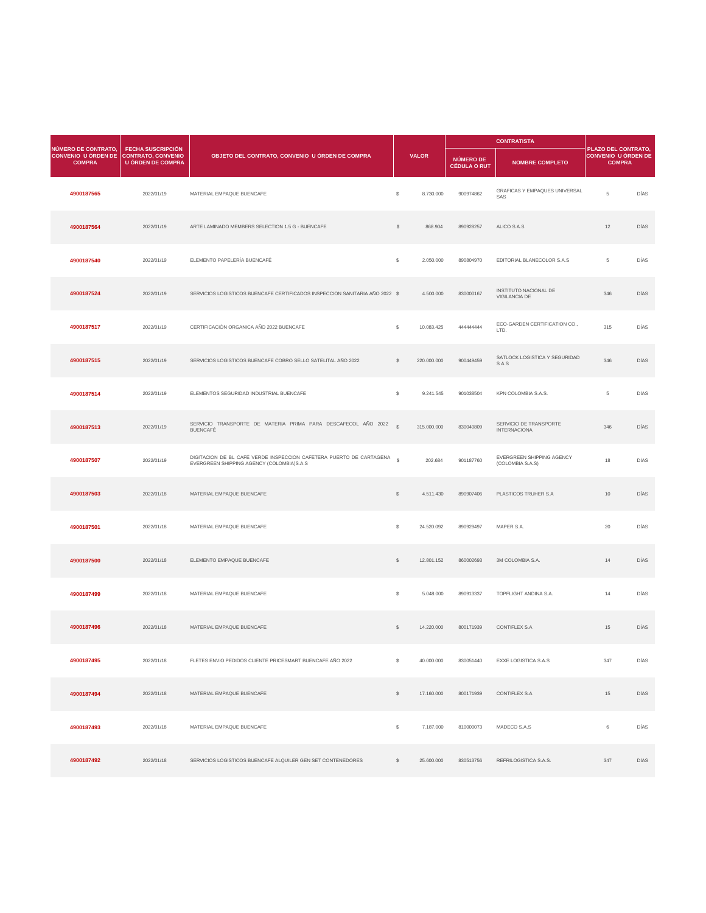| NÚMERO DE CONTRATO,<br><b>CONVENIO U ÓRDEN DE</b><br><b>COMPRA</b> | <b>FECHA SUSCRIPCIÓN</b><br><b>CONTRATO, CONVENIO</b><br><b>U ÓRDEN DE COMPRA</b> | OBJETO DEL CONTRATO, CONVENIO U ÓRDEN DE COMPRA                                  |               | <b>VALOR</b> | NÚMERO DE<br>CÉDULA O RUT | <b>NOMBRE COMPLETO</b>                               | <b>PLAZO DEL CONTRATO,</b><br><b>CONVENIO U ÓRDEN DE</b><br><b>COMPRA</b> |             |
|--------------------------------------------------------------------|-----------------------------------------------------------------------------------|----------------------------------------------------------------------------------|---------------|--------------|---------------------------|------------------------------------------------------|---------------------------------------------------------------------------|-------------|
| 4900187565                                                         | 2022/01/19                                                                        | MATERIAL EMPAQUE BUENCAFE                                                        | $\mathcal{L}$ | 8.730.000    | 900974862                 | <b>GRAFICAS Y EMPAQUES UNIVERSAL</b><br>SAS          | $\overline{5}$                                                            | <b>DÍAS</b> |
| 4900187564                                                         | 2022/01/19                                                                        | ARTE LAMINADO MEMBERS SELECTION 1.5 G - BUENCAFE                                 | $\mathcal{L}$ | 868.904      | 890928257                 | ALICO S.A.S                                          | 12                                                                        | <b>DÍAS</b> |
| 4900187540                                                         | 2022/01/19                                                                        | ELEMENTO PAPELERÍA BUENCAFÉ                                                      | $\mathbb{S}$  | 2.050.000    | 890804970                 | EDITORIAL BLANECOLOR S.A.S                           | 5                                                                         | <b>DÍAS</b> |
| 4900187524                                                         | 2022/01/19                                                                        | SERVICIOS LOGISTICOS BUENCAFE CERTIFICADOS INSPECCION SANITARIA AÑO 2022 \$      |               | 4.500.000    | 830000167                 | <b>INSTITUTO NACIONAL DE</b><br><b>VIGILANCIA DE</b> | 346                                                                       | <b>DÍAS</b> |
| 4900187517                                                         | 2022/01/19                                                                        | CERTIFICACIÓN ORGANICA AÑO 2022 BUENCAFE                                         | <sup>S</sup>  | 10.083.425   | 44444444                  | ECO-GARDEN CERTIFICATION CO.,<br>LTD.                | 315                                                                       | <b>DÍAS</b> |
| 4900187515                                                         | 2022/01/19                                                                        | SERVICIOS LOGISTICOS BUENCAFE COBRO SELLO SATELITAL AÑO 2022                     |               | 220.000.000  | 900449459                 | SATLOCK LOGISTICA Y SEGURIDAD<br>SAS                 | 346                                                                       | <b>DÍAS</b> |
| 4900187514                                                         | 2022/01/19                                                                        | ELEMENTOS SEGURIDAD INDUSTRIAL BUENCAFE                                          | $\mathcal{L}$ | 9.241.545    | 901038504                 | KPN COLOMBIA S.A.S.                                  | 5                                                                         | <b>DÍAS</b> |
| 4900187513                                                         | 2022/01/19                                                                        | SERVICIO TRANSPORTE DE MATERIA PRIMA PARA DESCAFECOL AÑO 2022<br><b>BUENCAFÉ</b> | $\mathcal{S}$ | 315.000.000  | 830040809                 | SERVICIO DE TRANSPORTE<br><b>INTERNACIONA</b>        | 346                                                                       | <b>DÍAS</b> |

| 4900187507 | 2022/01/19 | DIGITACION DE BL CAFÉ VERDE INSPECCION CAFETERA PUERTO DE CARTAGENA \$<br>EVERGREEN SHIPPING AGENCY (COLOMBIA)S.A.S |               | 202.684    | 901187760 | EVERGREEN SHIPPING AGENCY<br>(COLOMBIA S.A.S) | 18              | DÍAS        |
|------------|------------|---------------------------------------------------------------------------------------------------------------------|---------------|------------|-----------|-----------------------------------------------|-----------------|-------------|
| 4900187503 | 2022/01/18 | MATERIAL EMPAQUE BUENCAFE                                                                                           | $\mathcal{L}$ | 4.511.430  | 890907406 | PLASTICOS TRUHER S.A                          | 10 <sup>°</sup> | DÍAS        |
| 4900187501 | 2022/01/18 | MATERIAL EMPAQUE BUENCAFE                                                                                           | $\frac{1}{2}$ | 24.520.092 | 890929497 | MAPER S.A.                                    | 20              | DÍAS        |
| 4900187500 | 2022/01/18 | ELEMENTO EMPAQUE BUENCAFE                                                                                           | $\mathcal{L}$ | 12.801.152 | 860002693 | 3M COLOMBIA S.A.                              | 14              | DÍAS        |
| 4900187499 | 2022/01/18 | MATERIAL EMPAQUE BUENCAFE                                                                                           | $\frac{1}{2}$ | 5.048.000  | 890913337 | TOPFLIGHT ANDINA S.A.                         | 14              | DÍAS        |
| 4900187496 | 2022/01/18 | MATERIAL EMPAQUE BUENCAFE                                                                                           | $\mathcal{L}$ | 14.220.000 | 800171939 | <b>CONTIFLEX S.A</b>                          | 15              | DÍAS        |
| 4900187495 | 2022/01/18 | FLETES ENVIO PEDIDOS CLIENTE PRICESMART BUENCAFE AÑO 2022                                                           | $\frac{1}{2}$ | 40.000.000 | 830051440 | EXXE LOGISTICA S.A.S                          | 347             | DÍAS        |
| 4900187494 | 2022/01/18 | MATERIAL EMPAQUE BUENCAFE                                                                                           | $\mathcal{L}$ | 17.160.000 | 800171939 | <b>CONTIFLEX S.A</b>                          | 15              | <b>DÍAS</b> |
| 4900187493 | 2022/01/18 | MATERIAL EMPAQUE BUENCAFE                                                                                           | $\frac{1}{2}$ | 7.187.000  | 810000073 | MADECO S.A.S                                  | 6               | DÍAS        |
| 4900187492 | 2022/01/18 | SERVICIOS LOGISTICOS BUENCAFE ALQUILER GEN SET CONTENEDORES                                                         | $\mathcal{L}$ | 25.600.000 | 830513756 | REFRILOGISTICA S.A.S.                         | 347             | <b>DÍAS</b> |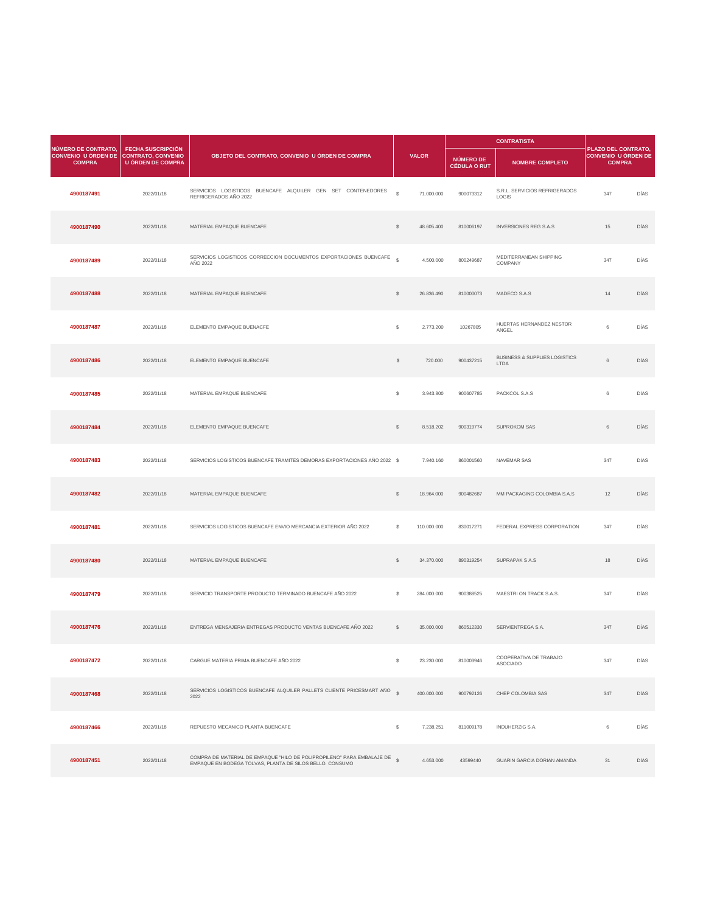|                                                                                       | <b>FECHA SUSCRIPCIÓN</b> |                                                                                      |                |              |                                         |                                                         |                                                                           |             |
|---------------------------------------------------------------------------------------|--------------------------|--------------------------------------------------------------------------------------|----------------|--------------|-----------------------------------------|---------------------------------------------------------|---------------------------------------------------------------------------|-------------|
| <b>NÚMERO DE CONTRATO,</b><br>CONVENIO U ÓRDEN DE CONTRATO, CONVENIO<br><b>COMPRA</b> | <b>U ÓRDEN DE COMPRA</b> | OBJETO DEL CONTRATO, CONVENIO U ÓRDEN DE COMPRA                                      |                | <b>VALOR</b> | <b>NÚMERO DE</b><br><b>CÉDULA O RUT</b> | <b>NOMBRE COMPLETO</b>                                  | <b>PLAZO DEL CONTRATO,</b><br><b>CONVENIO U ÓRDEN DE</b><br><b>COMPRA</b> |             |
| 4900187491                                                                            | 2022/01/18               | SERVICIOS LOGISTICOS BUENCAFE ALQUILER GEN SET CONTENEDORES<br>REFRIGERADOS AÑO 2022 | $\mathcal{L}$  | 71.000.000   | 900073312                               | S.R.L. SERVICIOS REFRIGERADOS<br><b>LOGIS</b>           | 347                                                                       | <b>DÍAS</b> |
| 4900187490                                                                            | 2022/01/18               | MATERIAL EMPAQUE BUENCAFE                                                            | $\mathcal{L}$  | 48.605.400   | 810006197                               | <b>INVERSIONES REG S.A.S</b>                            | 15                                                                        | <b>DÍAS</b> |
| 4900187489                                                                            | 2022/01/18               | SERVICIOS LOGISTICOS CORRECCION DOCUMENTOS EXPORTACIONES BUENCAFE<br>AÑO 2022        | $\mathbb{S}$   | 4.500.000    | 800249687                               | MEDITERRANEAN SHIPPING<br>COMPANY                       | 347                                                                       | <b>DÍAS</b> |
| 4900187488                                                                            | 2022/01/18               | MATERIAL EMPAQUE BUENCAFE                                                            | $\frac{1}{2}$  | 26.836.490   | 810000073                               | MADECO S.A.S                                            | 14                                                                        | <b>DÍAS</b> |
| 4900187487                                                                            | 2022/01/18               | ELEMENTO EMPAQUE BUENACFE                                                            | $\mathfrak{S}$ | 2.773.200    | 10267805                                | HUERTAS HERNANDEZ NESTOR<br>ANGEL                       | 6                                                                         | <b>DÍAS</b> |
| 4900187486                                                                            | 2022/01/18               | ELEMENTO EMPAQUE BUENCAFE                                                            | $\mathcal{L}$  | 720.000      | 900437215                               | <b>BUSINESS &amp; SUPPLIES LOGISTICS</b><br><b>LTDA</b> | 6                                                                         | <b>DÍAS</b> |
| 4900187485                                                                            | 2022/01/18               | MATERIAL EMPAQUE BUENCAFE                                                            | $\mathfrak{S}$ | 3.943.800    | 900607785                               | PACKCOL S.A.S                                           | 6                                                                         | <b>DÍAS</b> |
| 4900187484                                                                            | 2022/01/18               | ELEMENTO EMPAQUE BUENCAFE                                                            | $\mathbb{S}$   | 8.518.202    | 900319774                               | <b>SUPROKOM SAS</b>                                     | 6                                                                         | <b>DÍAS</b> |

| 4900187483 | 2022/01/18 | SERVICIOS LOGISTICOS BUENCAFE TRAMITES DEMORAS EXPORTACIONES AÑO 2022 \$                                                           |               | 7.940.160   | 860001560 | <b>NAVEMAR SAS</b>                        | 347 | <b>DÍAS</b> |
|------------|------------|------------------------------------------------------------------------------------------------------------------------------------|---------------|-------------|-----------|-------------------------------------------|-----|-------------|
| 4900187482 | 2022/01/18 | MATERIAL EMPAQUE BUENCAFE                                                                                                          | $\mathcal{L}$ | 18.964.000  | 900482687 | MM PACKAGING COLOMBIA S.A.S               | 12  | <b>DÍAS</b> |
| 4900187481 | 2022/01/18 | SERVICIOS LOGISTICOS BUENCAFE ENVIO MERCANCIA EXTERIOR AÑO 2022                                                                    | $\mathbb{S}$  | 110.000.000 | 830017271 | FEDERAL EXPRESS CORPORATION               | 347 | DÍAS        |
| 4900187480 | 2022/01/18 | MATERIAL EMPAQUE BUENCAFE                                                                                                          | $\mathbb{S}$  | 34.370.000  | 890319254 | <b>SUPRAPAK S A.S</b>                     | 18  | <b>DÍAS</b> |
| 4900187479 | 2022/01/18 | SERVICIO TRANSPORTE PRODUCTO TERMINADO BUENCAFE AÑO 2022                                                                           | $\mathbb{S}$  | 284.000.000 | 900388525 | MAESTRI ON TRACK S.A.S.                   | 347 | DÍAS        |
| 4900187476 | 2022/01/18 | ENTREGA MENSAJERIA ENTREGAS PRODUCTO VENTAS BUENCAFE AÑO 2022                                                                      | $\mathcal{L}$ | 35.000.000  | 860512330 | SERVIENTREGA S.A.                         | 347 | <b>DÍAS</b> |
| 4900187472 | 2022/01/18 | CARGUE MATERIA PRIMA BUENCAFE AÑO 2022                                                                                             | S.            | 23.230.000  | 810003946 | COOPERATIVA DE TRABAJO<br><b>ASOCIADO</b> | 347 | DÍAS        |
| 4900187468 | 2022/01/18 | SERVICIOS LOGISTICOS BUENCAFE ALQUILER PALLETS CLIENTE PRICESMART AÑO<br>2022                                                      | $\mathcal{L}$ | 400.000.000 | 900792126 | CHEP COLOMBIA SAS                         | 347 | <b>DÍAS</b> |
| 4900187466 | 2022/01/18 | REPUESTO MECANICO PLANTA BUENCAFE                                                                                                  | $\mathbb{S}$  | 7.238.251   | 811009178 | <b>INDUHERZIG S.A.</b>                    | 6   | DÍAS        |
| 4900187451 | 2022/01/18 | COMPRA DE MATERIAL DE EMPAQUE "HILO DE POLIPROPILENO" PARA EMBALAJE DE<br>EMPAQUE EN BODEGA TOLVAS, PLANTA DE SILOS BELLO. CONSUMO | $\mathcal{L}$ | 4.653.000   | 43599440  | <b>GUARIN GARCIA DORIAN AMANDA</b>        | 31  | <b>DÍAS</b> |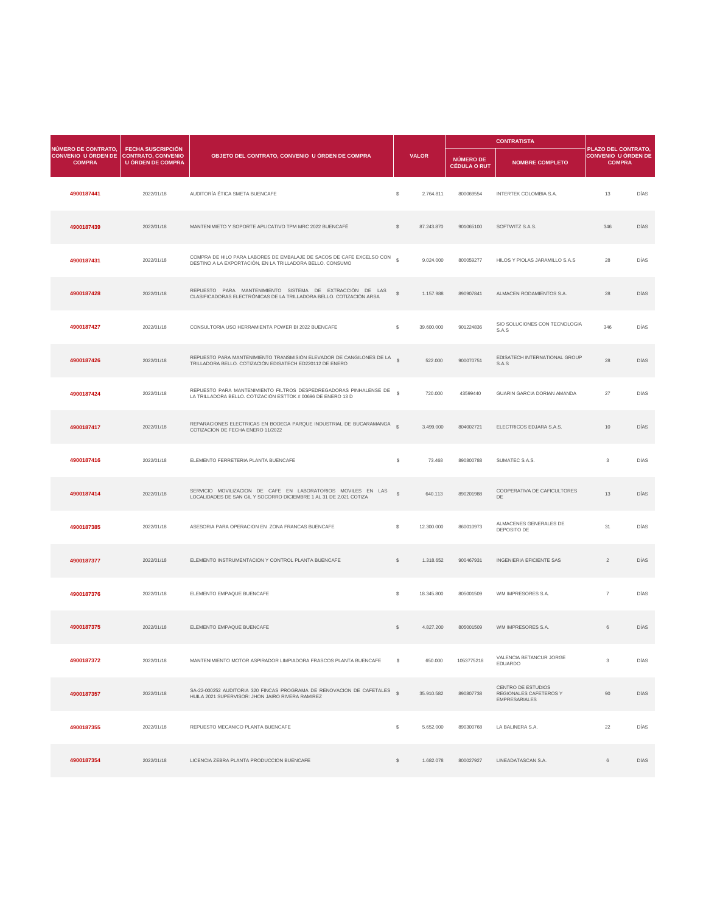| <b>NÚMERO DE CONTRATO,</b>                  |                                                                            |                                                                                                                                      |               |              | <b>CONTRATISTA</b>               |                                        |                                                                    |             |
|---------------------------------------------|----------------------------------------------------------------------------|--------------------------------------------------------------------------------------------------------------------------------------|---------------|--------------|----------------------------------|----------------------------------------|--------------------------------------------------------------------|-------------|
| <b>CONVENIO U ÓRDEN DE</b><br><b>COMPRA</b> | <b>FECHA SUSCRIPCIÓN</b><br><b>CONTRATO, CONVENIO</b><br>U ÓRDEN DE COMPRA | OBJETO DEL CONTRATO, CONVENIO U ÓRDEN DE COMPRA                                                                                      |               | <b>VALOR</b> | NÚMERO DE<br><b>CÉDULA O RUT</b> | <b>NOMBRE COMPLETO</b>                 | PLAZO DEL CONTRATO,<br><b>CONVENIO U ÓRDEN DE</b><br><b>COMPRA</b> |             |
| 4900187441                                  | 2022/01/18                                                                 | AUDITORÍA ÉTICA SMETA BUENCAFE                                                                                                       | \$            | 2.764.811    | 800069554                        | <b>INTERTEK COLOMBIA S.A.</b>          | 13                                                                 | <b>DÍAS</b> |
| 4900187439                                  | 2022/01/18                                                                 | MANTENIMIETO Y SOPORTE APLICATIVO TPM MRC 2022 BUENCAFÉ                                                                              | $\mathcal{L}$ | 87.243.870   | 901065100                        | SOFTWITZ S.A.S.                        | 346                                                                | <b>DÍAS</b> |
| 4900187431                                  | 2022/01/18                                                                 | COMPRA DE HILO PARA LABORES DE EMBALAJE DE SACOS DE CAFE EXCELSO CON \$<br>DESTINO A LA EXPORTACIÓN, EN LA TRILLADORA BELLO. CONSUMO |               | 9.024.000    | 800059277                        | HILOS Y PIOLAS JARAMILLO S.A.S         | 28                                                                 | <b>DÍAS</b> |
| 4900187428                                  | 2022/01/18                                                                 | REPUESTO PARA MANTENIMIENTO SISTEMA DE EXTRACCIÓN DE LAS<br>CLASIFICADORAS ELECTRÓNICAS DE LA TRILLADORA BELLO. COTIZACIÓN ARSA      | $\mathcal{L}$ | 1.157.988    | 890907841                        | ALMACEN RODAMIENTOS S.A.               | 28                                                                 | <b>DÍAS</b> |
| 4900187427                                  | 2022/01/18                                                                 | CONSULTORIA USO HERRAMIENTA POWER BI 2022 BUENCAFE                                                                                   | $\mathbb{S}$  | 39.600.000   | 901224836                        | SIO SOLUCIONES CON TECNOLOGIA<br>S.A.S | 346                                                                | <b>DÍAS</b> |
| 4900187426                                  | 2022/01/18                                                                 | REPUESTO PARA MANTENIMIENTO TRANSMISIÓN ELEVADOR DE CANGILONES DE LA<br>TRILLADORA BELLO. COTIZACIÓN EDISATECH ED220112 DE ENERO     |               | 522.000      | 900070751                        | EDISATECH INTERNATIONAL GROUP<br>S.A.S | 28                                                                 | <b>DÍAS</b> |
| 4900187424                                  | 2022/01/18                                                                 | REPUESTO PARA MANTENIMIENTO FILTROS DESPEDREGADORAS PINHALENSE DE<br>LA TRILLADORA BELLO. COTIZACIÓN ESTTOK # 00696 DE ENERO 13 D    | $\mathbb{S}$  | 720.000      | 43599440                         | <b>GUARIN GARCIA DORIAN AMANDA</b>     | 27                                                                 | DÍAS        |
| 4900187417                                  | 2022/01/18                                                                 | REPARACIONES ELECTRICAS EN BODEGA PARQUE INDUSTRIAL DE BUCARAMANGA \$<br>COTIZACION DE FECHA ENERO 11/2022                           |               | 3.499.000    | 804002721                        | ELECTRICOS EDJARA S.A.S.               | 10 <sup>°</sup>                                                    | DÍAS        |

| 4900187416 | 2022/01/18 | ELEMENTO FERRETERIA PLANTA BUENCAFE                                                                                                | $\mathbb{S}$  | 73.468     | 890800788  | SUMATEC S.A.S.                                                              | 3              | <b>DÍAS</b> |
|------------|------------|------------------------------------------------------------------------------------------------------------------------------------|---------------|------------|------------|-----------------------------------------------------------------------------|----------------|-------------|
| 4900187414 | 2022/01/18 | SERVICIO MOVILIZACION DE CAFE EN LABORATORIOS MOVILES EN LAS<br>LOCALIDADES DE SAN GIL Y SOCORRO DICIEMBRE 1 AL 31 DE 2.021 COTIZA | $\mathcal{L}$ | 640.113    | 890201988  | COOPERATIVA DE CAFICULTORES<br>DE                                           | 13             | <b>DÍAS</b> |
| 4900187385 | 2022/01/18 | ASESORIA PARA OPERACION EN ZONA FRANCAS BUENCAFE                                                                                   | $\mathbb{S}$  | 12.300.000 | 860010973  | ALMACENES GENERALES DE<br>DEPOSITO DE                                       | 31             | DÍAS        |
| 4900187377 | 2022/01/18 | ELEMENTO INSTRUMENTACION Y CONTROL PLANTA BUENCAFE                                                                                 | $\mathbb{S}$  | 1.318.652  | 900467931  | <b>INGENIERIA EFICIENTE SAS</b>                                             | $\overline{2}$ | <b>DÍAS</b> |
| 4900187376 | 2022/01/18 | ELEMENTO EMPAQUE BUENCAFE                                                                                                          | \$            | 18.345.800 | 805001509  | WM IMPRESORES S.A.                                                          | $\overline{7}$ | DÍAS        |
| 4900187375 | 2022/01/18 | ELEMENTO EMPAQUE BUENCAFE                                                                                                          | $\mathcal{L}$ | 4.827.200  | 805001509  | WM IMPRESORES S.A.                                                          | 6              | <b>DÍAS</b> |
| 4900187372 | 2022/01/18 | MANTENIMIENTO MOTOR ASPIRADOR LIMPIADORA FRASCOS PLANTA BUENCAFE                                                                   | S.            | 650.000    | 1053775218 | VALENCIA BETANCUR JORGE<br><b>EDUARDO</b>                                   | 3              | <b>DÍAS</b> |
| 4900187357 | 2022/01/18 | SA-22-000252 AUDITORIA 320 FINCAS PROGRAMA DE RENOVACION DE CAFETALES \$<br>HUILA 2021 SUPERVISOR: JHON JAIRO RIVERA RAMIREZ       |               | 35.910.582 | 890807738  | <b>CENTRO DE ESTUDIOS</b><br>REGIONALES CAFETEROS Y<br><b>EMPRESARIALES</b> | 90             | <b>DÍAS</b> |
| 4900187355 | 2022/01/18 | REPUESTO MECANICO PLANTA BUENCAFE                                                                                                  | \$            | 5.652.000  | 890300768  | LA BALINERA S.A.                                                            | 22             | <b>DÍAS</b> |
| 4900187354 | 2022/01/18 | LICENCIA ZEBRA PLANTA PRODUCCION BUENCAFE                                                                                          | $\mathbb{S}$  | 1.682.078  | 800027927  | LINEADATASCAN S.A.                                                          | 6              | <b>DÍAS</b> |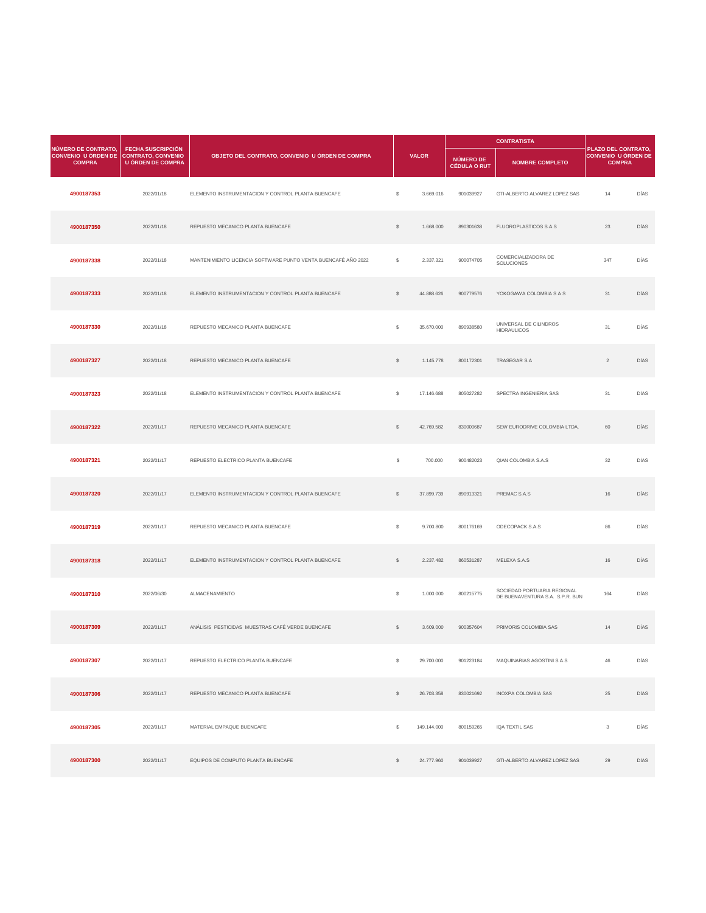| <b>NÚMERO DE CONTRATO</b>                                      |                                               |                                                               |               |              |                                  | <b>CONTRATISTA</b>                           |                                                                           |             |
|----------------------------------------------------------------|-----------------------------------------------|---------------------------------------------------------------|---------------|--------------|----------------------------------|----------------------------------------------|---------------------------------------------------------------------------|-------------|
| <b>CONVENIO U ÓRDEN DE CONTRATO, CONVENIO</b><br><b>COMPRA</b> | <b>FECHA SUSCRIPCIÓN</b><br>U ÓRDEN DE COMPRA | OBJETO DEL CONTRATO, CONVENIO U ÓRDEN DE COMPRA               |               | <b>VALOR</b> | NÚMERO DE<br><b>CÉDULA O RUT</b> | <b>NOMBRE COMPLETO</b>                       | <b>PLAZO DEL CONTRATO,</b><br><b>CONVENIO U ÓRDEN DE</b><br><b>COMPRA</b> |             |
| 4900187353                                                     | 2022/01/18                                    | ELEMENTO INSTRUMENTACION Y CONTROL PLANTA BUENCAFE            | \$            | 3.669.016    | 901039927                        | GTI-ALBERTO ALVAREZ LOPEZ SAS                | 14                                                                        | <b>DÍAS</b> |
| 4900187350                                                     | 2022/01/18                                    | REPUESTO MECANICO PLANTA BUENCAFE                             | $\mathcal{L}$ | 1.668.000    | 890301638                        | FLUOROPLASTICOS S.A.S                        | 23                                                                        | <b>DÍAS</b> |
| 4900187338                                                     | 2022/01/18                                    | MANTENIMIENTO LICENCIA SOFTWARE PUNTO VENTA BUENCAFÉ AÑO 2022 | $\mathcal{L}$ | 2.337.321    | 900074705                        | <b>COMERCIALIZADORA DE</b><br>SOLUCIONES     | 347                                                                       | <b>DÍAS</b> |
| 4900187333                                                     | 2022/01/18                                    | ELEMENTO INSTRUMENTACION Y CONTROL PLANTA BUENCAFE            | $\mathcal{L}$ | 44.888.626   | 900779576                        | YOKOGAWA COLOMBIA S A S                      | 31                                                                        | <b>DÍAS</b> |
| 4900187330                                                     | 2022/01/18                                    | REPUESTO MECANICO PLANTA BUENCAFE                             | \$            | 35.670.000   | 890938580                        | UNIVERSAL DE CILINDROS<br><b>HIDRAULICOS</b> | 31                                                                        | <b>DÍAS</b> |
| 4900187327                                                     | 2022/01/18                                    | REPUESTO MECANICO PLANTA BUENCAFE                             | <sup>\$</sup> | 1.145.778    | 800172301                        | <b>TRASEGAR S.A</b>                          | $\overline{2}$                                                            | <b>DÍAS</b> |
| 4900187323                                                     | 2022/01/18                                    | ELEMENTO INSTRUMENTACION Y CONTROL PLANTA BUENCAFE            | \$            | 17.146.688   | 805027282                        | SPECTRA INGENIERIA SAS                       | 31                                                                        | DÍAS        |
| 4900187322                                                     | 2022/01/17                                    | REPUESTO MECANICO PLANTA BUENCAFE                             | $\mathbb{S}$  | 42.769.582   | 830000687                        | SEW EURODRIVE COLOMBIA LTDA.                 | 60                                                                        | <b>DÍAS</b> |

| 4900187321 | 2022/01/17 | REPUESTO ELECTRICO PLANTA BUENCAFE                 | $\frac{1}{2}$ | 700.000     | 900482023 | QIAN COLOMBIA S.A.S                                            | 32           | DÍAS        |
|------------|------------|----------------------------------------------------|---------------|-------------|-----------|----------------------------------------------------------------|--------------|-------------|
| 4900187320 | 2022/01/17 | ELEMENTO INSTRUMENTACION Y CONTROL PLANTA BUENCAFE | $\frac{1}{2}$ | 37.899.739  | 890913321 | PREMAC S.A.S                                                   | 16           | <b>DÍAS</b> |
| 4900187319 | 2022/01/17 | REPUESTO MECANICO PLANTA BUENCAFE                  | $\mathbb{S}$  | 9.700.800   | 800176169 | ODECOPACK S.A.S                                                | 86           | DÍAS        |
| 4900187318 | 2022/01/17 | ELEMENTO INSTRUMENTACION Y CONTROL PLANTA BUENCAFE | $\mathcal{L}$ | 2.237.482   | 860531287 | MELEXA S.A.S                                                   | 16           | DÍAS        |
| 4900187310 | 2022/06/30 | ALMACENAMIENTO                                     | $\frac{1}{2}$ | 1.000.000   | 800215775 | SOCIEDAD PORTUARIA REGIONAL<br>DE BUENAVENTURA S.A. S.P.R. BUN | 164          | DÍAS        |
| 4900187309 | 2022/01/17 | ANÁLISIS PESTICIDAS MUESTRAS CAFÉ VERDE BUENCAFE   | $\mathcal{L}$ | 3.609.000   | 900357604 | PRIMORIS COLOMBIA SAS                                          | 14           | DÍAS        |
| 4900187307 | 2022/01/17 | REPUESTO ELECTRICO PLANTA BUENCAFE                 | \$            | 29.700.000  | 901223184 | MAQUINARIAS AGOSTINI S.A.S                                     | 46           | <b>DÍAS</b> |
| 4900187306 | 2022/01/17 | REPUESTO MECANICO PLANTA BUENCAFE                  | $\mathcal{L}$ | 26.703.358  | 830021692 | <b>INOXPA COLOMBIA SAS</b>                                     | 25           | DÍAS        |
| 4900187305 | 2022/01/17 | MATERIAL EMPAQUE BUENCAFE                          | $\mathbb{S}$  | 149.144.000 | 800159265 | IQA TEXTIL SAS                                                 | $\mathbf{3}$ | DÍAS        |
| 4900187300 | 2022/01/17 | EQUIPOS DE COMPUTO PLANTA BUENCAFE                 | $\mathcal{L}$ | 24.777.960  | 901039927 | GTI-ALBERTO ALVAREZ LOPEZ SAS                                  | 29           | <b>DÍAS</b> |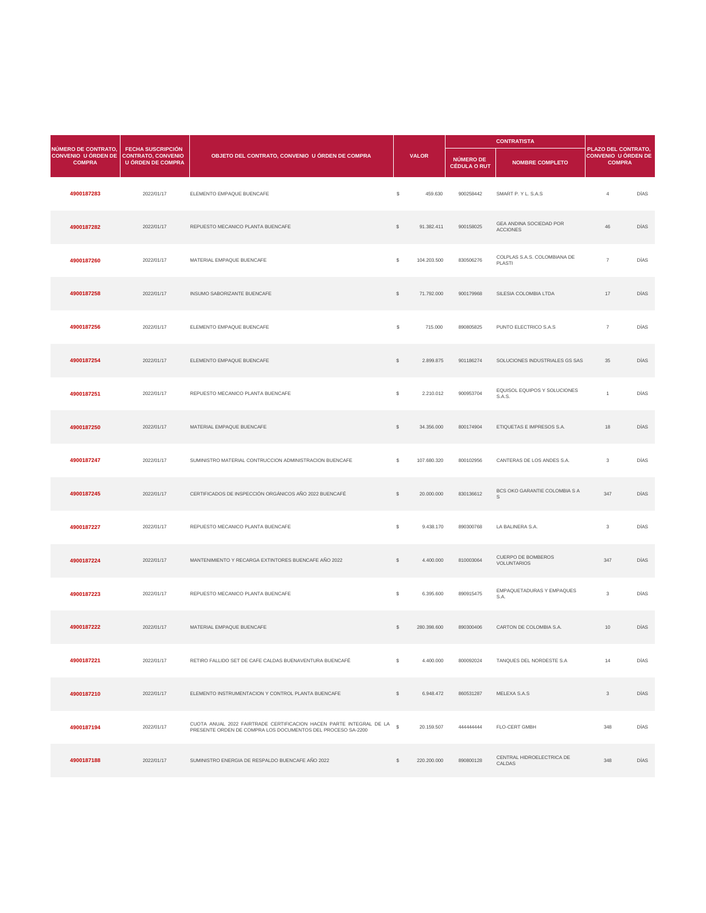|                                                                    |                                                                                   |                                                 |                |              |                                  | <b>CONTRATISTA</b>                                | <b>PLAZO DEL CONTRATO,</b>                  |             |
|--------------------------------------------------------------------|-----------------------------------------------------------------------------------|-------------------------------------------------|----------------|--------------|----------------------------------|---------------------------------------------------|---------------------------------------------|-------------|
| NÚMERO DE CONTRATO,<br><b>CONVENIO U ÓRDEN DE</b><br><b>COMPRA</b> | <b>FECHA SUSCRIPCIÓN</b><br><b>CONTRATO, CONVENIO</b><br><b>U ÓRDEN DE COMPRA</b> | OBJETO DEL CONTRATO, CONVENIO U ÓRDEN DE COMPRA |                | <b>VALOR</b> | NÚMERO DE<br><b>CÉDULA O RUT</b> | <b>NOMBRE COMPLETO</b>                            | <b>CONVENIO U ÓRDEN DE</b><br><b>COMPRA</b> |             |
| 4900187283                                                         | 2022/01/17                                                                        | ELEMENTO EMPAQUE BUENCAFE                       | \$             | 459.630      | 900258442                        | SMART P. Y L. S.A.S                               | $\overline{4}$                              | <b>DÍAS</b> |
| 4900187282                                                         | 2022/01/17                                                                        | REPUESTO MECANICO PLANTA BUENCAFE               | $\mathcal{S}$  | 91.382.411   | 900158025                        | <b>GEA ANDINA SOCIEDAD POR</b><br><b>ACCIONES</b> | 46                                          | <b>DÍAS</b> |
| 4900187260                                                         | 2022/01/17                                                                        | MATERIAL EMPAQUE BUENCAFE                       | $\mathcal{L}$  | 104.203.500  | 830506276                        | COLPLAS S.A.S. COLOMBIANA DE<br><b>PLASTI</b>     | $\overline{7}$                              | <b>DÍAS</b> |
| 4900187258                                                         | 2022/01/17                                                                        | INSUMO SABORIZANTE BUENCAFE                     | $\mathcal{L}$  | 71.792.000   | 900179968                        | SILESIA COLOMBIA LTDA                             | 17                                          | <b>DÍAS</b> |
| 4900187256                                                         | 2022/01/17                                                                        | ELEMENTO EMPAQUE BUENCAFE                       | $\mathcal{L}$  | 715.000      | 890805825                        | PUNTO ELECTRICO S.A.S                             | $\overline{7}$                              | <b>DÍAS</b> |
| 4900187254                                                         | 2022/01/17                                                                        | ELEMENTO EMPAQUE BUENCAFE                       | $\mathcal{L}$  | 2.899.875    | 901186274                        | SOLUCIONES INDUSTRIALES GS SAS                    | 35                                          | <b>DÍAS</b> |
| 4900187251                                                         | 2022/01/17                                                                        | REPUESTO MECANICO PLANTA BUENCAFE               | $\mathfrak{S}$ | 2.210.012    | 900953704                        | EQUISOL EQUIPOS Y SOLUCIONES<br>S.A.S.            |                                             | <b>DÍAS</b> |
| 4900187250                                                         | 2022/01/17                                                                        | MATERIAL EMPAQUE BUENCAFE                       | $\frac{1}{2}$  | 34.356.000   | 800174904                        | ETIQUETAS E IMPRESOS S.A.                         | 18                                          | <b>DÍAS</b> |

| 4900187247 | 2022/01/17 | SUMINISTRO MATERIAL CONTRUCCION ADMINISTRACION BUENCAFE                                                                               | \$             | 107.680.320 | 800102956 | CANTERAS DE LOS ANDES S.A.                      | $\mathbf{3}$   | <b>DÍAS</b> |
|------------|------------|---------------------------------------------------------------------------------------------------------------------------------------|----------------|-------------|-----------|-------------------------------------------------|----------------|-------------|
| 4900187245 | 2022/01/17 | CERTIFICADOS DE INSPECCIÓN ORGÁNICOS AÑO 2022 BUENCAFÉ                                                                                | $\mathbb{S}$   | 20.000.000  | 830136612 | BCS OKO GARANTIE COLOMBIA S A<br>S              | 347            | <b>DÍAS</b> |
| 4900187227 | 2022/01/17 | REPUESTO MECANICO PLANTA BUENCAFE                                                                                                     | $\mathbb{S}$   | 9.438.170   | 890300768 | LA BALINERA S.A.                                | $\mathbf{3}$   | DÍAS        |
| 4900187224 | 2022/01/17 | MANTENIMIENTO Y RECARGA EXTINTORES BUENCAFE AÑO 2022                                                                                  | $\mathbb{S}$   | 4.400.000   | 810003064 | <b>CUERPO DE BOMBEROS</b><br><b>VOLUNTARIOS</b> | 347            | <b>DÍAS</b> |
| 4900187223 | 2022/01/17 | REPUESTO MECANICO PLANTA BUENCAFE                                                                                                     | $\mathbb{S}$   | 6.395.600   | 890915475 | EMPAQUETADURAS Y EMPAQUES<br>S.A.               | $\mathbf{3}$   | DÍAS        |
| 4900187222 | 2022/01/17 | MATERIAL EMPAQUE BUENCAFE                                                                                                             | $\mathcal{L}$  | 280.398.600 | 890300406 | CARTON DE COLOMBIA S.A.                         | 10             | <b>DÍAS</b> |
| 4900187221 | 2022/01/17 | RETIRO FALLIDO SET DE CAFE CALDAS BUENAVENTURA BUENCAFÉ                                                                               | $\mathbb{S}$   | 4.400.000   | 800092024 | TANQUES DEL NORDESTE S.A                        | 14             | <b>DÍAS</b> |
| 4900187210 | 2022/01/17 | ELEMENTO INSTRUMENTACION Y CONTROL PLANTA BUENCAFE                                                                                    | $\mathbb{S}^-$ | 6.948.472   | 860531287 | MELEXA S.A.S                                    | 3 <sup>1</sup> | <b>DÍAS</b> |
| 4900187194 | 2022/01/17 | CUOTA ANUAL 2022 FAIRTRADE CERTIFICACION HACEN PARTE INTEGRAL DE LA \$<br>PRESENTE ORDEN DE COMPRA LOS DOCUMENTOS DEL PROCESO SA-2200 |                | 20.159.507  | 444444444 | <b>FLO-CERT GMBH</b>                            | 348            | DÍAS        |
| 4900187188 | 2022/01/17 | SUMINISTRO ENERGIA DE RESPALDO BUENCAFE AÑO 2022                                                                                      | $\mathbb{S}$   | 220.200.000 | 890800128 | CENTRAL HIDROELECTRICA DE<br>CALDAS             | 348            | <b>DÍAS</b> |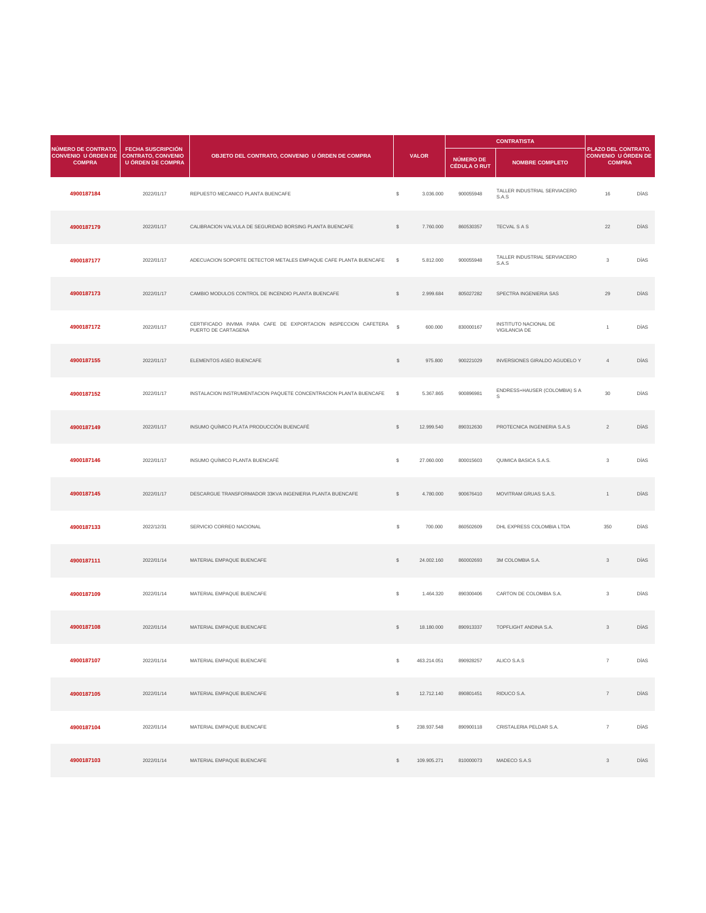| <b>NÚMERO DE CONTRATO,</b>                  |                                                                                   |                                                                                        |               |              |                                  | <b>CONTRATISTA</b>                            |                                                                           |             |
|---------------------------------------------|-----------------------------------------------------------------------------------|----------------------------------------------------------------------------------------|---------------|--------------|----------------------------------|-----------------------------------------------|---------------------------------------------------------------------------|-------------|
| <b>CONVENIO U ÓRDEN DE</b><br><b>COMPRA</b> | <b>FECHA SUSCRIPCIÓN</b><br><b>CONTRATO, CONVENIO</b><br><b>U ÓRDEN DE COMPRA</b> | OBJETO DEL CONTRATO, CONVENIO U ÓRDEN DE COMPRA                                        |               | <b>VALOR</b> | NÚMERO DE<br><b>CÉDULA O RUT</b> | <b>NOMBRE COMPLETO</b>                        | <b>PLAZO DEL CONTRATO,</b><br><b>CONVENIO U ÓRDEN DE</b><br><b>COMPRA</b> |             |
| 4900187184                                  | 2022/01/17                                                                        | REPUESTO MECANICO PLANTA BUENCAFE                                                      | $\mathcal{L}$ | 3.036.000    | 900055948                        | TALLER INDUSTRIAL SERVIACERO<br>S.A.S         | 16                                                                        | <b>DÍAS</b> |
| 4900187179                                  | 2022/01/17                                                                        | CALIBRACION VALVULA DE SEGURIDAD BORSING PLANTA BUENCAFE                               | $\mathcal{S}$ | 7.760.000    | 860530357                        | <b>TECVAL S A S</b>                           | 22                                                                        | <b>DÍAS</b> |
| 4900187177                                  | 2022/01/17                                                                        | ADECUACION SOPORTE DETECTOR METALES EMPAQUE CAFE PLANTA BUENCAFE                       | <b>S</b>      | 5.812.000    | 900055948                        | TALLER INDUSTRIAL SERVIACERO<br>S.A.S         | 3                                                                         | <b>DÍAS</b> |
| 4900187173                                  | 2022/01/17                                                                        | CAMBIO MODULOS CONTROL DE INCENDIO PLANTA BUENCAFE                                     | $\mathcal{S}$ | 2.999.684    | 805027282                        | SPECTRA INGENIERIA SAS                        | 29                                                                        | <b>DÍAS</b> |
| 4900187172                                  | 2022/01/17                                                                        | CERTIFICADO INVIMA PARA CAFE DE EXPORTACION INSPECCION CAFETERA<br>PUERTO DE CARTAGENA | $\mathbb{S}$  | 600.000      | 830000167                        | INSTITUTO NACIONAL DE<br><b>VIGILANCIA DE</b> |                                                                           | <b>DÍAS</b> |
| 4900187155                                  | 2022/01/17                                                                        | ELEMENTOS ASEO BUENCAFE                                                                | $\mathcal{L}$ | 975.800      | 900221029                        | <b>INVERSIONES GIRALDO AGUDELO Y</b>          |                                                                           | <b>DÍAS</b> |
| 4900187152                                  | 2022/01/17                                                                        | INSTALACION INSTRUMENTACION PAQUETE CONCENTRACION PLANTA BUENCAFE                      | $^{\circ}$    | 5.367.865    | 900896981                        | ENDRESS+HAUSER (COLOMBIA) S A<br>S            | 30                                                                        | DÍAS        |
| 4900187149                                  | 2022/01/17                                                                        | INSUMO QUÍMICO PLATA PRODUCCIÓN BUENCAFÉ                                               |               | 12.999.540   | 890312630                        | PROTECNICA INGENIERIA S.A.S                   | $\overline{2}$                                                            | <b>DÍAS</b> |

| 4900187146 | 2022/01/17 | INSUMO QUÍMICO PLANTA BUENCAFÉ                           | $\mathcal{L}$  | 27.060.000  | 800015603 | QUIMICA BASICA S.A.S.     | $\mathbf{3}$    | DÍAS |
|------------|------------|----------------------------------------------------------|----------------|-------------|-----------|---------------------------|-----------------|------|
| 4900187145 | 2022/01/17 | DESCARGUE TRANSFORMADOR 33KVA INGENIERIA PLANTA BUENCAFE | $\mathcal{S}$  | 4.780.000   | 900676410 | MOVITRAM GRUAS S.A.S.     | $\overline{1}$  | DÍAS |
| 4900187133 | 2022/12/31 | SERVICIO CORREO NACIONAL                                 | $\frac{1}{2}$  | 700.000     | 860502609 | DHL EXPRESS COLOMBIA LTDA | 350             | DÍAS |
| 4900187111 | 2022/01/14 | MATERIAL EMPAQUE BUENCAFE                                | $\mathcal{L}$  | 24.002.160  | 860002693 | 3M COLOMBIA S.A.          | 3 <sup>1</sup>  | DÍAS |
| 4900187109 | 2022/01/14 | MATERIAL EMPAQUE BUENCAFE                                | $\mathcal{L}$  | 1.464.320   | 890300406 | CARTON DE COLOMBIA S.A.   | $\mathbf{3}$    | DÍAS |
| 4900187108 | 2022/01/14 | MATERIAL EMPAQUE BUENCAFE                                | $\mathcal{L}$  | 18.180.000  | 890913337 | TOPFLIGHT ANDINA S.A.     | 3 <sup>1</sup>  | DÍAS |
| 4900187107 | 2022/01/14 | MATERIAL EMPAQUE BUENCAFE                                | $\mathcal{S}$  | 463.214.051 | 890928257 | ALICO S.A.S               | $\overline{7}$  | DÍAS |
| 4900187105 | 2022/01/14 | MATERIAL EMPAQUE BUENCAFE                                | $\mathcal{L}$  | 12.712.140  | 890801451 | RIDUCO S.A.               | $7\overline{ }$ | DÍAS |
| 4900187104 | 2022/01/14 | MATERIAL EMPAQUE BUENCAFE                                | $\mathfrak{S}$ | 238.937.548 | 890900118 | CRISTALERIA PELDAR S.A.   | $\overline{7}$  | DÍAS |
| 4900187103 | 2022/01/14 | MATERIAL EMPAQUE BUENCAFE                                | $\$\$          | 109.905.271 | 810000073 | MADECO S.A.S              | 3 <sup>1</sup>  | DÍAS |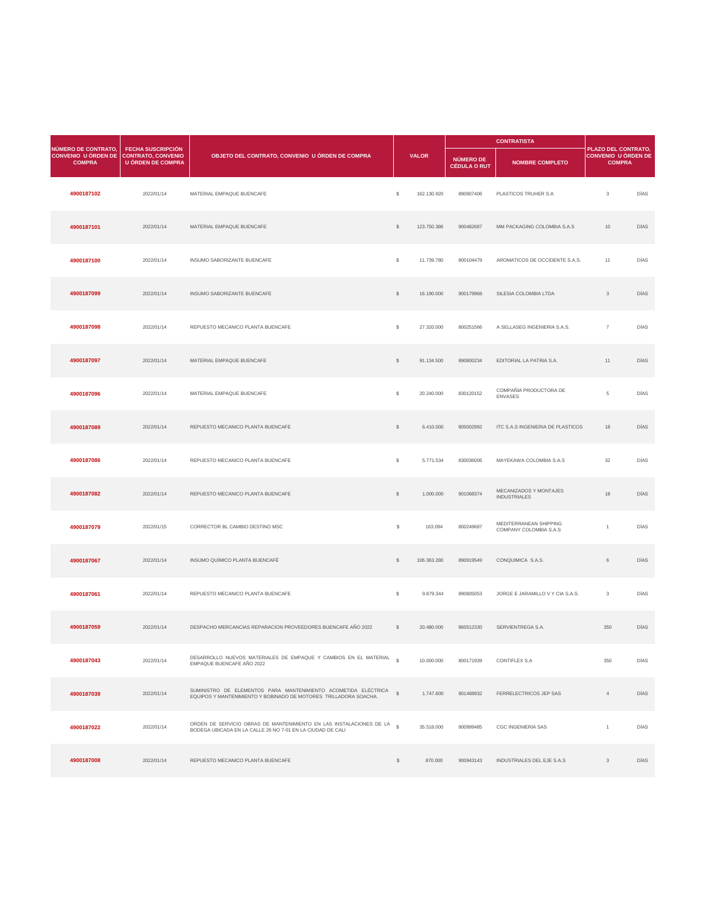|                                                                                       |                                                      |                                                 |               | <b>CONTRATISTA</b> |                                  |                                          |                                                                           |             |
|---------------------------------------------------------------------------------------|------------------------------------------------------|-------------------------------------------------|---------------|--------------------|----------------------------------|------------------------------------------|---------------------------------------------------------------------------|-------------|
| <b>NÚMERO DE CONTRATO,</b><br>CONVENIO U ÓRDEN DE CONTRATO, CONVENIO<br><b>COMPRA</b> | <b>FECHA SUSCRIPCIÓN</b><br><b>U ÓRDEN DE COMPRA</b> | OBJETO DEL CONTRATO, CONVENIO U ÓRDEN DE COMPRA |               | <b>VALOR</b>       | NÚMERO DE<br><b>CÉDULA O RUT</b> | <b>NOMBRE COMPLETO</b>                   | <b>PLAZO DEL CONTRATO,</b><br><b>CONVENIO U ÓRDEN DE</b><br><b>COMPRA</b> |             |
| 4900187102                                                                            | 2022/01/14                                           | MATERIAL EMPAQUE BUENCAFE                       | $\mathcal{L}$ | 162.130.920        | 890907406                        | PLASTICOS TRUHER S.A                     | $\mathfrak{S}$                                                            | <b>DÍAS</b> |
| 4900187101                                                                            | 2022/01/14                                           | MATERIAL EMPAQUE BUENCAFE                       | $\mathcal{L}$ | 123.750.386        | 900482687                        | MM PACKAGING COLOMBIA S.A.S              | 10                                                                        | <b>DÍAS</b> |
| 4900187100                                                                            | 2022/01/14                                           | INSUMO SABORIZANTE BUENCAFE                     | $\frac{1}{2}$ | 11.739.780         | 800104479                        | AROMATICOS DE OCCIDENTE S.A.S.           | 11                                                                        | <b>DÍAS</b> |
| 4900187099                                                                            | 2022/01/14                                           | INSUMO SABORIZANTE BUENCAFE                     | $\mathcal{L}$ | 16.190.000         | 900179968                        | SILESIA COLOMBIA LTDA                    | $\mathcal{S}$                                                             | <b>DÍAS</b> |
| 4900187098                                                                            | 2022/01/14                                           | REPUESTO MECANICO PLANTA BUENCAFE               | $\frac{1}{2}$ | 27.320.000         | 800251566                        | A SELLASEG INGENIERIA S.A.S.             | $\overline{7}$                                                            | DÍAS        |
| 4900187097                                                                            | 2022/01/14                                           | MATERIAL EMPAQUE BUENCAFE                       | $\$\$         | 91.134.500         | 890800234                        | EDITORIAL LA PATRIA S.A.                 | 11                                                                        | <b>DÍAS</b> |
| 4900187096                                                                            | 2022/01/14                                           | MATERIAL EMPAQUE BUENCAFE                       | $\frac{1}{2}$ | 20.240.000         | 830120152                        | COMPAÑIA PRODUCTORA DE<br><b>ENVASES</b> | $5\overline{)}$                                                           | DÍAS        |
| 4900187089                                                                            | 2022/01/14                                           | REPUESTO MECANICO PLANTA BUENCAFE               | $\mathcal{L}$ | 6.410.000          | 805002992                        | ITC S.A.S INGENIERIA DE PLASTICOS        | 18                                                                        | DÍAS        |

| 4900187086 | 2022/01/14 | REPUESTO MECANICO PLANTA BUENCAFE                                                                                                   | $\mathcal{L}$ | 5.771.534   | 830036006 | MAYEKAWA COLOMBIA S.A.S                          | 32            | <b>DÍAS</b> |
|------------|------------|-------------------------------------------------------------------------------------------------------------------------------------|---------------|-------------|-----------|--------------------------------------------------|---------------|-------------|
| 4900187082 | 2022/01/14 | REPUESTO MECANICO PLANTA BUENCAFE                                                                                                   | $\mathcal{L}$ | 1.000.000   | 901068374 | MECANIZADOS Y MONTAJES<br><b>INDUSTRIALES</b>    | 18            | <b>DÍAS</b> |
| 4900187079 | 2022/01/15 | CORRECTOR BL CAMBIO DESTINO MSC                                                                                                     | $\frac{1}{2}$ | 163.094     | 800249687 | MEDITERRANEAN SHIPPING<br>COMPANY COLOMBIA S.A.S |               | DÍAS        |
| 4900187067 | 2022/01/14 | INSUMO QUÍMICO PLANTA BUENCAFÉ                                                                                                      | $\mathcal{L}$ | 106.363.280 | 890919549 | CONQUIMICA S.A.S.                                | 6             | <b>DÍAS</b> |
| 4900187061 | 2022/01/14 | REPUESTO MECANICO PLANTA BUENCAFE                                                                                                   | $\mathcal{L}$ | 9.879.344   | 890805053 | JORGE E JARAMILLO V Y CIA S.A.S.                 | $\mathbf{3}$  | DÍAS        |
| 4900187059 | 2022/01/14 | DESPACHO MERCANCIAS REPARACION PROVEEDORES BUENCAFE AÑO 2022                                                                        | $\mathcal{L}$ | 20.480.000  | 860512330 | SERVIENTREGA S.A.                                | 350           | <b>DÍAS</b> |
| 4900187043 | 2022/01/14 | DESARROLLO NUEVOS MATERIALES DE EMPAQUE Y CAMBIOS EN EL MATERIAL<br>EMPAQUE BUENCAFE AÑO 2022                                       | $\mathcal{S}$ | 10.000.000  | 800171939 | <b>CONTIFLEX S.A</b>                             | 350           | <b>DÍAS</b> |
| 4900187039 | 2022/01/14 | SUMINISTRO DE ELEMENTOS PARA MANTENIMIENTO ACOMETIDA ELÉCTRICA<br>EQUIPOS Y MANTENIMIENTO Y BOBINADO DE MOTORES TRILLADORA SOACHA.  | $\mathbb{S}$  | 1.747.600   | 901468932 | FERRELECTRICOS JEP SAS                           |               | <b>DÍAS</b> |
| 4900187022 | 2022/01/14 | ORDEN DE SERVICIO OBRAS DE MANTENIMIENTO EN LAS INSTALACIONES DE LA §<br>BODEGA UBICADA EN LA CALLE 26 NO 7-01 EN LA CIUDAD DE CALI |               | 35.518.000  | 900999485 | <b>CGC INGENIERIA SAS</b>                        |               | DÍAS        |
| 4900187008 | 2022/01/14 | REPUESTO MECANICO PLANTA BUENCAFE                                                                                                   | $\mathbb{S}$  | 870.000     | 900943143 | <b>INDUSTRIALES DEL EJE S.A.S</b>                | $\mathcal{S}$ | <b>DÍAS</b> |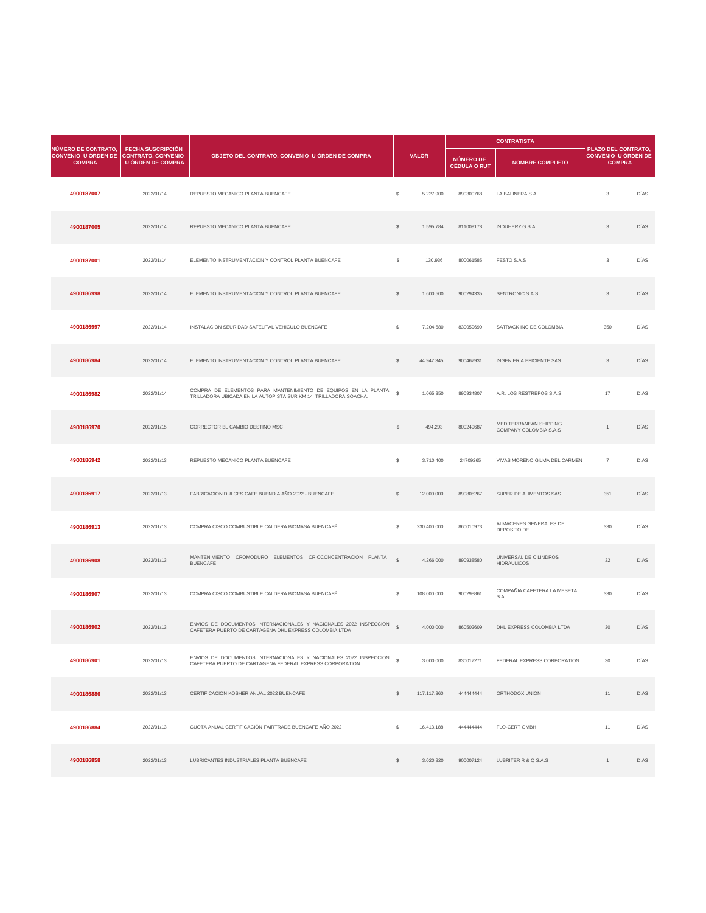|                                                                                       |                                               |                                                                                                                                                 |               |              |                                  | <b>CONTRATISTA</b>                               |                                                                           |             |
|---------------------------------------------------------------------------------------|-----------------------------------------------|-------------------------------------------------------------------------------------------------------------------------------------------------|---------------|--------------|----------------------------------|--------------------------------------------------|---------------------------------------------------------------------------|-------------|
| <b>NÚMERO DE CONTRATO,</b><br>CONVENIO U ÓRDEN DE CONTRATO, CONVENIO<br><b>COMPRA</b> | <b>FECHA SUSCRIPCIÓN</b><br>U ÓRDEN DE COMPRA | OBJETO DEL CONTRATO, CONVENIO U ÓRDEN DE COMPRA                                                                                                 |               | <b>VALOR</b> | NÚMERO DE<br><b>CÉDULA O RUT</b> | <b>NOMBRE COMPLETO</b>                           | <b>PLAZO DEL CONTRATO,</b><br><b>CONVENIO U ÓRDEN DE</b><br><b>COMPRA</b> |             |
| 4900187007                                                                            | 2022/01/14                                    | REPUESTO MECANICO PLANTA BUENCAFE                                                                                                               | \$            | 5.227.900    | 890300768                        | LA BALINERA S.A.                                 | 3                                                                         | <b>DÍAS</b> |
| 4900187005                                                                            | 2022/01/14                                    | REPUESTO MECANICO PLANTA BUENCAFE                                                                                                               | $\mathcal{L}$ | 1.595.784    | 811009178                        | <b>INDUHERZIG S.A.</b>                           | $\mathcal{S}$                                                             | <b>DÍAS</b> |
| 4900187001                                                                            | 2022/01/14                                    | ELEMENTO INSTRUMENTACION Y CONTROL PLANTA BUENCAFE                                                                                              | \$            | 130.936      | 800061585                        | <b>FESTO S.A.S</b>                               | 3                                                                         | <b>DÍAS</b> |
| 4900186998                                                                            | 2022/01/14                                    | ELEMENTO INSTRUMENTACION Y CONTROL PLANTA BUENCAFE                                                                                              | $\mathcal{L}$ | 1.600.500    | 900294335                        | SENTRONIC S.A.S.                                 | 3                                                                         | <b>DÍAS</b> |
| 4900186997                                                                            | 2022/01/14                                    | INSTALACION SEURIDAD SATELITAL VEHICULO BUENCAFE                                                                                                | $\mathbb S$   | 7.204.680    | 830059699                        | SATRACK INC DE COLOMBIA                          | 350                                                                       | <b>DÍAS</b> |
| 4900186984                                                                            | 2022/01/14                                    | ELEMENTO INSTRUMENTACION Y CONTROL PLANTA BUENCAFE                                                                                              |               | 44.947.345   | 900467931                        | <b>INGENIERIA EFICIENTE SAS</b>                  | 3                                                                         | <b>DÍAS</b> |
| 4900186982                                                                            | 2022/01/14                                    | COMPRA DE ELEMENTOS PARA MANTENIMIENTO DE EQUIPOS EN LA PLANTA $\frac{1}{3}$<br>TRILLADORA UBICADA EN LA AUTOPISTA SUR KM 14 TRILLADORA SOACHA. |               | 1.065.350    | 890934807                        | A.R. LOS RESTREPOS S.A.S.                        | 17                                                                        | DÍAS        |
| 4900186970                                                                            | 2022/01/15                                    | CORRECTOR BL CAMBIO DESTINO MSC                                                                                                                 | S.            | 494.293      | 800249687                        | MEDITERRANEAN SHIPPING<br>COMPANY COLOMBIA S.A.S |                                                                           | DÍAS        |

| 4900186942 | 2022/01/13 | REPUESTO MECANICO PLANTA BUENCAFE                                                                                             | $\mathbb{S}$  | 3.710.400   | 24709265  | VIVAS MORENO GILMA DEL CARMEN                | $\overline{7}$ | <b>DÍAS</b> |
|------------|------------|-------------------------------------------------------------------------------------------------------------------------------|---------------|-------------|-----------|----------------------------------------------|----------------|-------------|
| 4900186917 | 2022/01/13 | FABRICACION DULCES CAFE BUENDIA AÑO 2022 - BUENCAFE                                                                           | $\mathbb{S}$  | 12.000.000  | 890805267 | SUPER DE ALIMENTOS SAS                       | 351            | <b>DÍAS</b> |
| 4900186913 | 2022/01/13 | COMPRA CISCO COMBUSTIBLE CALDERA BIOMASA BUENCAFÉ                                                                             | $\mathbb{S}$  | 230.400.000 | 860010973 | ALMACENES GENERALES DE<br>DEPOSITO DE        | 330            | DÍAS        |
| 4900186908 | 2022/01/13 | CROMODURO ELEMENTOS CRIOCONCENTRACION PLANTA<br><b>MANTENIMIENTO</b><br><b>BUENCAFE</b>                                       | $\mathbb{S}$  | 4.266.000   | 890938580 | UNIVERSAL DE CILINDROS<br><b>HIDRAULICOS</b> | 32             | <b>DÍAS</b> |
| 4900186907 | 2022/01/13 | COMPRA CISCO COMBUSTIBLE CALDERA BIOMASA BUENCAFÉ                                                                             | $\mathbb{S}$  | 108.000.000 | 900298861 | COMPAÑIA CAFETERA LA MESETA<br>S.A.          | 330            | DÍAS        |
| 4900186902 | 2022/01/13 | ENVIOS DE DOCUMENTOS INTERNACIONALES Y NACIONALES 2022 INSPECCION<br>CAFETERA PUERTO DE CARTAGENA DHL EXPRESS COLOMBIA LTDA   | $\mathcal{S}$ | 4.000.000   | 860502609 | DHL EXPRESS COLOMBIA LTDA                    | 30             | <b>DÍAS</b> |
| 4900186901 | 2022/01/13 | ENVIOS DE DOCUMENTOS INTERNACIONALES Y NACIONALES 2022 INSPECCION<br>CAFETERA PUERTO DE CARTAGENA FEDERAL EXPRESS CORPORATION | $\mathcal{S}$ | 3.000.000   | 830017271 | FEDERAL EXPRESS CORPORATION                  | 30             | <b>DÍAS</b> |
| 4900186886 | 2022/01/13 | CERTIFICACION KOSHER ANUAL 2022 BUENCAFE                                                                                      | $\mathbb{S}$  | 117.117.360 | 444444444 | ORTHODOX UNION                               | 11             | <b>DÍAS</b> |
| 4900186884 | 2022/01/13 | CUOTA ANUAL CERTIFICACIÓN FAIRTRADE BUENCAFE AÑO 2022                                                                         | $\mathbb{S}$  | 16.413.188  | 44444444  | <b>FLO-CERT GMBH</b>                         | 11             | DÍAS        |
| 4900186858 | 2022/01/13 | LUBRICANTES INDUSTRIALES PLANTA BUENCAFE                                                                                      | $\mathbb{S}$  | 3.020.820   | 900007124 | LUBRITER R & Q S.A.S                         |                | <b>DÍAS</b> |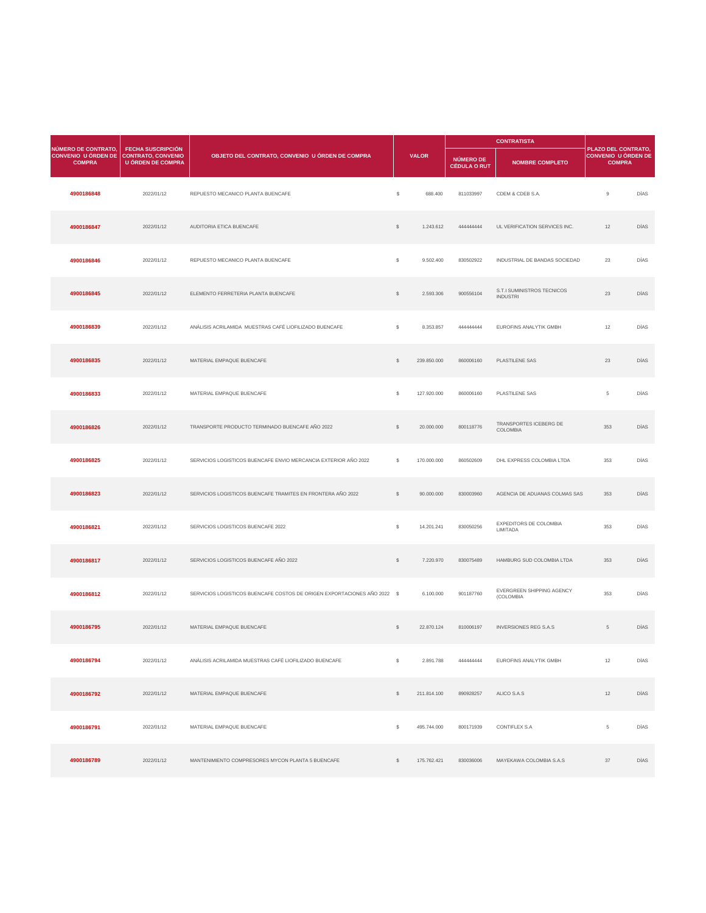|                                                                    |                                                                                   |                                                        |               |              | <b>CONTRATISTA</b>                      |                                               |                                                                    |             |
|--------------------------------------------------------------------|-----------------------------------------------------------------------------------|--------------------------------------------------------|---------------|--------------|-----------------------------------------|-----------------------------------------------|--------------------------------------------------------------------|-------------|
| NÚMERO DE CONTRATO,<br><b>CONVENIO U ÓRDEN DE</b><br><b>COMPRA</b> | <b>FECHA SUSCRIPCIÓN</b><br><b>CONTRATO, CONVENIO</b><br><b>U ÓRDEN DE COMPRA</b> | OBJETO DEL CONTRATO, CONVENIO U ÓRDEN DE COMPRA        |               | <b>VALOR</b> | <b>NÚMERO DE</b><br><b>CÉDULA O RUT</b> | <b>NOMBRE COMPLETO</b>                        | PLAZO DEL CONTRATO,<br><b>CONVENIO U ÓRDEN DE</b><br><b>COMPRA</b> |             |
| 4900186848                                                         | 2022/01/12                                                                        | REPUESTO MECANICO PLANTA BUENCAFE                      | $\mathcal{L}$ | 688.400      | 811033997                               | CDEM & CDEB S.A.                              | 9                                                                  | DÍAS        |
| 4900186847                                                         | 2022/01/12                                                                        | AUDITORIA ETICA BUENCAFE                               | $\mathcal{L}$ | 1.243.612    | 44444444                                | UL VERIFICATION SERVICES INC.                 | 12                                                                 | DÍAS        |
| 4900186846                                                         | 2022/01/12                                                                        | REPUESTO MECANICO PLANTA BUENCAFE                      | $\frac{1}{2}$ | 9.502.400    | 830502922                               | INDUSTRIAL DE BANDAS SOCIEDAD                 | 23                                                                 | DÍAS        |
| 4900186845                                                         | 2022/01/12                                                                        | ELEMENTO FERRETERIA PLANTA BUENCAFE                    | $\mathcal{L}$ | 2.593.306    | 900556104                               | S.T.I SUMINISTROS TECNICOS<br><b>INDUSTRI</b> | 23                                                                 | <b>DÍAS</b> |
| 4900186839                                                         | 2022/01/12                                                                        | ANÁLISIS ACRILAMIDA MUESTRAS CAFÉ LIOFILIZADO BUENCAFE | $\mathcal{L}$ | 8.353.857    | 44444444                                | <b>EUROFINS ANALYTIK GMBH</b>                 | 12 <sup>7</sup>                                                    | DÍAS        |
| 4900186835                                                         | 2022/01/12                                                                        | MATERIAL EMPAQUE BUENCAFE                              |               | 239.850.000  | 860006160                               | PLASTILENE SAS                                | 23                                                                 | <b>DÍAS</b> |
| 4900186833                                                         | 2022/01/12                                                                        | MATERIAL EMPAQUE BUENCAFE                              | \$            | 127.920.000  | 860006160                               | PLASTILENE SAS                                | $5\overline{)}$                                                    | DÍAS        |
| 4900186826                                                         | 2022/01/12                                                                        | TRANSPORTE PRODUCTO TERMINADO BUENCAFE AÑO 2022        | $\mathcal{L}$ | 20.000.000   | 800118776                               | TRANSPORTES ICEBERG DE<br><b>COLOMBIA</b>     | 353                                                                | DÍAS        |

| 4900186825 | 2022/01/12 | SERVICIOS LOGISTICOS BUENCAFE ENVIO MERCANCIA EXTERIOR AÑO 2022          | $\mathbb{S}$  | 170.000.000 | 860502609 | DHL EXPRESS COLOMBIA LTDA                        | 353             | <b>DÍAS</b> |
|------------|------------|--------------------------------------------------------------------------|---------------|-------------|-----------|--------------------------------------------------|-----------------|-------------|
| 4900186823 | 2022/01/12 | SERVICIOS LOGISTICOS BUENCAFE TRAMITES EN FRONTERA AÑO 2022              | $\$\$         | 90.000.000  | 830003960 | AGENCIA DE ADUANAS COLMAS SAS                    | 353             | <b>DÍAS</b> |
| 4900186821 | 2022/01/12 | SERVICIOS LOGISTICOS BUENCAFE 2022                                       | $\mathbb{S}$  | 14.201.241  | 830050256 | <b>EXPEDITORS DE COLOMBIA</b><br><b>LIMITADA</b> | 353             | DÍAS        |
| 4900186817 | 2022/01/12 | SERVICIOS LOGISTICOS BUENCAFE AÑO 2022                                   | $\mathcal{L}$ | 7.220.970   | 830075489 | HAMBURG SUD COLOMBIA LTDA                        | 353             | <b>DÍAS</b> |
| 4900186812 | 2022/01/12 | SERVICIOS LOGISTICOS BUENCAFE COSTOS DE ORIGEN EXPORTACIONES AÑO 2022 \$ |               | 6.100.000   | 901187760 | EVERGREEN SHIPPING AGENCY<br>(COLOMBIA           | 353             | DÍAS        |
| 4900186795 | 2022/01/12 | MATERIAL EMPAQUE BUENCAFE                                                | $\$\$         | 22.870.124  | 810006197 | <b>INVERSIONES REG S.A.S</b>                     | 5 <sup>5</sup>  | <b>DÍAS</b> |
| 4900186794 | 2022/01/12 | ANÁLISIS ACRILAMIDA MUESTRAS CAFÉ LIOFILIZADO BUENCAFE                   | $\mathbb{S}$  | 2.891.788   | 44444444  | <b>EUROFINS ANALYTIK GMBH</b>                    | 12              | DÍAS        |
| 4900186792 | 2022/01/12 | MATERIAL EMPAQUE BUENCAFE                                                | $\mathbb{S}$  | 211.814.100 | 890928257 | ALICO S.A.S                                      | 12              | <b>DÍAS</b> |
| 4900186791 | 2022/01/12 | MATERIAL EMPAQUE BUENCAFE                                                | $\mathbb{S}$  | 495.744.000 | 800171939 | <b>CONTIFLEX S.A</b>                             | $5\overline{)}$ | DÍAS        |
| 4900186789 | 2022/01/12 | MANTENIMIENTO COMPRESORES MYCON PLANTA 5 BUENCAFE                        | $\mathbb{S}$  | 175.762.421 | 830036006 | MAYEKAWA COLOMBIA S.A.S                          | 37              | <b>DÍAS</b> |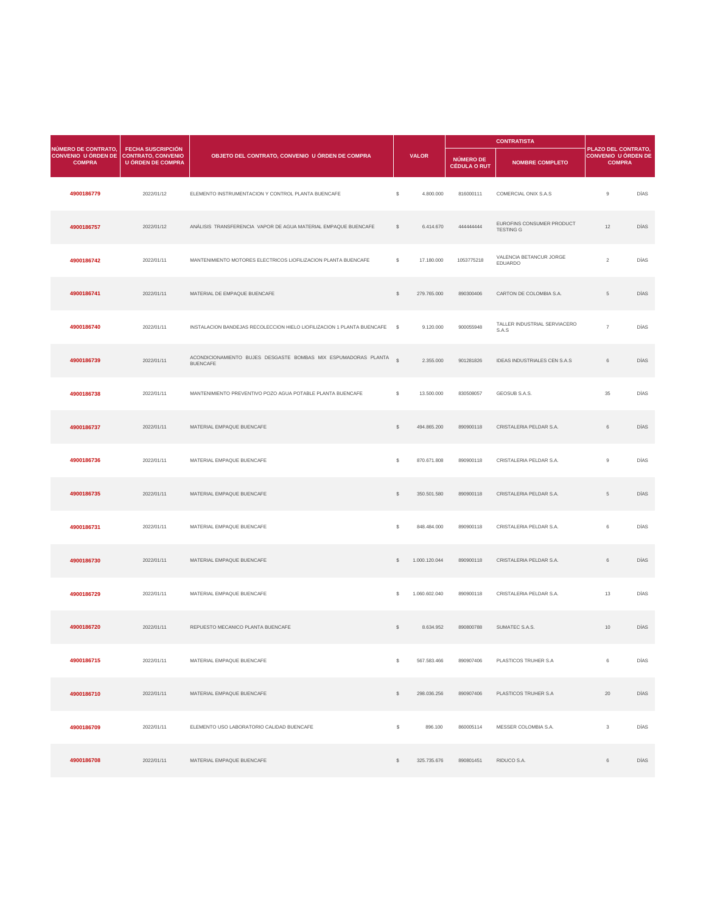|                                                                                |                                                      |                                                                                   |                     |              |                                  | <b>CONTRATISTA</b>                            |                                                                           |             |  |
|--------------------------------------------------------------------------------|------------------------------------------------------|-----------------------------------------------------------------------------------|---------------------|--------------|----------------------------------|-----------------------------------------------|---------------------------------------------------------------------------|-------------|--|
| NÚMERO DE CONTRATO,<br>CONVENIO U ÓRDEN DE CONTRATO, CONVENIO<br><b>COMPRA</b> | <b>FECHA SUSCRIPCIÓN</b><br><b>U ÓRDEN DE COMPRA</b> | OBJETO DEL CONTRATO, CONVENIO U ÓRDEN DE COMPRA                                   |                     | <b>VALOR</b> | NÚMERO DE<br><b>CÉDULA O RUT</b> | <b>NOMBRE COMPLETO</b>                        | <b>PLAZO DEL CONTRATO,</b><br><b>CONVENIO U ÓRDEN DE</b><br><b>COMPRA</b> |             |  |
| 4900186779                                                                     | 2022/01/12                                           | ELEMENTO INSTRUMENTACION Y CONTROL PLANTA BUENCAFE                                |                     | 4.800.000    | 816000111                        | COMERCIAL ONIX S.A.S                          | -9                                                                        | <b>DÍAS</b> |  |
| 4900186757                                                                     | 2022/01/12                                           | ANÁLISIS TRANSFERENCIA VAPOR DE AGUA MATERIAL EMPAQUE BUENCAFE                    | $\mathbb{S}$        | 6.414.670    | 444444444                        | EUROFINS CONSUMER PRODUCT<br><b>TESTING G</b> | 12                                                                        | <b>DÍAS</b> |  |
| 4900186742                                                                     | 2022/01/11                                           | MANTENIMIENTO MOTORES ELECTRICOS LIOFILIZACION PLANTA BUENCAFE                    | \$                  | 17.180.000   | 1053775218                       | VALENCIA BETANCUR JORGE<br><b>EDUARDO</b>     | 2                                                                         | <b>DÍAS</b> |  |
| 4900186741                                                                     | 2022/01/11                                           | MATERIAL DE EMPAQUE BUENCAFE                                                      | $\mathbb{S}$        | 279.765.000  | 890300406                        | CARTON DE COLOMBIA S.A.                       | 5                                                                         | <b>DÍAS</b> |  |
| 4900186740                                                                     | 2022/01/11                                           | INSTALACION BANDEJAS RECOLECCION HIELO LIOFILIZACION 1 PLANTA BUENCAFE \$         |                     | 9.120.000    | 900055948                        | TALLER INDUSTRIAL SERVIACERO<br>S.A.S         | $\overline{7}$                                                            | <b>DÍAS</b> |  |
| 4900186739                                                                     | 2022/01/11                                           | ACONDICIONAMIENTO BUJES DESGASTE BOMBAS MIX ESPUMADORAS PLANTA<br><b>BUENCAFE</b> | $\hat{\mathcal{L}}$ | 2.355.000    | 901281826                        | <b>IDEAS INDUSTRIALES CEN S.A.S</b>           | 6                                                                         | <b>DÍAS</b> |  |
| 4900186738                                                                     | 2022/01/11                                           | MANTENIMIENTO PREVENTIVO POZO AGUA POTABLE PLANTA BUENCAFE                        | S.                  | 13.500.000   | 830508057                        | GEOSUB S.A.S.                                 | 35                                                                        | <b>DÍAS</b> |  |
| 4900186737                                                                     | 2022/01/11                                           | MATERIAL EMPAQUE BUENCAFE                                                         |                     | 494.865.200  | 890900118                        | CRISTALERIA PELDAR S.A.                       | 6                                                                         | <b>DÍAS</b> |  |

| 4900186736 | 2022/01/11 | MATERIAL EMPAQUE BUENCAFE                 | $\frac{1}{2}$  | 870.671.808   | 890900118 | CRISTALERIA PELDAR S.A. | 9              | DÍAS |
|------------|------------|-------------------------------------------|----------------|---------------|-----------|-------------------------|----------------|------|
| 4900186735 | 2022/01/11 | MATERIAL EMPAQUE BUENCAFE                 | $\mathcal{L}$  | 350.501.580   | 890900118 | CRISTALERIA PELDAR S.A. | 5 <sup>5</sup> | DÍAS |
| 4900186731 | 2022/01/11 | MATERIAL EMPAQUE BUENCAFE                 | $\mathfrak{S}$ | 848.484.000   | 890900118 | CRISTALERIA PELDAR S.A. | 6              | DÍAS |
| 4900186730 | 2022/01/11 | MATERIAL EMPAQUE BUENCAFE                 | $\mathcal{L}$  | 1.000.120.044 | 890900118 | CRISTALERIA PELDAR S.A. | 6              | DÍAS |
| 4900186729 | 2022/01/11 | MATERIAL EMPAQUE BUENCAFE                 | $\mathcal{L}$  | 1.060.602.040 | 890900118 | CRISTALERIA PELDAR S.A. | 13             | DÍAS |
| 4900186720 | 2022/01/11 | REPUESTO MECANICO PLANTA BUENCAFE         | $\mathcal{L}$  | 8.634.952     | 890800788 | SUMATEC S.A.S.          | 10             | DÍAS |
| 4900186715 | 2022/01/11 | MATERIAL EMPAQUE BUENCAFE                 | \$             | 567.583.466   | 890907406 | PLASTICOS TRUHER S.A    | 6              | DÍAS |
| 4900186710 | 2022/01/11 | MATERIAL EMPAQUE BUENCAFE                 | $\mathcal{L}$  | 298.036.256   | 890907406 | PLASTICOS TRUHER S.A    | 20             | DÍAS |
| 4900186709 | 2022/01/11 | ELEMENTO USO LABORATORIO CALIDAD BUENCAFE | $\mathcal{L}$  | 896.100       | 860005114 | MESSER COLOMBIA S.A.    | $\mathbf{3}$   | DÍAS |
| 4900186708 | 2022/01/11 | MATERIAL EMPAQUE BUENCAFE                 | $\mathcal{L}$  | 325.735.676   | 890801451 | RIDUCO S.A.             | 6              | DÍAS |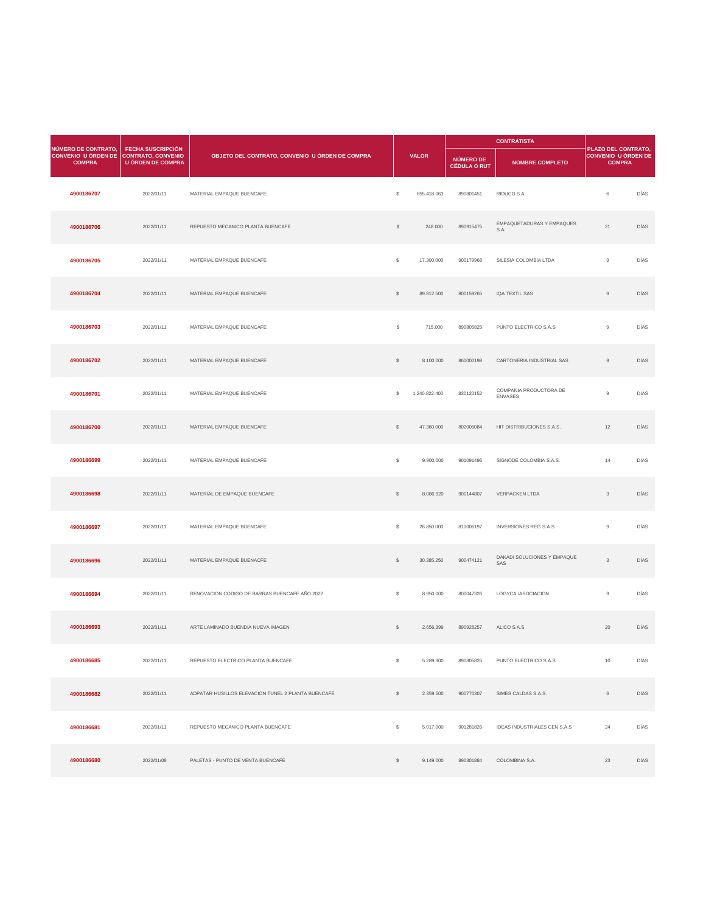|                                                                    |                                                                                   |                                                 |                |               |                                  | <b>CONTRATISTA</b>                       |                                                                           |             |  |
|--------------------------------------------------------------------|-----------------------------------------------------------------------------------|-------------------------------------------------|----------------|---------------|----------------------------------|------------------------------------------|---------------------------------------------------------------------------|-------------|--|
| NÚMERO DE CONTRATO,<br><b>CONVENIO U ÓRDEN DE</b><br><b>COMPRA</b> | <b>FECHA SUSCRIPCIÓN</b><br><b>CONTRATO, CONVENIO</b><br><b>U ÓRDEN DE COMPRA</b> | OBJETO DEL CONTRATO, CONVENIO U ÓRDEN DE COMPRA |                | <b>VALOR</b>  | NÚMERO DE<br><b>CÉDULA O RUT</b> | <b>NOMBRE COMPLETO</b>                   | <b>PLAZO DEL CONTRATO,</b><br><b>CONVENIO U ÓRDEN DE</b><br><b>COMPRA</b> |             |  |
| 4900186707                                                         | 2022/01/11                                                                        | MATERIAL EMPAQUE BUENCAFE                       | $\mathcal{L}$  | 655.418.063   | 890801451                        | RIDUCO S.A.                              | 6                                                                         | <b>DÍAS</b> |  |
| 4900186706                                                         | 2022/01/11                                                                        | REPUESTO MECANICO PLANTA BUENCAFE               | $\mathcal{L}$  | 248.000       | 890915475                        | <b>EMPAQUETADURAS Y EMPAQUES</b><br>S.A. | 21                                                                        | <b>DÍAS</b> |  |
| 4900186705                                                         | 2022/01/11                                                                        | MATERIAL EMPAQUE BUENCAFE                       | $\mathbb{S}$   | 17.300.000    | 900179968                        | SILESIA COLOMBIA LTDA                    | 9                                                                         | <b>DÍAS</b> |  |
| 4900186704                                                         | 2022/01/11                                                                        | MATERIAL EMPAQUE BUENCAFE                       | $\mathcal{L}$  | 89.812.500    | 800159265                        | IQA TEXTIL SAS                           | 9                                                                         | <b>DÍAS</b> |  |
| 4900186703                                                         | 2022/01/11                                                                        | MATERIAL EMPAQUE BUENCAFE                       | $\mathfrak{S}$ | 715.000       | 890805825                        | PUNTO ELECTRICO S.A.S                    | 9                                                                         | <b>DÍAS</b> |  |
| 4900186702                                                         | 2022/01/11                                                                        | MATERIAL EMPAQUE BUENCAFE                       | $\frac{1}{2}$  | 8.100.000     | 860000198                        | CARTONERIA INDUSTRIAL SAS                | 9                                                                         | <b>DÍAS</b> |  |
| 4900186701                                                         | 2022/01/11                                                                        | MATERIAL EMPAQUE BUENCAFE                       | \$             | 1.240.822.400 | 830120152                        | COMPAÑIA PRODUCTORA DE<br><b>ENVASES</b> | 9                                                                         | <b>DÍAS</b> |  |
| 4900186700                                                         | 2022/01/11                                                                        | MATERIAL EMPAQUE BUENCAFE                       | $\frac{1}{2}$  | 47.360.000    | 802006084                        | HIT DISTRIBUCIONES S.A.S.                | 12                                                                        | DÍAS        |  |

| 4900186699 | 2022/01/11 | MATERIAL EMPAQUE BUENCAFE                          | $\mathcal{L}$  | 9.900.000  | 901091496 | SIGNODE COLOMBIA S.A.S.             | 14             | <b>DÍAS</b> |
|------------|------------|----------------------------------------------------|----------------|------------|-----------|-------------------------------------|----------------|-------------|
| 4900186698 | 2022/01/11 | MATERIAL DE EMPAQUE BUENCAFE                       | $\frac{1}{2}$  | 8.086.920  | 900144807 | <b>VERPACKEN LTDA</b>               | 3 <sup>1</sup> | DÍAS        |
| 4900186697 | 2022/01/11 | MATERIAL EMPAQUE BUENCAFE                          | $\mathfrak{S}$ | 26.850.000 | 810006197 | <b>INVERSIONES REG S.A.S</b>        | 9              | DÍAS        |
| 4900186696 | 2022/01/11 | MATERIAL EMPAQUE BUENACFE                          | $\mathcal{L}$  | 30.385.250 | 900474121 | DAKADI SOLUCIONES Y EMPAQUE<br>SAS  | 3 <sup>1</sup> | DÍAS        |
| 4900186694 | 2022/01/11 | RENOVACION CODIGO DE BARRAS BUENCAFE AÑO 2022      | $\mathfrak{S}$ | 8.950.000  | 800047326 | LOGYCA /ASOCIACION                  | 9              | DÍAS        |
| 4900186693 | 2022/01/11 | ARTE LAMINADO BUENDIA NUEVA IMAGEN                 | $\frac{1}{2}$  | 2.656.399  | 890928257 | ALICO S.A.S                         | 20             | DÍAS        |
| 4900186685 | 2022/01/11 | REPUESTO ELECTRICO PLANTA BUENCAFE                 | \$             | 5.289.300  | 890805825 | PUNTO ELECTRICO S.A.S               | 10             | DÍAS        |
| 4900186682 | 2022/01/11 | ADPATAR HUSILLOS ELEVACION TUNEL 2 PLANTA BUENCAFE | $\mathcal{L}$  | 2.359.500  | 900770307 | SIMES CALDAS S.A.S.                 | 6              | <b>DÍAS</b> |
| 4900186681 | 2022/01/11 | REPUESTO MECANICO PLANTA BUENCAFE                  | $\mathfrak{S}$ | 5.017.000  | 901281826 | <b>IDEAS INDUSTRIALES CEN S.A.S</b> | 24             | <b>DÍAS</b> |
| 4900186680 | 2022/01/08 | PALETAS - PUNTO DE VENTA BUENCAFE                  | $\mathcal{L}$  | 9.149.000  | 890301884 | COLOMBINA S.A.                      | 23             | <b>DÍAS</b> |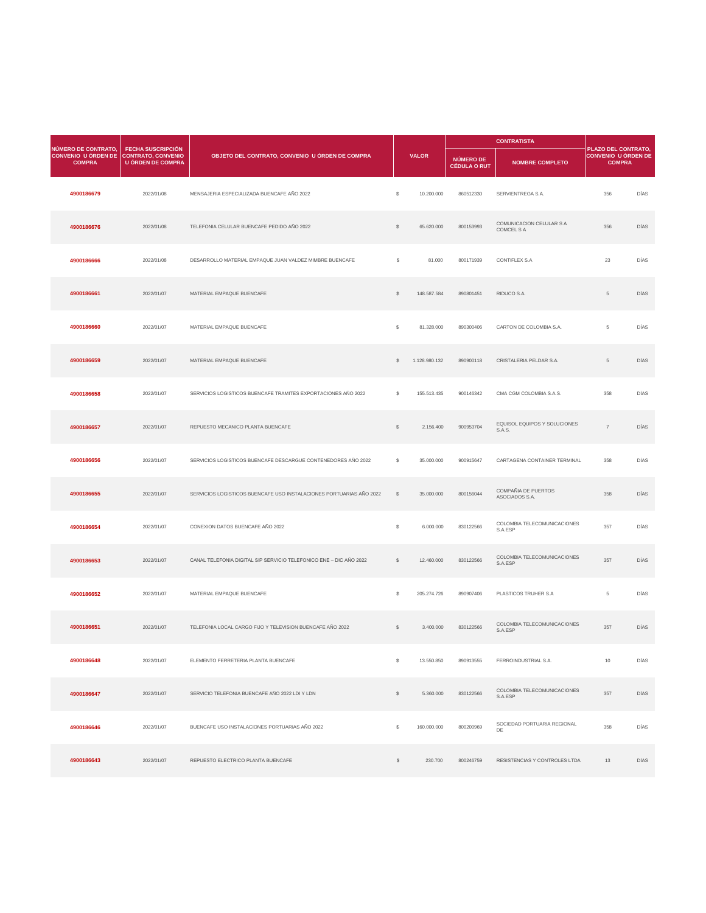|                                                                                       |                                                      | OBJETO DEL CONTRATO, CONVENIO U ÓRDEN DE COMPRA               |               |               |                                  |                                                      |                                                                    |             |
|---------------------------------------------------------------------------------------|------------------------------------------------------|---------------------------------------------------------------|---------------|---------------|----------------------------------|------------------------------------------------------|--------------------------------------------------------------------|-------------|
| <b>NÚMERO DE CONTRATO,</b><br>CONVENIO U ÓRDEN DE CONTRATO, CONVENIO<br><b>COMPRA</b> | <b>FECHA SUSCRIPCIÓN</b><br><b>U ÓRDEN DE COMPRA</b> |                                                               |               | <b>VALOR</b>  | NÚMERO DE<br><b>CÉDULA O RUT</b> | <b>NOMBRE COMPLETO</b>                               | PLAZO DEL CONTRATO,<br><b>CONVENIO U ÓRDEN DE</b><br><b>COMPRA</b> |             |
| 4900186679                                                                            | 2022/01/08                                           | MENSAJERIA ESPECIALIZADA BUENCAFE AÑO 2022                    | $\mathcal{L}$ | 10.200.000    | 860512330                        | SERVIENTREGA S.A.                                    | 356                                                                | DÍAS        |
| 4900186676                                                                            | 2022/01/08                                           | TELEFONIA CELULAR BUENCAFE PEDIDO AÑO 2022                    | $\mathcal{L}$ | 65.620.000    | 800153993                        | <b>COMUNICACION CELULAR S A</b><br><b>COMCEL S A</b> | 356                                                                | <b>DÍAS</b> |
| 4900186666                                                                            | 2022/01/08                                           | DESARROLLO MATERIAL EMPAQUE JUAN VALDEZ MIMBRE BUENCAFE       | $\$\$         | 81.000        | 800171939                        | <b>CONTIFLEX S.A</b>                                 | 23                                                                 | <b>DÍAS</b> |
| 4900186661                                                                            | 2022/01/07                                           | MATERIAL EMPAQUE BUENCAFE                                     | $\sqrt[6]{2}$ | 148.587.584   | 890801451                        | RIDUCO S.A.                                          | 5                                                                  | <b>DÍAS</b> |
| 4900186660                                                                            | 2022/01/07                                           | MATERIAL EMPAQUE BUENCAFE                                     | $\mathcal{L}$ | 81.328.000    | 890300406                        | CARTON DE COLOMBIA S.A.                              | 5                                                                  | <b>DÍAS</b> |
| 4900186659                                                                            | 2022/01/07                                           | MATERIAL EMPAQUE BUENCAFE                                     |               | 1.128.980.132 | 890900118                        | CRISTALERIA PELDAR S.A.                              | 5                                                                  | <b>DÍAS</b> |
| 4900186658                                                                            | 2022/01/07                                           | SERVICIOS LOGISTICOS BUENCAFE TRAMITES EXPORTACIONES AÑO 2022 | $\mathcal{L}$ | 155.513.435   | 900146342                        | CMA CGM COLOMBIA S.A.S.                              | 358                                                                | DÍAS        |
| 4900186657                                                                            | 2022/01/07                                           | REPUESTO MECANICO PLANTA BUENCAFE                             | $\mathcal{L}$ | 2.156.400     | 900953704                        | EQUISOL EQUIPOS Y SOLUCIONES<br>S.A.S.               | $\overline{7}$                                                     | DÍAS        |

| 4900186656 | 2022/01/07 | SERVICIOS LOGISTICOS BUENCAFE DESCARGUE CONTENEDORES AÑO 2022       | \$            | 35.000.000  | 900915647 | CARTAGENA CONTAINER TERMINAL           | 358            | DÍAS        |
|------------|------------|---------------------------------------------------------------------|---------------|-------------|-----------|----------------------------------------|----------------|-------------|
| 4900186655 | 2022/01/07 | SERVICIOS LOGISTICOS BUENCAFE USO INSTALACIONES PORTUARIAS AÑO 2022 | $\mathbb{S}$  | 35.000.000  | 800156044 | COMPAÑIA DE PUERTOS<br>ASOCIADOS S.A.  | 358            | DÍAS        |
| 4900186654 | 2022/01/07 | CONEXION DATOS BUENCAFE AÑO 2022                                    | $\$\$         | 6.000.000   | 830122566 | COLOMBIA TELECOMUNICACIONES<br>S.A.ESP | 357            | DÍAS        |
| 4900186653 | 2022/01/07 | CANAL TELEFONIA DIGITAL SIP SERVICIO TELEFONICO ENE - DIC AÑO 2022  | $\mathbb{S}$  | 12.460.000  | 830122566 | COLOMBIA TELECOMUNICACIONES<br>S.A.ESP | 357            | DÍAS        |
| 4900186652 | 2022/01/07 | MATERIAL EMPAQUE BUENCAFE                                           | $\mathcal{L}$ | 205.274.726 | 890907406 | PLASTICOS TRUHER S.A                   | 5 <sup>5</sup> | DÍAS        |
| 4900186651 | 2022/01/07 | TELEFONIA LOCAL CARGO FIJO Y TELEVISION BUENCAFE AÑO 2022           | $\mathcal{L}$ | 3.400.000   | 830122566 | COLOMBIA TELECOMUNICACIONES<br>S.A.ESP | 357            | <b>DÍAS</b> |
| 4900186648 | 2022/01/07 | ELEMENTO FERRETERIA PLANTA BUENCAFE                                 | $\mathbb{S}$  | 13.550.850  | 890913555 | FERROINDUSTRIAL S.A.                   | 10             | <b>DÍAS</b> |
| 4900186647 | 2022/01/07 | SERVICIO TELEFONIA BUENCAFE AÑO 2022 LDI Y LDN                      | $\mathcal{L}$ | 5.360.000   | 830122566 | COLOMBIA TELECOMUNICACIONES<br>S.A.ESP | 357            | DÍAS        |
| 4900186646 | 2022/01/07 | BUENCAFE USO INSTALACIONES PORTUARIAS AÑO 2022                      | $\mathcal{S}$ | 160.000.000 | 800200969 | SOCIEDAD PORTUARIA REGIONAL<br>DE      | 358            | DÍAS        |
| 4900186643 | 2022/01/07 | REPUESTO ELECTRICO PLANTA BUENCAFE                                  | $\mathcal{L}$ | 230.700     | 800246759 | RESISTENCIAS Y CONTROLES LTDA          | 13             | <b>DÍAS</b> |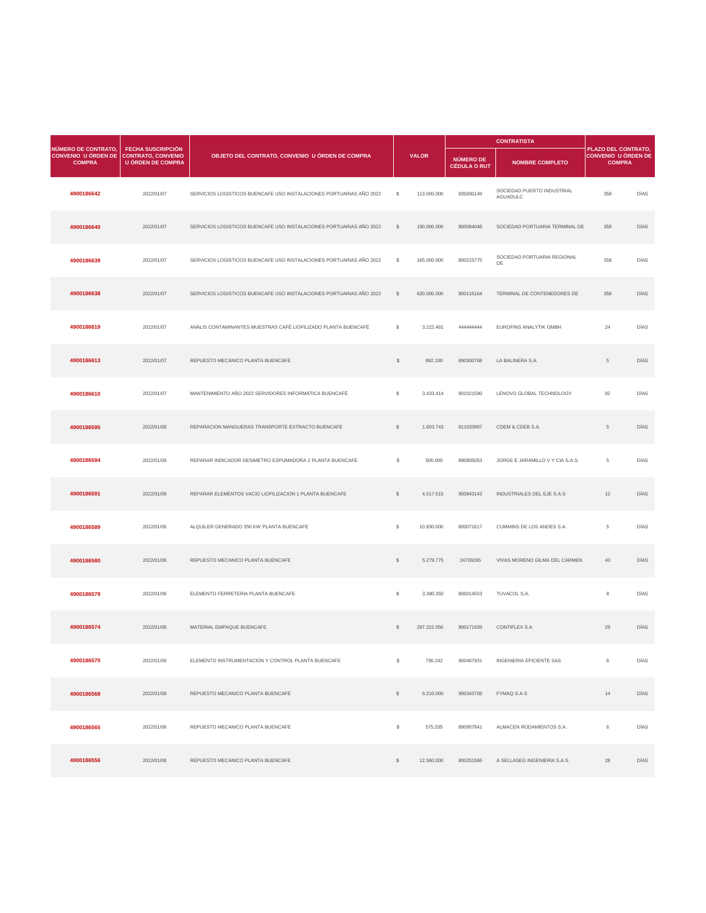|                                                                                              |                                                      |                                                                     |                |              |                                  | <b>CONTRATISTA</b>                            |                                                                           |             |
|----------------------------------------------------------------------------------------------|------------------------------------------------------|---------------------------------------------------------------------|----------------|--------------|----------------------------------|-----------------------------------------------|---------------------------------------------------------------------------|-------------|
| <b>NÚMERO DE CONTRATO,</b><br><b>CONVENIO U ÓRDEN DE CONTRATO, CONVENIO</b><br><b>COMPRA</b> | <b>FECHA SUSCRIPCIÓN</b><br><b>U ÓRDEN DE COMPRA</b> | OBJETO DEL CONTRATO, CONVENIO U ÓRDEN DE COMPRA                     |                | <b>VALOR</b> | NÚMERO DE<br><b>CÉDULA O RUT</b> | <b>NOMBRE COMPLETO</b>                        | <b>PLAZO DEL CONTRATO,</b><br><b>CONVENIO U ÓRDEN DE</b><br><b>COMPRA</b> |             |
| 4900186642                                                                                   | 2022/01/07                                           | SERVICIOS LOGISTICOS BUENCAFE USO INSTALACIONES PORTUARIAS AÑO 2022 | \$             | 113.000.000  | 835000149                        | SOCIEDAD PUERTO INDUSTRIAL<br><b>AGUADULC</b> | 358                                                                       | <b>DÍAS</b> |
| 4900186640                                                                                   | 2022/01/07                                           | SERVICIOS LOGISTICOS BUENCAFE USO INSTALACIONES PORTUARIAS AÑO 2022 | \$             | 190.000.000  | 800084048                        | SOCIEDAD PORTUARIA TERMINAL DE                | 358                                                                       | <b>DÍAS</b> |
| 4900186639                                                                                   | 2022/01/07                                           | SERVICIOS LOGISTICOS BUENCAFE USO INSTALACIONES PORTUARIAS AÑO 2022 | $\mathcal{S}$  | 165.000.000  | 800215775                        | SOCIEDAD PORTUARIA REGIONAL<br>DE             | 358                                                                       | <b>DÍAS</b> |
| 4900186638                                                                                   | 2022/01/07                                           | SERVICIOS LOGISTICOS BUENCAFE USO INSTALACIONES PORTUARIAS AÑO 2022 | $\mathcal{S}$  | 620.000.000  | 800116164                        | TERMINAL DE CONTENEDORES DE                   | 358                                                                       | <b>DÍAS</b> |
| 4900186619                                                                                   | 2022/01/07                                           | ANÁLIS CONTAMINANTES MUESTRAS CAFÉ LIOFILIZADO PLANTA BUENCAFÉ      | $\mathcal{L}$  | 3.222.481    | 44444444                         | <b>EUROFINS ANALYTIK GMBH</b>                 | 24                                                                        | <b>DÍAS</b> |
| 4900186613                                                                                   | 2022/01/07                                           | REPUESTO MECANICO PLANTA BUENCAFE                                   | \$             | 892.100      | 890300768                        | LA BALINERA S.A.                              | 5                                                                         | <b>DÍAS</b> |
| 4900186610                                                                                   | 2022/01/07                                           | MANTENIMIENTO AÑO 2022 SERVIDORES INFORMÁTICA BUENCAFÉ              | $\mathfrak{S}$ | 3.433.414    | 901021590                        | LENOVO GLOBAL TECHNOLOGY                      | 82                                                                        | DÍAS        |
| 4900186595                                                                                   | 2022/01/06                                           | REPARACION MANGUERAS TRANSPORTE EXTRACTO BUENCAFE                   | \$             | 1.603.743    | 811033997                        | CDEM & CDEB S.A.                              | $5^{\circ}$                                                               | <b>DÍAS</b> |

| 4900186594 | 2022/01/06 | REPARAR INDICADOR DESIMETRO ESPUMADORA 2 PLANTA BUENCAFE | $\frac{1}{2}$  | 500.000     | 890805053 | JORGE E JARAMILLO V Y CIA S.A.S.  | 5 <sup>5</sup>  | DÍAS        |
|------------|------------|----------------------------------------------------------|----------------|-------------|-----------|-----------------------------------|-----------------|-------------|
| 4900186591 | 2022/01/06 | REPARAR ELEMENTOS VACIO LIOFILIZACION 1 PLANTA BUENCAFE  | $\mathcal{L}$  | 4.517.515   | 900943143 | <b>INDUSTRIALES DEL EJE S.A.S</b> | 12              | DÍAS        |
| 4900186589 | 2022/01/06 | ALQUILER GENERADO 350 KW PLANTA BUENCAFE                 | $\mathfrak{S}$ | 10.830.000  | 800071617 | CUMMINS DE LOS ANDES S.A.         | $5\overline{)}$ | DÍAS        |
| 4900186580 | 2022/01/06 | REPUESTO MECANICO PLANTA BUENCAFE                        | $\mathcal{L}$  | 5.279.775   | 24709265  | VIVAS MORENO GILMA DEL CARMEN     | 43              | <b>DÍAS</b> |
| 4900186579 | 2022/01/06 | ELEMENTO FERRETERIA PLANTA BUENCAFE                      | $\mathcal{L}$  | 3.380.350   | 806014553 | TUVACOL S.A.                      | 8               | DÍAS        |
| 4900186574 | 2022/01/06 | MATERIAL EMPAQUE BUENCAFE                                | $\mathbb{S}$   | 297.222.050 | 800171939 | <b>CONTIFLEX S.A</b>              | 29              | DÍAS        |
| 4900186570 | 2022/01/06 | ELEMENTO INSTRUMENTACION Y CONTROL PLANTA BUENCAFE       | $\mathfrak{S}$ | 736.242     | 900467931 | <b>INGENIERIA EFICIENTE SAS</b>   | 6               | DÍAS        |
| 4900186568 | 2022/01/06 | REPUESTO MECANICO PLANTA BUENCAFE                        | $\mathcal{L}$  | 6.210.000   | 900343708 | <b>FYMAQ S.A.S</b>                | 14              | DÍAS        |
| 4900186565 | 2022/01/06 | REPUESTO MECANICO PLANTA BUENCAFE                        | $\mathcal{L}$  | 575.535     | 890907841 | ALMACEN RODAMIENTOS S.A.          | 6               | DÍAS        |
| 4900186556 | 2022/01/06 | REPUESTO MECANICO PLANTA BUENCAFE                        | $\mathcal{L}$  | 12.560.000  | 800251566 | A SELLASEG INGENIERIA S.A.S.      | 28              | DÍAS        |